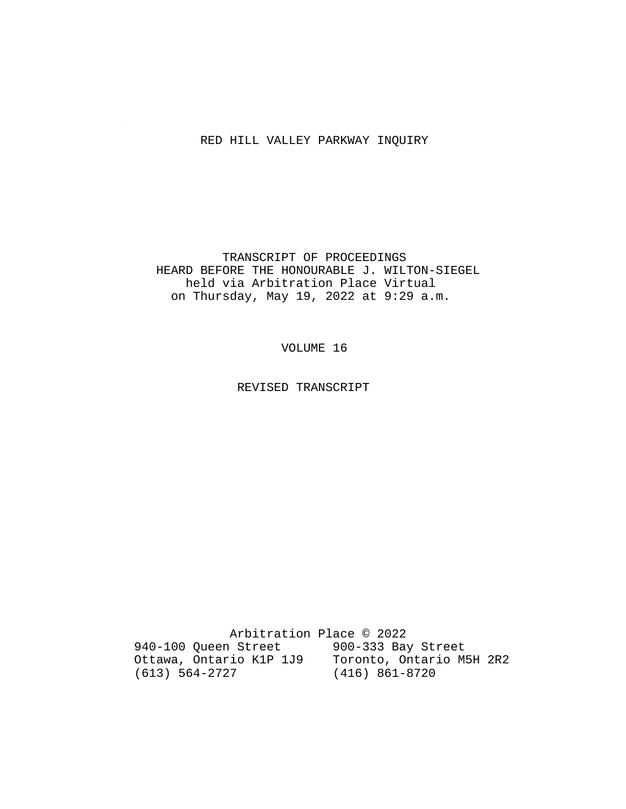### RED HILL VALLEY PARKWAY INQUIRY

 TRANSCRIPT OF PROCEEDINGS HEARD BEFORE THE HONOURABLE J. WILTON-SIEGEL held via Arbitration Place Virtual on Thursday, May 19, 2022 at 9:29 a.m.

VOLUME 16

REVISED TRANSCRIPT

 Arbitration Place © 2022 940-100 Queen Street 900-333 Bay Street Ottawa, Ontario K1P 1J9 Toronto, Ontario M5H 2R2 (613) 564-2727 (416) 861-8720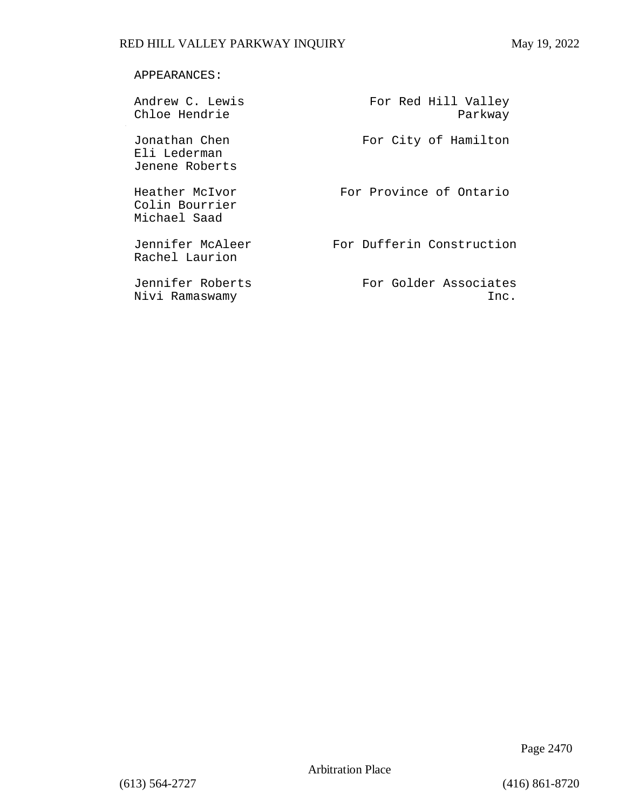### APPEARANCES:

| Andrew C. Lewis<br>Chloe Hendrie                 | For Red Hill Valley<br>Parkway |
|--------------------------------------------------|--------------------------------|
| Jonathan Chen<br>Eli Lederman<br>Jenene Roberts  | For City of Hamilton           |
| Heather McIvor<br>Colin Bourrier<br>Michael Saad | For Province of Ontario        |
| Jennifer McAleer<br>Rachel Laurion               | For Dufferin Construction      |
| Jennifer Roberts<br>Nivi Ramaswamy               | For Golder Associates<br>Inc.  |

Page 2470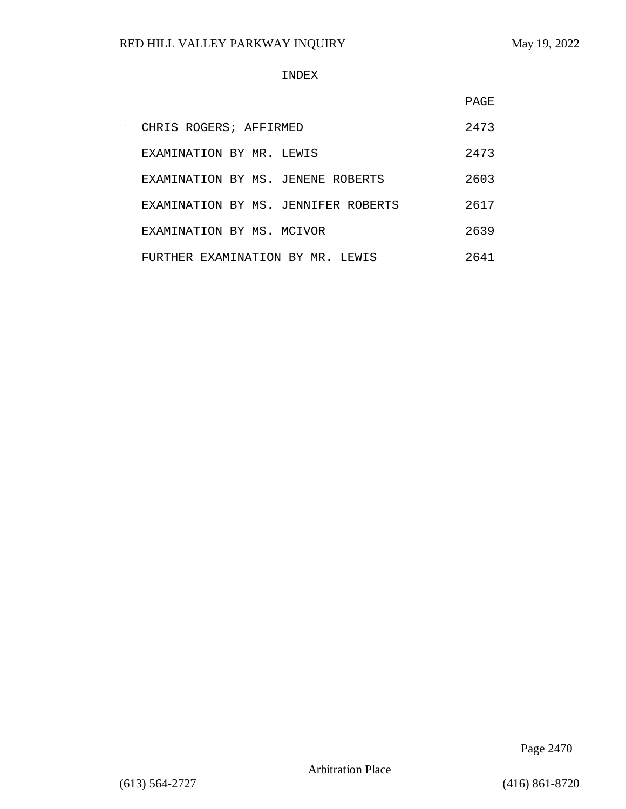#### INDEX

|                                     | PAGE |
|-------------------------------------|------|
| CHRIS ROGERS; AFFIRMED              | 2473 |
| EXAMINATION BY MR. LEWIS            | 2473 |
| EXAMINATION BY MS. JENENE ROBERTS   | 2603 |
| EXAMINATION BY MS. JENNIFER ROBERTS | 2617 |
| EXAMINATION BY MS. MCIVOR           | 2639 |
| FURTHER EXAMINATION BY MR. LEWIS    | 2641 |

Page 2470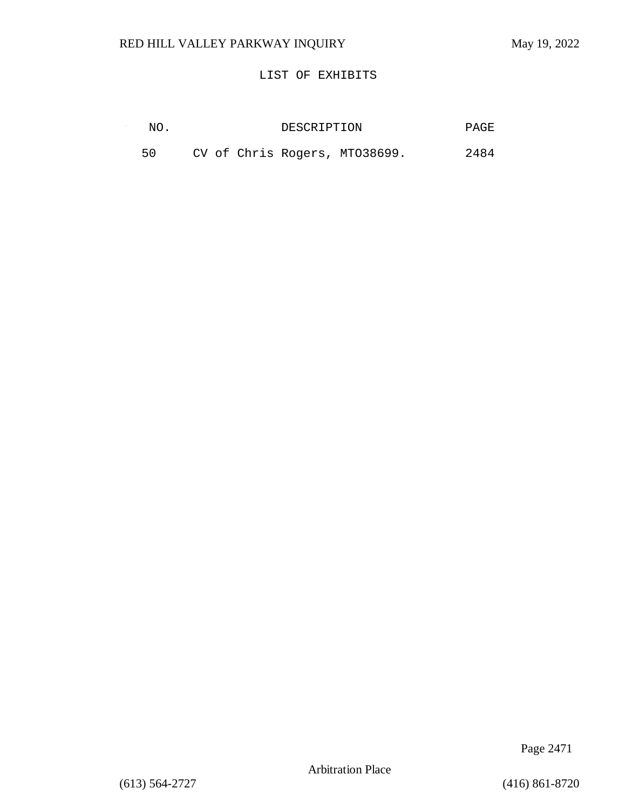$\sim$ 

### LIST OF EXHIBITS

| NO. | DESCRIPTION                   | PAGE |
|-----|-------------------------------|------|
| 50  | CV of Chris Rogers, MT038699. | 2484 |

Page 2471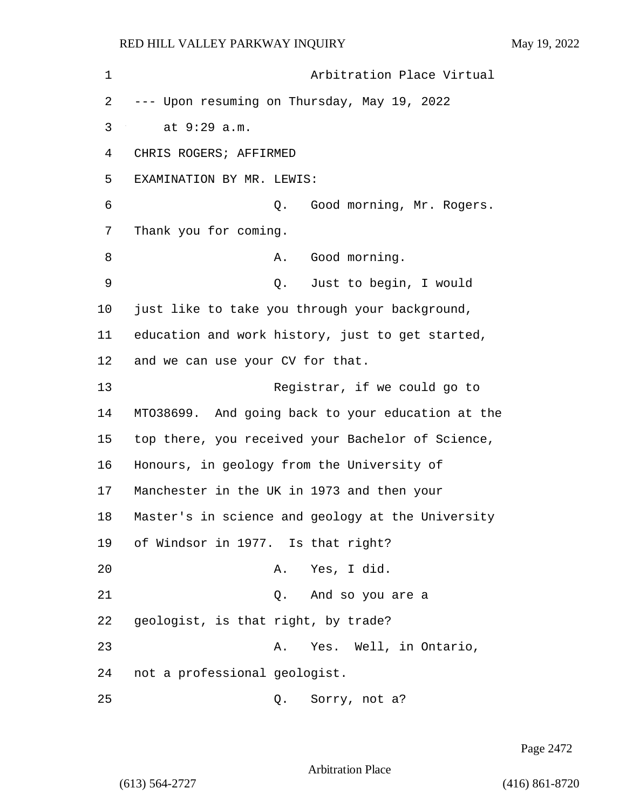1 Arbitration Place Virtual 2 --- Upon resuming on Thursday, May 19, 2022 3 at 9:29 a.m. 4 CHRIS ROGERS; AFFIRMED 5 EXAMINATION BY MR. LEWIS: 6 Q. Good morning, Mr. Rogers. 7 Thank you for coming. 8 A. Good morning. 9 Q. Just to begin, I would 10 just like to take you through your background, 11 education and work history, just to get started, 12 and we can use your CV for that. 13 Registrar, if we could go to 14 MTO38699. And going back to your education at the 15 top there, you received your Bachelor of Science, 16 Honours, in geology from the University of 17 Manchester in the UK in 1973 and then your 18 Master's in science and geology at the University 19 of Windsor in 1977. Is that right? 20 A. Yes, I did. 21 Q. And so you are a 22 geologist, is that right, by trade? 23 A. Yes. Well, in Ontario, 24 not a professional geologist. 25 Q. Sorry, not a?

Page 2472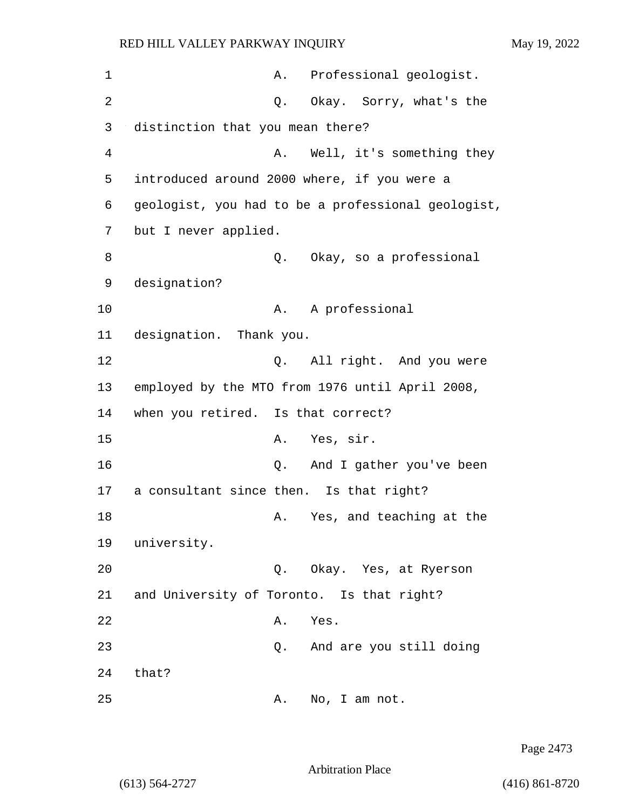| 1  | A. Professional geologist.                         |
|----|----------------------------------------------------|
| 2  | Q. Okay. Sorry, what's the                         |
| 3  | distinction that you mean there?                   |
| 4  | Well, it's something they<br>Α.                    |
| 5  | introduced around 2000 where, if you were a        |
| 6  | geologist, you had to be a professional geologist, |
| 7  | but I never applied.                               |
| 8  | Q. Okay, so a professional                         |
| 9  | designation?                                       |
| 10 | A professional<br>A.                               |
| 11 | designation. Thank you.                            |
| 12 | Q. All right. And you were                         |
| 13 | employed by the MTO from 1976 until April 2008,    |
| 14 | when you retired. Is that correct?                 |
| 15 | Yes, sir.<br>Α.                                    |
| 16 | And I gather you've been<br>Q.                     |
| 17 | a consultant since then. Is that right?            |
| 18 | Yes, and teaching at the<br>Α.                     |
| 19 | university.                                        |
| 20 | Q. Okay. Yes, at Ryerson                           |
| 21 | and University of Toronto. Is that right?          |
| 22 | Α.<br>Yes.                                         |
| 23 | And are you still doing<br>Q.                      |
| 24 | that?                                              |
| 25 | No, I am not.<br>Α.                                |

Page 2473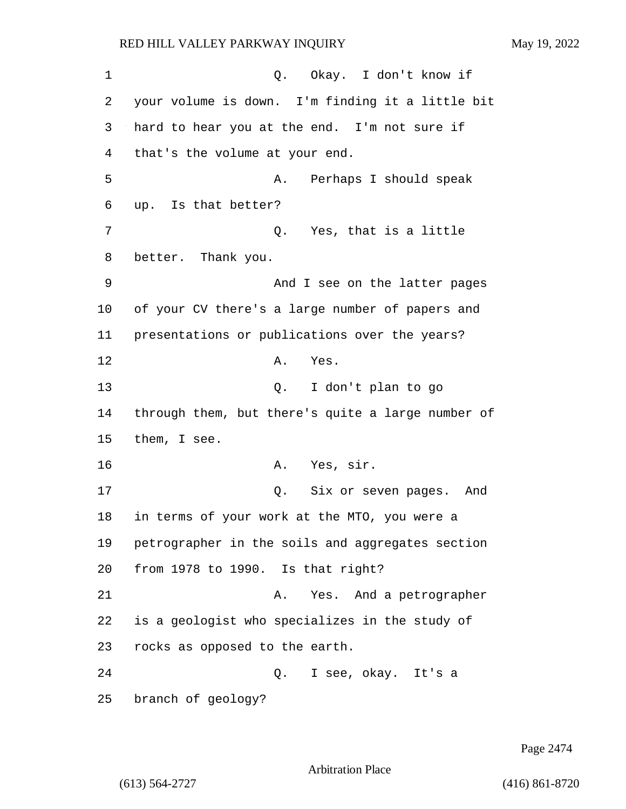1 0. Okay. I don't know if 2 your volume is down. I'm finding it a little bit 3 hard to hear you at the end. I'm not sure if 4 that's the volume at your end. 5 A. Perhaps I should speak 6 up. Is that better? 7 C. Yes, that is a little 8 better. Thank you. 9 And I see on the latter pages 10 of your CV there's a large number of papers and 11 presentations or publications over the years? 12 A. Yes. 13 Q. I don't plan to go 14 through them, but there's quite a large number of 15 them, I see. 16 A. Yes, sir. 17 Q. Six or seven pages. And 18 in terms of your work at the MTO, you were a 19 petrographer in the soils and aggregates section 20 from 1978 to 1990. Is that right? 21 A. Yes. And a petrographer 22 is a geologist who specializes in the study of 23 rocks as opposed to the earth. 24 Q. I see, okay. It's a 25 branch of geology?

Page 2474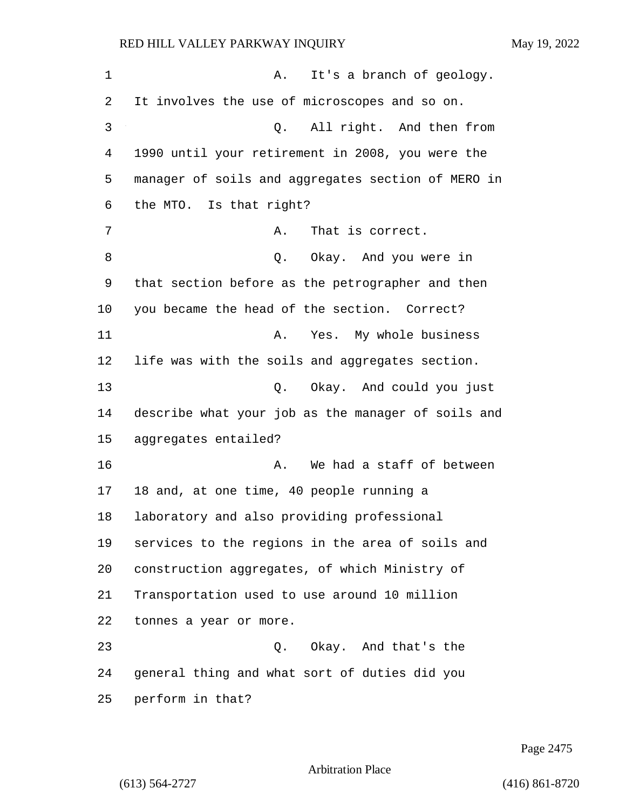| 1  | It's a branch of geology.<br>Α.                    |
|----|----------------------------------------------------|
| 2  | It involves the use of microscopes and so on.      |
| 3  | Q. All right. And then from                        |
| 4  | 1990 until your retirement in 2008, you were the   |
| 5  | manager of soils and aggregates section of MERO in |
| 6  | the MTO. Is that right?                            |
| 7  | That is correct.<br>Α.                             |
| 8  | Q. Okay. And you were in                           |
| 9  | that section before as the petrographer and then   |
| 10 | you became the head of the section. Correct?       |
| 11 | Yes. My whole business<br>Α.                       |
| 12 | life was with the soils and aggregates section.    |
| 13 | Q. Okay. And could you just                        |
| 14 | describe what your job as the manager of soils and |
| 15 | aggregates entailed?                               |
| 16 | We had a staff of between<br>Α.                    |
| 17 | 18 and, at one time, 40 people running a           |
| 18 | laboratory and also providing professional         |
| 19 | services to the regions in the area of soils and   |
| 20 | construction aggregates, of which Ministry of      |
| 21 | Transportation used to use around 10 million       |
| 22 | tonnes a year or more.                             |
| 23 | Okay. And that's the<br>$\circ$ .                  |
| 24 | general thing and what sort of duties did you      |
| 25 | perform in that?                                   |

Page 2475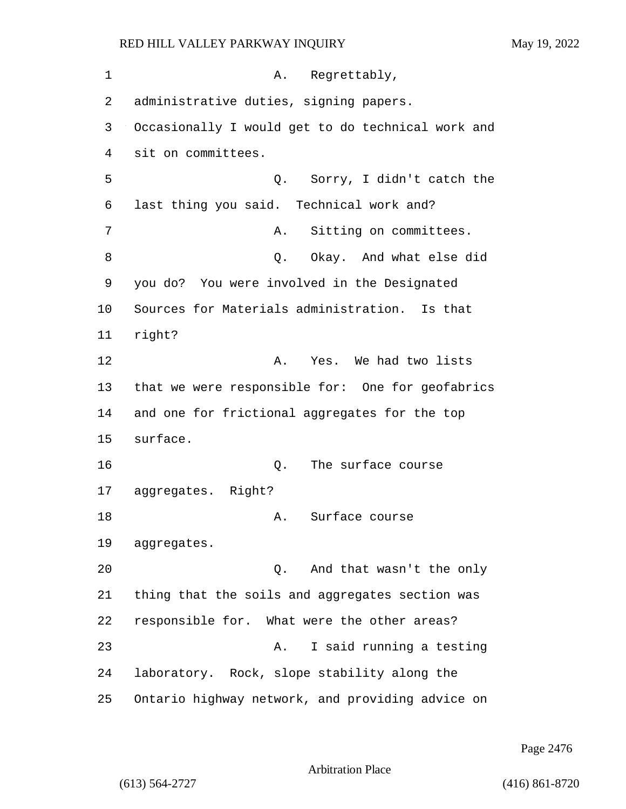| May 19, 2022 |  |  |
|--------------|--|--|
|              |  |  |

| 1  | A. Regrettably,                                   |
|----|---------------------------------------------------|
| 2  | administrative duties, signing papers.            |
| 3  | Occasionally I would get to do technical work and |
| 4  | sit on committees.                                |
| 5  | Q. Sorry, I didn't catch the                      |
| 6  | last thing you said. Technical work and?          |
| 7  | Sitting on committees.<br>Α.                      |
| 8  | Q. Okay. And what else did                        |
| 9  | you do? You were involved in the Designated       |
| 10 | Sources for Materials administration. Is that     |
| 11 | right?                                            |
| 12 | A. Yes. We had two lists                          |
| 13 | that we were responsible for: One for geofabrics  |
| 14 | and one for frictional aggregates for the top     |
| 15 | surface.                                          |
| 16 | Q. The surface course                             |
| 17 | aggregates. Right?                                |
| 18 | A. Surface course                                 |
| 19 | aggregates.                                       |
| 20 | And that wasn't the only<br>Q.                    |
| 21 | thing that the soils and aggregates section was   |
| 22 | responsible for. What were the other areas?       |
| 23 | I said running a testing<br>Α.                    |
| 24 | laboratory. Rock, slope stability along the       |
| 25 | Ontario highway network, and providing advice on  |

Page 2476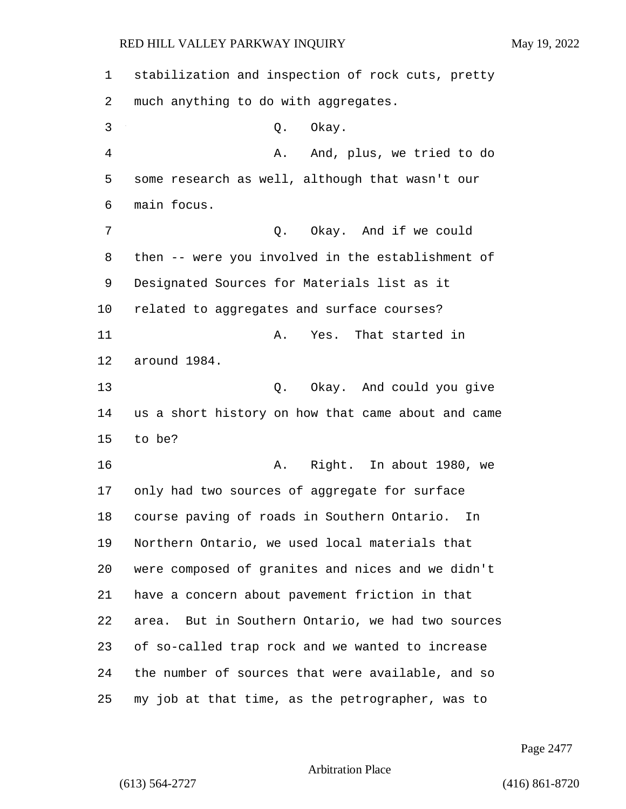| $\mathbf 1$ | stabilization and inspection of rock cuts, pretty    |
|-------------|------------------------------------------------------|
| 2           | much anything to do with aggregates.                 |
| 3           | Okay.<br>Q.                                          |
| 4           | And, plus, we tried to do<br>Α.                      |
| 5           | some research as well, although that wasn't our      |
| 6           | main focus.                                          |
| 7           | Okay. And if we could<br>Q.                          |
| 8           | then -- were you involved in the establishment of    |
| 9           | Designated Sources for Materials list as it          |
| 10          | related to aggregates and surface courses?           |
| 11          | Yes. That started in<br>Α.                           |
| 12          | around 1984.                                         |
| 13          | Okay. And could you give<br>Q.                       |
| 14          | us a short history on how that came about and came   |
| 15          | to be?                                               |
| 16          | Right. In about 1980, we<br>Α.                       |
| 17          | only had two sources of aggregate for surface        |
| 18          | course paving of roads in Southern Ontario.<br>In    |
| 19          | Northern Ontario, we used local materials that       |
| 20          | were composed of granites and nices and we didn't    |
| 21          | have a concern about pavement friction in that       |
| 22          | But in Southern Ontario, we had two sources<br>area. |
| 23          | of so-called trap rock and we wanted to increase     |
| 24          | the number of sources that were available, and so    |
| 25          | my job at that time, as the petrographer, was to     |

Page 2477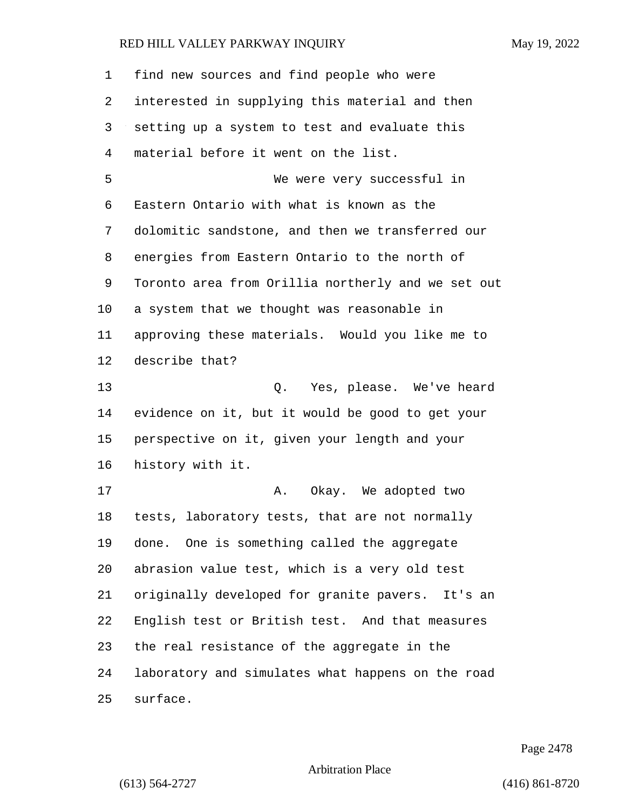| 1  | find new sources and find people who were          |
|----|----------------------------------------------------|
| 2  | interested in supplying this material and then     |
| 3  | setting up a system to test and evaluate this      |
| 4  | material before it went on the list.               |
| 5  | We were very successful in                         |
| 6  | Eastern Ontario with what is known as the          |
| 7  | dolomitic sandstone, and then we transferred our   |
| 8  | energies from Eastern Ontario to the north of      |
| 9  | Toronto area from Orillia northerly and we set out |
| 10 | a system that we thought was reasonable in         |
| 11 | approving these materials. Would you like me to    |
| 12 | describe that?                                     |
| 13 | Q. Yes, please. We've heard                        |
| 14 | evidence on it, but it would be good to get your   |
| 15 | perspective on it, given your length and your      |
| 16 | history with it.                                   |
| 17 | Okay. We adopted two<br>Α.                         |
| 18 | tests, laboratory tests, that are not normally     |
| 19 | done. One is something called the aggregate        |
| 20 | abrasion value test, which is a very old test      |
| 21 | originally developed for granite pavers. It's an   |
| 22 | English test or British test. And that measures    |
| 23 | the real resistance of the aggregate in the        |
| 24 | laboratory and simulates what happens on the road  |
| 25 | surface.                                           |

Page 2478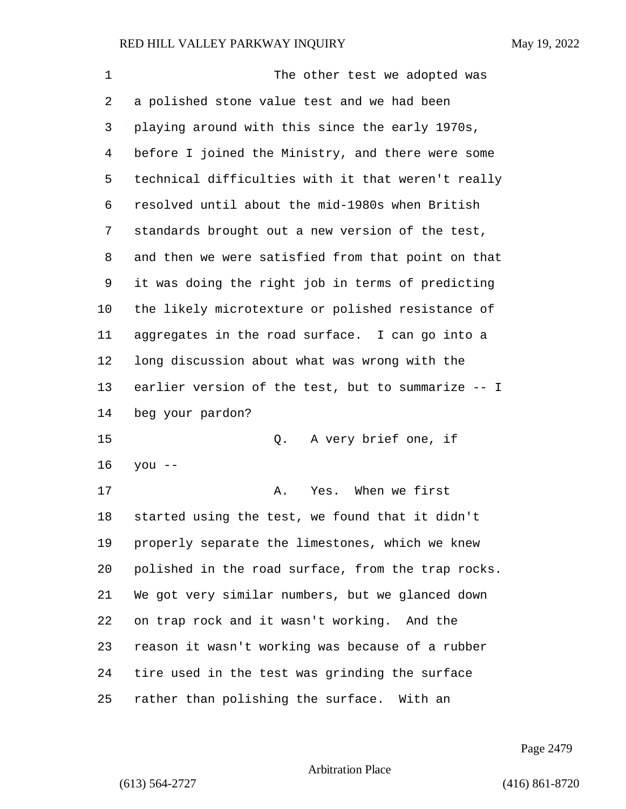| $\mathbf 1$ | The other test we adopted was                      |
|-------------|----------------------------------------------------|
| 2           | a polished stone value test and we had been        |
| 3           | playing around with this since the early 1970s,    |
| 4           | before I joined the Ministry, and there were some  |
| 5           | technical difficulties with it that weren't really |
| 6           | resolved until about the mid-1980s when British    |
| 7           | standards brought out a new version of the test,   |
| 8           | and then we were satisfied from that point on that |
| 9           | it was doing the right job in terms of predicting  |
| $10 \,$     | the likely microtexture or polished resistance of  |
| 11          | aggregates in the road surface. I can go into a    |
| 12          | long discussion about what was wrong with the      |
| 13          | earlier version of the test, but to summarize -- I |
| 14          | beg your pardon?                                   |
| 15          | A very brief one, if<br>Q.                         |
| 16          | you --                                             |
| 17          | Yes. When we first<br>Α.                           |
| 18          | started using the test, we found that it didn't    |
| 19          | properly separate the limestones, which we knew    |
| 20          | polished in the road surface, from the trap rocks. |
| 21          | We got very similar numbers, but we glanced down   |
| 22          | on trap rock and it wasn't working. And the        |
| 23          | reason it wasn't working was because of a rubber   |
| 24          | tire used in the test was grinding the surface     |
| 25          | rather than polishing the surface. With an         |

Page 2479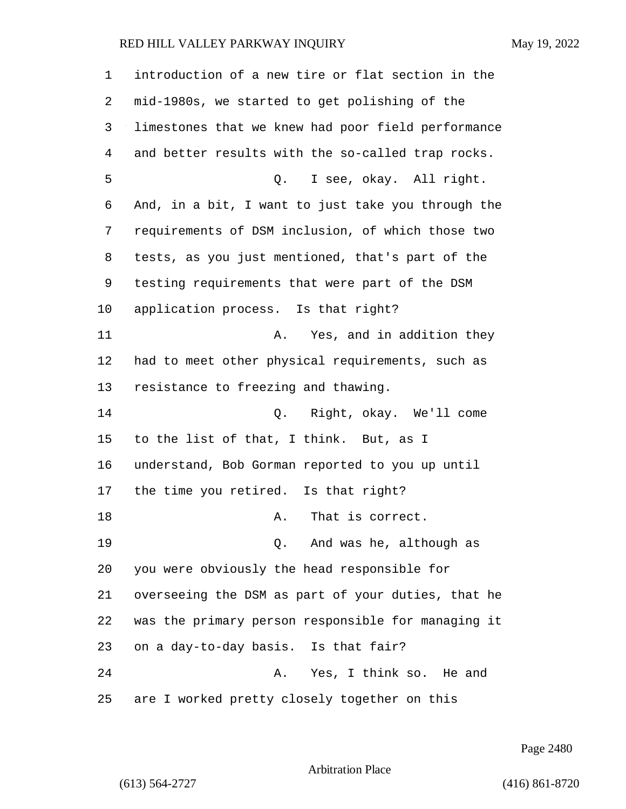introduction of a new tire or flat section in the mid-1980s, we started to get polishing of the limestones that we knew had poor field performance and better results with the so-called trap rocks. 5 Q. I see, okay. All right. And, in a bit, I want to just take you through the requirements of DSM inclusion, of which those two tests, as you just mentioned, that's part of the testing requirements that were part of the DSM application process. Is that right? 11 A. Yes, and in addition they had to meet other physical requirements, such as resistance to freezing and thawing. 14 Q. Right, okay. We'll come to the list of that, I think. But, as I understand, Bob Gorman reported to you up until the time you retired. Is that right? 18 A. That is correct. 19 Q. And was he, although as you were obviously the head responsible for overseeing the DSM as part of your duties, that he was the primary person responsible for managing it on a day-to-day basis. Is that fair? 24 A. Yes, I think so. He and are I worked pretty closely together on this

Page 2480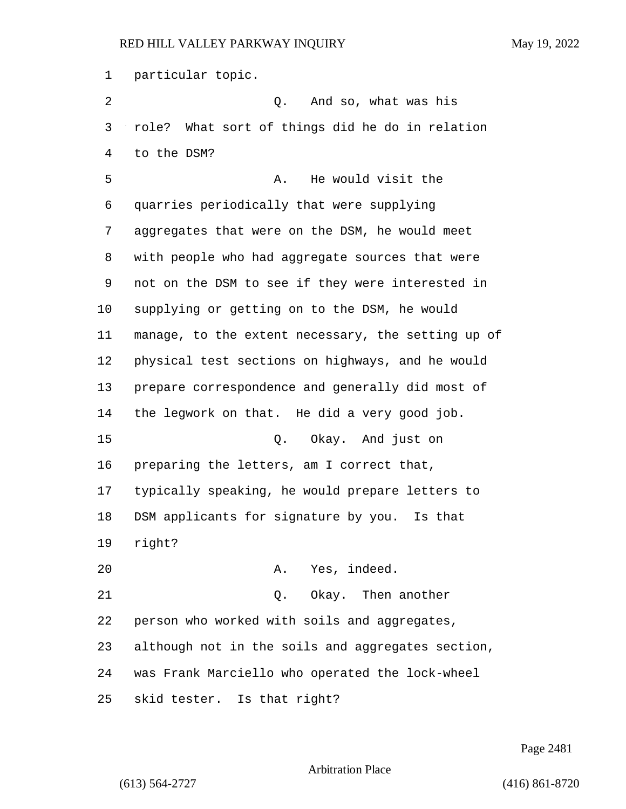particular topic.

2 Q. And so, what was his role? What sort of things did he do in relation to the DSM? 5 A. He would visit the quarries periodically that were supplying aggregates that were on the DSM, he would meet with people who had aggregate sources that were not on the DSM to see if they were interested in supplying or getting on to the DSM, he would manage, to the extent necessary, the setting up of physical test sections on highways, and he would prepare correspondence and generally did most of the legwork on that. He did a very good job. 15 Q. Okay. And just on preparing the letters, am I correct that, typically speaking, he would prepare letters to DSM applicants for signature by you. Is that right? 20 A. Yes, indeed. 21 Q. Okay. Then another person who worked with soils and aggregates, although not in the soils and aggregates section, was Frank Marciello who operated the lock-wheel skid tester. Is that right?

Page 2481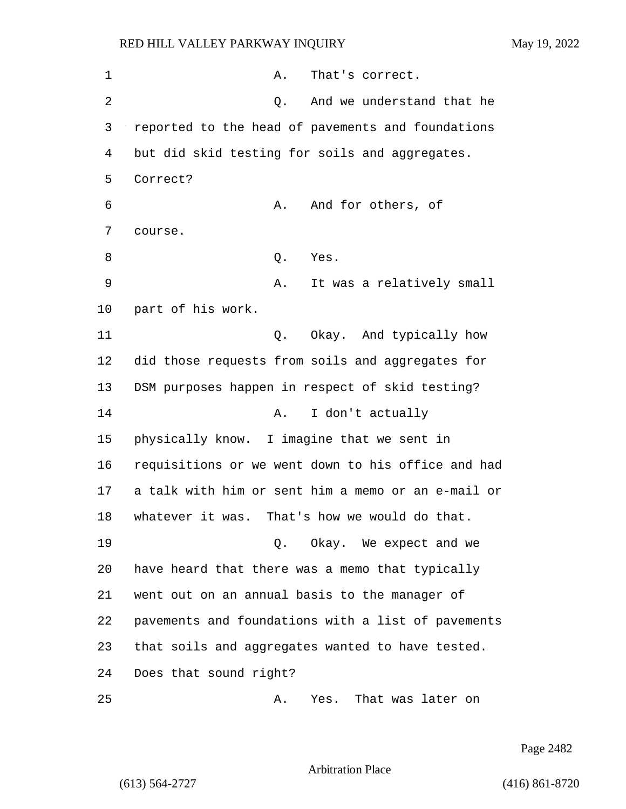| 1              | That's correct.<br>Α.                              |
|----------------|----------------------------------------------------|
| $\overline{2}$ | And we understand that he<br>Q.                    |
| 3              | reported to the head of pavements and foundations  |
| 4              | but did skid testing for soils and aggregates.     |
| 5              | Correct?                                           |
| 6              | And for others, of<br>Α.                           |
| 7              | course.                                            |
| 8              | Yes.<br>Q.                                         |
| 9              | It was a relatively small<br>Α.                    |
| 10             | part of his work.                                  |
| 11             | Q. Okay. And typically how                         |
| 12             | did those requests from soils and aggregates for   |
| 13             | DSM purposes happen in respect of skid testing?    |
| 14             | I don't actually<br>Α.                             |
| 15             | physically know. I imagine that we sent in         |
| 16             | requisitions or we went down to his office and had |
| 17             | a talk with him or sent him a memo or an e-mail or |
| 18             | whatever it was. That's how we would do that.      |
| 19             | Q. Okay. We expect and we                          |
| 20             | have heard that there was a memo that typically    |
| 21             | went out on an annual basis to the manager of      |
| 22             | pavements and foundations with a list of pavements |
| 23             | that soils and aggregates wanted to have tested.   |
| 24             | Does that sound right?                             |
| 25             | That was later on<br>Α.<br>Yes.                    |

Page 2482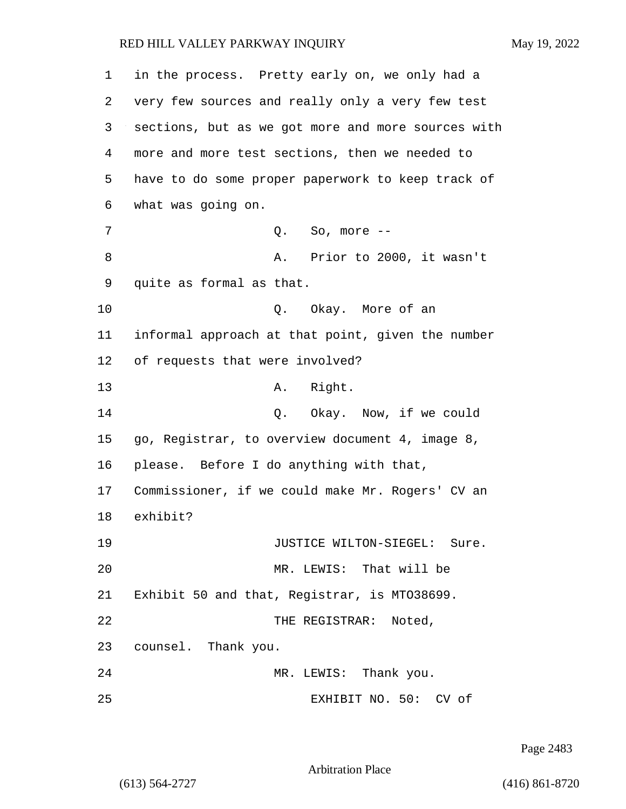| 1  | in the process. Pretty early on, we only had a     |
|----|----------------------------------------------------|
| 2  | very few sources and really only a very few test   |
| 3  | sections, but as we got more and more sources with |
| 4  | more and more test sections, then we needed to     |
| 5  | have to do some proper paperwork to keep track of  |
| 6  | what was going on.                                 |
| 7  | $Q.$ So, more $--$                                 |
| 8  | A. Prior to 2000, it wasn't                        |
| 9  | quite as formal as that.                           |
| 10 | Q. Okay. More of an                                |
| 11 | informal approach at that point, given the number  |
| 12 | of requests that were involved?                    |
| 13 | A. Right.                                          |
| 14 | Q. Okay. Now, if we could                          |
| 15 | go, Registrar, to overview document 4, image 8,    |
| 16 | please. Before I do anything with that,            |
| 17 | Commissioner, if we could make Mr. Rogers' CV an   |
| 18 | exhibit?                                           |
| 19 | JUSTICE WILTON-SIEGEL: Sure.                       |
| 20 | MR. LEWIS: That will be                            |
| 21 | Exhibit 50 and that, Registrar, is MT038699.       |
| 22 | THE REGISTRAR: Noted,                              |
| 23 | counsel. Thank you.                                |
| 24 | MR. LEWIS: Thank you.                              |
| 25 | EXHIBIT NO. 50: CV of                              |

Page 2483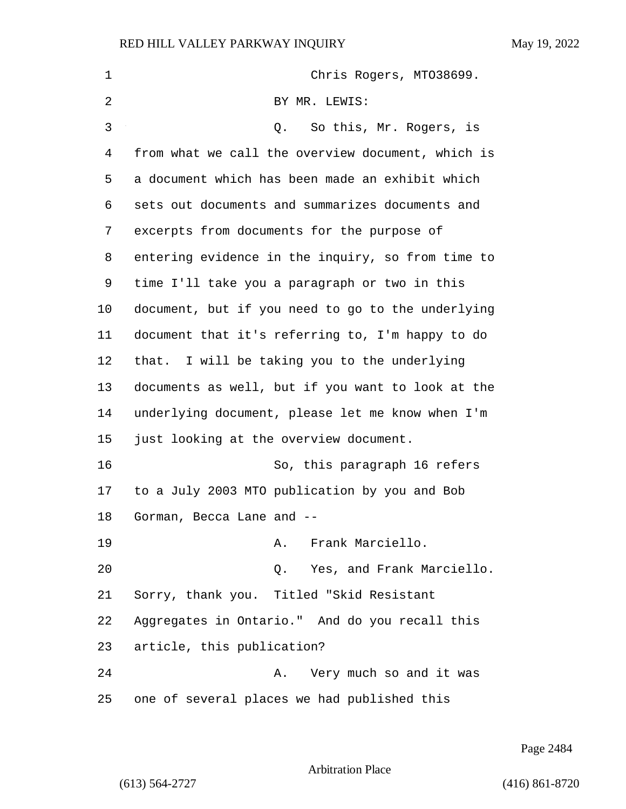| $\mathbf 1$ | Chris Rogers, MT038699.                           |
|-------------|---------------------------------------------------|
| 2           | BY MR. LEWIS:                                     |
| 3           | So this, Mr. Rogers, is<br>Q.                     |
| 4           | from what we call the overview document, which is |
| 5           | a document which has been made an exhibit which   |
| 6           | sets out documents and summarizes documents and   |
| 7           | excerpts from documents for the purpose of        |
| 8           | entering evidence in the inquiry, so from time to |
| 9           | time I'll take you a paragraph or two in this     |
| 10          | document, but if you need to go to the underlying |
| 11          | document that it's referring to, I'm happy to do  |
| 12          | that. I will be taking you to the underlying      |
| 13          | documents as well, but if you want to look at the |
| 14          | underlying document, please let me know when I'm  |
| 15          | just looking at the overview document.            |
| 16          | So, this paragraph 16 refers                      |
| 17          | to a July 2003 MTO publication by you and Bob     |
| 18          | Gorman, Becca Lane and --                         |
| 19          | Frank Marciello.<br>Α.                            |
| 20          | Yes, and Frank Marciello.<br>Q.                   |
| 21          | Sorry, thank you. Titled "Skid Resistant          |
| 22          | Aggregates in Ontario." And do you recall this    |
| 23          | article, this publication?                        |
| 24          | Very much so and it was<br>Α.                     |
| 25          | one of several places we had published this       |

Page 2484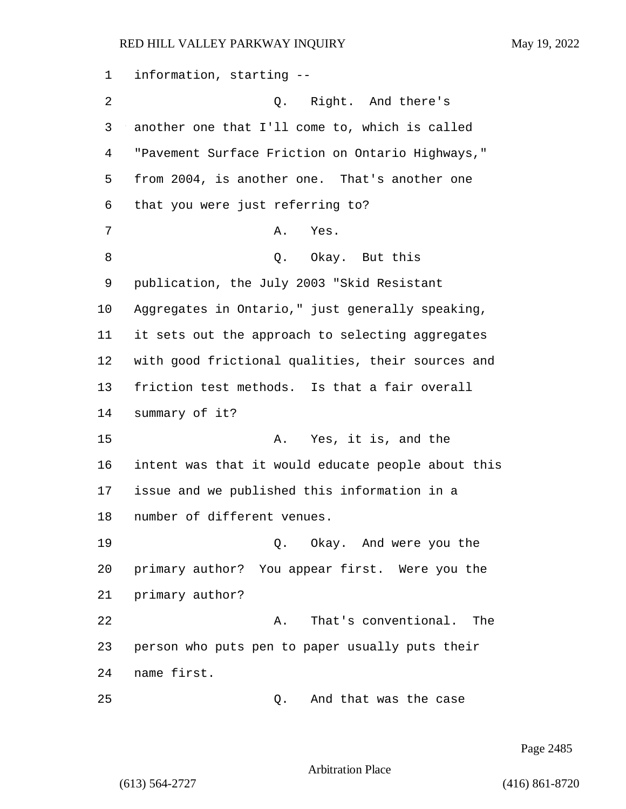information, starting -- 2 Q. Right. And there's another one that I'll come to, which is called "Pavement Surface Friction on Ontario Highways," from 2004, is another one. That's another one that you were just referring to? 7 A. Yes. 8 Q. Okay. But this publication, the July 2003 "Skid Resistant Aggregates in Ontario," just generally speaking, it sets out the approach to selecting aggregates with good frictional qualities, their sources and friction test methods. Is that a fair overall summary of it? 15 A. Yes, it is, and the intent was that it would educate people about this issue and we published this information in a number of different venues. 19 Q. Okay. And were you the primary author? You appear first. Were you the primary author? 22 A. That's conventional. The person who puts pen to paper usually puts their name first.

25 Q. And that was the case

Page 2485

Arbitration Place

(613) 564-2727 (416) 861-8720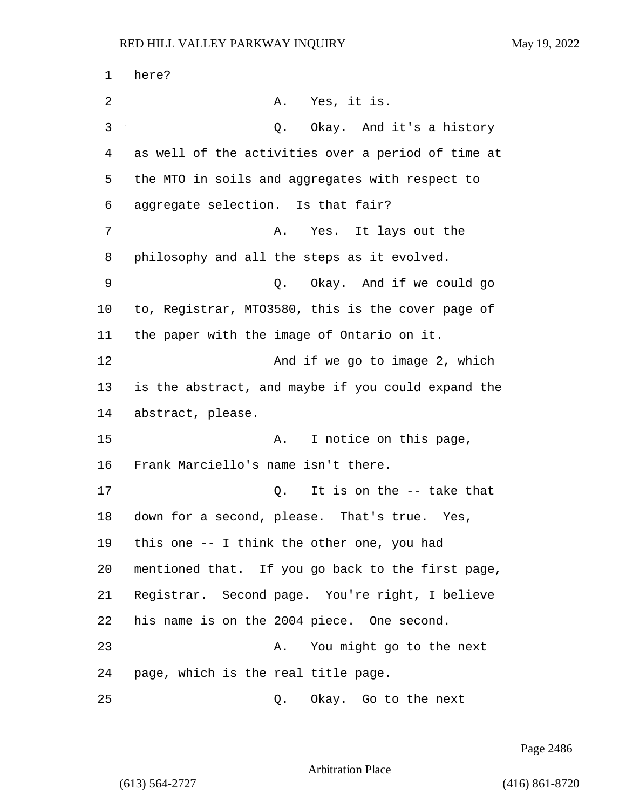1 here? 2 A. Yes, it is. 3 Q. Okay. And it's a history 4 as well of the activities over a period of time at 5 the MTO in soils and aggregates with respect to 6 aggregate selection. Is that fair? 7 A. Yes. It lays out the 8 philosophy and all the steps as it evolved. 9 Q. Okay. And if we could go 10 to, Registrar, MTO3580, this is the cover page of 11 the paper with the image of Ontario on it. 12 And if we go to image 2, which 13 is the abstract, and maybe if you could expand the 14 abstract, please. 15 A. I notice on this page, 16 Frank Marciello's name isn't there. 17 C. It is on the -- take that 18 down for a second, please. That's true. Yes, 19 this one -- I think the other one, you had 20 mentioned that. If you go back to the first page, 21 Registrar. Second page. You're right, I believe 22 his name is on the 2004 piece. One second. 23 A. You might go to the next 24 page, which is the real title page. 25 Q. Okay. Go to the next

Page 2486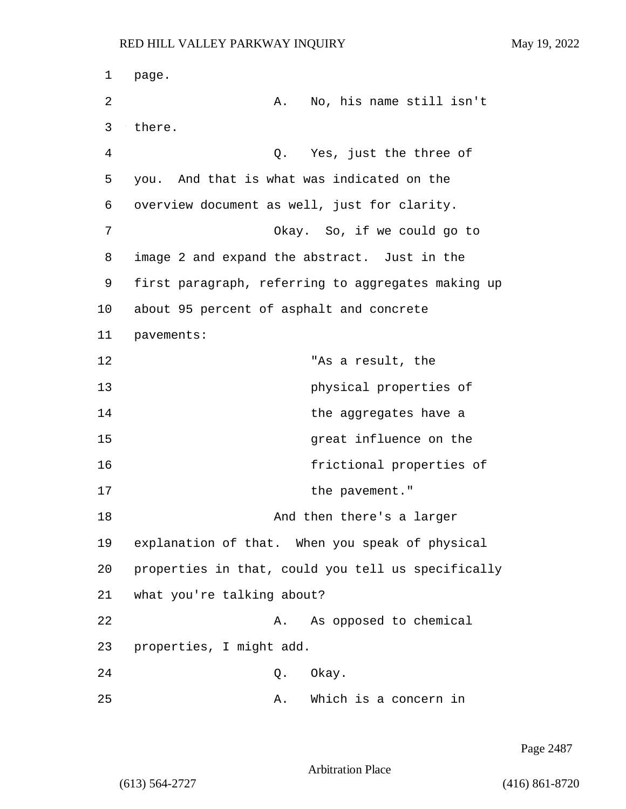1 page. 2 A. No, his name still isn't 3 there. 4 Q. Yes, just the three of 5 you. And that is what was indicated on the 6 overview document as well, just for clarity. 7 Okay. So, if we could go to 8 image 2 and expand the abstract. Just in the 9 first paragraph, referring to aggregates making up 10 about 95 percent of asphalt and concrete 11 pavements: 12 "As a result, the 13 physical properties of 14 **the aggregates have a** 15 areat influence on the 16 frictional properties of 17 the pavement." 18 And then there's a larger 19 explanation of that. When you speak of physical 20 properties in that, could you tell us specifically 21 what you're talking about? 22 A. As opposed to chemical 23 properties, I might add. 24 Q. Okay. 25 A. Which is a concern in

Page 2487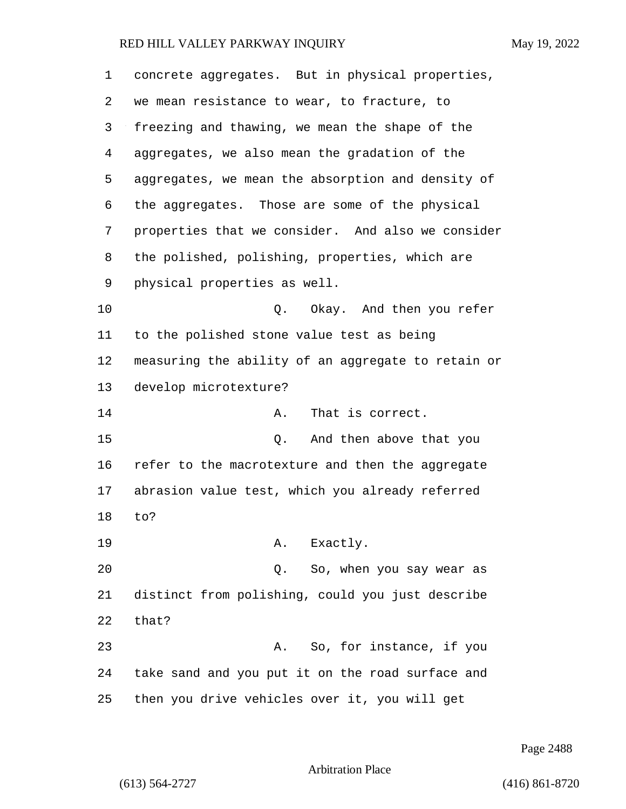| 1  | concrete aggregates. But in physical properties,   |
|----|----------------------------------------------------|
| 2  | we mean resistance to wear, to fracture, to        |
| 3  | freezing and thawing, we mean the shape of the     |
| 4  | aggregates, we also mean the gradation of the      |
| 5  | aggregates, we mean the absorption and density of  |
| 6  | the aggregates. Those are some of the physical     |
| 7  | properties that we consider. And also we consider  |
| 8  | the polished, polishing, properties, which are     |
| 9  | physical properties as well.                       |
| 10 | Q. Okay. And then you refer                        |
| 11 | to the polished stone value test as being          |
| 12 | measuring the ability of an aggregate to retain or |
| 13 | develop microtexture?                              |
| 14 | That is correct.<br>Α.                             |
| 15 | And then above that you<br>Q.                      |
| 16 | refer to the macrotexture and then the aggregate   |
| 17 | abrasion value test, which you already referred    |
| 18 | to?                                                |
| 19 | Exactly.<br>Α.                                     |
| 20 | Q. So, when you say wear as                        |
| 21 | distinct from polishing, could you just describe   |
| 22 | that?                                              |
| 23 | So, for instance, if you<br>Α.                     |
| 24 | take sand and you put it on the road surface and   |
| 25 | then you drive vehicles over it, you will get      |

Page 2488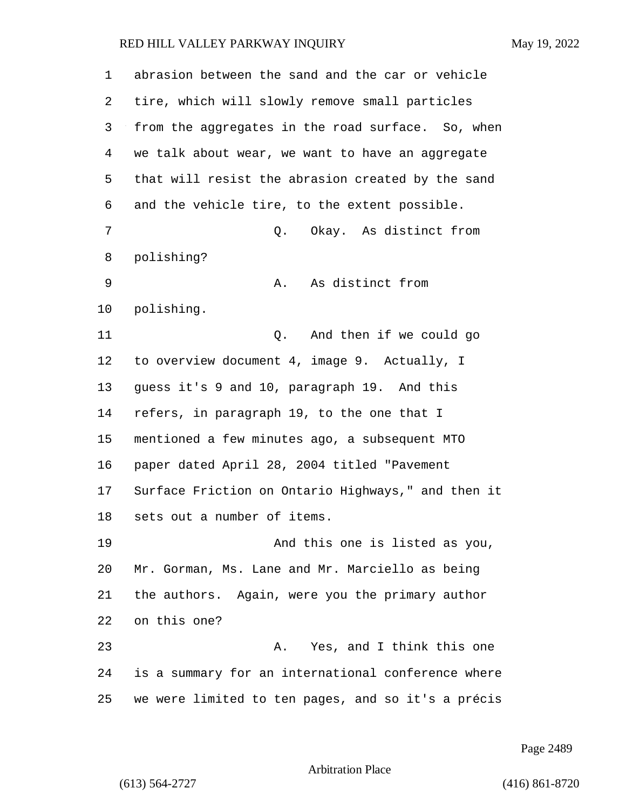| 1  | abrasion between the sand and the car or vehicle   |
|----|----------------------------------------------------|
| 2  | tire, which will slowly remove small particles     |
| 3  | from the aggregates in the road surface. So, when  |
| 4  | we talk about wear, we want to have an aggregate   |
| 5  | that will resist the abrasion created by the sand  |
| 6  | and the vehicle tire, to the extent possible.      |
| 7  | Okay. As distinct from<br>Q.                       |
| 8  | polishing?                                         |
| 9  | As distinct from<br>Α.                             |
| 10 | polishing.                                         |
| 11 | And then if we could go<br>Q.                      |
| 12 | to overview document 4, image 9. Actually, I       |
| 13 | guess it's 9 and 10, paragraph 19. And this        |
| 14 | refers, in paragraph 19, to the one that I         |
| 15 | mentioned a few minutes ago, a subsequent MTO      |
| 16 | paper dated April 28, 2004 titled "Pavement        |
| 17 | Surface Friction on Ontario Highways," and then it |
| 18 | sets out a number of items.                        |
| 19 | And this one is listed as you,                     |
| 20 | Mr. Gorman, Ms. Lane and Mr. Marciello as being    |
| 21 | the authors. Again, were you the primary author    |
| 22 | on this one?                                       |
| 23 | Yes, and I think this one<br>Α.                    |
| 24 | is a summary for an international conference where |
| 25 | we were limited to ten pages, and so it's a précis |

Page 2489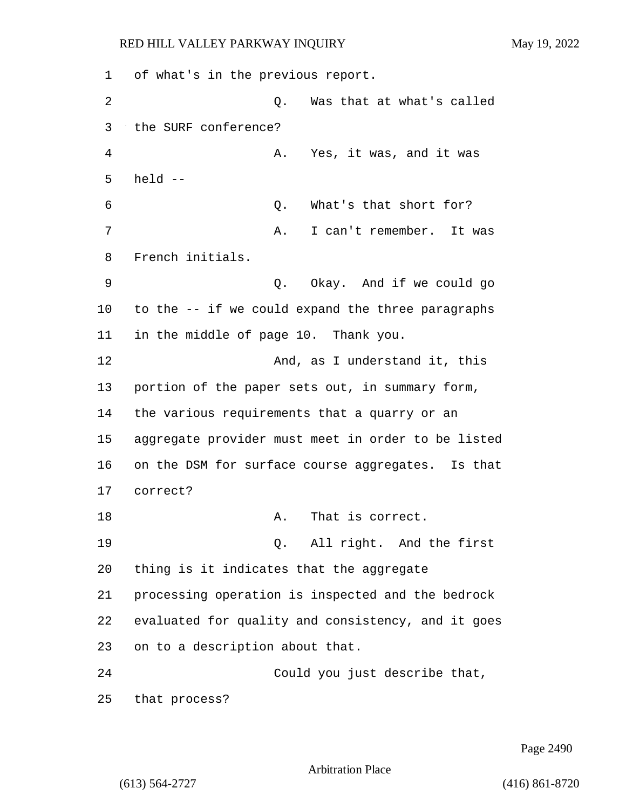1 of what's in the previous report. 2 Q. Was that at what's called 3 the SURF conference? 4 A. Yes, it was, and it was 5 held -- 6 Q. What's that short for? 7 A. I can't remember. It was 8 French initials. 9 Q. Okay. And if we could go 10 to the -- if we could expand the three paragraphs 11 in the middle of page 10. Thank you. 12 And, as I understand it, this 13 portion of the paper sets out, in summary form, 14 the various requirements that a quarry or an 15 aggregate provider must meet in order to be listed 16 on the DSM for surface course aggregates. Is that 17 correct? 18 A. That is correct. 19 Q. All right. And the first 20 thing is it indicates that the aggregate 21 processing operation is inspected and the bedrock 22 evaluated for quality and consistency, and it goes 23 on to a description about that. 24 Could you just describe that, 25 that process?

Page 2490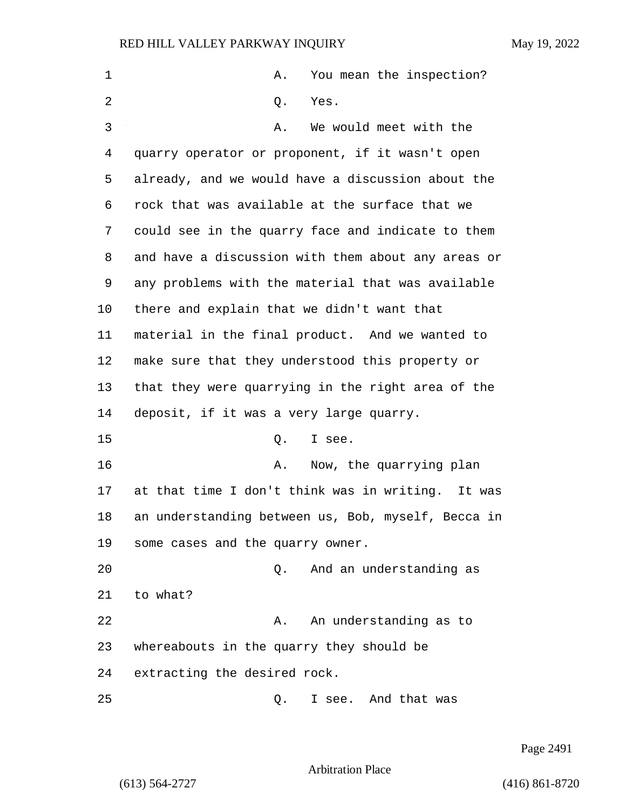| 1  | You mean the inspection?<br>Α.                     |
|----|----------------------------------------------------|
|    |                                                    |
| 2  | Q.<br>Yes.                                         |
| 3  | We would meet with the<br>Α.                       |
| 4  | quarry operator or proponent, if it wasn't open    |
| 5  | already, and we would have a discussion about the  |
| 6  | rock that was available at the surface that we     |
| 7  | could see in the quarry face and indicate to them  |
| 8  | and have a discussion with them about any areas or |
| 9  | any problems with the material that was available  |
| 10 | there and explain that we didn't want that         |
| 11 | material in the final product. And we wanted to    |
| 12 | make sure that they understood this property or    |
| 13 | that they were quarrying in the right area of the  |
| 14 | deposit, if it was a very large quarry.            |
| 15 | Q.<br>I see.                                       |
| 16 | Now, the quarrying plan<br>Α.                      |
| 17 | at that time I don't think was in writing. It was  |
| 18 | an understanding between us, Bob, myself, Becca in |
| 19 | some cases and the quarry owner.                   |
| 20 | And an understanding as<br>Q.                      |
| 21 | to what?                                           |
| 22 | An understanding as to<br>Α.                       |
| 23 | whereabouts in the quarry they should be           |
| 24 | extracting the desired rock.                       |
| 25 | I see. And that was<br>Q.                          |

Page 2491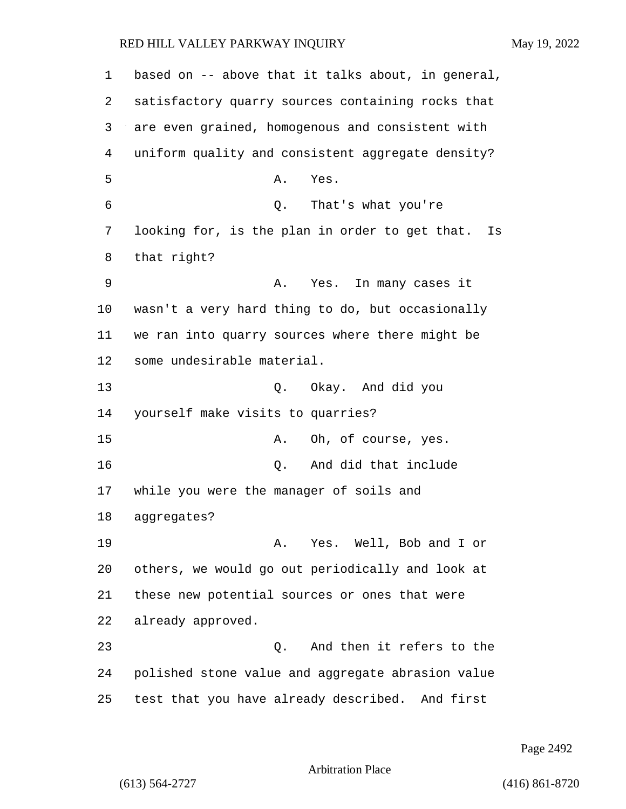based on -- above that it talks about, in general, satisfactory quarry sources containing rocks that are even grained, homogenous and consistent with uniform quality and consistent aggregate density? 5 A. Yes. 6 Q. That's what you're looking for, is the plan in order to get that. Is that right? 9 A. Yes. In many cases it wasn't a very hard thing to do, but occasionally we ran into quarry sources where there might be some undesirable material. 13 Q. Okay. And did you yourself make visits to quarries? 15 A. Oh, of course, yes. 16 Q. And did that include while you were the manager of soils and aggregates? 19 A. Yes. Well, Bob and I or others, we would go out periodically and look at these new potential sources or ones that were already approved. 23 Q. And then it refers to the polished stone value and aggregate abrasion value test that you have already described. And first

Page 2492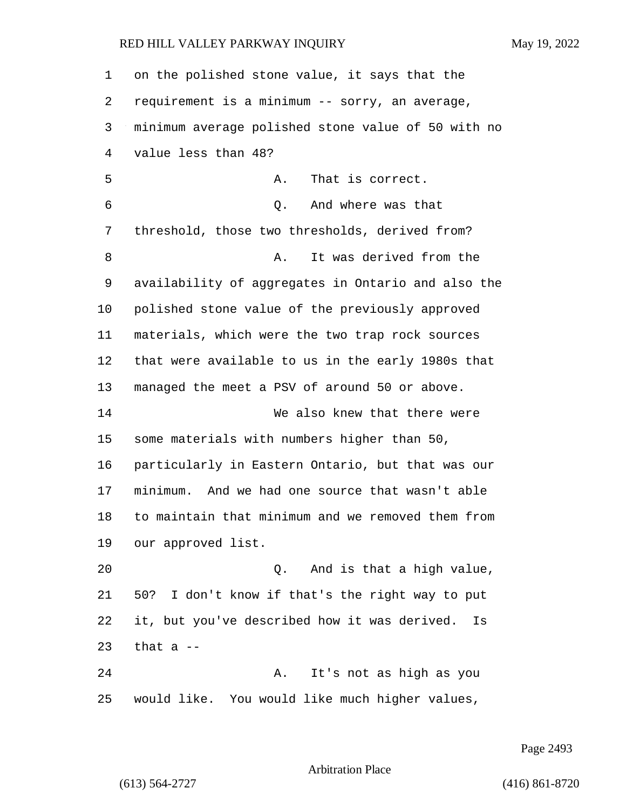| 1  | on the polished stone value, it says that the      |
|----|----------------------------------------------------|
| 2  | requirement is a minimum -- sorry, an average,     |
| 3  | minimum average polished stone value of 50 with no |
| 4  | value less than 48?                                |
| 5  | That is correct.<br>Α.                             |
| 6  | And where was that<br>Q.                           |
| 7  | threshold, those two thresholds, derived from?     |
| 8  | It was derived from the<br>Α.                      |
| 9  | availability of aggregates in Ontario and also the |
| 10 | polished stone value of the previously approved    |
| 11 | materials, which were the two trap rock sources    |
| 12 | that were available to us in the early 1980s that  |
| 13 | managed the meet a PSV of around 50 or above.      |
| 14 | We also knew that there were                       |
| 15 | some materials with numbers higher than 50,        |
| 16 | particularly in Eastern Ontario, but that was our  |
| 17 | minimum. And we had one source that wasn't able    |
| 18 | to maintain that minimum and we removed them from  |
| 19 | our approved list.                                 |
| 20 | And is that a high value,<br>Q.                    |
| 21 | 50? I don't know if that's the right way to put    |
| 22 | it, but you've described how it was derived.<br>Is |
| 23 | that a $-$                                         |
| 24 | It's not as high as you<br>Α.                      |
| 25 | would like. You would like much higher values,     |

Page 2493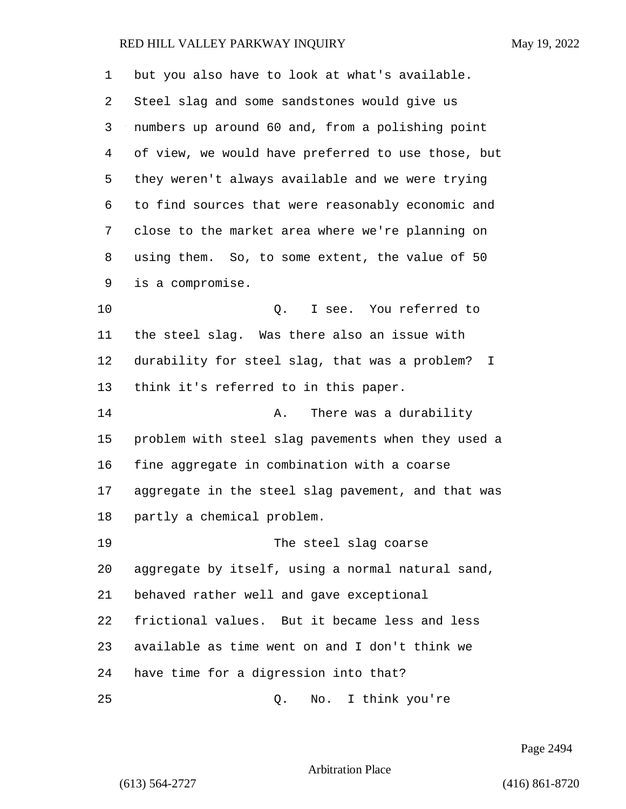| 1  | but you also have to look at what's available.       |
|----|------------------------------------------------------|
| 2  | Steel slag and some sandstones would give us         |
| 3  | numbers up around 60 and, from a polishing point     |
| 4  | of view, we would have preferred to use those, but   |
| 5  | they weren't always available and we were trying     |
| 6  | to find sources that were reasonably economic and    |
| 7  | close to the market area where we're planning on     |
| 8  | using them. So, to some extent, the value of 50      |
| 9  | is a compromise.                                     |
| 10 | I see. You referred to<br>Q.                         |
| 11 | the steel slag. Was there also an issue with         |
| 12 | durability for steel slag, that was a problem?<br>I. |
| 13 | think it's referred to in this paper.                |
| 14 | There was a durability<br>Α.                         |
| 15 | problem with steel slag pavements when they used a   |
| 16 | fine aggregate in combination with a coarse          |
| 17 | aggregate in the steel slag pavement, and that was   |
| 18 | partly a chemical problem.                           |
| 19 | The steel slag coarse                                |
| 20 | aggregate by itself, using a normal natural sand,    |
| 21 | behaved rather well and gave exceptional             |
| 22 | frictional values. But it became less and less       |
| 23 | available as time went on and I don't think we       |
| 24 | have time for a digression into that?                |
| 25 | I think you're<br>Q.<br>No.                          |

Page 2494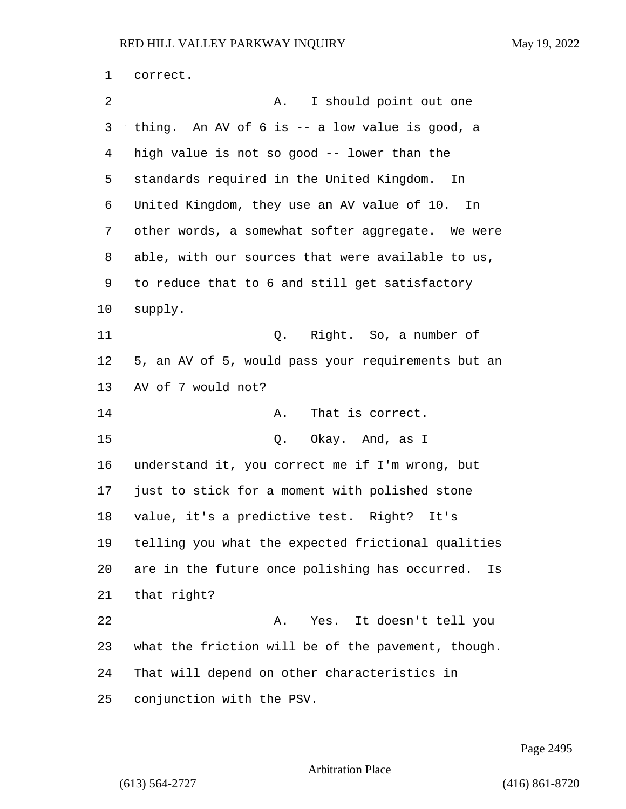correct. 2 A. I should point out one thing. An AV of 6 is -- a low value is good, a high value is not so good -- lower than the standards required in the United Kingdom. In United Kingdom, they use an AV value of 10. In other words, a somewhat softer aggregate. We were able, with our sources that were available to us, to reduce that to 6 and still get satisfactory supply. 11 Q. Right. So, a number of 5, an AV of 5, would pass your requirements but an AV of 7 would not? 14 A. That is correct. 15 Q. Okay. And, as I understand it, you correct me if I'm wrong, but just to stick for a moment with polished stone value, it's a predictive test. Right? It's telling you what the expected frictional qualities are in the future once polishing has occurred. Is that right? 22 A. Yes. It doesn't tell you what the friction will be of the pavement, though. That will depend on other characteristics in conjunction with the PSV.

Page 2495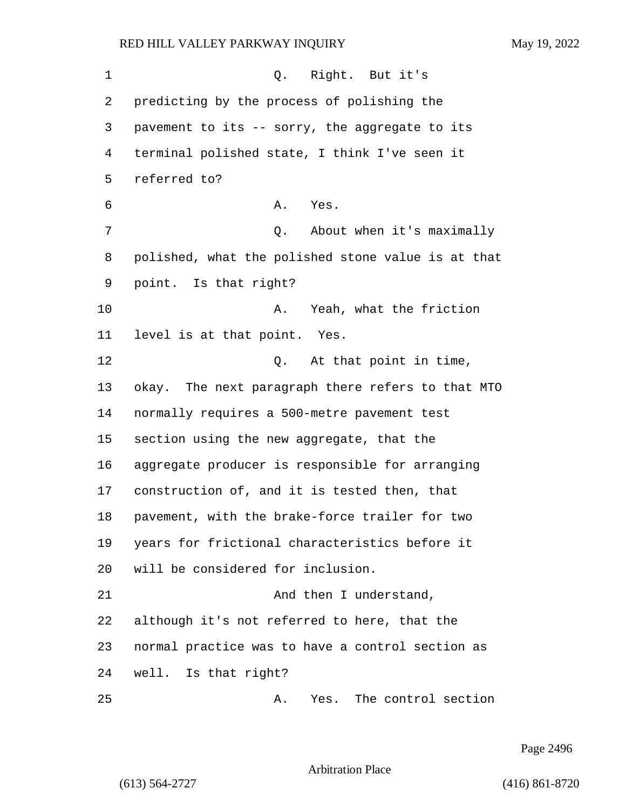1 0. Right. But it's predicting by the process of polishing the pavement to its -- sorry, the aggregate to its terminal polished state, I think I've seen it referred to? 6 A. Yes. 7 Q. About when it's maximally polished, what the polished stone value is at that point. Is that right? 10 A. Yeah, what the friction level is at that point. Yes. 12 0. At that point in time, okay. The next paragraph there refers to that MTO normally requires a 500-metre pavement test section using the new aggregate, that the aggregate producer is responsible for arranging construction of, and it is tested then, that pavement, with the brake-force trailer for two years for frictional characteristics before it will be considered for inclusion. 21 And then I understand, although it's not referred to here, that the normal practice was to have a control section as well. Is that right? 25 A. Yes. The control section

Page 2496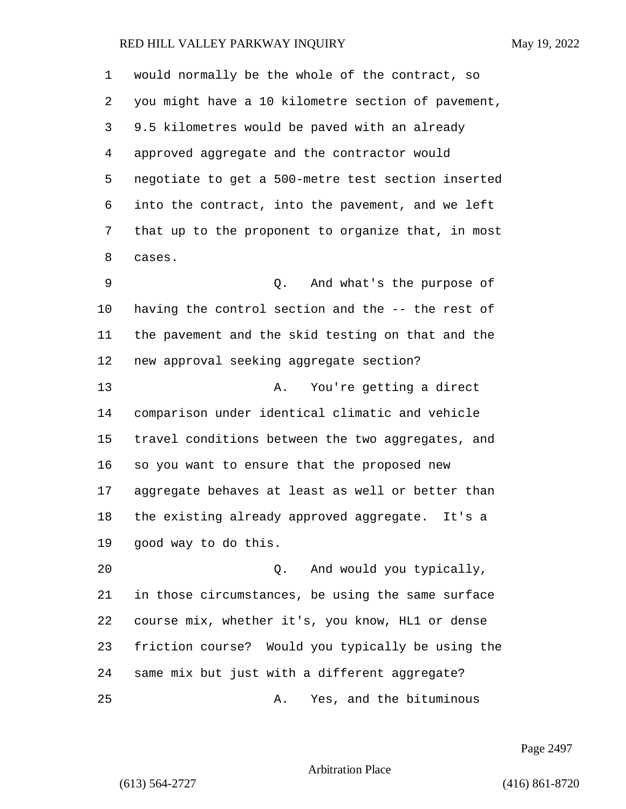would normally be the whole of the contract, so you might have a 10 kilometre section of pavement, 9.5 kilometres would be paved with an already approved aggregate and the contractor would negotiate to get a 500-metre test section inserted into the contract, into the pavement, and we left that up to the proponent to organize that, in most cases. 9 Q. And what's the purpose of

 having the control section and the -- the rest of the pavement and the skid testing on that and the new approval seeking aggregate section?

13 A. You're getting a direct comparison under identical climatic and vehicle travel conditions between the two aggregates, and so you want to ensure that the proposed new aggregate behaves at least as well or better than the existing already approved aggregate. It's a good way to do this.

20 Q. And would you typically, in those circumstances, be using the same surface course mix, whether it's, you know, HL1 or dense friction course? Would you typically be using the same mix but just with a different aggregate? 25 A. Yes, and the bituminous

Page 2497

Arbitration Place

(613) 564-2727 (416) 861-8720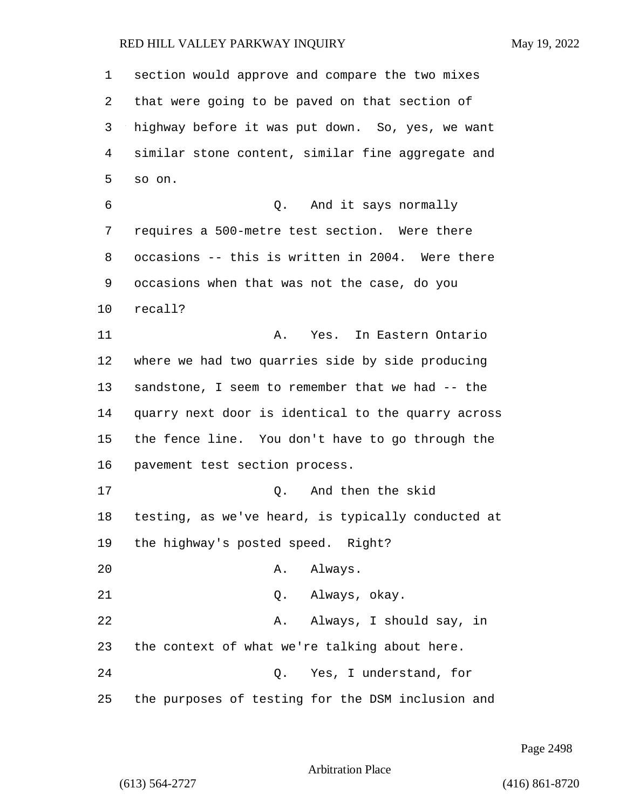section would approve and compare the two mixes that were going to be paved on that section of highway before it was put down. So, yes, we want similar stone content, similar fine aggregate and so on. 6 Q. And it says normally requires a 500-metre test section. Were there occasions -- this is written in 2004. Were there occasions when that was not the case, do you recall? 11 A. Yes. In Eastern Ontario where we had two quarries side by side producing sandstone, I seem to remember that we had -- the quarry next door is identical to the quarry across the fence line. You don't have to go through the pavement test section process. 17 Q. And then the skid testing, as we've heard, is typically conducted at the highway's posted speed. Right? 20 A. Always. 21 Q. Always, okay. 22 A. Always, I should say, in the context of what we're talking about here. 24 Q. Yes, I understand, for the purposes of testing for the DSM inclusion and

Page 2498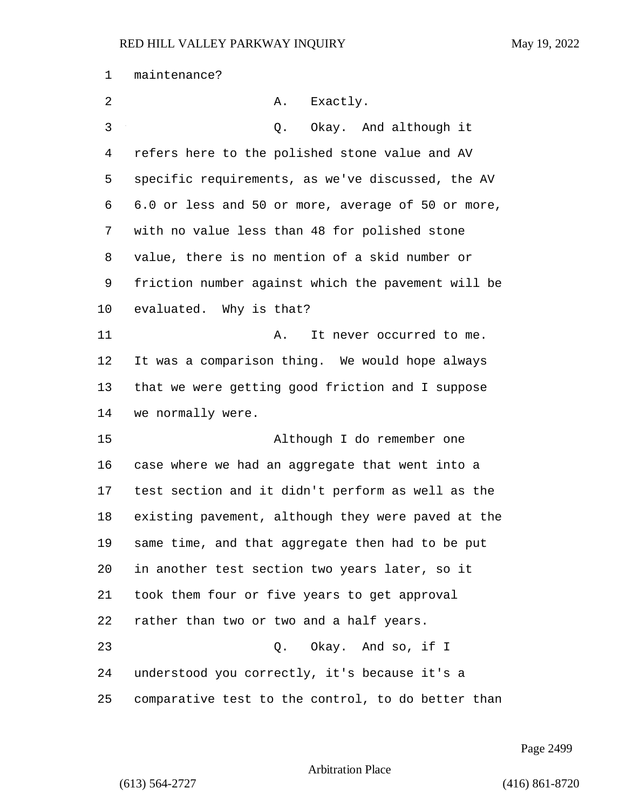| 1  | maintenance?                                       |
|----|----------------------------------------------------|
| 2  | Exactly.<br>Α.                                     |
| 3  | Okay. And although it<br>Q.                        |
| 4  | refers here to the polished stone value and AV     |
| 5  | specific requirements, as we've discussed, the AV  |
| 6  | 6.0 or less and 50 or more, average of 50 or more, |
| 7  | with no value less than 48 for polished stone      |
| 8  | value, there is no mention of a skid number or     |
| 9  | friction number against which the pavement will be |
| 10 | evaluated. Why is that?                            |
| 11 | It never occurred to me.<br>Α.                     |
| 12 | It was a comparison thing. We would hope always    |
| 13 | that we were getting good friction and I suppose   |
| 14 | we normally were.                                  |
| 15 | Although I do remember one                         |
| 16 | case where we had an aggregate that went into a    |
| 17 | test section and it didn't perform as well as the  |
| 18 | existing pavement, although they were paved at the |
| 19 | same time, and that aggregate then had to be put   |
| 20 | in another test section two years later, so it     |
| 21 | took them four or five years to get approval       |
| 22 | rather than two or two and a half years.           |
| 23 | Q. Okay. And so, if I                              |
| 24 | understood you correctly, it's because it's a      |
| 25 | comparative test to the control, to do better than |

Page 2499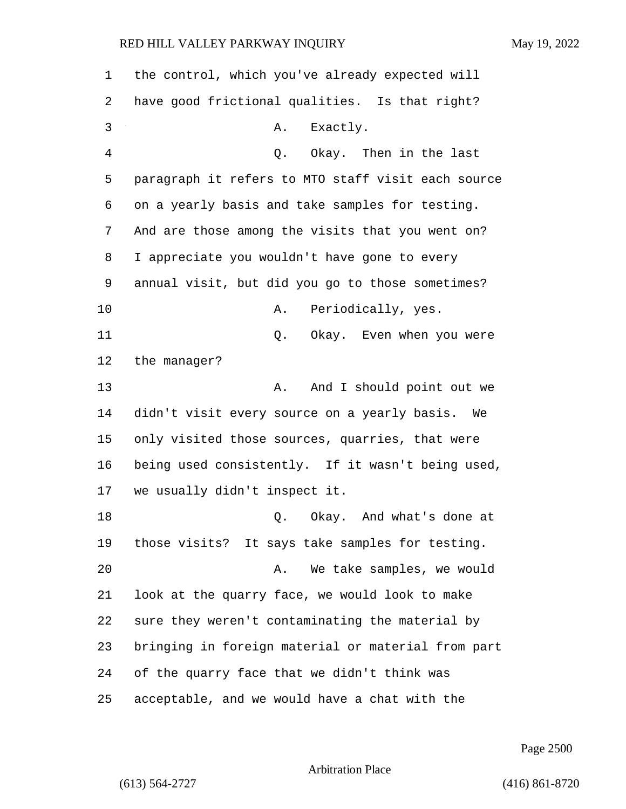| 1  | the control, which you've already expected will    |
|----|----------------------------------------------------|
| 2  | have good frictional qualities. Is that right?     |
| 3  | Exactly.<br>A.                                     |
| 4  | Okay. Then in the last<br>Q.                       |
| 5  | paragraph it refers to MTO staff visit each source |
| 6  | on a yearly basis and take samples for testing.    |
| 7  | And are those among the visits that you went on?   |
| 8  | I appreciate you wouldn't have gone to every       |
| 9  | annual visit, but did you go to those sometimes?   |
| 10 | Periodically, yes.<br>Α.                           |
| 11 | Okay. Even when you were<br>Q.                     |
| 12 | the manager?                                       |
| 13 | And I should point out we<br>Α.                    |
| 14 | didn't visit every source on a yearly basis.<br>We |
| 15 | only visited those sources, quarries, that were    |
| 16 | being used consistently. If it wasn't being used,  |
| 17 | we usually didn't inspect it.                      |
| 18 | Okay. And what's done at<br>Q.                     |
| 19 | those visits? It says take samples for testing.    |
| 20 | We take samples, we would<br>Α.                    |
| 21 | look at the quarry face, we would look to make     |
| 22 | sure they weren't contaminating the material by    |
| 23 | bringing in foreign material or material from part |
| 24 | of the quarry face that we didn't think was        |
| 25 | acceptable, and we would have a chat with the      |

Page 2500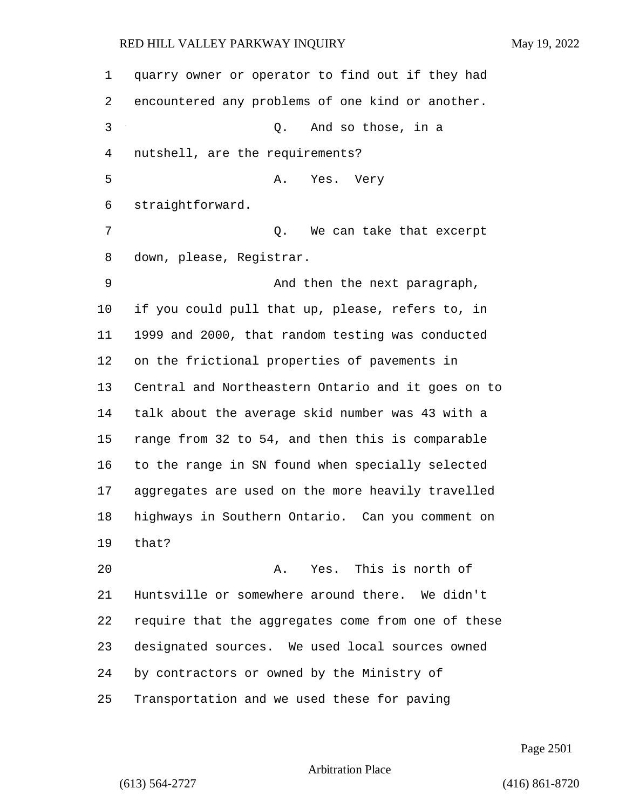quarry owner or operator to find out if they had encountered any problems of one kind or another. 3 Q. And so those, in a nutshell, are the requirements? 5 A. Yes. Very straightforward. 7 C. We can take that excerpt down, please, Registrar. 9 And then the next paragraph, if you could pull that up, please, refers to, in 1999 and 2000, that random testing was conducted on the frictional properties of pavements in Central and Northeastern Ontario and it goes on to talk about the average skid number was 43 with a range from 32 to 54, and then this is comparable to the range in SN found when specially selected aggregates are used on the more heavily travelled highways in Southern Ontario. Can you comment on that? 20 A. Yes. This is north of Huntsville or somewhere around there. We didn't require that the aggregates come from one of these designated sources. We used local sources owned by contractors or owned by the Ministry of Transportation and we used these for paving

Page 2501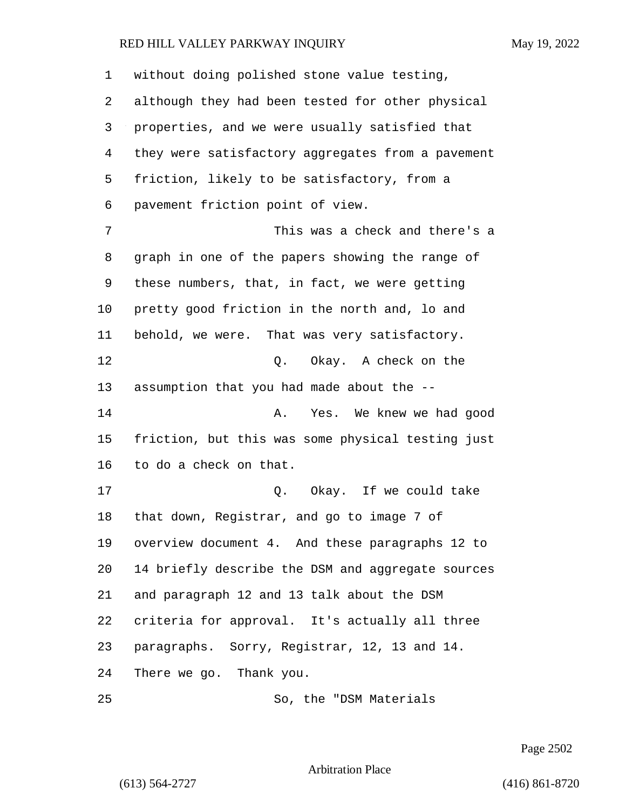| 1  | without doing polished stone value testing,       |
|----|---------------------------------------------------|
| 2  | although they had been tested for other physical  |
| 3  | properties, and we were usually satisfied that    |
| 4  | they were satisfactory aggregates from a pavement |
| 5  | friction, likely to be satisfactory, from a       |
| 6  | pavement friction point of view.                  |
| 7  | This was a check and there's a                    |
| 8  | graph in one of the papers showing the range of   |
| 9  | these numbers, that, in fact, we were getting     |
| 10 | pretty good friction in the north and, lo and     |
| 11 | behold, we were. That was very satisfactory.      |
| 12 | Q. Okay. A check on the                           |
| 13 | assumption that you had made about the --         |
| 14 | Yes. We knew we had good<br>Α.                    |
| 15 | friction, but this was some physical testing just |
| 16 | to do a check on that.                            |
| 17 | Okay. If we could take<br>Q.                      |
| 18 | that down, Registrar, and go to image 7 of        |
| 19 | overview document 4. And these paragraphs 12 to   |
| 20 | 14 briefly describe the DSM and aggregate sources |
| 21 | and paragraph 12 and 13 talk about the DSM        |
| 22 | criteria for approval. It's actually all three    |
| 23 | paragraphs. Sorry, Registrar, 12, 13 and 14.      |
| 24 | There we go. Thank you.                           |
| 25 | So, the "DSM Materials                            |

Page 2502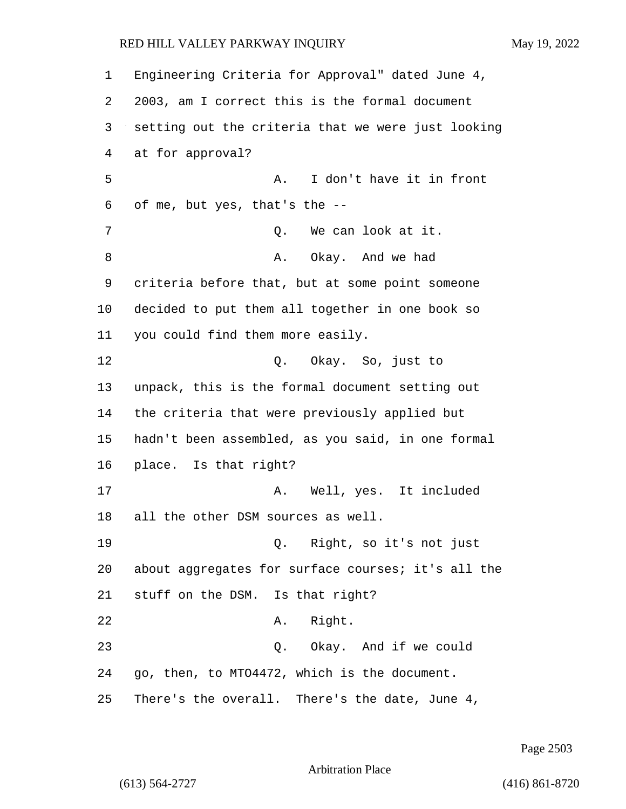Engineering Criteria for Approval" dated June 4, 2003, am I correct this is the formal document setting out the criteria that we were just looking at for approval? 5 A. I don't have it in front of me, but yes, that's the -- 7 O. We can look at it. 8 A. Okay. And we had criteria before that, but at some point someone decided to put them all together in one book so you could find them more easily. 12 O. Okay. So, just to unpack, this is the formal document setting out the criteria that were previously applied but hadn't been assembled, as you said, in one formal place. Is that right? 17 A. Well, yes. It included all the other DSM sources as well. 19 Q. Right, so it's not just about aggregates for surface courses; it's all the stuff on the DSM. Is that right? 22 A. Right. 23 Q. Okay. And if we could go, then, to MTO4472, which is the document. There's the overall. There's the date, June 4,

Page 2503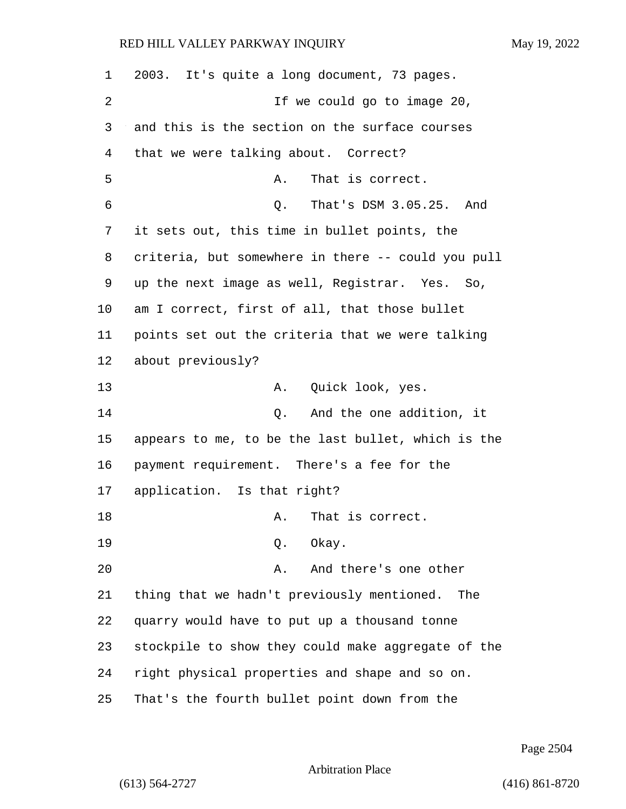| 1  | 2003. It's quite a long document, 73 pages.        |
|----|----------------------------------------------------|
| 2  | If we could go to image 20,                        |
| 3  | and this is the section on the surface courses     |
| 4  | that we were talking about. Correct?               |
| 5  | That is correct.<br>Α.                             |
| 6  | That's DSM 3.05.25. And<br>Q.                      |
| 7  | it sets out, this time in bullet points, the       |
| 8  | criteria, but somewhere in there -- could you pull |
| 9  | up the next image as well, Registrar. Yes. So,     |
| 10 | am I correct, first of all, that those bullet      |
| 11 | points set out the criteria that we were talking   |
| 12 | about previously?                                  |
| 13 | Quick look, yes.<br>Α.                             |
| 14 | And the one addition, it<br>Q.                     |
| 15 | appears to me, to be the last bullet, which is the |
| 16 | payment requirement. There's a fee for the         |
| 17 | application. Is that right?                        |
| 18 | That is correct.<br>Α.                             |
| 19 | Okay.<br>Q.                                        |
| 20 | And there's one other<br>Α.                        |
| 21 | thing that we hadn't previously mentioned. The     |
| 22 | quarry would have to put up a thousand tonne       |
| 23 | stockpile to show they could make aggregate of the |
| 24 | right physical properties and shape and so on.     |
| 25 | That's the fourth bullet point down from the       |

Page 2504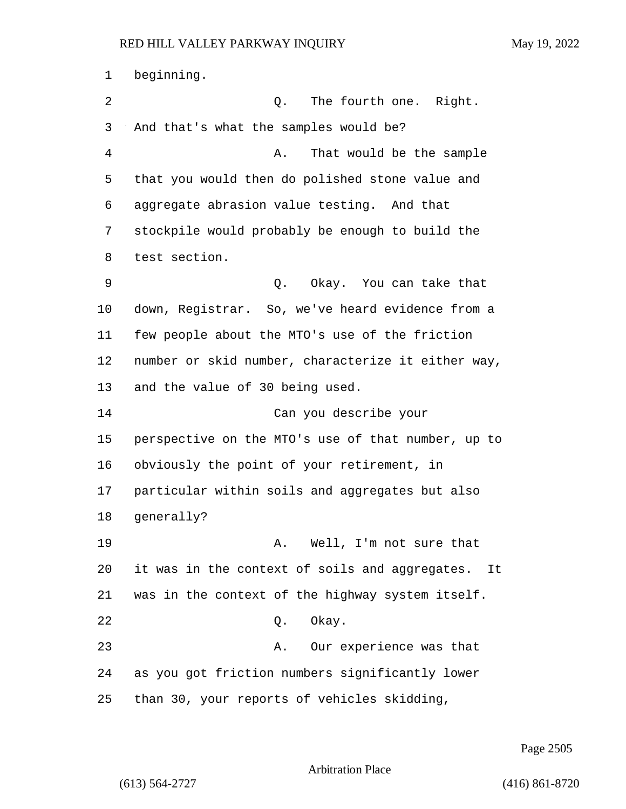beginning. 2 Q. The fourth one. Right. And that's what the samples would be? 4 A. That would be the sample that you would then do polished stone value and aggregate abrasion value testing. And that stockpile would probably be enough to build the test section. 9 Q. Okay. You can take that down, Registrar. So, we've heard evidence from a few people about the MTO's use of the friction number or skid number, characterize it either way, and the value of 30 being used. 14 Can you describe your perspective on the MTO's use of that number, up to obviously the point of your retirement, in particular within soils and aggregates but also generally? 19 A. Well, I'm not sure that it was in the context of soils and aggregates. It was in the context of the highway system itself. 22 Q. Okay. 23 A. Our experience was that as you got friction numbers significantly lower than 30, your reports of vehicles skidding,

Page 2505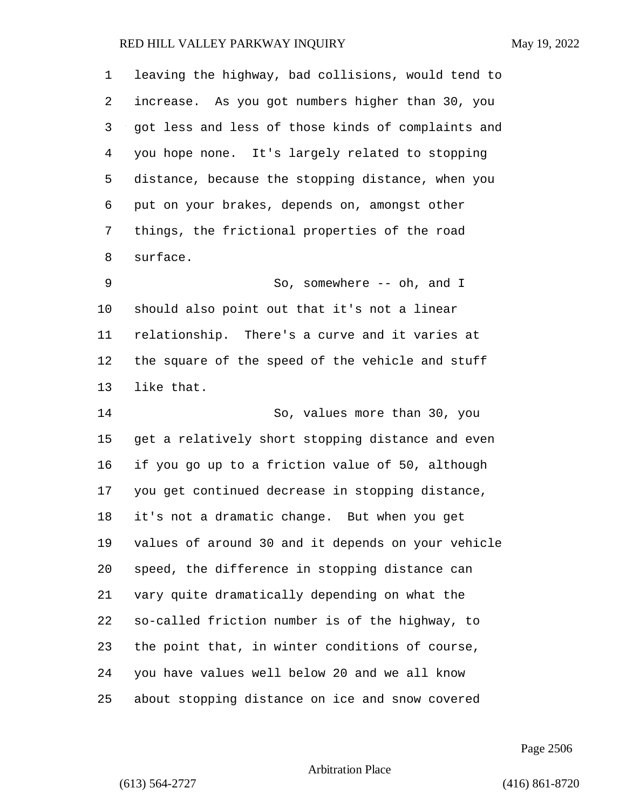leaving the highway, bad collisions, would tend to increase. As you got numbers higher than 30, you got less and less of those kinds of complaints and you hope none. It's largely related to stopping distance, because the stopping distance, when you put on your brakes, depends on, amongst other things, the frictional properties of the road surface. 9 So, somewhere -- oh, and I should also point out that it's not a linear relationship. There's a curve and it varies at the square of the speed of the vehicle and stuff like that. 14 So, values more than 30, you

 get a relatively short stopping distance and even if you go up to a friction value of 50, although you get continued decrease in stopping distance, it's not a dramatic change. But when you get values of around 30 and it depends on your vehicle speed, the difference in stopping distance can vary quite dramatically depending on what the so-called friction number is of the highway, to the point that, in winter conditions of course, you have values well below 20 and we all know about stopping distance on ice and snow covered

Page 2506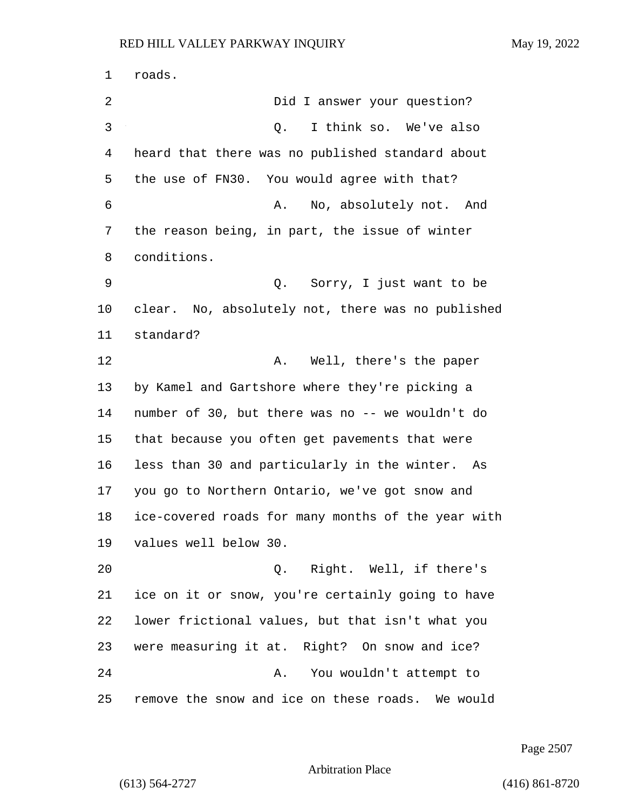roads. 2 Did I answer your question? 3 Q. I think so. We've also heard that there was no published standard about the use of FN30. You would agree with that? 6 A. No, absolutely not. And the reason being, in part, the issue of winter conditions. 9 Q. Sorry, I just want to be clear. No, absolutely not, there was no published standard? 12 A. Well, there's the paper by Kamel and Gartshore where they're picking a number of 30, but there was no -- we wouldn't do that because you often get pavements that were less than 30 and particularly in the winter. As you go to Northern Ontario, we've got snow and ice-covered roads for many months of the year with values well below 30. 20 Q. Right. Well, if there's ice on it or snow, you're certainly going to have lower frictional values, but that isn't what you were measuring it at. Right? On snow and ice? 24 A. You wouldn't attempt to remove the snow and ice on these roads. We would

Page 2507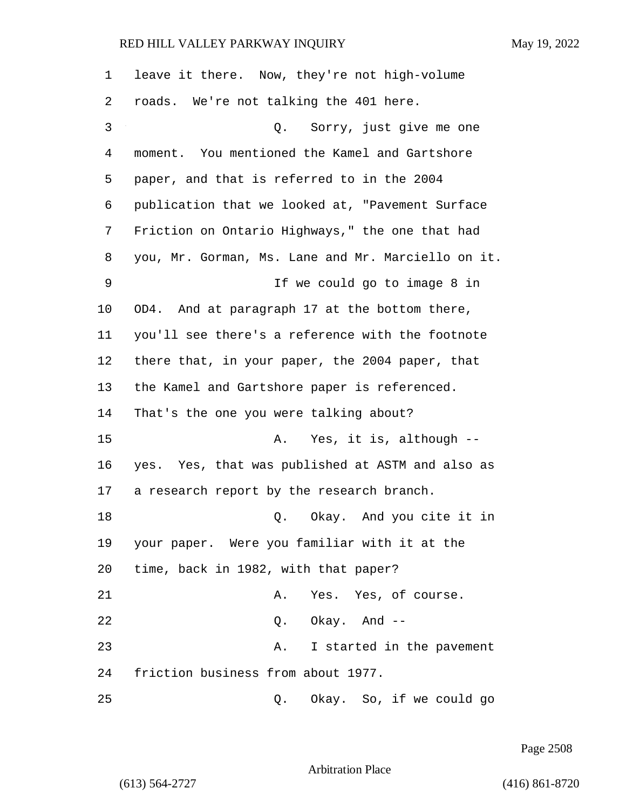| $\mathbf{1}$ | leave it there. Now, they're not high-volume       |
|--------------|----------------------------------------------------|
| 2            | roads. We're not talking the 401 here.             |
| 3            | Q. Sorry, just give me one                         |
| 4            | moment. You mentioned the Kamel and Gartshore      |
| 5            | paper, and that is referred to in the 2004         |
| 6            | publication that we looked at, "Pavement Surface   |
| 7            | Friction on Ontario Highways," the one that had    |
| 8            | you, Mr. Gorman, Ms. Lane and Mr. Marciello on it. |
| 9            | If we could go to image 8 in                       |
| 10           | OD4. And at paragraph 17 at the bottom there,      |
| 11           | you'll see there's a reference with the footnote   |
| 12           | there that, in your paper, the 2004 paper, that    |
| 13           | the Kamel and Gartshore paper is referenced.       |
| 14           | That's the one you were talking about?             |
| 15           | Yes, it is, although --<br>Α.                      |
| 16           | yes. Yes, that was published at ASTM and also as   |
| 17           | a research report by the research branch.          |
| 18           | Q. Okay. And you cite it in                        |
| 19           | your paper. Were you familiar with it at the       |
| 20           | time, back in 1982, with that paper?               |
| 21           | Yes. Yes, of course.<br>Α.                         |
| 22           | $Q.$ Okay. And $-$                                 |
| 23           | I started in the pavement<br>Α.                    |
| 24           | friction business from about 1977.                 |
| 25           | Okay. So, if we could go<br>Q.                     |

Page 2508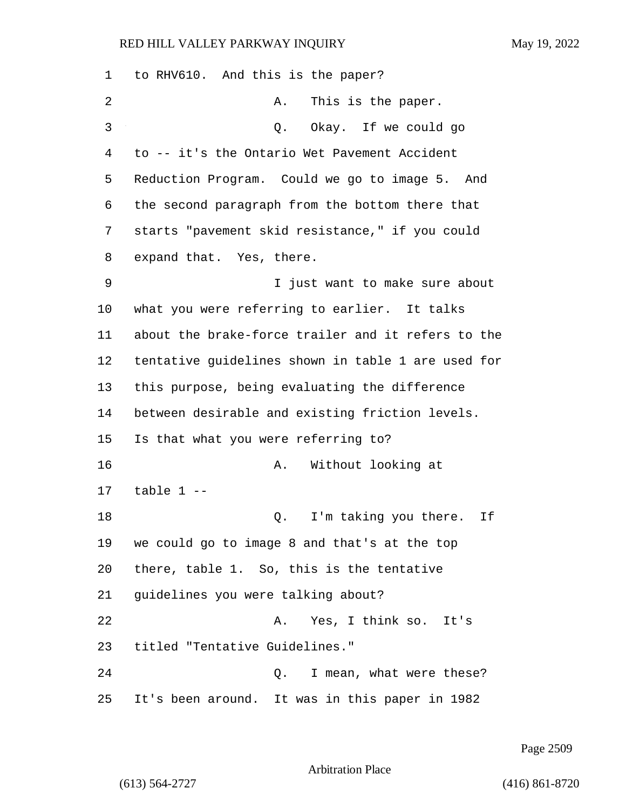| 1  | to RHV610. And this is the paper?                  |
|----|----------------------------------------------------|
| 2  | This is the paper.<br>Α.                           |
| 3  | Okay. If we could go<br>Q.                         |
| 4  | to -- it's the Ontario Wet Pavement Accident       |
| 5  | Reduction Program. Could we go to image 5. And     |
| 6  | the second paragraph from the bottom there that    |
| 7  | starts "pavement skid resistance," if you could    |
| 8  | expand that. Yes, there.                           |
| 9  | I just want to make sure about                     |
| 10 | what you were referring to earlier. It talks       |
| 11 | about the brake-force trailer and it refers to the |
| 12 | tentative guidelines shown in table 1 are used for |
| 13 | this purpose, being evaluating the difference      |
| 14 | between desirable and existing friction levels.    |
| 15 | Is that what you were referring to?                |
| 16 | Without looking at<br>Α.                           |
| 17 | table $1 -$                                        |
| 18 | I'm taking you there.<br>If<br>Q.                  |
| 19 | we could go to image 8 and that's at the top       |
| 20 | there, table 1. So, this is the tentative          |
| 21 | guidelines you were talking about?                 |
| 22 | Yes, I think so. It's<br>Α.                        |
| 23 | titled "Tentative Guidelines."                     |
| 24 | Q. I mean, what were these?                        |
| 25 | It's been around. It was in this paper in 1982     |

Page 2509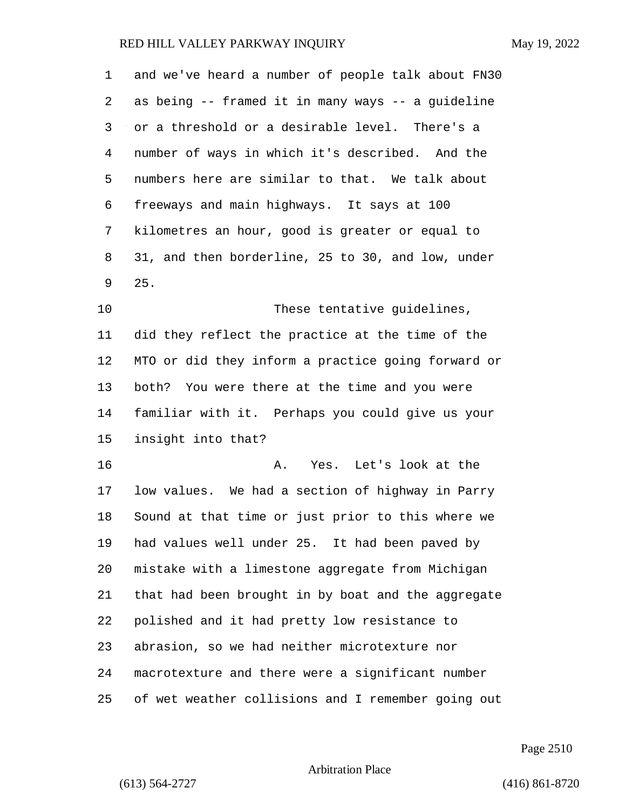| 1      | and we've heard a number of people talk about FN30 |
|--------|----------------------------------------------------|
| 2      | as being -- framed it in many ways -- a guideline  |
| 3      | or a threshold or a desirable level. There's a     |
| 4      | number of ways in which it's described. And the    |
| 5      | numbers here are similar to that. We talk about    |
| 6      | freeways and main highways. It says at 100         |
| 7      | kilometres an hour, good is greater or equal to    |
| 8      | 31, and then borderline, 25 to 30, and low, under  |
| 9      | 25.                                                |
| 10     | These tentative guidelines,                        |
| 11     | did they reflect the practice at the time of the   |
| 12     | MTO or did they inform a practice going forward or |
| 13     | both? You were there at the time and you were      |
| 14     | familiar with it. Perhaps you could give us your   |
| 15     | insight into that?                                 |
| 16     | Yes. Let's look at the<br>Α.                       |
| 17     | low values. We had a section of highway in Parry   |
| $18\,$ | Sound at that time or just prior to this where we  |
| 19     | had values well under 25. It had been paved by     |
| 20     | mistake with a limestone aggregate from Michigan   |
| 21     | that had been brought in by boat and the aggregate |
| 22     | polished and it had pretty low resistance to       |
| 23     | abrasion, so we had neither microtexture nor       |
| 24     | macrotexture and there were a significant number   |
| 25     | of wet weather collisions and I remember going out |

Page 2510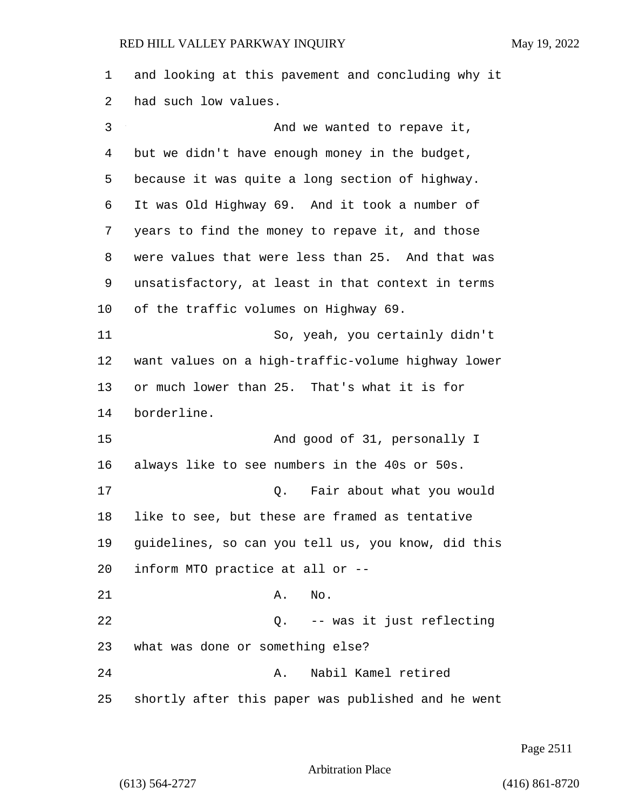and looking at this pavement and concluding why it had such low values. 3 And we wanted to repave it, but we didn't have enough money in the budget, because it was quite a long section of highway. It was Old Highway 69. And it took a number of years to find the money to repave it, and those were values that were less than 25. And that was unsatisfactory, at least in that context in terms of the traffic volumes on Highway 69. 11 So, yeah, you certainly didn't want values on a high-traffic-volume highway lower or much lower than 25. That's what it is for borderline. 15 And good of 31, personally I always like to see numbers in the 40s or 50s. 17 Q. Fair about what you would like to see, but these are framed as tentative guidelines, so can you tell us, you know, did this inform MTO practice at all or -- 21 A. No. 22 Q. -- was it just reflecting what was done or something else? 24 A. Nabil Kamel retired shortly after this paper was published and he went

Page 2511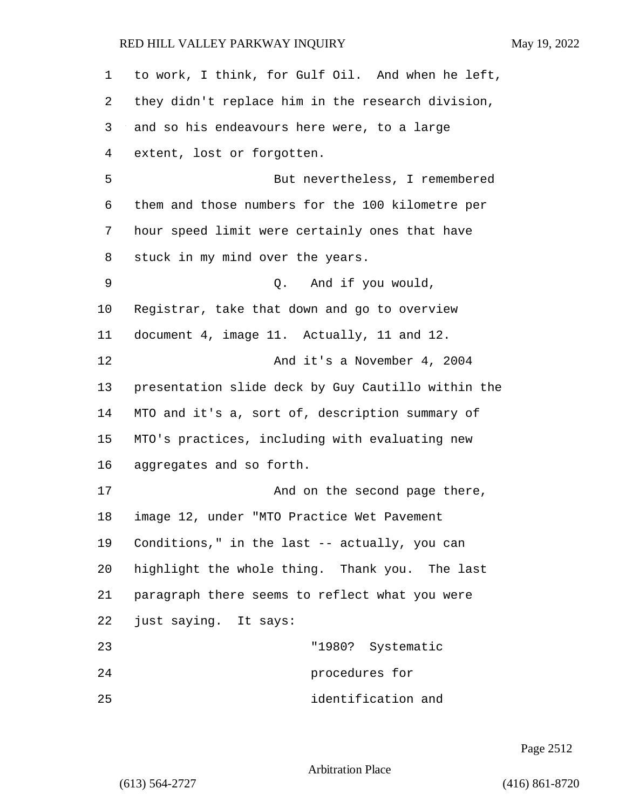| 1       | to work, I think, for Gulf Oil. And when he left,  |
|---------|----------------------------------------------------|
| 2       | they didn't replace him in the research division,  |
| 3       | and so his endeavours here were, to a large        |
| 4       | extent, lost or forgotten.                         |
| 5       | But nevertheless, I remembered                     |
| 6       | them and those numbers for the 100 kilometre per   |
| 7       | hour speed limit were certainly ones that have     |
| 8       | stuck in my mind over the years.                   |
| 9       | And if you would,<br>$\circ$ .                     |
| $10 \,$ | Registrar, take that down and go to overview       |
| 11      | document 4, image 11. Actually, 11 and 12.         |
| 12      | And it's a November 4, 2004                        |
| 13      | presentation slide deck by Guy Cautillo within the |
| 14      | MTO and it's a, sort of, description summary of    |
| 15      | MTO's practices, including with evaluating new     |
| 16      | aggregates and so forth.                           |
| 17      | And on the second page there,                      |
| 18      | image 12, under "MTO Practice Wet Pavement         |
| 19      | Conditions," in the last -- actually, you can      |
| 20      | highlight the whole thing. Thank you. The last     |
| 21      | paragraph there seems to reflect what you were     |
| 22      | just saying. It says:                              |
| 23      | "1980? Systematic                                  |
| 24      | procedures for                                     |
| 25      | identification and                                 |

Page 2512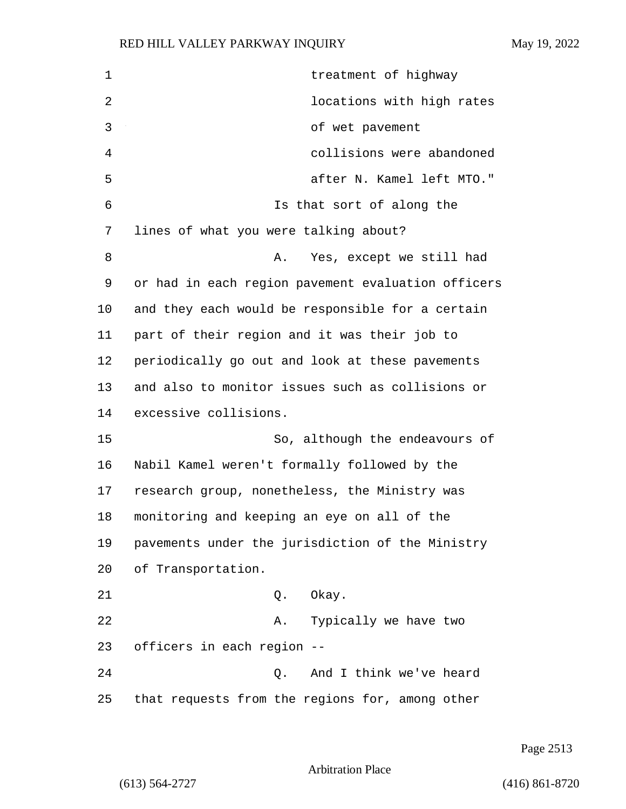| 1  | treatment of highway                               |
|----|----------------------------------------------------|
| 2  | locations with high rates                          |
| 3  | of wet pavement                                    |
| 4  | collisions were abandoned                          |
| 5  | after N. Kamel left MTO."                          |
| 6  | Is that sort of along the                          |
| 7  | lines of what you were talking about?              |
| 8  | Yes, except we still had<br>Α.                     |
| 9  | or had in each region pavement evaluation officers |
| 10 | and they each would be responsible for a certain   |
| 11 | part of their region and it was their job to       |
| 12 | periodically go out and look at these pavements    |
| 13 | and also to monitor issues such as collisions or   |
| 14 | excessive collisions.                              |
| 15 | So, although the endeavours of                     |
| 16 | Nabil Kamel weren't formally followed by the       |
| 17 | research group, nonetheless, the Ministry was      |
| 18 | monitoring and keeping an eye on all of the        |
| 19 | pavements under the jurisdiction of the Ministry   |
| 20 | of Transportation.                                 |
| 21 | Okay.<br>Q.                                        |
| 22 | Typically we have two<br>A.                        |
| 23 | officers in each region --                         |
| 24 | And I think we've heard<br>Q.                      |
| 25 | that requests from the regions for, among other    |

Page 2513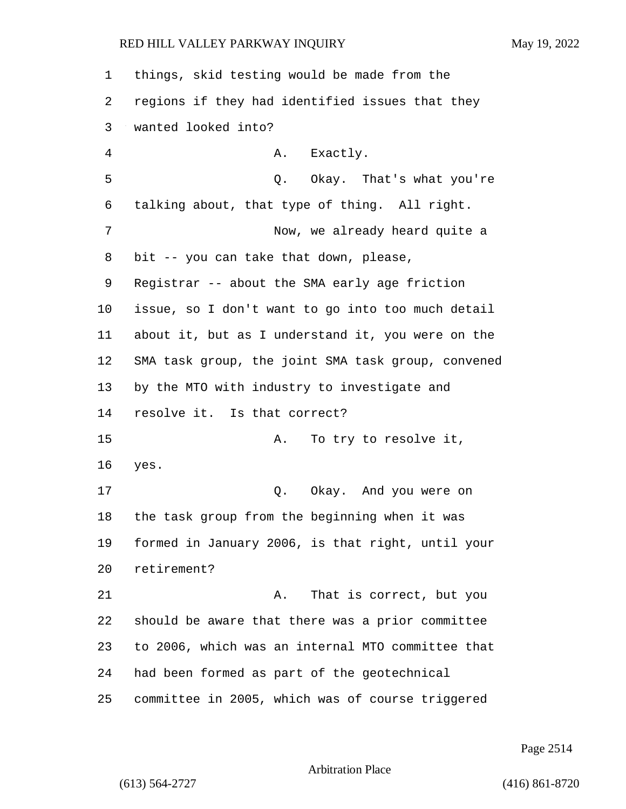| 1  | things, skid testing would be made from the        |
|----|----------------------------------------------------|
| 2  | regions if they had identified issues that they    |
| 3  | wanted looked into?                                |
| 4  | A. Exactly.                                        |
| 5  | Q. Okay. That's what you're                        |
| 6  | talking about, that type of thing. All right.      |
| 7  | Now, we already heard quite a                      |
| 8  | bit -- you can take that down, please,             |
| 9  | Registrar -- about the SMA early age friction      |
| 10 | issue, so I don't want to go into too much detail  |
| 11 | about it, but as I understand it, you were on the  |
| 12 | SMA task group, the joint SMA task group, convened |
| 13 | by the MTO with industry to investigate and        |
| 14 | resolve it. Is that correct?                       |
| 15 | To try to resolve it,<br>Α.                        |
| 16 | yes.                                               |
| 17 | Q. Okay. And you were on                           |
| 18 | the task group from the beginning when it was      |
| 19 | formed in January 2006, is that right, until your  |
| 20 | retirement?                                        |
| 21 | That is correct, but you<br>Α.                     |
| 22 | should be aware that there was a prior committee   |
| 23 | to 2006, which was an internal MTO committee that  |
| 24 | had been formed as part of the geotechnical        |
| 25 | committee in 2005, which was of course triggered   |

Page 2514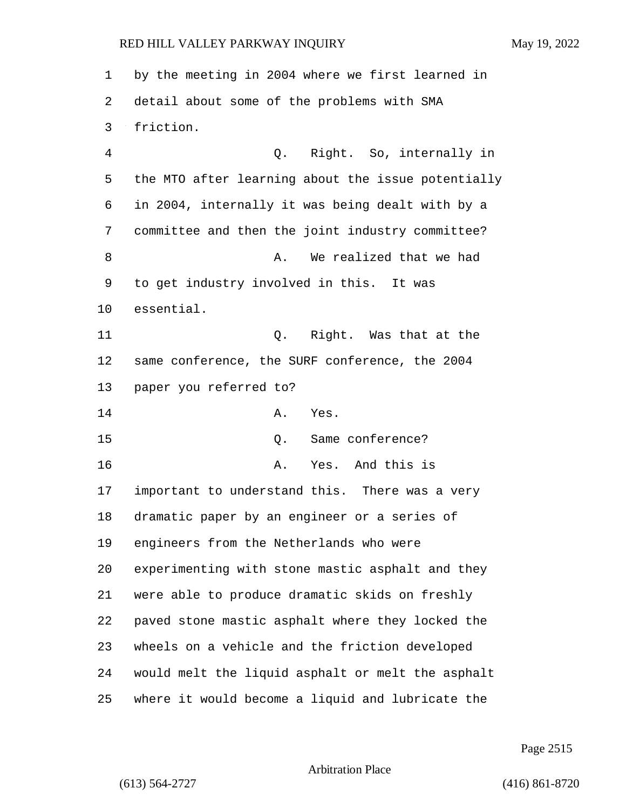by the meeting in 2004 where we first learned in detail about some of the problems with SMA friction. 4 Q. Right. So, internally in the MTO after learning about the issue potentially in 2004, internally it was being dealt with by a committee and then the joint industry committee? 8 a. We realized that we had to get industry involved in this. It was essential. 11 Q. Right. Was that at the same conference, the SURF conference, the 2004 paper you referred to? 14 A. Yes. 15 Q. Same conference? 16 A. Yes. And this is important to understand this. There was a very dramatic paper by an engineer or a series of engineers from the Netherlands who were experimenting with stone mastic asphalt and they were able to produce dramatic skids on freshly paved stone mastic asphalt where they locked the wheels on a vehicle and the friction developed would melt the liquid asphalt or melt the asphalt where it would become a liquid and lubricate the

Page 2515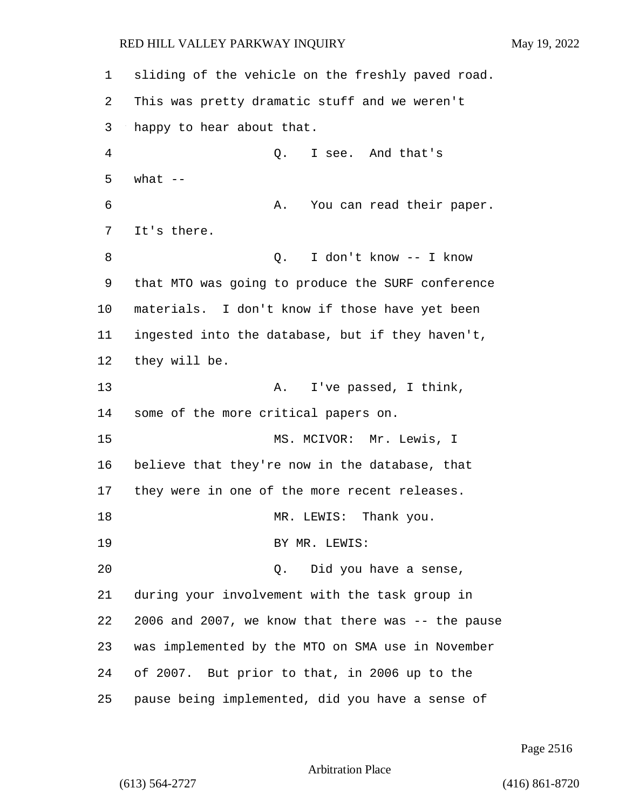sliding of the vehicle on the freshly paved road. This was pretty dramatic stuff and we weren't happy to hear about that. 4 Q. I see. And that's  $5$  what  $-$ 6 A. You can read their paper. It's there. 8 Q. I don't know -- I know that MTO was going to produce the SURF conference materials. I don't know if those have yet been ingested into the database, but if they haven't, they will be. 13 A. I've passed, I think, some of the more critical papers on. 15 MS. MCIVOR: Mr. Lewis, I believe that they're now in the database, that they were in one of the more recent releases. 18 MR. LEWIS: Thank you. 19 BY MR. LEWIS: 20 Q. Did you have a sense, during your involvement with the task group in 2006 and 2007, we know that there was -- the pause was implemented by the MTO on SMA use in November of 2007. But prior to that, in 2006 up to the pause being implemented, did you have a sense of

Page 2516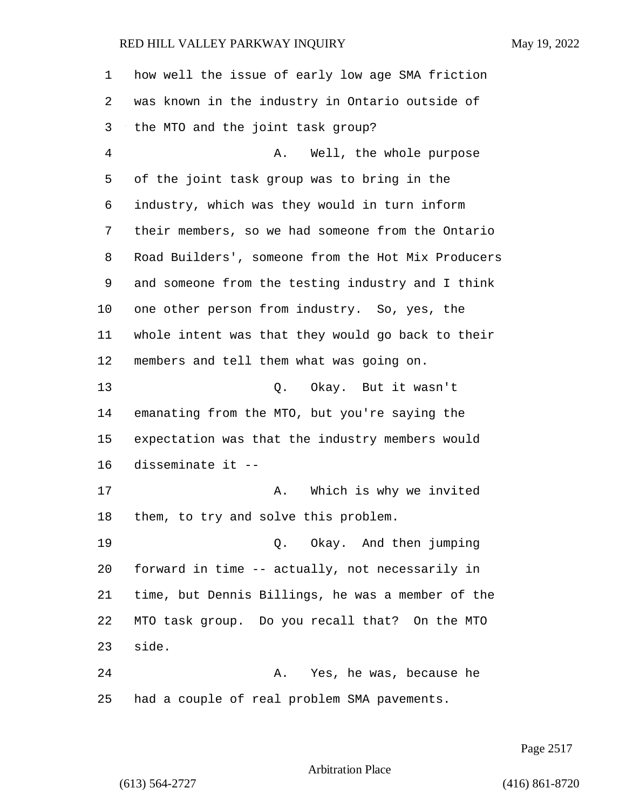| 1              | how well the issue of early low age SMA friction   |
|----------------|----------------------------------------------------|
| 2              | was known in the industry in Ontario outside of    |
| 3              | the MTO and the joint task group?                  |
| $\overline{4}$ | Well, the whole purpose<br>Α.                      |
| 5              | of the joint task group was to bring in the        |
| 6              | industry, which was they would in turn inform      |
| 7              | their members, so we had someone from the Ontario  |
| 8              | Road Builders', someone from the Hot Mix Producers |
| 9              | and someone from the testing industry and I think  |
| 10             | one other person from industry. So, yes, the       |
| 11             | whole intent was that they would go back to their  |
| 12             | members and tell them what was going on.           |
| 13             | Q. Okay. But it wasn't                             |
| 14             | emanating from the MTO, but you're saying the      |
| 15             | expectation was that the industry members would    |
| 16             | disseminate it --                                  |
| 17             | Which is why we invited<br>Α.                      |
| 18             | them, to try and solve this problem.               |
| 19             | Q. Okay. And then jumping                          |
| 20             | forward in time -- actually, not necessarily in    |
| 21             | time, but Dennis Billings, he was a member of the  |
| 22             | MTO task group. Do you recall that? On the MTO     |
| 23             | side.                                              |
| 24             | Yes, he was, because he<br>Α.                      |
| 25             | had a couple of real problem SMA pavements.        |

Page 2517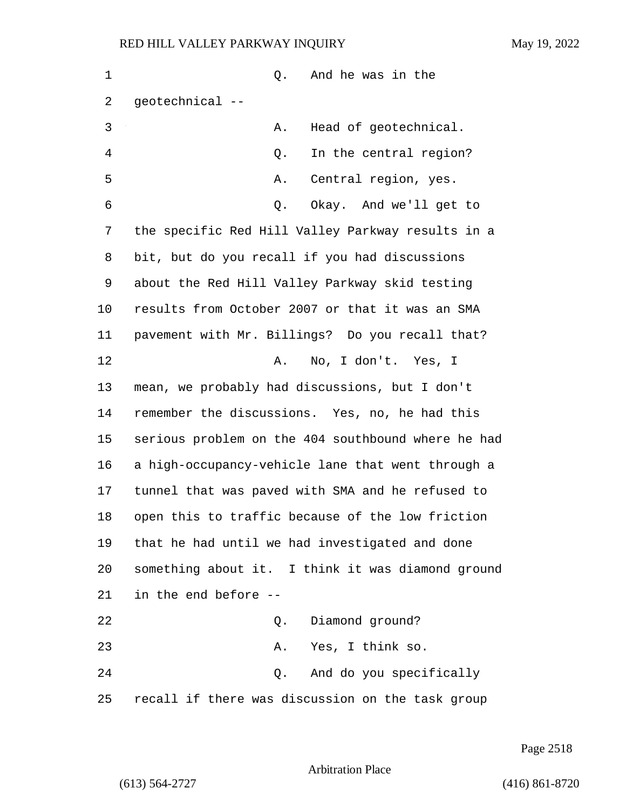| 1  | And he was in the<br>Q.                            |
|----|----------------------------------------------------|
| 2  | geotechnical --                                    |
| 3  | Head of geotechnical.<br>Α.                        |
| 4  | In the central region?<br>Q.                       |
| 5  | Central region, yes.<br>Α.                         |
| 6  | Okay. And we'll get to<br>Q.                       |
| 7  | the specific Red Hill Valley Parkway results in a  |
| 8  | bit, but do you recall if you had discussions      |
| 9  | about the Red Hill Valley Parkway skid testing     |
| 10 | results from October 2007 or that it was an SMA    |
| 11 | pavement with Mr. Billings? Do you recall that?    |
| 12 | No, I don't. Yes, I<br>Α.                          |
| 13 | mean, we probably had discussions, but I don't     |
| 14 | remember the discussions. Yes, no, he had this     |
| 15 | serious problem on the 404 southbound where he had |
| 16 | a high-occupancy-vehicle lane that went through a  |
| 17 | tunnel that was paved with SMA and he refused to   |
| 18 | open this to traffic because of the low friction   |
| 19 | that he had until we had investigated and done     |
| 20 | something about it. I think it was diamond ground  |
| 21 | in the end before --                               |
| 22 | Diamond ground?<br>Q.                              |
| 23 | Yes, I think so.<br>Α.                             |
| 24 | And do you specifically<br>Q.                      |
| 25 | recall if there was discussion on the task group   |

Page 2518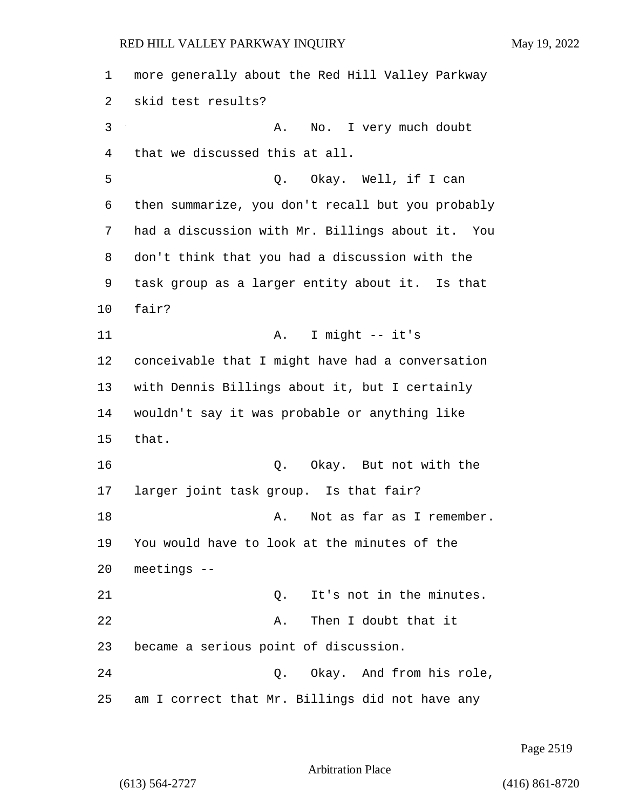1 more generally about the Red Hill Valley Parkway 2 skid test results? 3 A. No. I very much doubt 4 that we discussed this at all. 5 Q. Okay. Well, if I can 6 then summarize, you don't recall but you probably 7 had a discussion with Mr. Billings about it. You 8 don't think that you had a discussion with the 9 task group as a larger entity about it. Is that 10 fair? 11 A. I might -- it's 12 conceivable that I might have had a conversation 13 with Dennis Billings about it, but I certainly 14 wouldn't say it was probable or anything like 15 that. 16 Q. Okay. But not with the 17 larger joint task group. Is that fair? 18 A. Not as far as I remember. 19 You would have to look at the minutes of the 20 meetings -- 21 C. It's not in the minutes. 22 A. Then I doubt that it 23 became a serious point of discussion. 24 Q. Okay. And from his role, 25 am I correct that Mr. Billings did not have any

Page 2519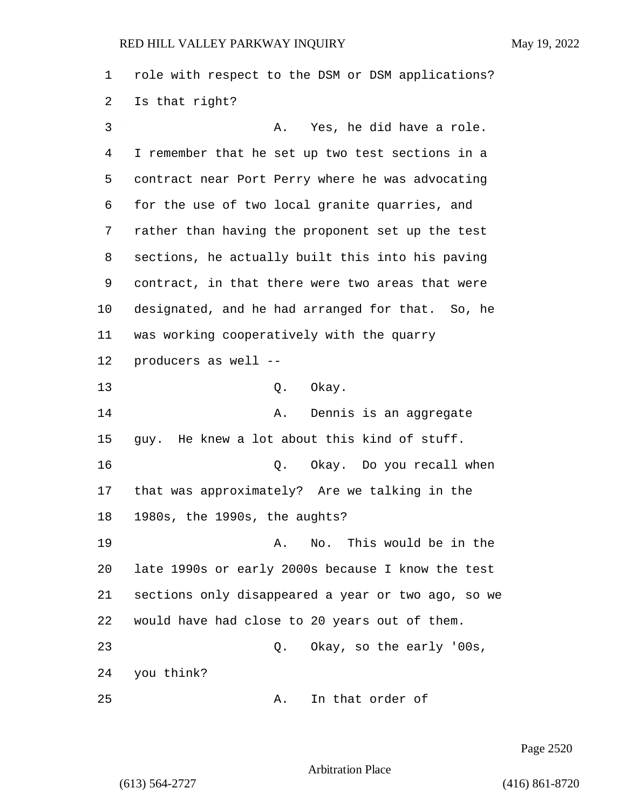role with respect to the DSM or DSM applications? Is that right? 3 A. Yes, he did have a role. I remember that he set up two test sections in a contract near Port Perry where he was advocating for the use of two local granite quarries, and rather than having the proponent set up the test sections, he actually built this into his paving contract, in that there were two areas that were designated, and he had arranged for that. So, he was working cooperatively with the quarry producers as well -- 13 Q. Okay. **A.** Dennis is an aggregate guy. He knew a lot about this kind of stuff. 16 Q. Okay. Do you recall when that was approximately? Are we talking in the 1980s, the 1990s, the aughts? 19 A. No. This would be in the late 1990s or early 2000s because I know the test sections only disappeared a year or two ago, so we would have had close to 20 years out of them. 23 Q. Okay, so the early '00s, you think? 25 A. In that order of

Page 2520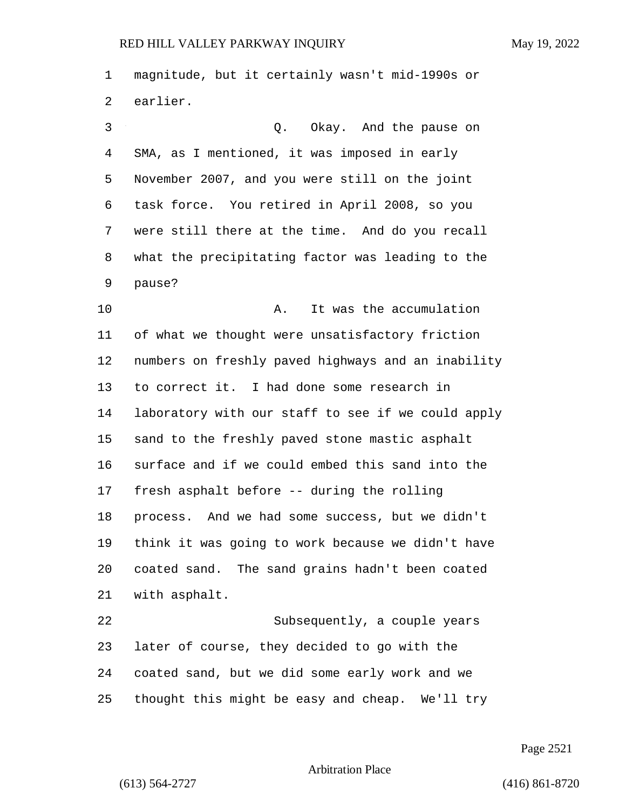magnitude, but it certainly wasn't mid-1990s or earlier. 3 Q. Okay. And the pause on SMA, as I mentioned, it was imposed in early November 2007, and you were still on the joint task force. You retired in April 2008, so you were still there at the time. And do you recall what the precipitating factor was leading to the pause? 10 A. It was the accumulation of what we thought were unsatisfactory friction numbers on freshly paved highways and an inability to correct it. I had done some research in laboratory with our staff to see if we could apply sand to the freshly paved stone mastic asphalt surface and if we could embed this sand into the fresh asphalt before -- during the rolling process. And we had some success, but we didn't think it was going to work because we didn't have coated sand. The sand grains hadn't been coated with asphalt. 22 Subsequently, a couple years later of course, they decided to go with the coated sand, but we did some early work and we thought this might be easy and cheap. We'll try

Page 2521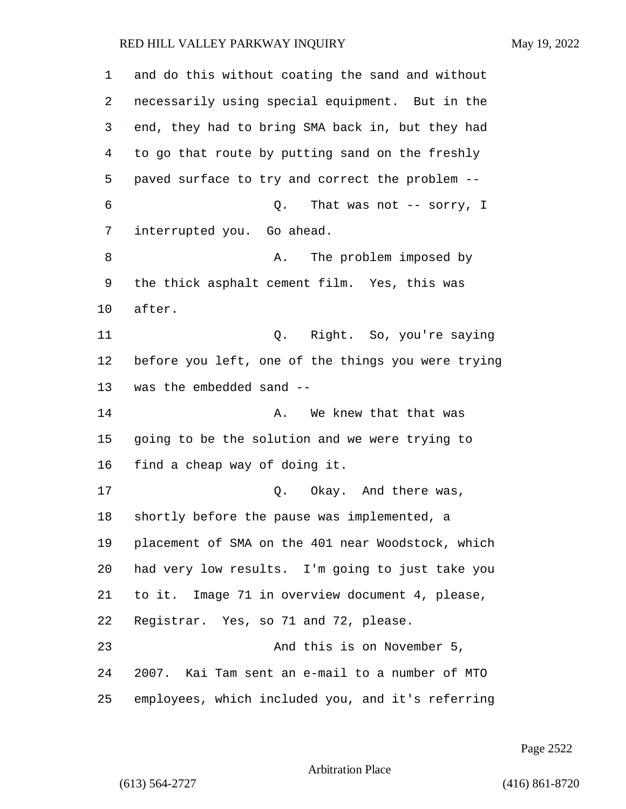| 1  | and do this without coating the sand and without   |
|----|----------------------------------------------------|
| 2  | necessarily using special equipment. But in the    |
| 3  | end, they had to bring SMA back in, but they had   |
| 4  | to go that route by putting sand on the freshly    |
| 5  | paved surface to try and correct the problem --    |
| 6  | Q.<br>That was not $-$ sorry, I                    |
| 7  | interrupted you. Go ahead.                         |
| 8  | The problem imposed by<br>Α.                       |
| 9  | the thick asphalt cement film. Yes, this was       |
| 10 | after.                                             |
| 11 | Q. Right. So, you're saying                        |
| 12 | before you left, one of the things you were trying |
| 13 | was the embedded sand --                           |
| 14 | We knew that that was<br>Α.                        |
| 15 | going to be the solution and we were trying to     |
| 16 | find a cheap way of doing it.                      |
| 17 | Okay. And there was,<br>Q.                         |
| 18 | shortly before the pause was implemented, a        |
| 19 | placement of SMA on the 401 near Woodstock, which  |
| 20 | had very low results. I'm going to just take you   |
| 21 | to it. Image 71 in overview document 4, please,    |
| 22 | Registrar. Yes, so 71 and 72, please.              |
| 23 | And this is on November 5,                         |
| 24 | 2007. Kai Tam sent an e-mail to a number of MTO    |
| 25 | employees, which included you, and it's referring  |

Page 2522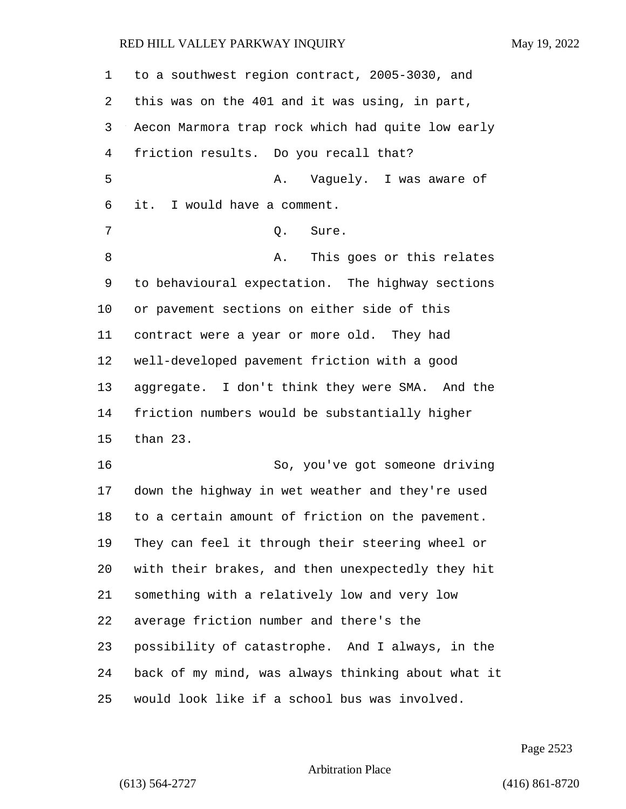| 1  | to a southwest region contract, 2005-3030, and     |
|----|----------------------------------------------------|
| 2  | this was on the 401 and it was using, in part,     |
| 3  | Aecon Marmora trap rock which had quite low early  |
| 4  | friction results. Do you recall that?              |
| 5  | Vaguely. I was aware of<br>Α.                      |
| 6  | it. I would have a comment.                        |
| 7  | Q.<br>Sure.                                        |
| 8  | This goes or this relates<br>Α.                    |
| 9  | to behavioural expectation. The highway sections   |
| 10 | or pavement sections on either side of this        |
| 11 | contract were a year or more old. They had         |
| 12 | well-developed pavement friction with a good       |
| 13 | aggregate. I don't think they were SMA. And the    |
| 14 | friction numbers would be substantially higher     |
| 15 | than 23.                                           |
| 16 | So, you've got someone driving                     |
| 17 | down the highway in wet weather and they're used   |
| 18 | to a certain amount of friction on the pavement.   |
| 19 | They can feel it through their steering wheel or   |
| 20 | with their brakes, and then unexpectedly they hit  |
| 21 | something with a relatively low and very low       |
| 22 | average friction number and there's the            |
| 23 | possibility of catastrophe. And I always, in the   |
| 24 | back of my mind, was always thinking about what it |
| 25 | would look like if a school bus was involved.      |

Page 2523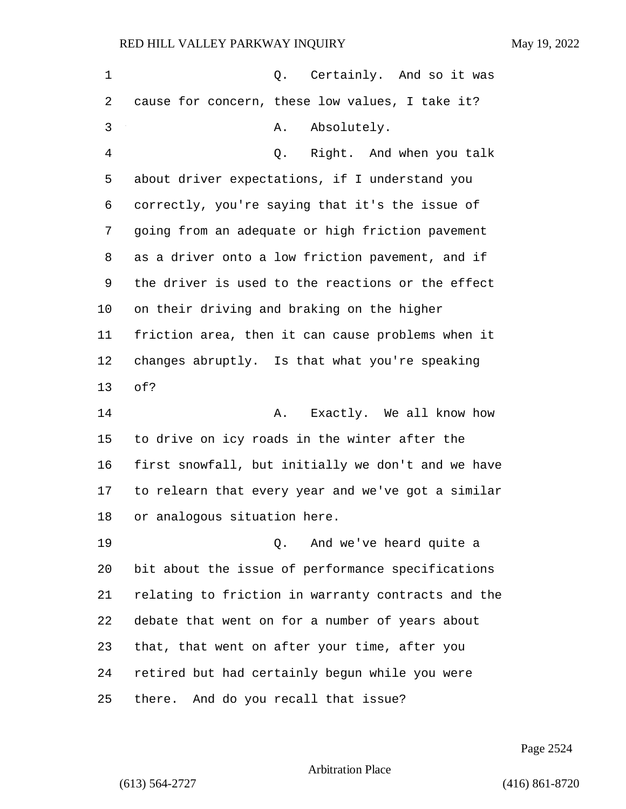| 1  | Q. Certainly. And so it was                        |
|----|----------------------------------------------------|
| 2  | cause for concern, these low values, I take it?    |
| 3  | Absolutely.<br>Α.                                  |
| 4  | Q. Right. And when you talk                        |
| 5  | about driver expectations, if I understand you     |
| 6  | correctly, you're saying that it's the issue of    |
| 7  | going from an adequate or high friction pavement   |
| 8  | as a driver onto a low friction pavement, and if   |
| 9  | the driver is used to the reactions or the effect  |
| 10 | on their driving and braking on the higher         |
| 11 | friction area, then it can cause problems when it  |
| 12 | changes abruptly. Is that what you're speaking     |
| 13 | of?                                                |
| 14 | Exactly. We all know how<br>Α.                     |
| 15 | to drive on icy roads in the winter after the      |
| 16 | first snowfall, but initially we don't and we have |
| 17 | to relearn that every year and we've got a similar |
| 18 | or analogous situation here.                       |
| 19 | And we've heard quite a<br>Q.                      |
| 20 | bit about the issue of performance specifications  |
| 21 | relating to friction in warranty contracts and the |
| 22 | debate that went on for a number of years about    |
| 23 | that, that went on after your time, after you      |
| 24 | retired but had certainly begun while you were     |
| 25 | And do you recall that issue?<br>there.            |

Page 2524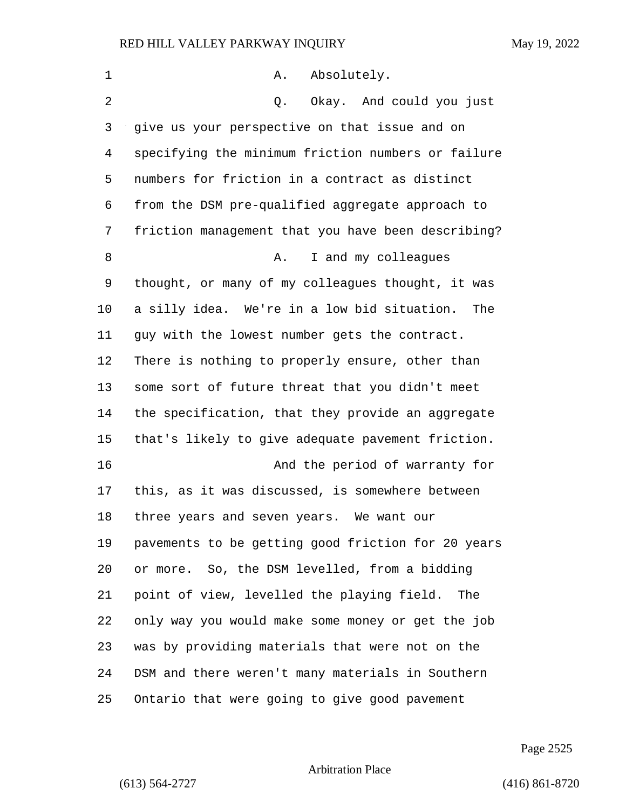| 1  | Absolutely.<br>Α.                                  |
|----|----------------------------------------------------|
| 2  | Okay. And could you just<br>Q.                     |
| 3  | give us your perspective on that issue and on      |
| 4  | specifying the minimum friction numbers or failure |
| 5  | numbers for friction in a contract as distinct     |
| 6  | from the DSM pre-qualified aggregate approach to   |
| 7  | friction management that you have been describing? |
| 8  | I and my colleagues<br>Α.                          |
| 9  | thought, or many of my colleagues thought, it was  |
| 10 | a silly idea. We're in a low bid situation.<br>The |
| 11 | guy with the lowest number gets the contract.      |
| 12 | There is nothing to properly ensure, other than    |
| 13 | some sort of future threat that you didn't meet    |
| 14 | the specification, that they provide an aggregate  |
| 15 | that's likely to give adequate pavement friction.  |
| 16 | And the period of warranty for                     |
| 17 | this, as it was discussed, is somewhere between    |
| 18 | three years and seven years. We want our           |
| 19 | pavements to be getting good friction for 20 years |
| 20 | or more. So, the DSM levelled, from a bidding      |
| 21 | point of view, levelled the playing field.<br>The  |
| 22 | only way you would make some money or get the job  |
| 23 | was by providing materials that were not on the    |
| 24 | DSM and there weren't many materials in Southern   |
| 25 | Ontario that were going to give good pavement      |

Page 2525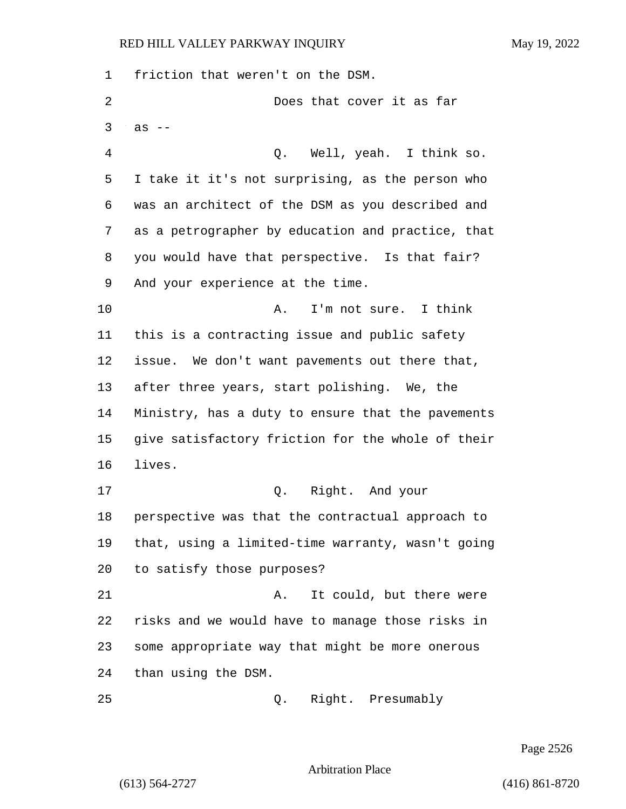friction that weren't on the DSM. 2 Does that cover it as far  $3 \text{ as } -$ 4 Q. Well, yeah. I think so. I take it it's not surprising, as the person who was an architect of the DSM as you described and as a petrographer by education and practice, that you would have that perspective. Is that fair? And your experience at the time. 10 A. I'm not sure. I think this is a contracting issue and public safety issue. We don't want pavements out there that, after three years, start polishing. We, the Ministry, has a duty to ensure that the pavements give satisfactory friction for the whole of their lives. 17 Q. Right. And your perspective was that the contractual approach to that, using a limited-time warranty, wasn't going to satisfy those purposes? 21 A. It could, but there were risks and we would have to manage those risks in some appropriate way that might be more onerous than using the DSM. 25 Q. Right. Presumably

Page 2526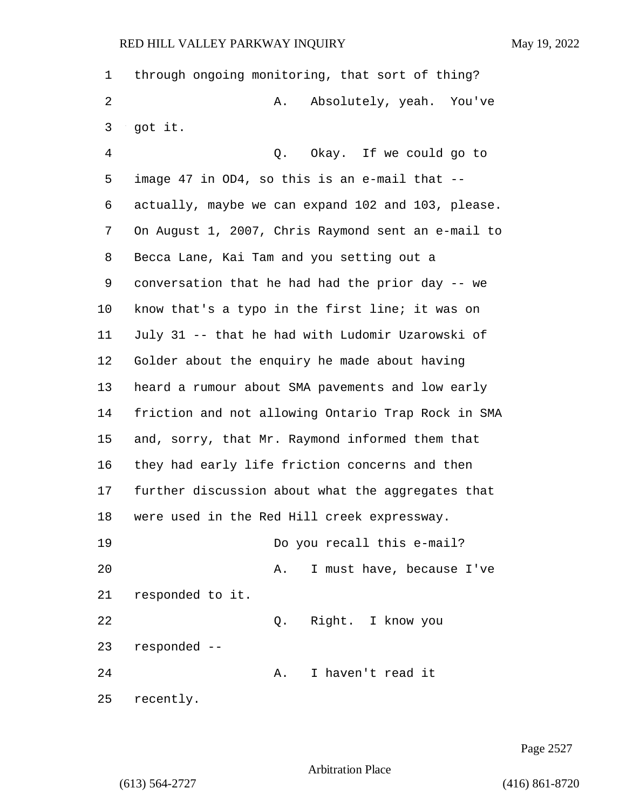| $\mathbf 1$    | through ongoing monitoring, that sort of thing?    |
|----------------|----------------------------------------------------|
| $\overline{2}$ | Absolutely, yeah. You've<br>Α.                     |
| 3              | got it.                                            |
| $\overline{4}$ | Q. Okay. If we could go to                         |
| 5              | image 47 in OD4, so this is an e-mail that --      |
| 6              | actually, maybe we can expand 102 and 103, please. |
| 7              | On August 1, 2007, Chris Raymond sent an e-mail to |
| 8              | Becca Lane, Kai Tam and you setting out a          |
| 9              | conversation that he had had the prior day -- we   |
| 10             | know that's a typo in the first line; it was on    |
| 11             | July 31 -- that he had with Ludomir Uzarowski of   |
| 12             | Golder about the enquiry he made about having      |
| 13             | heard a rumour about SMA pavements and low early   |
| 14             | friction and not allowing Ontario Trap Rock in SMA |
| 15             | and, sorry, that Mr. Raymond informed them that    |
| 16             | they had early life friction concerns and then     |
| 17             | further discussion about what the aggregates that  |
| 18             | were used in the Red Hill creek expressway.        |
| 19             | Do you recall this e-mail?                         |
| 20             | I must have, because I've<br>Α.                    |
| 21             | responded to it.                                   |
| 22             | Right. I know you<br>Q.                            |
| 23             | responded --                                       |
| 24             | I haven't read it<br>Α.                            |
| 25             | recently.                                          |

Page 2527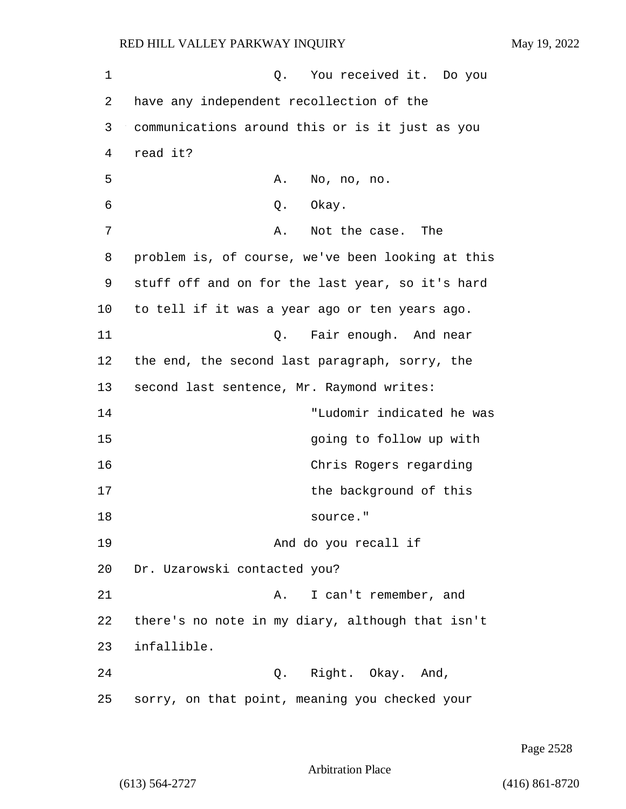1 0. You received it. Do you 2 have any independent recollection of the 3 communications around this or is it just as you 4 read it? 5 A. No, no, no. 6 Q. Okay. 7 A. Not the case. The 8 problem is, of course, we've been looking at this 9 stuff off and on for the last year, so it's hard 10 to tell if it was a year ago or ten years ago. 11 C. Fair enough. And near 12 the end, the second last paragraph, sorry, the 13 second last sentence, Mr. Raymond writes: 14 "Ludomir indicated he was 15 going to follow up with 16 Chris Rogers regarding 17 the background of this 18 source." 19 And do you recall if 20 Dr. Uzarowski contacted you? 21 A. I can't remember, and 22 there's no note in my diary, although that isn't 23 infallible. 24 Q. Right. Okay. And, 25 sorry, on that point, meaning you checked your

Page 2528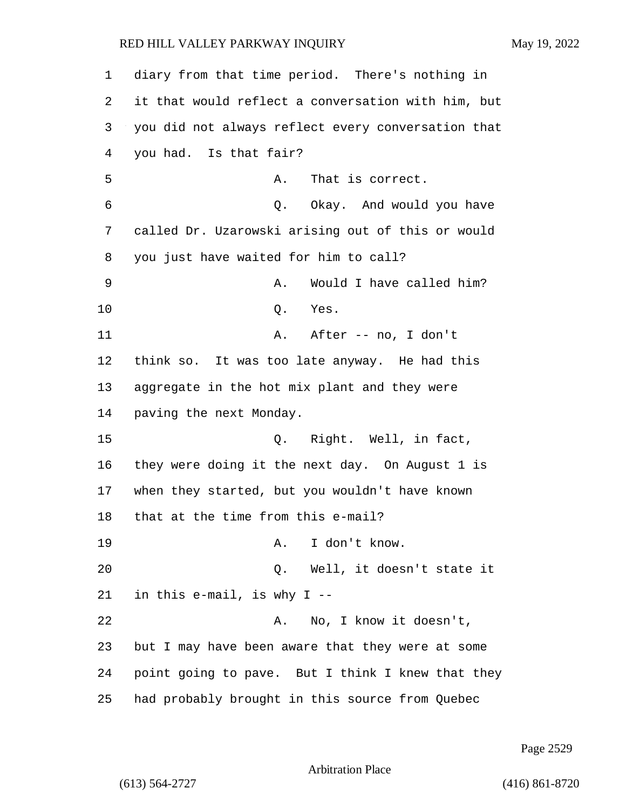diary from that time period. There's nothing in it that would reflect a conversation with him, but you did not always reflect every conversation that you had. Is that fair? 5 A. That is correct. 6 Q. Okay. And would you have called Dr. Uzarowski arising out of this or would you just have waited for him to call? 9 A. Would I have called him? 10 Q. Yes. 11 A. After -- no, I don't think so. It was too late anyway. He had this aggregate in the hot mix plant and they were paving the next Monday. 15 Q. Right. Well, in fact, they were doing it the next day. On August 1 is when they started, but you wouldn't have known that at the time from this e-mail? 19 A. I don't know. 20 Q. Well, it doesn't state it in this e-mail, is why I -- 22 A. No, I know it doesn't, but I may have been aware that they were at some point going to pave. But I think I knew that they had probably brought in this source from Quebec

Page 2529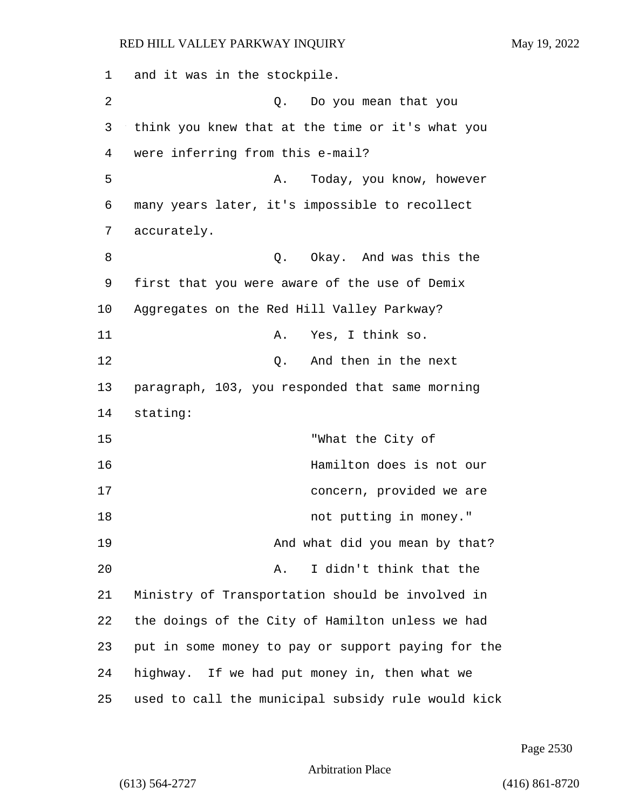1 and it was in the stockpile. 2 Q. Do you mean that you 3 think you knew that at the time or it's what you 4 were inferring from this e-mail? 5 A. Today, you know, however 6 many years later, it's impossible to recollect 7 accurately. 8 a. C. Okay. And was this the 9 first that you were aware of the use of Demix 10 Aggregates on the Red Hill Valley Parkway? 11 A. Yes, I think so. 12 Q. And then in the next 13 paragraph, 103, you responded that same morning 14 stating: 15 "What the City of 16 Hamilton does is not our 17 concern, provided we are 18 not putting in money." 19 And what did you mean by that? 20 A. I didn't think that the 21 Ministry of Transportation should be involved in 22 the doings of the City of Hamilton unless we had 23 put in some money to pay or support paying for the 24 highway. If we had put money in, then what we 25 used to call the municipal subsidy rule would kick

Page 2530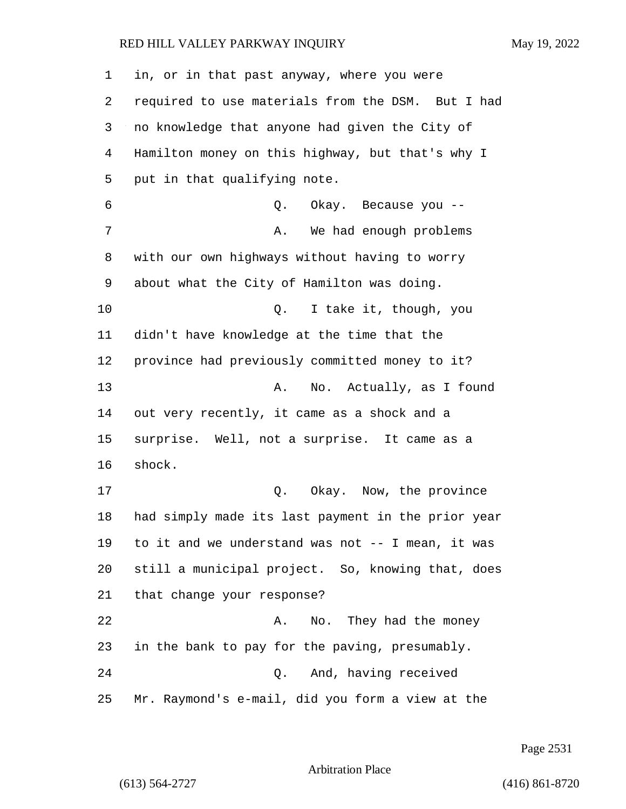| 1  | in, or in that past anyway, where you were         |
|----|----------------------------------------------------|
| 2  | required to use materials from the DSM. But I had  |
| 3  | no knowledge that anyone had given the City of     |
| 4  | Hamilton money on this highway, but that's why I   |
| 5  | put in that qualifying note.                       |
| 6  | Q.<br>Okay. Because you --                         |
| 7  | We had enough problems<br>Α.                       |
| 8  | with our own highways without having to worry      |
| 9  | about what the City of Hamilton was doing.         |
| 10 | I take it, though, you<br>Q.                       |
| 11 | didn't have knowledge at the time that the         |
| 12 | province had previously committed money to it?     |
| 13 | No. Actually, as I found<br>Α.                     |
| 14 | out very recently, it came as a shock and a        |
| 15 | surprise. Well, not a surprise. It came as a       |
| 16 | shock.                                             |
| 17 | Okay. Now, the province<br>Q.                      |
| 18 | had simply made its last payment in the prior year |
| 19 | to it and we understand was not -- I mean, it was  |
| 20 | still a municipal project. So, knowing that, does  |
| 21 | that change your response?                         |
| 22 | No. They had the money<br>Α.                       |
| 23 | in the bank to pay for the paving, presumably.     |
| 24 | And, having received<br>Q.                         |
| 25 | Mr. Raymond's e-mail, did you form a view at the   |

Page 2531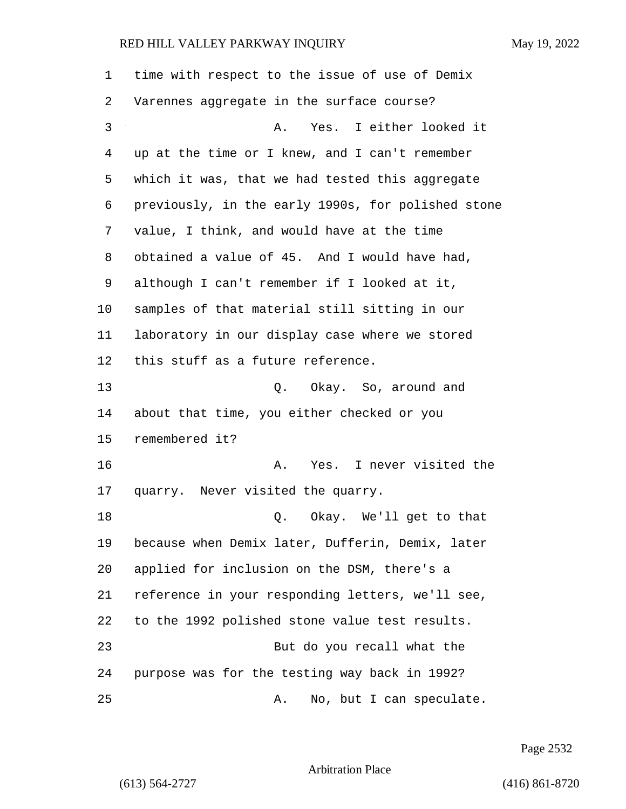| 1  | time with respect to the issue of use of Demix     |
|----|----------------------------------------------------|
| 2  | Varennes aggregate in the surface course?          |
| 3  | Yes. I either looked it<br>Α.                      |
| 4  | up at the time or I knew, and I can't remember     |
| 5  | which it was, that we had tested this aggregate    |
| 6  | previously, in the early 1990s, for polished stone |
| 7  | value, I think, and would have at the time         |
| 8  | obtained a value of 45. And I would have had,      |
| 9  | although I can't remember if I looked at it,       |
| 10 | samples of that material still sitting in our      |
| 11 | laboratory in our display case where we stored     |
| 12 | this stuff as a future reference.                  |
| 13 | Q. Okay. So, around and                            |
| 14 | about that time, you either checked or you         |
| 15 | remembered it?                                     |
| 16 | Yes. I never visited the<br>Α.                     |
| 17 | quarry. Never visited the quarry.                  |
| 18 | Q. Okay. We'll get to that                         |
| 19 | because when Demix later, Dufferin, Demix, later   |
| 20 | applied for inclusion on the DSM, there's a        |
| 21 | reference in your responding letters, we'll see,   |
| 22 | to the 1992 polished stone value test results.     |
| 23 | But do you recall what the                         |
| 24 | purpose was for the testing way back in 1992?      |
| 25 | No, but I can speculate.<br>Α.                     |

Page 2532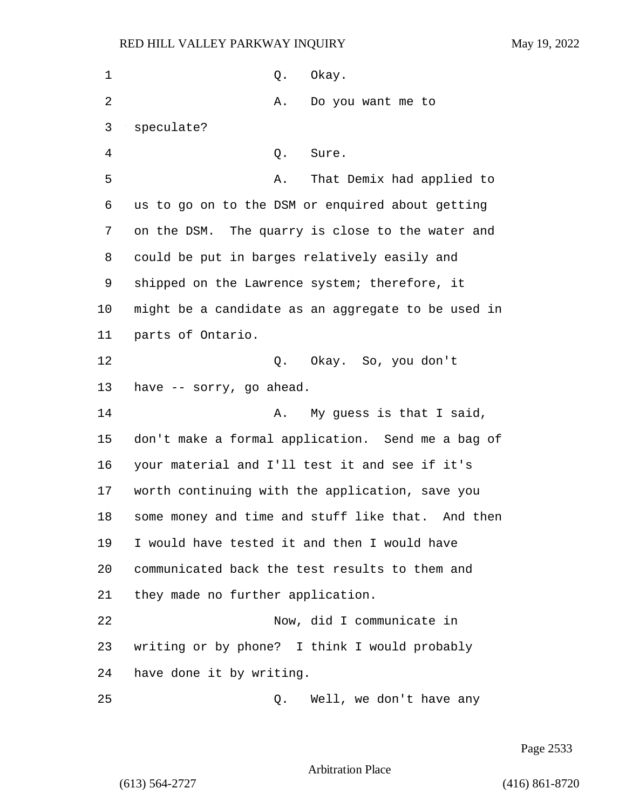| 1  | Okay.<br>Q.                                          |
|----|------------------------------------------------------|
| 2  | Do you want me to<br>Α.                              |
| 3  | speculate?                                           |
| 4  | Q.<br>Sure.                                          |
| 5  | That Demix had applied to<br>Α.                      |
| 6  | us to go on to the DSM or enquired about getting     |
| 7  | on the DSM. The quarry is close to the water and     |
| 8  | could be put in barges relatively easily and         |
| 9  | shipped on the Lawrence system; therefore, it        |
| 10 | might be a candidate as an aggregate to be used in   |
| 11 | parts of Ontario.                                    |
| 12 | Q. Okay. So, you don't                               |
| 13 | have -- sorry, go ahead.                             |
| 14 | My guess is that I said,<br>Α.                       |
| 15 | don't make a formal application. Send me a bag of    |
| 16 | your material and I'll test it and see if it's       |
| 17 | worth continuing with the application, save you      |
| 18 | some money and time and stuff like that.<br>And then |
| 19 | I would have tested it and then I would have         |
| 20 | communicated back the test results to them and       |
| 21 | they made no further application.                    |
| 22 | Now, did I communicate in                            |
| 23 | writing or by phone? I think I would probably        |
| 24 | have done it by writing.                             |
| 25 | Well, we don't have any<br>Q.                        |

Page 2533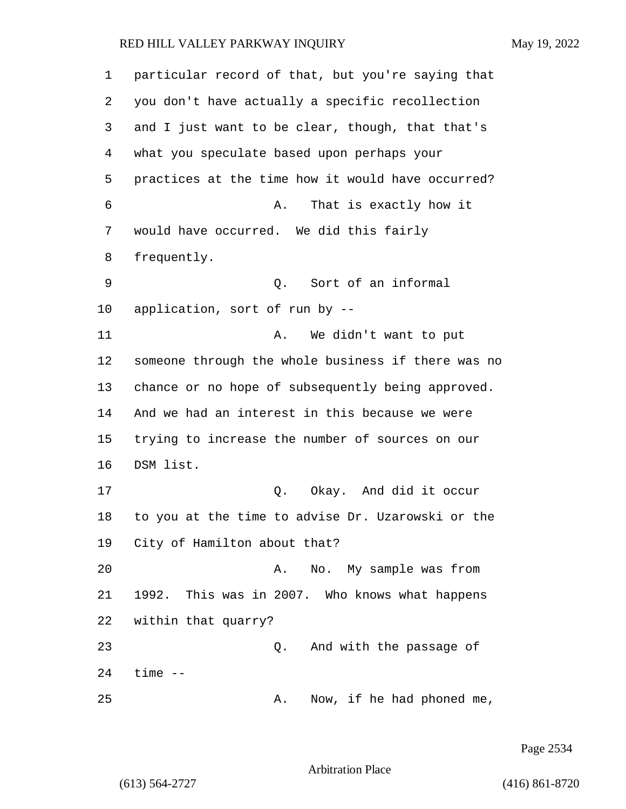| 1  | particular record of that, but you're saying that  |
|----|----------------------------------------------------|
| 2  | you don't have actually a specific recollection    |
| 3  | and I just want to be clear, though, that that's   |
| 4  | what you speculate based upon perhaps your         |
| 5  | practices at the time how it would have occurred?  |
| 6  | That is exactly how it<br>Α.                       |
| 7  | would have occurred. We did this fairly            |
| 8  | frequently.                                        |
| 9  | Q.<br>Sort of an informal                          |
| 10 | application, sort of run by --                     |
| 11 | We didn't want to put<br>Α.                        |
| 12 | someone through the whole business if there was no |
| 13 | chance or no hope of subsequently being approved.  |
| 14 | And we had an interest in this because we were     |
| 15 | trying to increase the number of sources on our    |
| 16 | DSM list.                                          |
| 17 | Q. Okay. And did it occur                          |
| 18 | to you at the time to advise Dr. Uzarowski or the  |
| 19 | City of Hamilton about that?                       |
| 20 | No. My sample was from<br>A.                       |
| 21 | 1992. This was in 2007. Who knows what happens     |
| 22 | within that quarry?                                |
| 23 | And with the passage of<br>Q.                      |
| 24 | $time$ $--$                                        |
| 25 | Now, if he had phoned me,<br>Α.                    |

Page 2534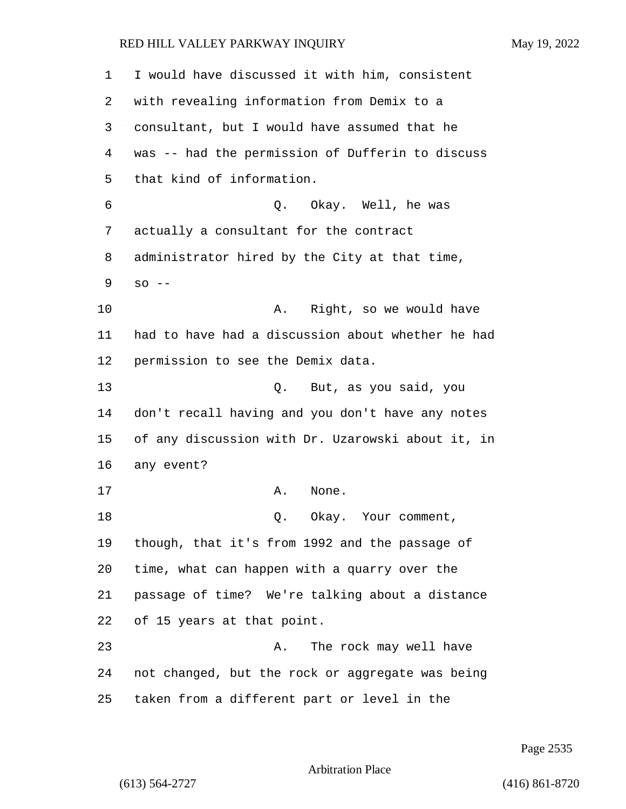| 1  | I would have discussed it with him, consistent    |
|----|---------------------------------------------------|
| 2  | with revealing information from Demix to a        |
| 3  | consultant, but I would have assumed that he      |
| 4  | was -- had the permission of Dufferin to discuss  |
| 5  | that kind of information.                         |
| 6  | Q.<br>Okay. Well, he was                          |
| 7  | actually a consultant for the contract            |
| 8  | administrator hired by the City at that time,     |
| 9  | $SO$ --                                           |
| 10 | Right, so we would have<br>Α.                     |
| 11 | had to have had a discussion about whether he had |
| 12 | permission to see the Demix data.                 |
| 13 | But, as you said, you<br>Q.                       |
| 14 | don't recall having and you don't have any notes  |
| 15 | of any discussion with Dr. Uzarowski about it, in |
| 16 | any event?                                        |
| 17 | None.<br>Α.                                       |
| 18 | Okay. Your comment,<br>Q.                         |
| 19 | though, that it's from 1992 and the passage of    |
| 20 | time, what can happen with a quarry over the      |
| 21 | passage of time? We're talking about a distance   |
| 22 | of 15 years at that point.                        |
| 23 | The rock may well have<br>Α.                      |
| 24 | not changed, but the rock or aggregate was being  |
| 25 | taken from a different part or level in the       |

Page 2535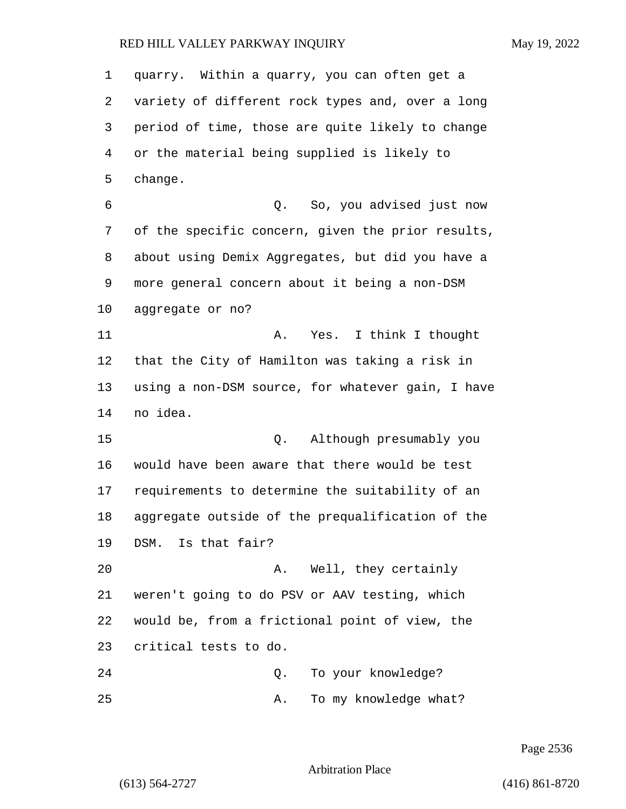quarry. Within a quarry, you can often get a variety of different rock types and, over a long period of time, those are quite likely to change or the material being supplied is likely to change. 6 Q. So, you advised just now of the specific concern, given the prior results, about using Demix Aggregates, but did you have a more general concern about it being a non-DSM aggregate or no? 11 A. Yes. I think I thought that the City of Hamilton was taking a risk in using a non-DSM source, for whatever gain, I have no idea. 15 Q. Although presumably you would have been aware that there would be test requirements to determine the suitability of an aggregate outside of the prequalification of the DSM. Is that fair? 20 A. Well, they certainly weren't going to do PSV or AAV testing, which would be, from a frictional point of view, the critical tests to do. 24 Q. To your knowledge? 25 A. To my knowledge what?

Page 2536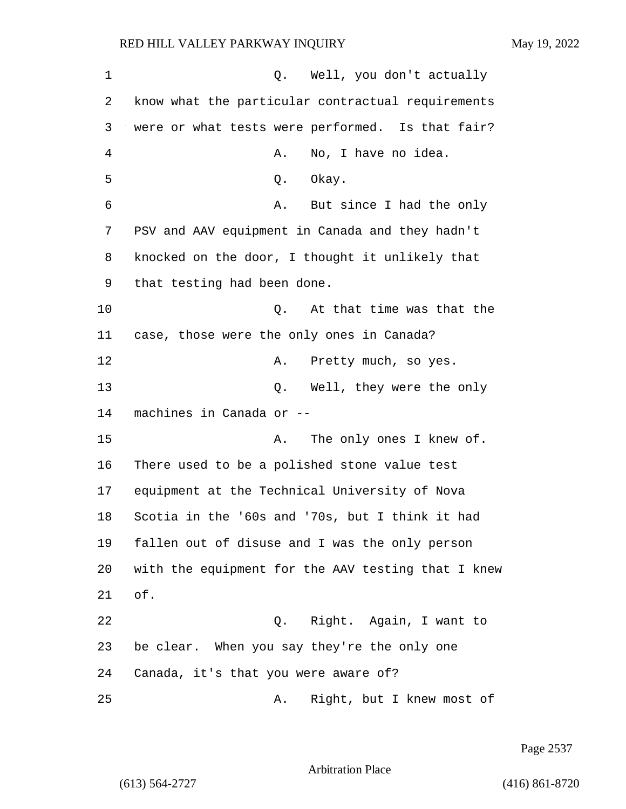| 1              | Well, you don't actually<br>Q.                     |
|----------------|----------------------------------------------------|
| 2              | know what the particular contractual requirements  |
| 3              | were or what tests were performed. Is that fair?   |
| $\overline{4}$ | Α.<br>No, I have no idea.                          |
| 5              | Okay.<br>Q.                                        |
| 6              | But since I had the only<br>Α.                     |
| 7              | PSV and AAV equipment in Canada and they hadn't    |
| 8              | knocked on the door, I thought it unlikely that    |
| 9              | that testing had been done.                        |
| 10             | At that time was that the<br>Q.                    |
| 11             | case, those were the only ones in Canada?          |
| 12             | Pretty much, so yes.<br>Α.                         |
| 13             | Q. Well, they were the only                        |
| 14             | machines in Canada or --                           |
| 15             | The only ones I knew of.<br>Α.                     |
| 16             | There used to be a polished stone value test       |
| 17             | equipment at the Technical University of Nova      |
| 18             | Scotia in the '60s and '70s, but I think it had    |
| 19             | fallen out of disuse and I was the only person     |
| 20             | with the equipment for the AAV testing that I knew |
| 21             | of.                                                |
| 22             | Right. Again, I want to<br>Q.                      |
| 23             | be clear. When you say they're the only one        |
| 24             | Canada, it's that you were aware of?               |
| 25             | Right, but I knew most of<br>Α.                    |

Page 2537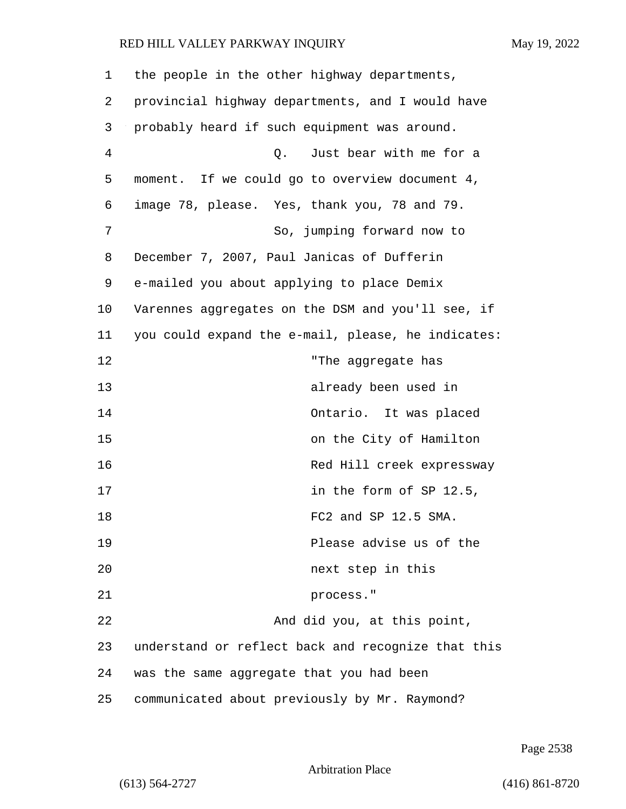| 1              | the people in the other highway departments,       |
|----------------|----------------------------------------------------|
| 2              | provincial highway departments, and I would have   |
| 3              | probably heard if such equipment was around.       |
| $\overline{4}$ | Just bear with me for a<br>Q.                      |
| 5              | moment. If we could go to overview document 4,     |
| 6              | image 78, please. Yes, thank you, 78 and 79.       |
| 7              | So, jumping forward now to                         |
| 8              | December 7, 2007, Paul Janicas of Dufferin         |
| 9              | e-mailed you about applying to place Demix         |
| 10             | Varennes aggregates on the DSM and you'll see, if  |
| 11             | you could expand the e-mail, please, he indicates: |
| 12             | "The aggregate has                                 |
| 13             | already been used in                               |
| 14             | Ontario. It was placed                             |
| 15             | on the City of Hamilton                            |
| 16             | Red Hill creek expressway                          |
| 17             | in the form of SP 12.5,                            |
| 18             | FC2 and SP 12.5 SMA.                               |
| 19             | Please advise us of the                            |
| 20             | next step in this                                  |
| 21             | process."                                          |
| 22             | And did you, at this point,                        |
| 23             | understand or reflect back and recognize that this |
| 24             | was the same aggregate that you had been           |
| 25             | communicated about previously by Mr. Raymond?      |

Page 2538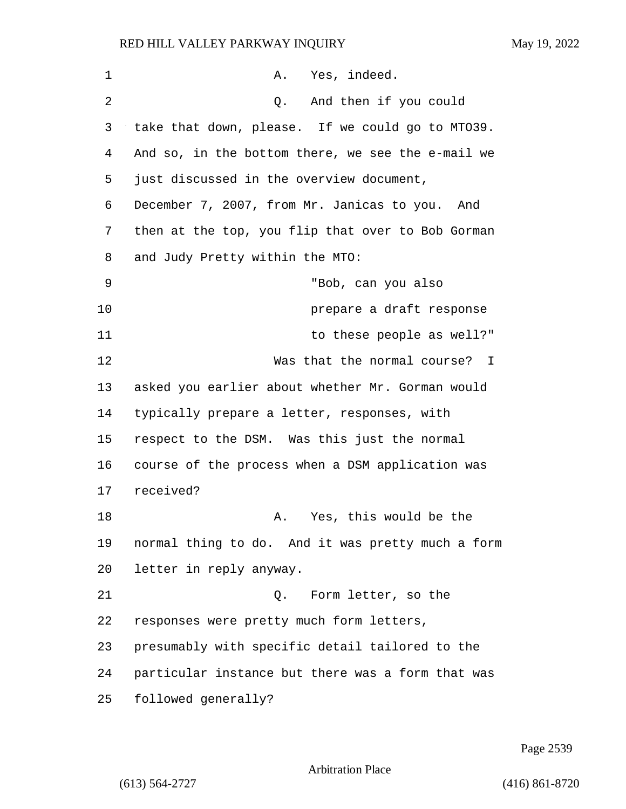| $\mathbf 1$ | Yes, indeed.<br>Α.                                |
|-------------|---------------------------------------------------|
| 2           | And then if you could<br>Q.                       |
| 3           | take that down, please. If we could go to MT039.  |
| 4           | And so, in the bottom there, we see the e-mail we |
| 5           | just discussed in the overview document,          |
| 6           | December 7, 2007, from Mr. Janicas to you. And    |
| 7           | then at the top, you flip that over to Bob Gorman |
| 8           | and Judy Pretty within the MTO:                   |
| 9           | "Bob, can you also                                |
| 10          | prepare a draft response                          |
| 11          | to these people as well?"                         |
| 12          | Was that the normal course? I                     |
| 13          | asked you earlier about whether Mr. Gorman would  |
| 14          | typically prepare a letter, responses, with       |
| 15          | respect to the DSM. Was this just the normal      |
| 16          | course of the process when a DSM application was  |
| 17          | received?                                         |
| 18          | Yes, this would be the<br>Α.                      |
| 19          | normal thing to do. And it was pretty much a form |
| 20          | letter in reply anyway.                           |
| 21          | Form letter, so the<br>Q.                         |
| 22          | responses were pretty much form letters,          |
| 23          | presumably with specific detail tailored to the   |
| 24          | particular instance but there was a form that was |
| 25          | followed generally?                               |

Page 2539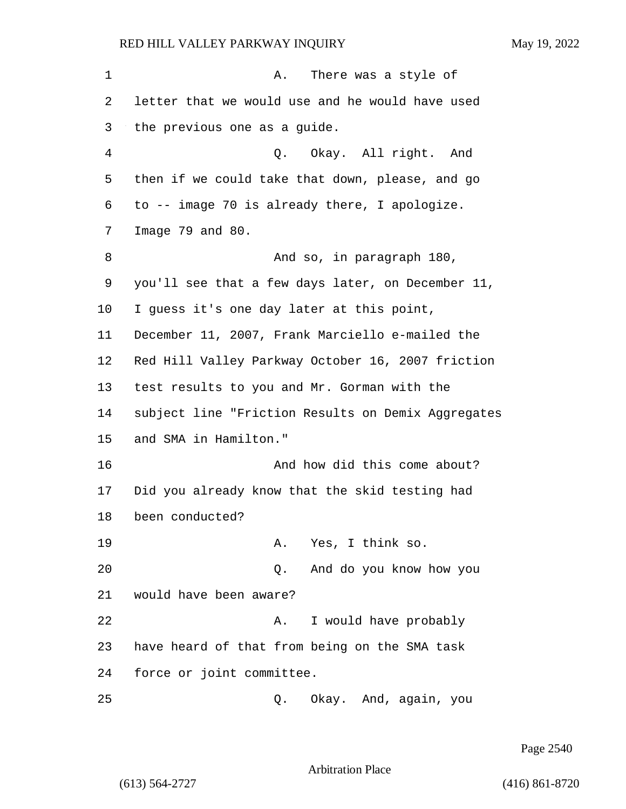1 A. There was a style of letter that we would use and he would have used the previous one as a guide. 4 Q. Okay. All right. And then if we could take that down, please, and go to -- image 70 is already there, I apologize. Image 79 and 80. 8 And so, in paragraph 180, you'll see that a few days later, on December 11, I guess it's one day later at this point, December 11, 2007, Frank Marciello e-mailed the Red Hill Valley Parkway October 16, 2007 friction test results to you and Mr. Gorman with the subject line "Friction Results on Demix Aggregates and SMA in Hamilton." 16 And how did this come about? Did you already know that the skid testing had been conducted? 19 A. Yes, I think so. 20 Q. And do you know how you would have been aware? 22 A. I would have probably have heard of that from being on the SMA task force or joint committee. 25 Q. Okay. And, again, you

Page 2540

Arbitration Place

(613) 564-2727 (416) 861-8720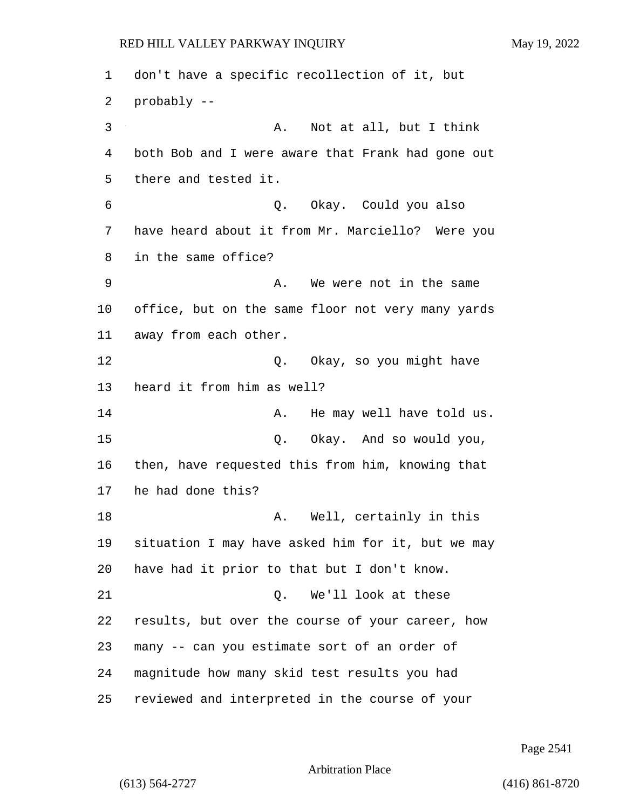don't have a specific recollection of it, but probably -- 3 A. Not at all, but I think both Bob and I were aware that Frank had gone out there and tested it. 6 Q. Okay. Could you also have heard about it from Mr. Marciello? Were you in the same office? 9 A. We were not in the same office, but on the same floor not very many yards away from each other. 12 O. Okay, so you might have heard it from him as well? 14 A. He may well have told us. 15 Q. Okay. And so would you, then, have requested this from him, knowing that he had done this? 18 A. Well, certainly in this situation I may have asked him for it, but we may have had it prior to that but I don't know. 21 Q. We'll look at these results, but over the course of your career, how many -- can you estimate sort of an order of magnitude how many skid test results you had reviewed and interpreted in the course of your

Page 2541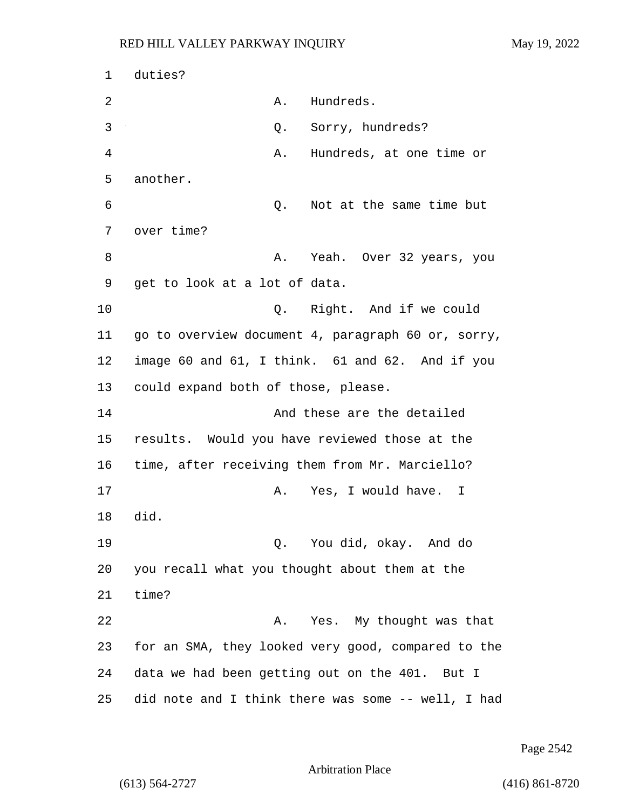1 duties? 2 A. Hundreds. 3 Q. Sorry, hundreds? 4 A. Hundreds, at one time or 5 another. 6 Q. Not at the same time but 7 over time? 8 A. Yeah. Over 32 years, you 9 get to look at a lot of data. 10 Q. Right. And if we could 11 go to overview document 4, paragraph 60 or, sorry, 12 image 60 and 61, I think. 61 and 62. And if you 13 could expand both of those, please. 14 And these are the detailed 15 results. Would you have reviewed those at the 16 time, after receiving them from Mr. Marciello? 17 A. Yes, I would have. I 18 did. 19 Q. You did, okay. And do 20 you recall what you thought about them at the 21 time? 22 A. Yes. My thought was that 23 for an SMA, they looked very good, compared to the 24 data we had been getting out on the 401. But I 25 did note and I think there was some -- well, I had

Page 2542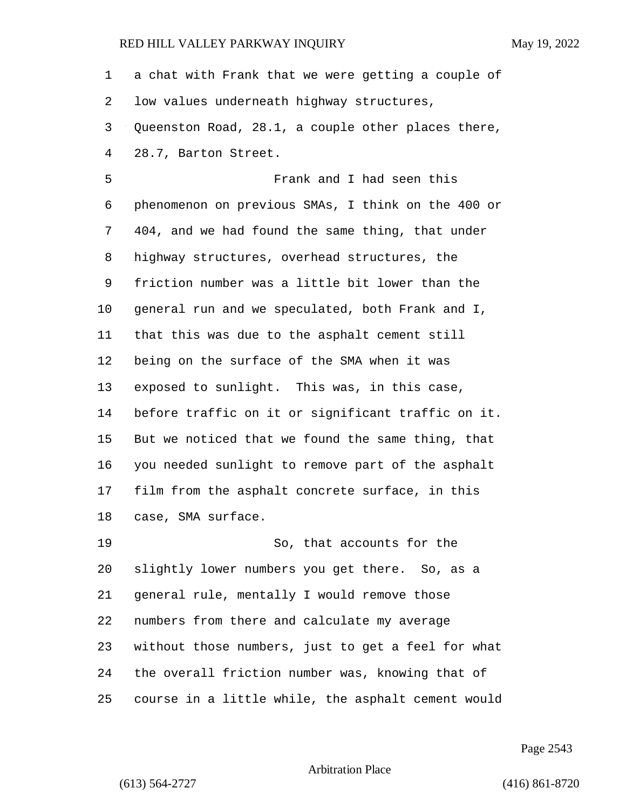a chat with Frank that we were getting a couple of low values underneath highway structures, Queenston Road, 28.1, a couple other places there, 28.7, Barton Street. 5 Frank and I had seen this phenomenon on previous SMAs, I think on the 400 or 404, and we had found the same thing, that under highway structures, overhead structures, the friction number was a little bit lower than the general run and we speculated, both Frank and I, that this was due to the asphalt cement still being on the surface of the SMA when it was exposed to sunlight. This was, in this case, before traffic on it or significant traffic on it. But we noticed that we found the same thing, that you needed sunlight to remove part of the asphalt film from the asphalt concrete surface, in this case, SMA surface. 19 So, that accounts for the slightly lower numbers you get there. So, as a general rule, mentally I would remove those numbers from there and calculate my average without those numbers, just to get a feel for what the overall friction number was, knowing that of

course in a little while, the asphalt cement would

Page 2543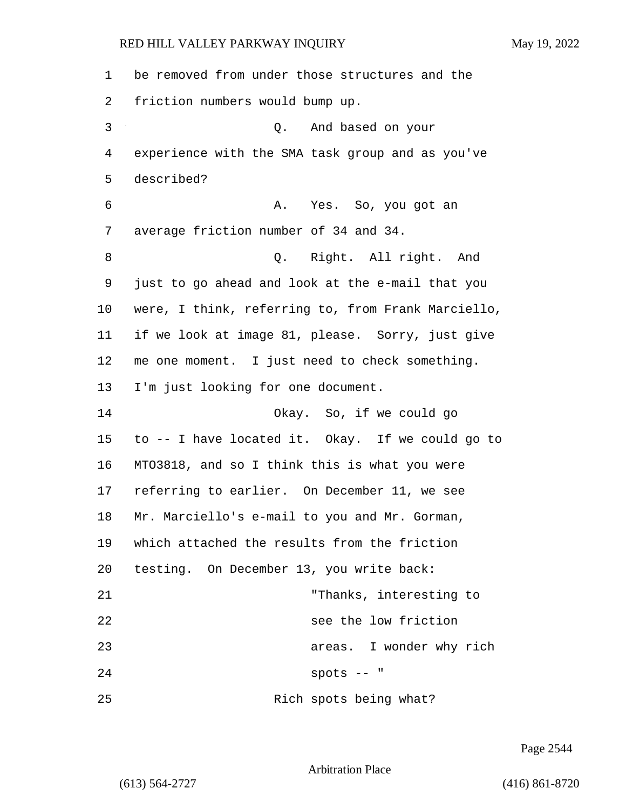| 1  | be removed from under those structures and the     |
|----|----------------------------------------------------|
| 2  | friction numbers would bump up.                    |
| 3  | Q. And based on your                               |
| 4  | experience with the SMA task group and as you've   |
| 5  | described?                                         |
| 6  | A. Yes. So, you got an                             |
| 7  | average friction number of 34 and 34.              |
| 8  | Q. Right. All right. And                           |
| 9  | just to go ahead and look at the e-mail that you   |
| 10 | were, I think, referring to, from Frank Marciello, |
| 11 | if we look at image 81, please. Sorry, just give   |
| 12 | me one moment. I just need to check something.     |
| 13 | I'm just looking for one document.                 |
| 14 | Okay. So, if we could go                           |
| 15 | to -- I have located it. Okay. If we could go to   |
| 16 | MT03818, and so I think this is what you were      |
| 17 | referring to earlier. On December 11, we see       |
| 18 | Mr. Marciello's e-mail to you and Mr. Gorman,      |
| 19 | which attached the results from the friction       |
| 20 | testing. On December 13, you write back:           |
| 21 | "Thanks, interesting to                            |
| 22 | see the low friction                               |
| 23 | areas. I wonder why rich                           |
| 24 | $spots --$                                         |
| 25 | Rich spots being what?                             |

Page 2544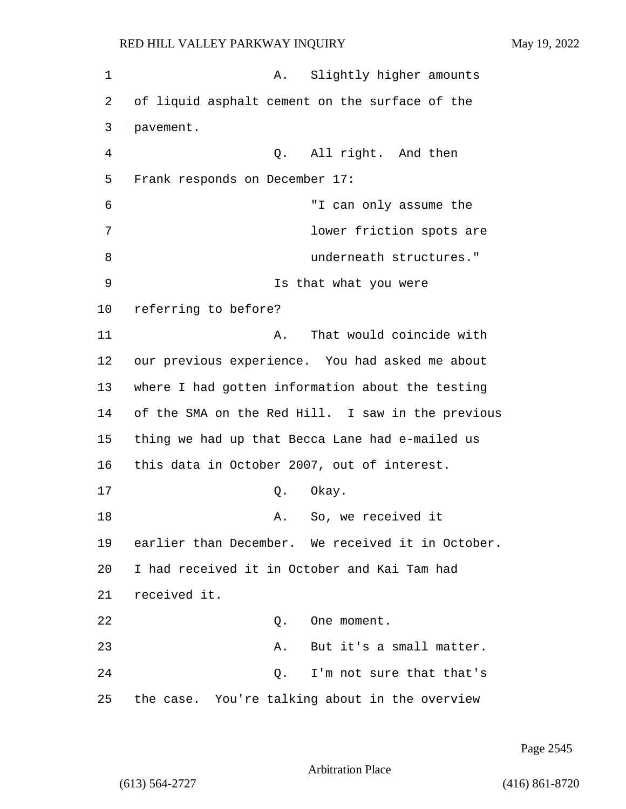| $\mathbf 1$ | Slightly higher amounts<br>Α.                     |
|-------------|---------------------------------------------------|
| 2           | of liquid asphalt cement on the surface of the    |
| 3           | pavement.                                         |
| 4           | Q. All right. And then                            |
| 5           | Frank responds on December 17:                    |
| 6           | "I can only assume the                            |
| 7           | lower friction spots are                          |
| 8           | underneath structures."                           |
| 9           | Is that what you were                             |
| 10          | referring to before?                              |
| 11          | That would coincide with<br>Α.                    |
| 12          | our previous experience. You had asked me about   |
| 13          | where I had gotten information about the testing  |
| 14          | of the SMA on the Red Hill. I saw in the previous |
| 15          | thing we had up that Becca Lane had e-mailed us   |
| 16          | this data in October 2007, out of interest.       |
| 17          | Okay.<br>Q.                                       |
| 18          | So, we received it<br>Α.                          |
| 19          | earlier than December. We received it in October. |
| 20          | I had received it in October and Kai Tam had      |
| 21          | received it.                                      |
| 22          | One moment.<br>Q.                                 |
| 23          | But it's a small matter.<br>Α.                    |
| 24          | I'm not sure that that's<br>Q.                    |
| 25          | the case. You're talking about in the overview    |

Page 2545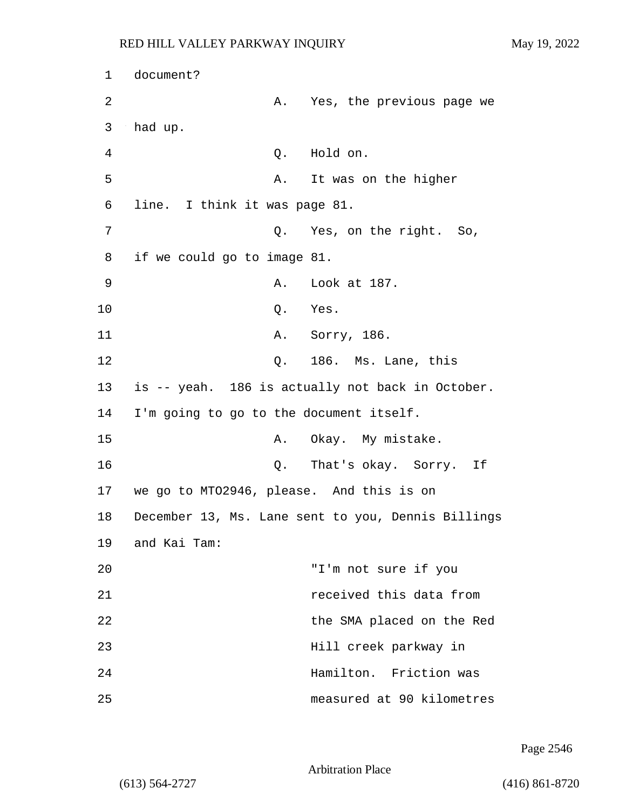| $\mathbf 1$    | document?                                |                                                    |
|----------------|------------------------------------------|----------------------------------------------------|
| $\overline{2}$ |                                          | A. Yes, the previous page we                       |
| 3              | had up.                                  |                                                    |
| 4              | Q.                                       | Hold on.                                           |
| 5              | Α.                                       | It was on the higher                               |
| 6              | line. I think it was page 81.            |                                                    |
| 7              | Q.                                       | Yes, on the right. So,                             |
| 8              | if we could go to image 81.              |                                                    |
| 9              | Α.                                       | Look at 187.                                       |
| 10             | Q.                                       | Yes.                                               |
| 11             |                                          | A. Sorry, 186.                                     |
| 12             |                                          | Q. 186. Ms. Lane, this                             |
| 13             |                                          | is -- yeah. 186 is actually not back in October.   |
| 14             | I'm going to go to the document itself.  |                                                    |
| 15             | Α.                                       | Okay. My mistake.                                  |
| 16             |                                          | Q. That's okay. Sorry.<br>Ιf                       |
| 17             | we go to MT02946, please. And this is on |                                                    |
| 18             |                                          | December 13, Ms. Lane sent to you, Dennis Billings |
| 19             | and Kai Tam:                             |                                                    |
| 20             |                                          | "I'm not sure if you                               |
| 21             |                                          | received this data from                            |
| 22             |                                          | the SMA placed on the Red                          |
| 23             |                                          | Hill creek parkway in                              |
| 24             |                                          | Hamilton. Friction was                             |
| 25             |                                          | measured at 90 kilometres                          |

Page 2546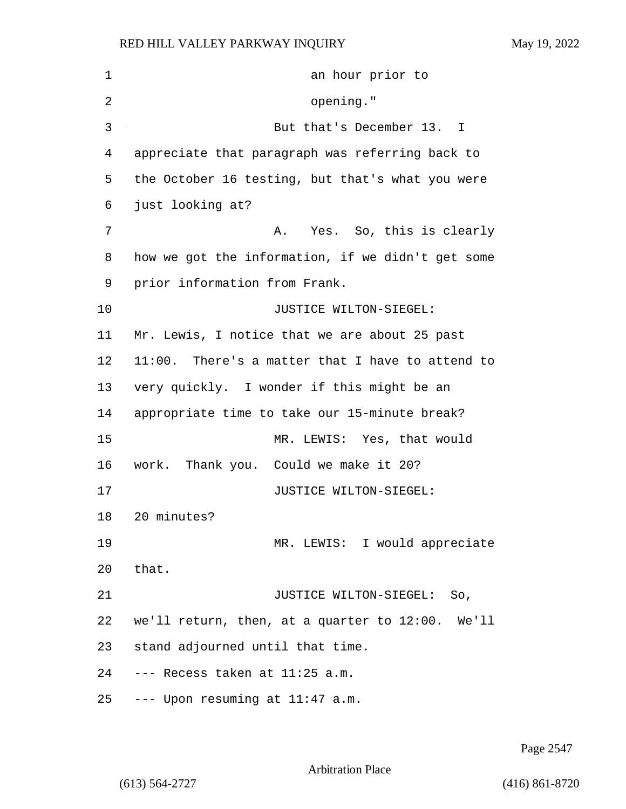1 an hour prior to 2 opening." 3 But that's December 13. I appreciate that paragraph was referring back to the October 16 testing, but that's what you were just looking at? 7 A. Yes. So, this is clearly how we got the information, if we didn't get some prior information from Frank. 10 JUSTICE WILTON-SIEGEL: Mr. Lewis, I notice that we are about 25 past 11:00. There's a matter that I have to attend to very quickly. I wonder if this might be an appropriate time to take our 15-minute break? 15 MR. LEWIS: Yes, that would work. Thank you. Could we make it 20? **JUSTICE WILTON-SIEGEL:**  20 minutes? 19 MR. LEWIS: I would appreciate 20 that. 21 JUSTICE WILTON-SIEGEL: So, we'll return, then, at a quarter to 12:00. We'll stand adjourned until that time. --- Recess taken at 11:25 a.m. --- Upon resuming at 11:47 a.m.

Page 2547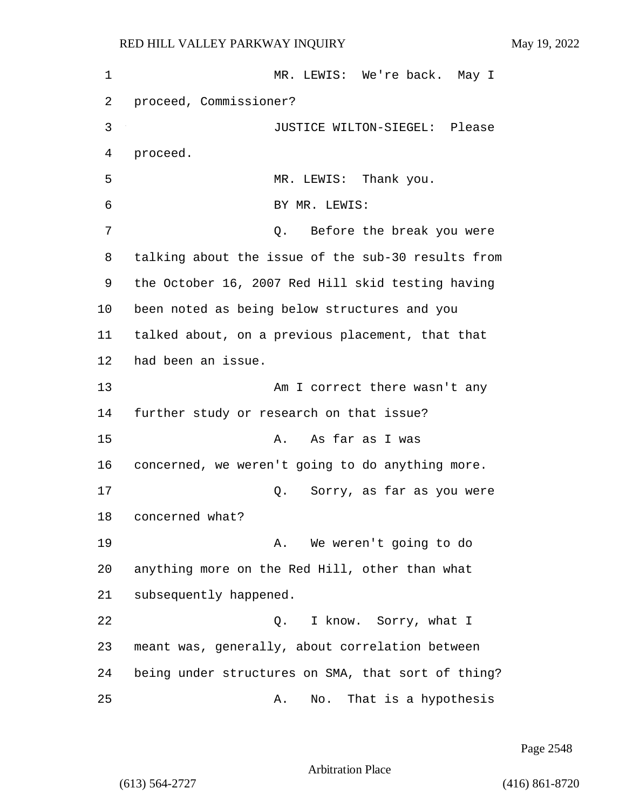1 MR. LEWIS: We're back. May I 2 proceed, Commissioner? 3 JUSTICE WILTON-SIEGEL: Please 4 proceed. 5 MR. LEWIS: Thank you. 6 BY MR. LEWIS: 7 Q. Before the break you were 8 talking about the issue of the sub-30 results from 9 the October 16, 2007 Red Hill skid testing having 10 been noted as being below structures and you 11 talked about, on a previous placement, that that 12 had been an issue. 13 Am I correct there wasn't any 14 further study or research on that issue? 15 A. As far as I was 16 concerned, we weren't going to do anything more. 17 Q. Sorry, as far as you were 18 concerned what? 19 A. We weren't going to do 20 anything more on the Red Hill, other than what 21 subsequently happened. 22 Q. I know. Sorry, what I 23 meant was, generally, about correlation between 24 being under structures on SMA, that sort of thing? 25 A. No. That is a hypothesis

Page 2548

Arbitration Place

(613) 564-2727 (416) 861-8720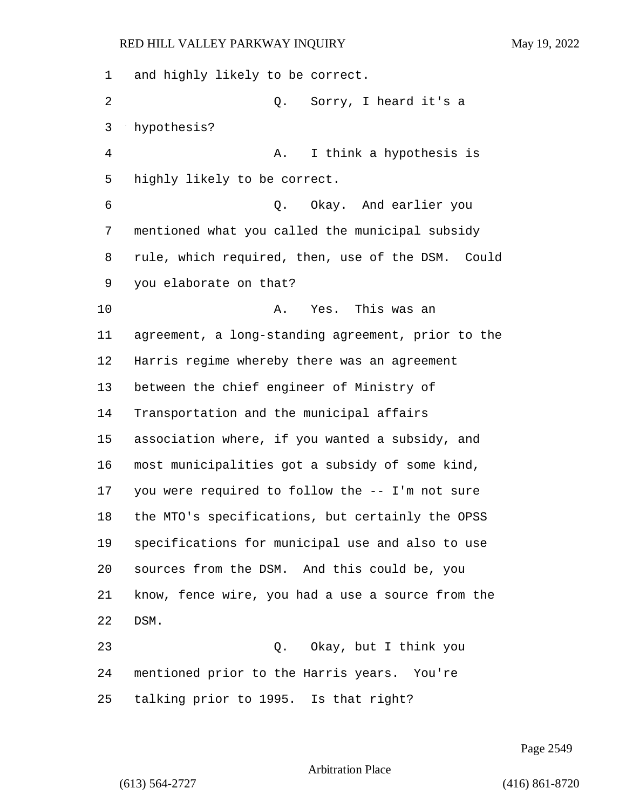and highly likely to be correct. 2 Q. Sorry, I heard it's a hypothesis? 4 A. I think a hypothesis is highly likely to be correct. 6 Q. Okay. And earlier you mentioned what you called the municipal subsidy rule, which required, then, use of the DSM. Could you elaborate on that? 10 A. Yes. This was an agreement, a long-standing agreement, prior to the Harris regime whereby there was an agreement between the chief engineer of Ministry of Transportation and the municipal affairs association where, if you wanted a subsidy, and most municipalities got a subsidy of some kind, you were required to follow the -- I'm not sure the MTO's specifications, but certainly the OPSS specifications for municipal use and also to use sources from the DSM. And this could be, you know, fence wire, you had a use a source from the DSM. 23 Q. Okay, but I think you mentioned prior to the Harris years. You're talking prior to 1995. Is that right?

Page 2549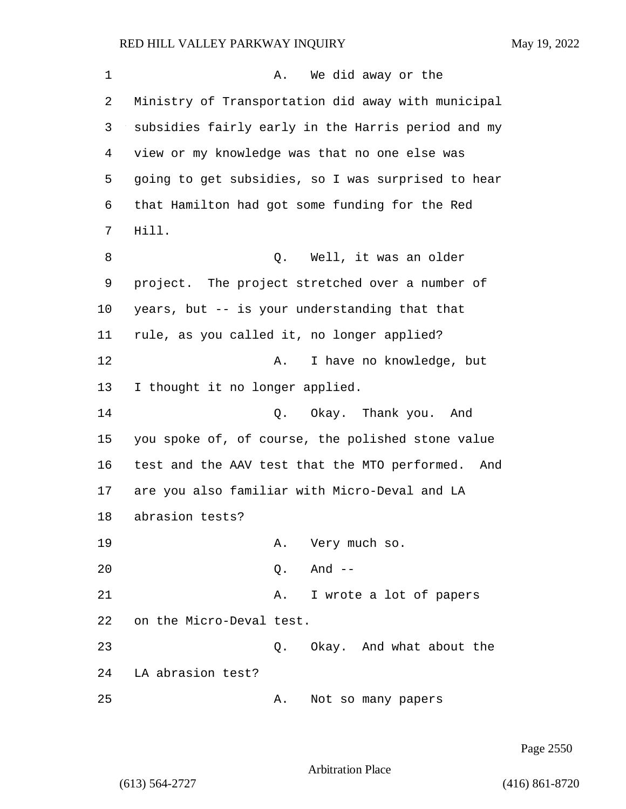| 1  | We did away or the<br>Α.                             |
|----|------------------------------------------------------|
| 2  | Ministry of Transportation did away with municipal   |
| 3  | subsidies fairly early in the Harris period and my   |
| 4  | view or my knowledge was that no one else was        |
| 5  | going to get subsidies, so I was surprised to hear   |
| 6  | that Hamilton had got some funding for the Red       |
| 7  | Hill.                                                |
| 8  | Q. Well, it was an older                             |
| 9  | project. The project stretched over a number of      |
| 10 | years, but -- is your understanding that that        |
| 11 | rule, as you called it, no longer applied?           |
| 12 | I have no knowledge, but<br>Α.                       |
| 13 | I thought it no longer applied.                      |
| 14 | Q. Okay. Thank you. And                              |
| 15 | you spoke of, of course, the polished stone value    |
| 16 | test and the AAV test that the MTO performed.<br>And |
| 17 | are you also familiar with Micro-Deval and LA        |
| 18 | abrasion tests?                                      |
| 19 | Very much so.<br>Α.                                  |
| 20 | And --<br>Q.                                         |
| 21 | I wrote a lot of papers<br>Α.                        |
| 22 | on the Micro-Deval test.                             |
| 23 | Q. Okay. And what about the                          |
| 24 | LA abrasion test?                                    |
| 25 | Not so many papers<br>Α.                             |

Page 2550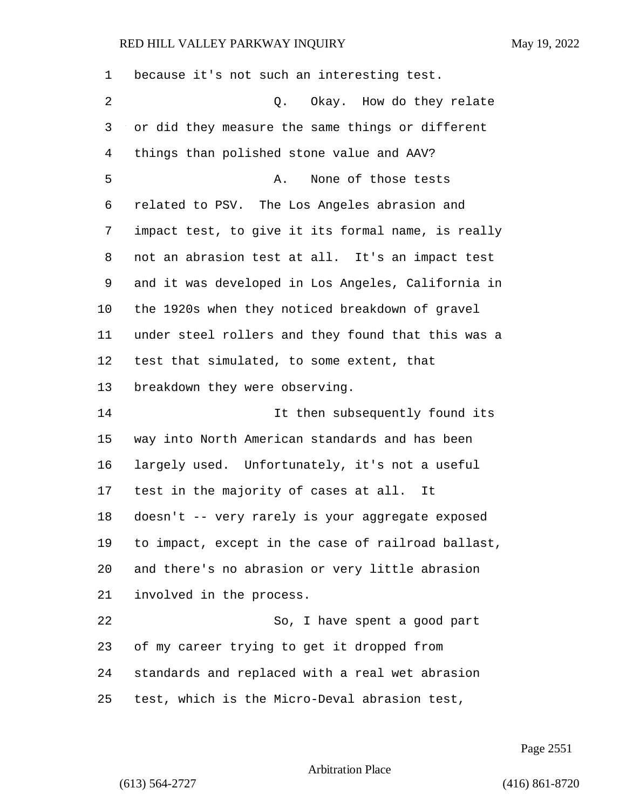| 1  | because it's not such an interesting test.         |
|----|----------------------------------------------------|
| 2  | Okay. How do they relate<br>Q.                     |
| 3  | or did they measure the same things or different   |
| 4  | things than polished stone value and AAV?          |
| 5  | None of those tests<br>Α.                          |
| 6  | related to PSV. The Los Angeles abrasion and       |
| 7  | impact test, to give it its formal name, is really |
| 8  | not an abrasion test at all. It's an impact test   |
| 9  | and it was developed in Los Angeles, California in |
| 10 | the 1920s when they noticed breakdown of gravel    |
| 11 | under steel rollers and they found that this was a |
| 12 | test that simulated, to some extent, that          |
| 13 | breakdown they were observing.                     |
| 14 | It then subsequently found its                     |
| 15 | way into North American standards and has been     |
| 16 | largely used. Unfortunately, it's not a useful     |
| 17 | test in the majority of cases at all. It           |
| 18 | doesn't -- very rarely is your aggregate exposed   |
| 19 | to impact, except in the case of railroad ballast, |
| 20 | and there's no abrasion or very little abrasion    |
| 21 | involved in the process.                           |
| 22 | So, I have spent a good part                       |
| 23 | of my career trying to get it dropped from         |
| 24 | standards and replaced with a real wet abrasion    |
| 25 | test, which is the Micro-Deval abrasion test,      |

Page 2551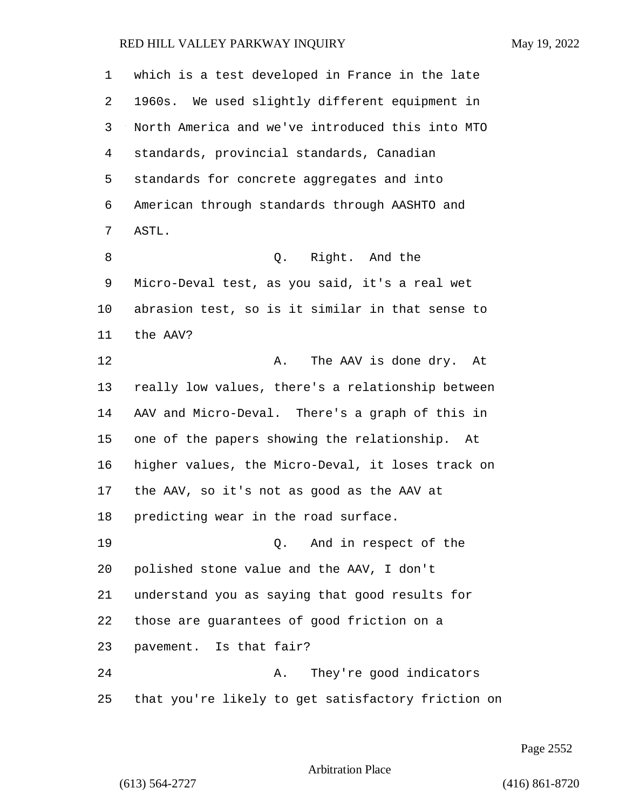| 1  | which is a test developed in France in the late    |
|----|----------------------------------------------------|
| 2  | 1960s. We used slightly different equipment in     |
| 3  | North America and we've introduced this into MTO   |
| 4  | standards, provincial standards, Canadian          |
| 5  | standards for concrete aggregates and into         |
| 6  | American through standards through AASHTO and      |
| 7  | ASTL.                                              |
| 8  | Right. And the<br>Q.                               |
| 9  | Micro-Deval test, as you said, it's a real wet     |
| 10 | abrasion test, so is it similar in that sense to   |
| 11 | the AAV?                                           |
| 12 | The AAV is done dry. At<br>Α.                      |
| 13 | really low values, there's a relationship between  |
| 14 | AAV and Micro-Deval. There's a graph of this in    |
| 15 | one of the papers showing the relationship. At     |
| 16 | higher values, the Micro-Deval, it loses track on  |
| 17 | the AAV, so it's not as good as the AAV at         |
| 18 | predicting wear in the road surface.               |
| 19 | And in respect of the<br>$\circ$ .                 |
| 20 | polished stone value and the AAV, I don't          |
| 21 | understand you as saying that good results for     |
| 22 | those are guarantees of good friction on a         |
| 23 | pavement. Is that fair?                            |
| 24 | They're good indicators<br>Α.                      |
| 25 | that you're likely to get satisfactory friction on |

Page 2552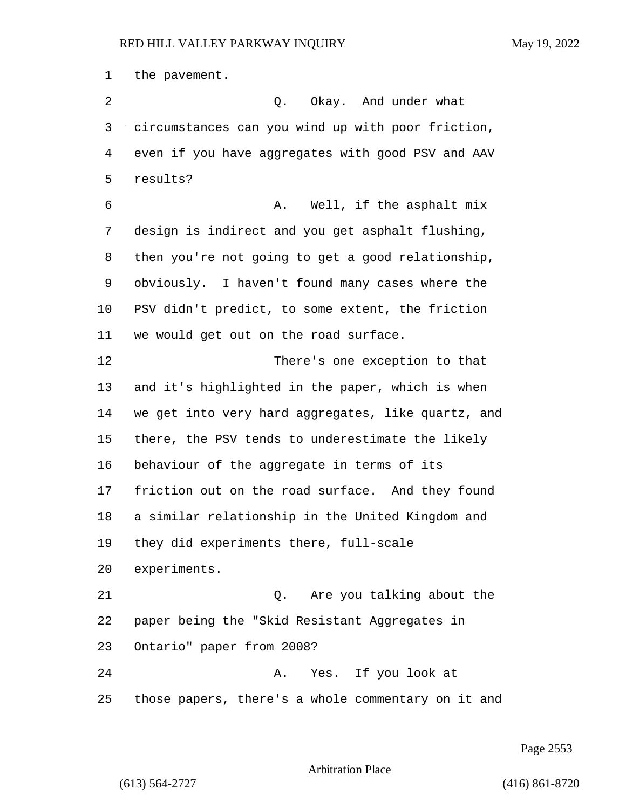the pavement. 2 Q. Okay. And under what circumstances can you wind up with poor friction, even if you have aggregates with good PSV and AAV results? **6** A. Well, if the asphalt mix design is indirect and you get asphalt flushing, then you're not going to get a good relationship, obviously. I haven't found many cases where the PSV didn't predict, to some extent, the friction we would get out on the road surface. 12 There's one exception to that and it's highlighted in the paper, which is when we get into very hard aggregates, like quartz, and there, the PSV tends to underestimate the likely behaviour of the aggregate in terms of its friction out on the road surface. And they found a similar relationship in the United Kingdom and they did experiments there, full-scale experiments. 21 Q. Are you talking about the paper being the "Skid Resistant Aggregates in Ontario" paper from 2008? 24 A. Yes. If you look at those papers, there's a whole commentary on it and

Page 2553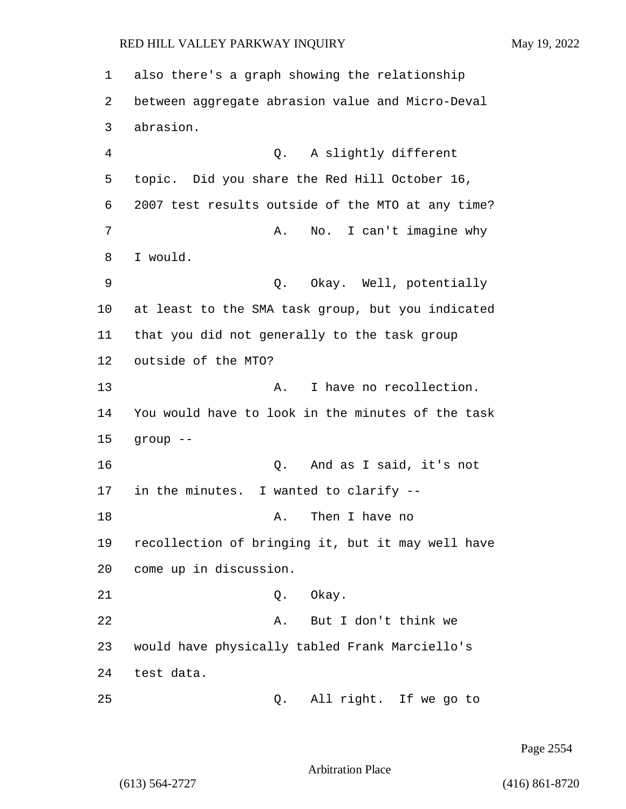1 also there's a graph showing the relationship 2 between aggregate abrasion value and Micro-Deval 3 abrasion. 4 Q. A slightly different 5 topic. Did you share the Red Hill October 16, 6 2007 test results outside of the MTO at any time? 7 A. No. I can't imagine why 8 I would. 9 Q. Okay. Well, potentially 10 at least to the SMA task group, but you indicated 11 that you did not generally to the task group 12 outside of the MTO? 13 A. I have no recollection. 14 You would have to look in the minutes of the task 15 group -- 16 Q. And as I said, it's not 17 in the minutes. I wanted to clarify -- 18 A. Then I have no 19 recollection of bringing it, but it may well have 20 come up in discussion. 21 Q. Okay. 22 A. But I don't think we 23 would have physically tabled Frank Marciello's 24 test data. 25 Q. All right. If we go to

Page 2554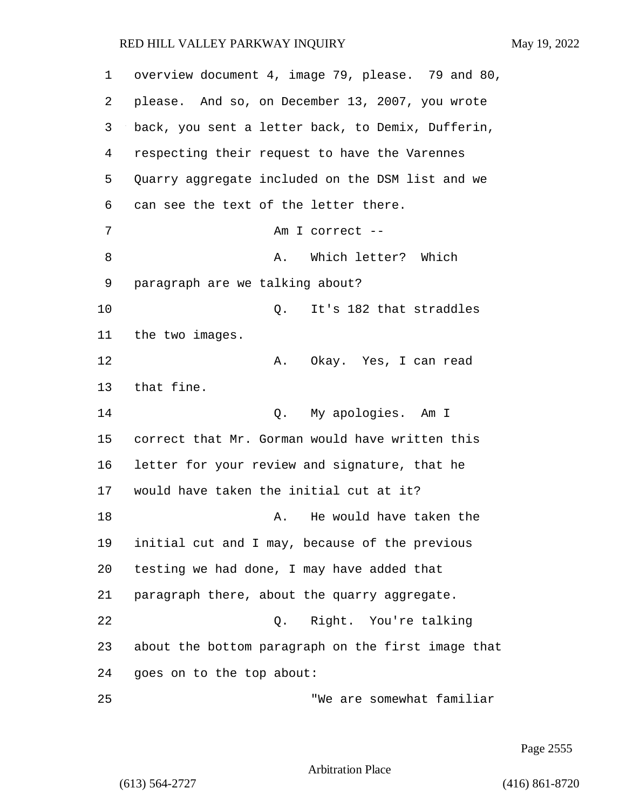| $\mathbf 1$ | overview document 4, image 79, please. 79 and 80,  |
|-------------|----------------------------------------------------|
| 2           | please. And so, on December 13, 2007, you wrote    |
| 3           | back, you sent a letter back, to Demix, Dufferin,  |
| 4           | respecting their request to have the Varennes      |
| 5           | Quarry aggregate included on the DSM list and we   |
| 6           | can see the text of the letter there.              |
| 7           | Am I correct --                                    |
| 8           | Which letter? Which<br>Α.                          |
| 9           | paragraph are we talking about?                    |
| 10          | It's 182 that straddles<br>Q.                      |
| 11          | the two images.                                    |
| 12          | Okay. Yes, I can read<br>Α.                        |
| 13          | that fine.                                         |
| 14          | My apologies. Am I<br>Q.                           |
| 15          | correct that Mr. Gorman would have written this    |
| 16          | letter for your review and signature, that he      |
| 17          | would have taken the initial cut at it?            |
| 18          | He would have taken the<br>Α.                      |
| 19          | initial cut and I may, because of the previous     |
| 20          | testing we had done, I may have added that         |
| 21          | paragraph there, about the quarry aggregate.       |
| 22          | Q. Right. You're talking                           |
| 23          | about the bottom paragraph on the first image that |
| 24          | goes on to the top about:                          |
| 25          | "We are somewhat familiar                          |

Page 2555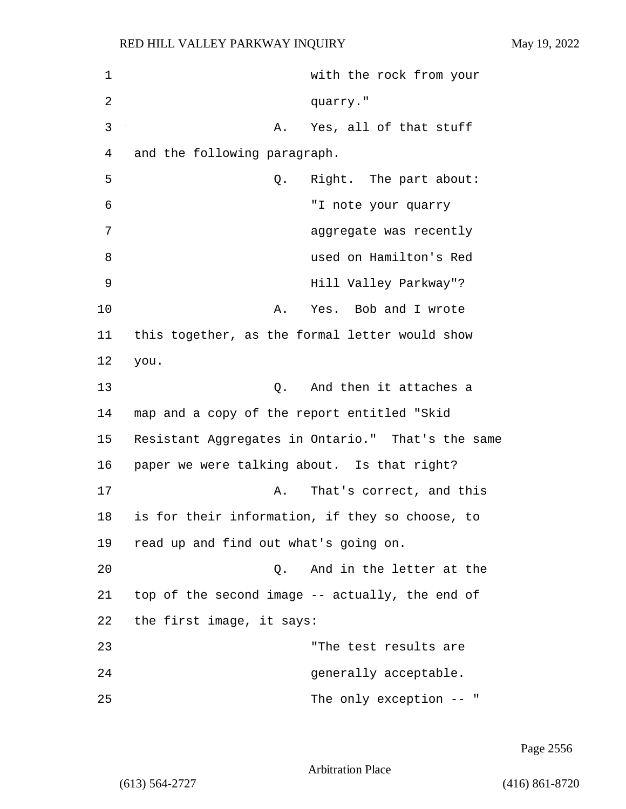1 with the rock from your 2 quarry." 3 A. Yes, all of that stuff 4 and the following paragraph. 5 Q. Right. The part about: 6 "I note your quarry 7 aggregate was recently 8 used on Hamilton's Red 9 Hill Valley Parkway"? 10 A. Yes. Bob and I wrote 11 this together, as the formal letter would show 12 you. 13 C. And then it attaches a 14 map and a copy of the report entitled "Skid 15 Resistant Aggregates in Ontario." That's the same 16 paper we were talking about. Is that right? 17 A. That's correct, and this 18 is for their information, if they so choose, to 19 read up and find out what's going on. 20 Q. And in the letter at the 21 top of the second image -- actually, the end of 22 the first image, it says: 23 "The test results are 24 generally acceptable. 25 The only exception -- "

Page 2556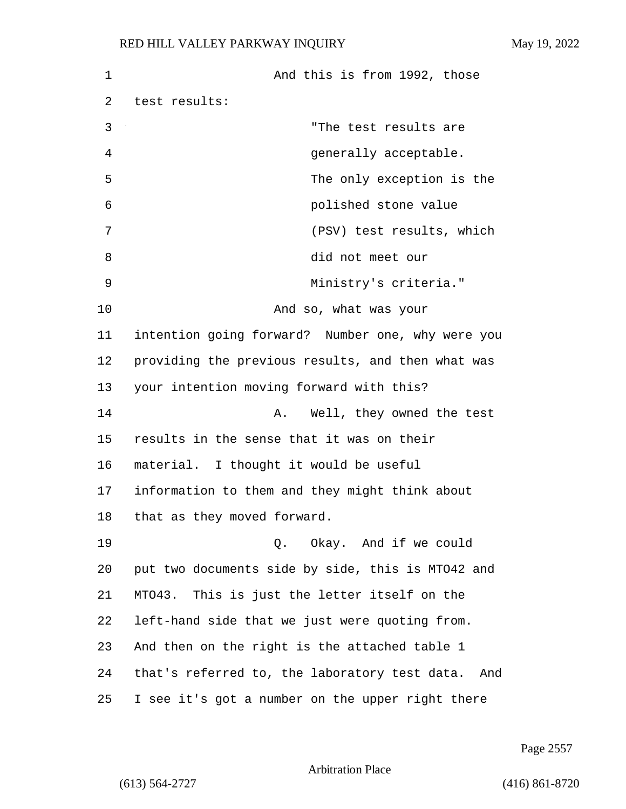1 And this is from 1992, those 2 test results: 3 "The test results are 4 generally acceptable. 5 The only exception is the 6 polished stone value 7 (PSV) test results, which 8 did not meet our 9 Ministry's criteria." 10 And so, what was your 11 intention going forward? Number one, why were you 12 providing the previous results, and then what was 13 your intention moving forward with this? 14 A. Well, they owned the test 15 results in the sense that it was on their 16 material. I thought it would be useful 17 information to them and they might think about 18 that as they moved forward. 19 Q. Okay. And if we could 20 put two documents side by side, this is MTO42 and 21 MTO43. This is just the letter itself on the 22 left-hand side that we just were quoting from. 23 And then on the right is the attached table 1 24 that's referred to, the laboratory test data. And 25 I see it's got a number on the upper right there

Page 2557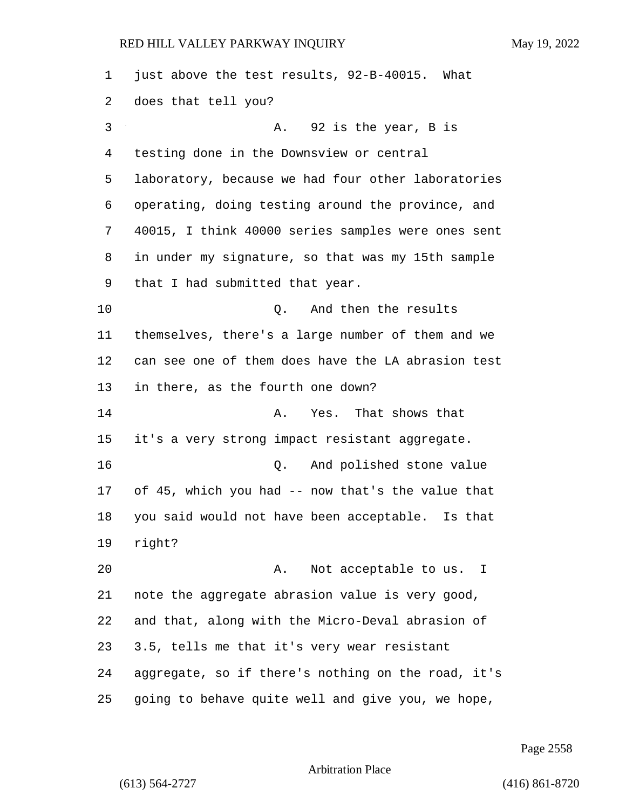| $\mathbf 1$ | just above the test results, 92-B-40015. What      |
|-------------|----------------------------------------------------|
| 2           | does that tell you?                                |
| 3           | 92 is the year, B is<br>Α.                         |
| 4           | testing done in the Downsview or central           |
| 5           | laboratory, because we had four other laboratories |
| 6           | operating, doing testing around the province, and  |
| 7           | 40015, I think 40000 series samples were ones sent |
| 8           | in under my signature, so that was my 15th sample  |
| 9           | that I had submitted that year.                    |
| 10          | And then the results<br>Q.                         |
| 11          | themselves, there's a large number of them and we  |
| 12          | can see one of them does have the LA abrasion test |
| 13          | in there, as the fourth one down?                  |
| 14          | Yes. That shows that<br>Α.                         |
| 15          | it's a very strong impact resistant aggregate.     |
| 16          | And polished stone value<br>Q.                     |
| 17          | of 45, which you had -- now that's the value that  |
| 18          | you said would not have been acceptable. Is that   |
| 19          | right?                                             |
| 20          | Not acceptable to us. I<br>Α.                      |
| 21          | note the aggregate abrasion value is very good,    |
| 22          | and that, along with the Micro-Deval abrasion of   |
| 23          | 3.5, tells me that it's very wear resistant        |
| 24          | aggregate, so if there's nothing on the road, it's |
| 25          | going to behave quite well and give you, we hope,  |

Page 2558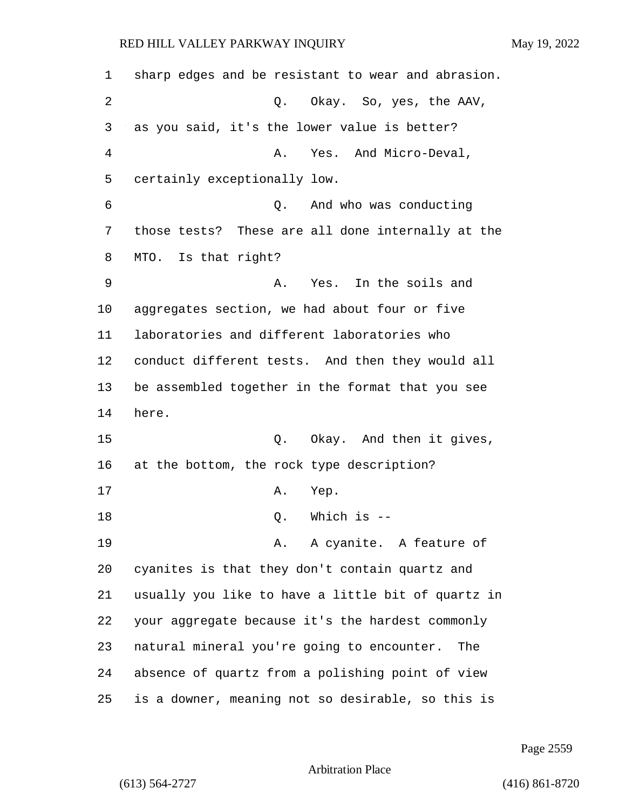| 1  | sharp edges and be resistant to wear and abrasion. |
|----|----------------------------------------------------|
| 2  | Q. Okay. So, yes, the AAV,                         |
| 3  | as you said, it's the lower value is better?       |
| 4  | Yes. And Micro-Deval,<br>Α.                        |
| 5  | certainly exceptionally low.                       |
| 6  | And who was conducting<br>Q.                       |
| 7  | those tests? These are all done internally at the  |
| 8  | MTO. Is that right?                                |
| 9  | Yes. In the soils and<br>Α.                        |
| 10 | aggregates section, we had about four or five      |
| 11 | laboratories and different laboratories who        |
| 12 | conduct different tests. And then they would all   |
| 13 | be assembled together in the format that you see   |
| 14 | here.                                              |
| 15 | Q. Okay. And then it gives,                        |
| 16 | at the bottom, the rock type description?          |
| 17 | Α.<br>Yep.                                         |
| 18 | Which is --<br>Q.                                  |
| 19 | A. A cyanite. A feature of                         |
| 20 | cyanites is that they don't contain quartz and     |
| 21 | usually you like to have a little bit of quartz in |
| 22 | your aggregate because it's the hardest commonly   |
| 23 | natural mineral you're going to encounter. The     |
| 24 | absence of quartz from a polishing point of view   |
| 25 | is a downer, meaning not so desirable, so this is  |

Page 2559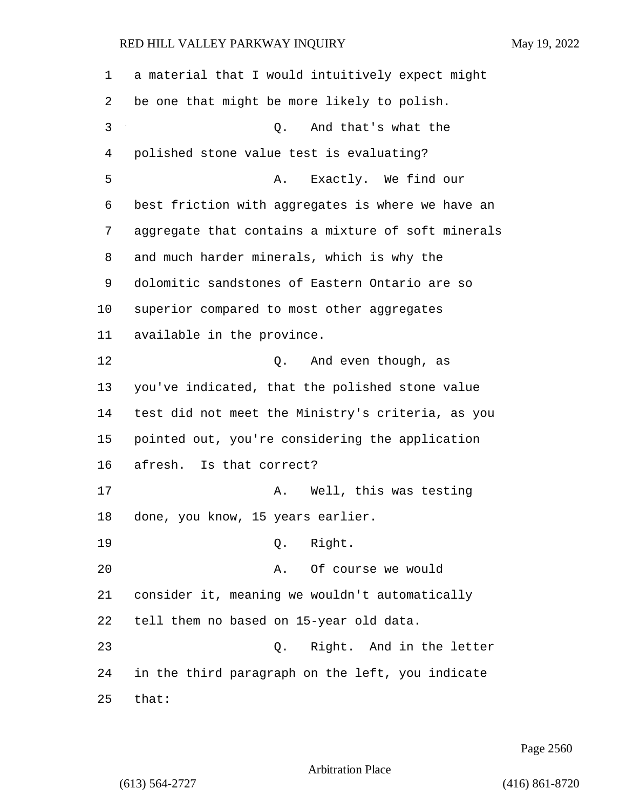a material that I would intuitively expect might be one that might be more likely to polish. 3 Q. And that's what the polished stone value test is evaluating? 5 A. Exactly. We find our best friction with aggregates is where we have an aggregate that contains a mixture of soft minerals and much harder minerals, which is why the dolomitic sandstones of Eastern Ontario are so superior compared to most other aggregates available in the province. 12 O. And even though, as you've indicated, that the polished stone value test did not meet the Ministry's criteria, as you pointed out, you're considering the application afresh. Is that correct? 17 A. Well, this was testing done, you know, 15 years earlier. 19 Q. Right. 20 A. Of course we would consider it, meaning we wouldn't automatically tell them no based on 15-year old data. 23 Q. Right. And in the letter in the third paragraph on the left, you indicate that:

Page 2560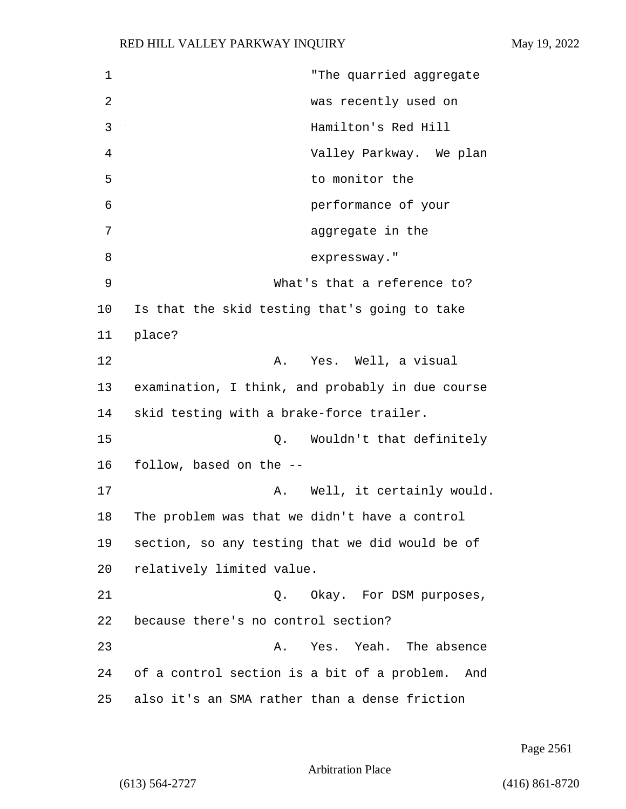1 "The quarried aggregate 2 was recently used on 3 Hamilton's Red Hill 4 Valley Parkway. We plan 5 to monitor the 6 performance of your 7 aggregate in the 8 expressway." 9 What's that a reference to? 10 Is that the skid testing that's going to take 11 place? 12 A. Yes. Well, a visual 13 examination, I think, and probably in due course 14 skid testing with a brake-force trailer. 15 Q. Wouldn't that definitely 16 follow, based on the -- 17 A. Well, it certainly would. 18 The problem was that we didn't have a control 19 section, so any testing that we did would be of 20 relatively limited value. 21 Q. Okay. For DSM purposes, 22 because there's no control section? 23 A. Yes. Yeah. The absence 24 of a control section is a bit of a problem. And 25 also it's an SMA rather than a dense friction

Page 2561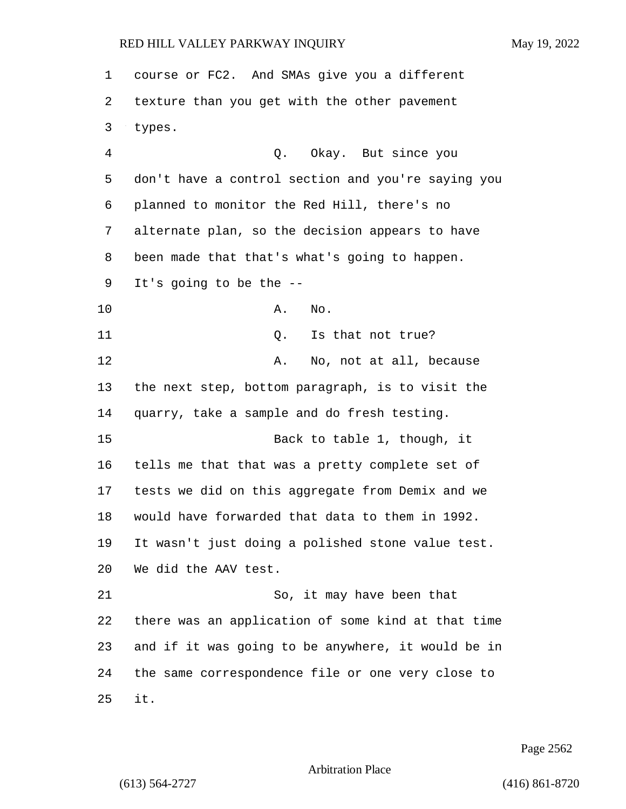| 1  | course or FC2. And SMAs give you a different       |
|----|----------------------------------------------------|
| 2  | texture than you get with the other pavement       |
| 3  | types.                                             |
| 4  | Okay. But since you<br>Q.                          |
| 5  | don't have a control section and you're saying you |
| 6  | planned to monitor the Red Hill, there's no        |
| 7  | alternate plan, so the decision appears to have    |
| 8  | been made that that's what's going to happen.      |
| 9  | It's going to be the $-$ -                         |
| 10 | Α.<br>No.                                          |
| 11 | Is that not true?<br>Q.                            |
| 12 | No, not at all, because<br>Α.                      |
| 13 | the next step, bottom paragraph, is to visit the   |
| 14 | quarry, take a sample and do fresh testing.        |
| 15 | Back to table 1, though, it                        |
| 16 | tells me that that was a pretty complete set of    |
| 17 | tests we did on this aggregate from Demix and we   |
| 18 | would have forwarded that data to them in 1992.    |
| 19 | It wasn't just doing a polished stone value test.  |
| 20 | We did the AAV test.                               |
| 21 | So, it may have been that                          |
| 22 | there was an application of some kind at that time |
| 23 | and if it was going to be anywhere, it would be in |
| 24 | the same correspondence file or one very close to  |
| 25 | it.                                                |

Page 2562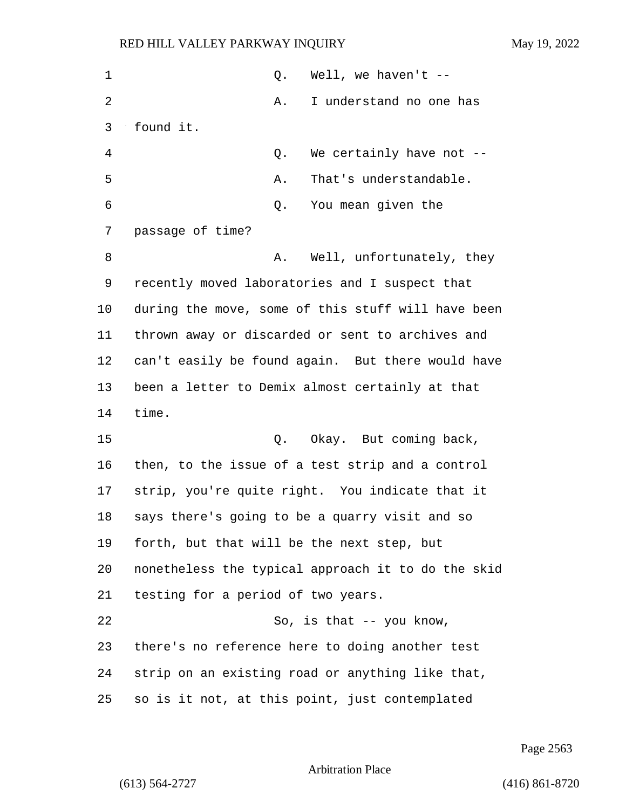| 1              | Well, we haven't $-$<br>Q.                         |
|----------------|----------------------------------------------------|
| $\overline{2}$ | I understand no one has<br>Α.                      |
| 3              | found it.                                          |
| 4              | We certainly have not --<br>Q.                     |
| 5              | That's understandable.<br>Α.                       |
| 6              | You mean given the<br>Q.                           |
| 7              | passage of time?                                   |
| 8              | Well, unfortunately, they<br>Α.                    |
| 9              | recently moved laboratories and I suspect that     |
| 10             | during the move, some of this stuff will have been |
| 11             | thrown away or discarded or sent to archives and   |
| 12             | can't easily be found again. But there would have  |
| 13             | been a letter to Demix almost certainly at that    |
| 14             | time.                                              |
| 15             | Okay. But coming back,<br>Q.                       |
| 16             | then, to the issue of a test strip and a control   |
| 17             | strip, you're quite right. You indicate that it    |
| 18             | says there's going to be a quarry visit and so     |
| 19             | forth, but that will be the next step, but         |
| 20             | nonetheless the typical approach it to do the skid |
| 21             | testing for a period of two years.                 |
| 22             | So, is that $-$ - you know,                        |
| 23             | there's no reference here to doing another test    |
| 24             | strip on an existing road or anything like that,   |
| 25             | so is it not, at this point, just contemplated     |

Page 2563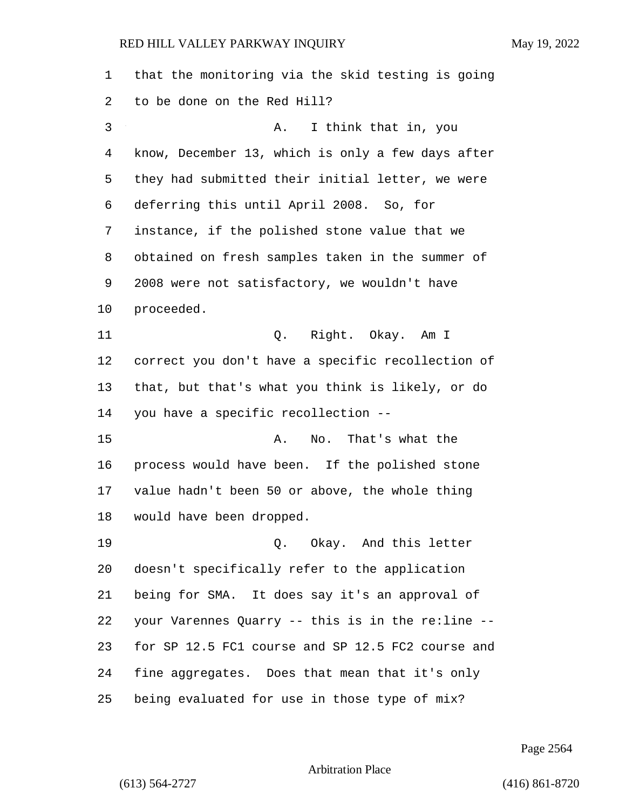| 1  | that the monitoring via the skid testing is going |
|----|---------------------------------------------------|
| 2  | to be done on the Red Hill?                       |
| 3  | I think that in, you<br>Α.                        |
| 4  | know, December 13, which is only a few days after |
| 5  | they had submitted their initial letter, we were  |
| 6  | deferring this until April 2008. So, for          |
| 7  | instance, if the polished stone value that we     |
| 8  | obtained on fresh samples taken in the summer of  |
| 9  | 2008 were not satisfactory, we wouldn't have      |
| 10 | proceeded.                                        |
| 11 | Q. Right. Okay. Am I                              |
| 12 | correct you don't have a specific recollection of |
| 13 | that, but that's what you think is likely, or do  |
| 14 | you have a specific recollection --               |
| 15 | That's what the<br>Α.<br>No.                      |
| 16 | process would have been. If the polished stone    |
| 17 | value hadn't been 50 or above, the whole thing    |
| 18 | would have been dropped.                          |
| 19 | Q. Okay. And this letter                          |
| 20 | doesn't specifically refer to the application     |
| 21 | being for SMA. It does say it's an approval of    |
| 22 | your Varennes Quarry -- this is in the re:line -- |
| 23 | for SP 12.5 FC1 course and SP 12.5 FC2 course and |
| 24 | fine aggregates. Does that mean that it's only    |
| 25 | being evaluated for use in those type of mix?     |

Page 2564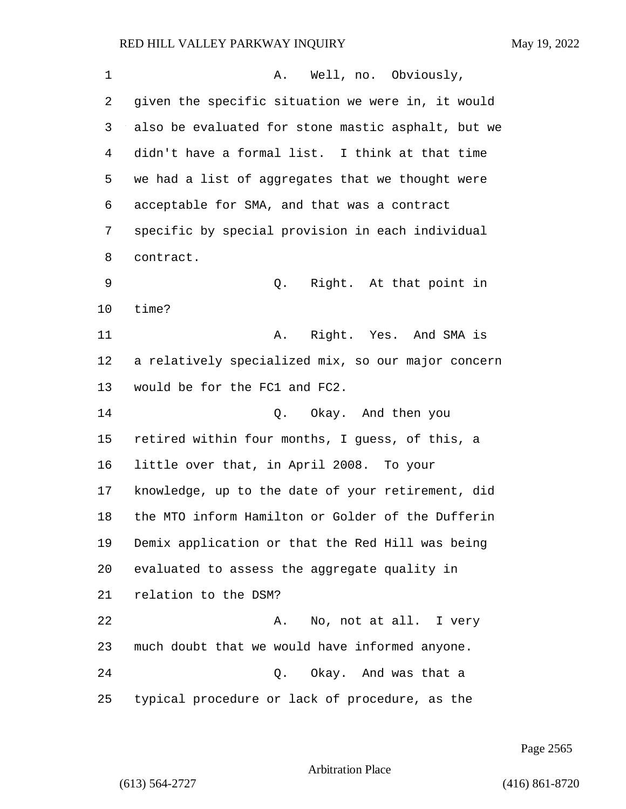| 1  | Well, no. Obviously,<br>Α.                         |
|----|----------------------------------------------------|
| 2  | given the specific situation we were in, it would  |
| 3  | also be evaluated for stone mastic asphalt, but we |
| 4  | didn't have a formal list. I think at that time    |
| 5  | we had a list of aggregates that we thought were   |
| 6  | acceptable for SMA, and that was a contract        |
| 7  | specific by special provision in each individual   |
| 8  | contract.                                          |
| 9  | Right. At that point in<br>Q.                      |
| 10 | time?                                              |
| 11 | Right. Yes. And SMA is<br>Α.                       |
| 12 | a relatively specialized mix, so our major concern |
| 13 | would be for the FC1 and FC2.                      |
| 14 | Q. Okay. And then you                              |
| 15 | retired within four months, I guess, of this, a    |
| 16 | little over that, in April 2008. To your           |
| 17 | knowledge, up to the date of your retirement, did  |
| 18 | the MTO inform Hamilton or Golder of the Dufferin  |
| 19 | Demix application or that the Red Hill was being   |
| 20 | evaluated to assess the aggregate quality in       |
| 21 | relation to the DSM?                               |
| 22 | No, not at all. I very<br>Α.                       |
| 23 | much doubt that we would have informed anyone.     |
| 24 | Q. Okay. And was that a                            |
| 25 | typical procedure or lack of procedure, as the     |

Page 2565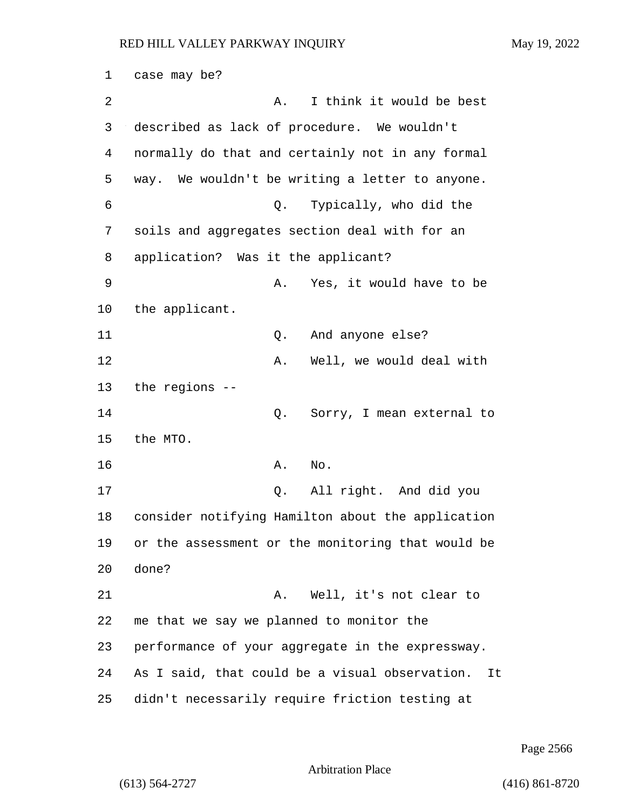1 case may be? 2 A. I think it would be best 3 described as lack of procedure. We wouldn't 4 normally do that and certainly not in any formal 5 way. We wouldn't be writing a letter to anyone. 6 Q. Typically, who did the 7 soils and aggregates section deal with for an 8 application? Was it the applicant? 9 A. Yes, it would have to be 10 the applicant. 11 Q. And anyone else? 12 A. Well, we would deal with 13 the regions -- 14 Q. Sorry, I mean external to 15 the MTO. 16 A. No. 17 Q. All right. And did you 18 consider notifying Hamilton about the application 19 or the assessment or the monitoring that would be 20 done? 21 A. Well, it's not clear to 22 me that we say we planned to monitor the 23 performance of your aggregate in the expressway. 24 As I said, that could be a visual observation. It 25 didn't necessarily require friction testing at

Page 2566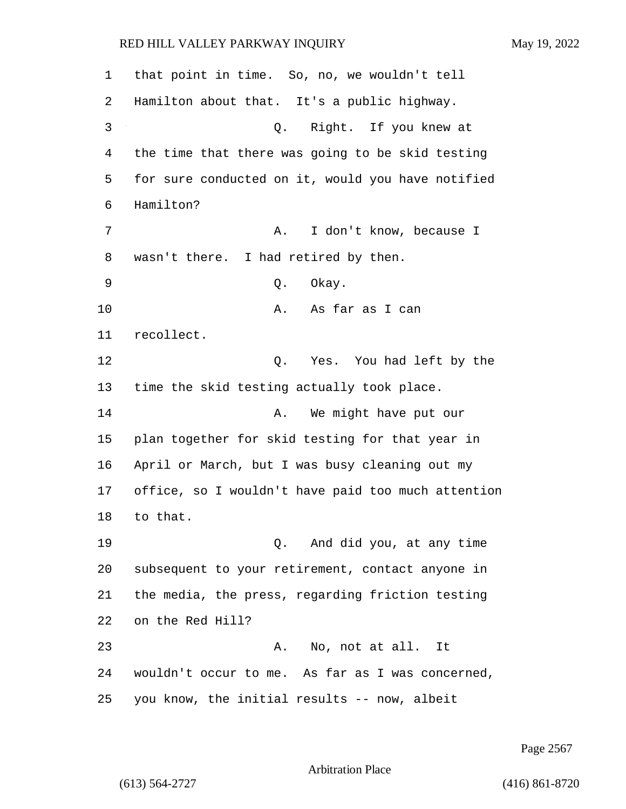that point in time. So, no, we wouldn't tell Hamilton about that. It's a public highway. 3 Q. Right. If you knew at the time that there was going to be skid testing for sure conducted on it, would you have notified Hamilton? 7 A. I don't know, because I wasn't there. I had retired by then. 9 Q. Okay. 10 A. As far as I can recollect. 12 C. Yes. You had left by the time the skid testing actually took place. 14 A. We might have put our plan together for skid testing for that year in April or March, but I was busy cleaning out my office, so I wouldn't have paid too much attention 18 to that. 19 Q. And did you, at any time subsequent to your retirement, contact anyone in the media, the press, regarding friction testing on the Red Hill? 23 A. No, not at all. It wouldn't occur to me. As far as I was concerned, you know, the initial results -- now, albeit

Page 2567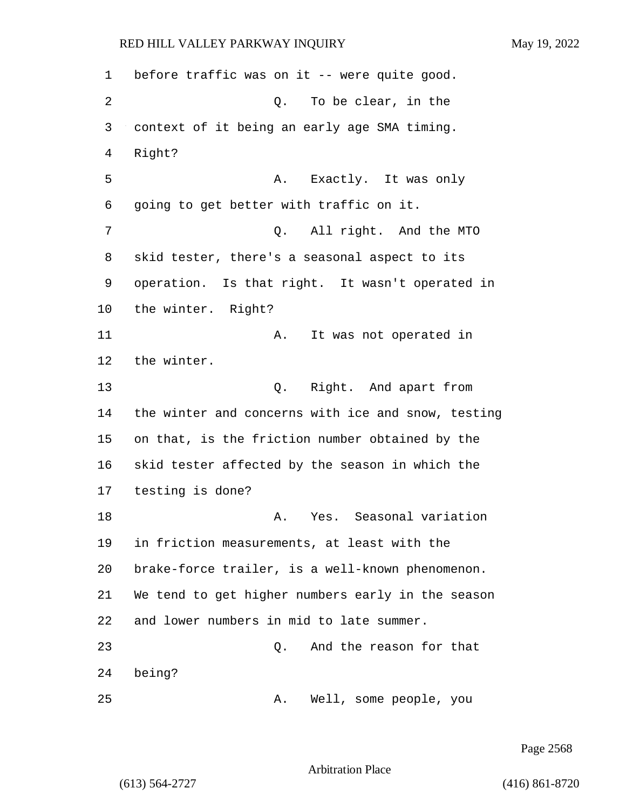1 before traffic was on it -- were quite good. 2 Q. To be clear, in the 3 context of it being an early age SMA timing. 4 Right? 5 A. Exactly. It was only 6 going to get better with traffic on it. 7 Q. All right. And the MTO 8 skid tester, there's a seasonal aspect to its 9 operation. Is that right. It wasn't operated in 10 the winter. Right? 11 A. It was not operated in 12 the winter. 13 Q. Right. And apart from 14 the winter and concerns with ice and snow, testing 15 on that, is the friction number obtained by the 16 skid tester affected by the season in which the 17 testing is done? 18 A. Yes. Seasonal variation 19 in friction measurements, at least with the 20 brake-force trailer, is a well-known phenomenon. 21 We tend to get higher numbers early in the season 22 and lower numbers in mid to late summer. 23 Q. And the reason for that 24 being? 25 A. Well, some people, you

Page 2568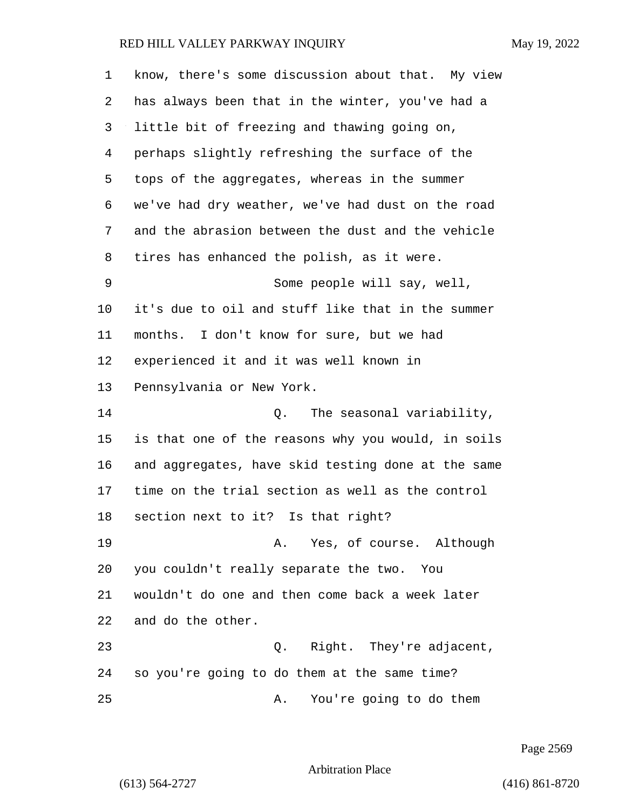| $\mathbf 1$ | know, there's some discussion about that. My view  |
|-------------|----------------------------------------------------|
| 2           | has always been that in the winter, you've had a   |
| 3           | little bit of freezing and thawing going on,       |
| 4           | perhaps slightly refreshing the surface of the     |
| 5           | tops of the aggregates, whereas in the summer      |
| 6           | we've had dry weather, we've had dust on the road  |
| 7           | and the abrasion between the dust and the vehicle  |
| 8           | tires has enhanced the polish, as it were.         |
| 9           | Some people will say, well,                        |
| 10          | it's due to oil and stuff like that in the summer  |
| 11          | months. I don't know for sure, but we had          |
| 12          | experienced it and it was well known in            |
| 13          | Pennsylvania or New York.                          |
| 14          | Q. The seasonal variability,                       |
| 15          | is that one of the reasons why you would, in soils |
| 16          | and aggregates, have skid testing done at the same |
| 17          | time on the trial section as well as the control   |
| 18          | section next to it? Is that right?                 |
| 19          | A. Yes, of course. Although                        |
| 20          | you couldn't really separate the two. You          |
| 21          | wouldn't do one and then come back a week later    |
| 22          | and do the other.                                  |
| 23          | Q. Right. They're adjacent,                        |
| 24          | so you're going to do them at the same time?       |
| 25          | You're going to do them<br>Α.                      |

Page 2569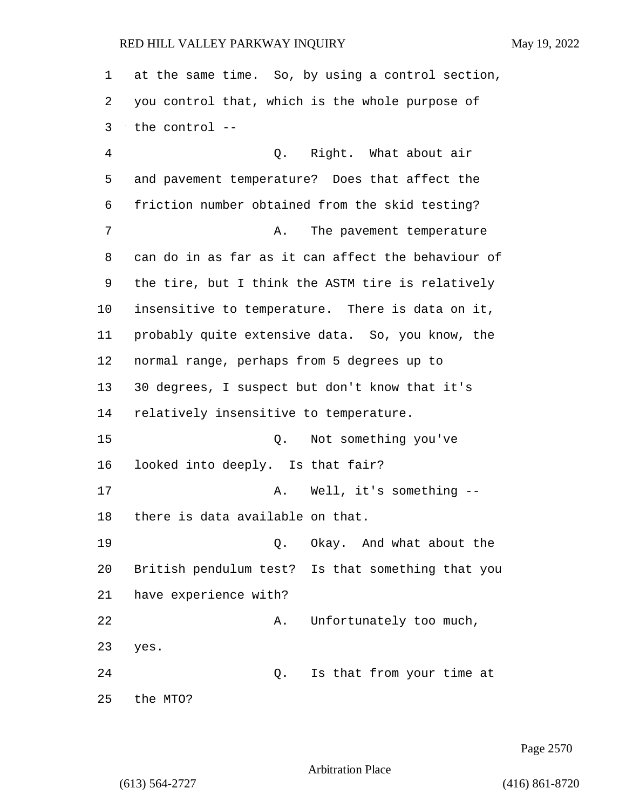at the same time. So, by using a control section, you control that, which is the whole purpose of the control --

4 Q. Right. What about air and pavement temperature? Does that affect the friction number obtained from the skid testing? 7 A. The pavement temperature can do in as far as it can affect the behaviour of the tire, but I think the ASTM tire is relatively insensitive to temperature. There is data on it, probably quite extensive data. So, you know, the normal range, perhaps from 5 degrees up to 30 degrees, I suspect but don't know that it's relatively insensitive to temperature. 15 Q. Not something you've looked into deeply. Is that fair? 17 A. Well, it's something -- there is data available on that. 19 Q. Okay. And what about the British pendulum test? Is that something that you have experience with? 22 A. Unfortunately too much, yes. 24 Q. Is that from your time at

Page 2570

Arbitration Place

the MTO?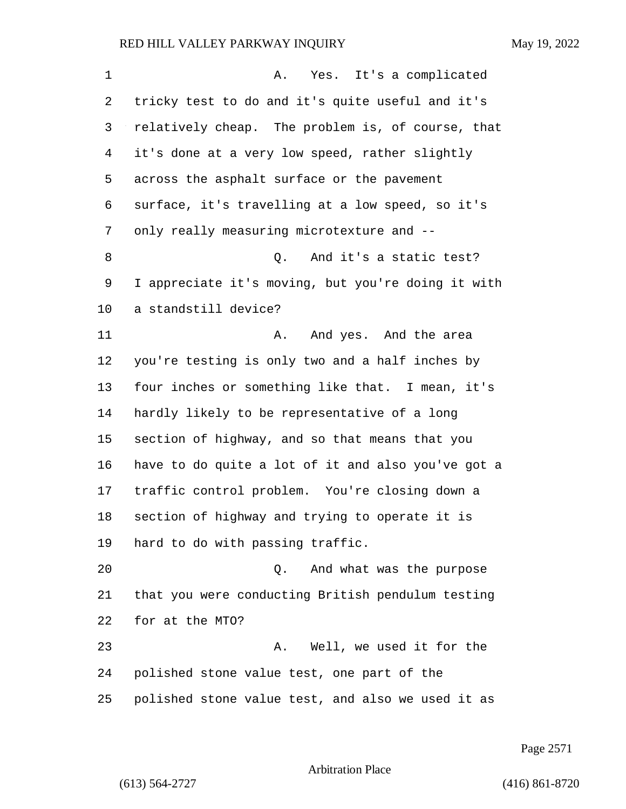1 A. Yes. It's a complicated tricky test to do and it's quite useful and it's relatively cheap. The problem is, of course, that it's done at a very low speed, rather slightly across the asphalt surface or the pavement surface, it's travelling at a low speed, so it's 7 only really measuring microtexture and --8 a Q. And it's a static test? I appreciate it's moving, but you're doing it with a standstill device? 11 A. And yes. And the area you're testing is only two and a half inches by four inches or something like that. I mean, it's hardly likely to be representative of a long section of highway, and so that means that you have to do quite a lot of it and also you've got a traffic control problem. You're closing down a section of highway and trying to operate it is hard to do with passing traffic. 20 Q. And what was the purpose that you were conducting British pendulum testing for at the MTO? 23 A. Well, we used it for the polished stone value test, one part of the polished stone value test, and also we used it as

Page 2571

Arbitration Place

(613) 564-2727 (416) 861-8720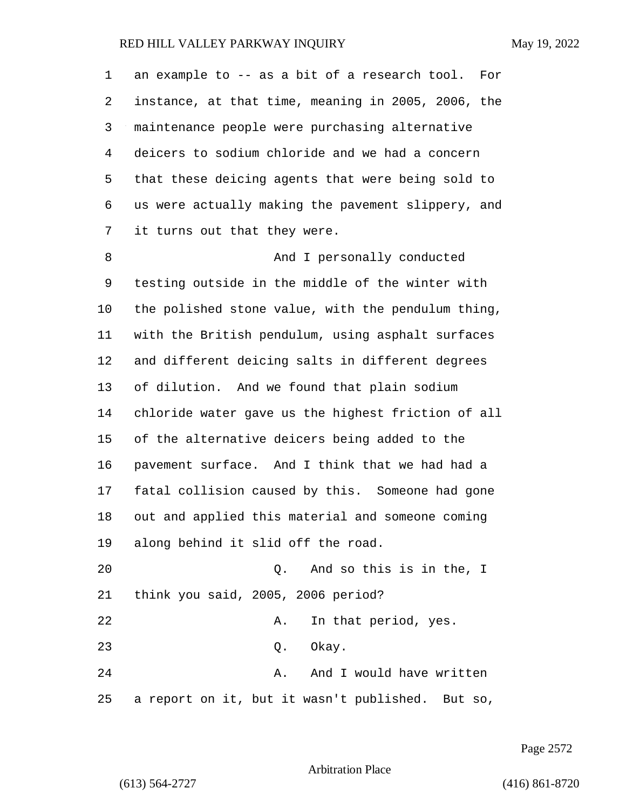an example to -- as a bit of a research tool. For instance, at that time, meaning in 2005, 2006, the maintenance people were purchasing alternative deicers to sodium chloride and we had a concern that these deicing agents that were being sold to us were actually making the pavement slippery, and it turns out that they were. 8 And I personally conducted testing outside in the middle of the winter with the polished stone value, with the pendulum thing, with the British pendulum, using asphalt surfaces and different deicing salts in different degrees of dilution. And we found that plain sodium chloride water gave us the highest friction of all of the alternative deicers being added to the pavement surface. And I think that we had had a fatal collision caused by this. Someone had gone out and applied this material and someone coming along behind it slid off the road. 20 Q. And so this is in the, I think you said, 2005, 2006 period? 22 A. In that period, yes. 23 Q. Okay. 24 A. And I would have written a report on it, but it wasn't published. But so,

Page 2572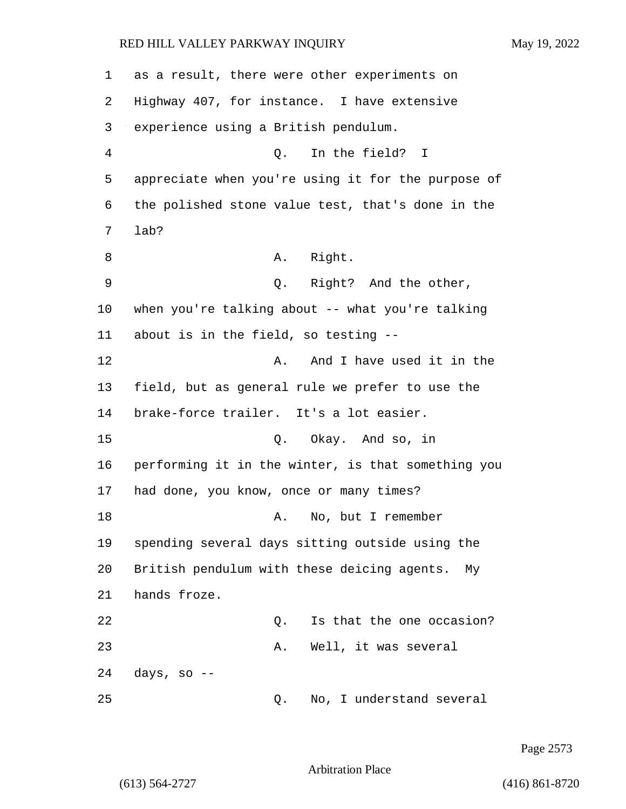as a result, there were other experiments on Highway 407, for instance. I have extensive experience using a British pendulum. 4 Q. In the field? I appreciate when you're using it for the purpose of the polished stone value test, that's done in the 7 lab? 8 A. Right. 9 Q. Right? And the other, when you're talking about -- what you're talking about is in the field, so testing -- 12 A. And I have used it in the field, but as general rule we prefer to use the brake-force trailer. It's a lot easier. 15 Q. Okay. And so, in performing it in the winter, is that something you had done, you know, once or many times? 18 A. No, but I remember spending several days sitting outside using the British pendulum with these deicing agents. My hands froze. **22** Q. Is that the one occasion? 23 A. Well, it was several days, so -- 25 Q. No, I understand several

Page 2573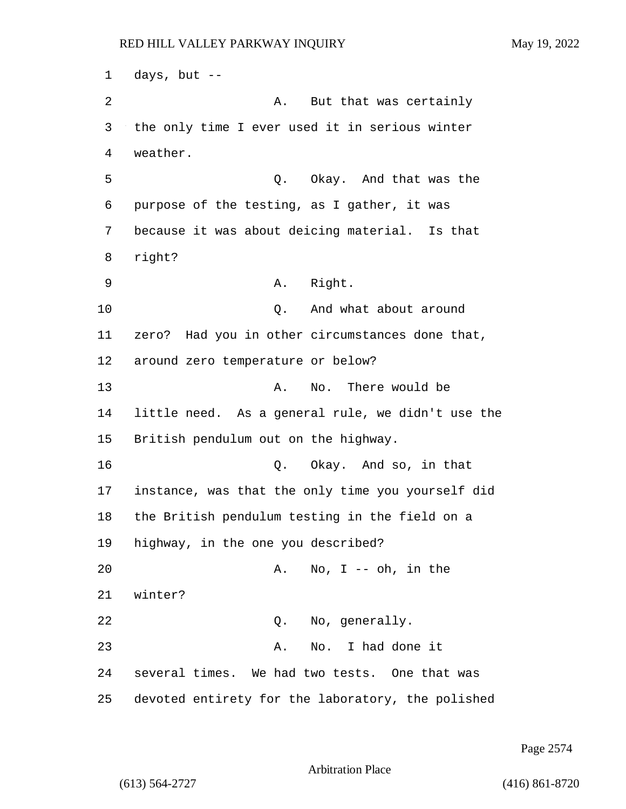1 days, but -- 2 A. But that was certainly 3 the only time I ever used it in serious winter 4 weather. 5 Q. Okay. And that was the 6 purpose of the testing, as I gather, it was 7 because it was about deicing material. Is that 8 right? 9 A. Right. 10 Q. And what about around 11 zero? Had you in other circumstances done that, 12 around zero temperature or below? 13 A. No. There would be 14 little need. As a general rule, we didn't use the 15 British pendulum out on the highway. 16 Q. Okay. And so, in that 17 instance, was that the only time you yourself did 18 the British pendulum testing in the field on a 19 highway, in the one you described? 20 A. No, I -- oh, in the 21 winter? 22 Q. No, generally. 23 A. No. I had done it 24 several times. We had two tests. One that was 25 devoted entirety for the laboratory, the polished

Page 2574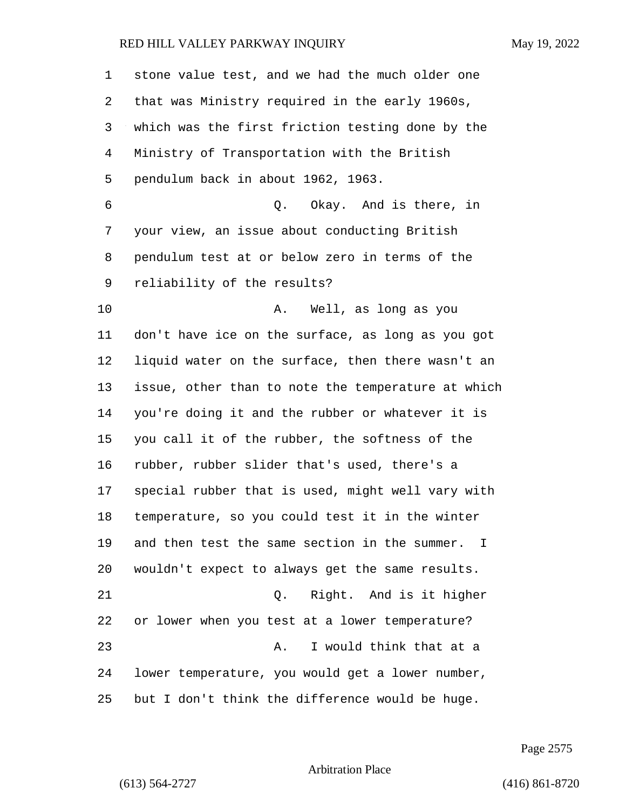| $\mathbf 1$ | stone value test, and we had the much older one    |
|-------------|----------------------------------------------------|
| 2           | that was Ministry required in the early 1960s,     |
| 3           | which was the first friction testing done by the   |
| 4           | Ministry of Transportation with the British        |
| 5           | pendulum back in about 1962, 1963.                 |
| 6           | Q. Okay. And is there, in                          |
| 7           | your view, an issue about conducting British       |
| 8           | pendulum test at or below zero in terms of the     |
| 9           | reliability of the results?                        |
| 10          | Α.<br>Well, as long as you                         |
| 11          | don't have ice on the surface, as long as you got  |
| 12          | liquid water on the surface, then there wasn't an  |
| 13          | issue, other than to note the temperature at which |
| 14          | you're doing it and the rubber or whatever it is   |
| 15          | you call it of the rubber, the softness of the     |
| 16          | rubber, rubber slider that's used, there's a       |
| 17          | special rubber that is used, might well vary with  |
| 18          | temperature, so you could test it in the winter    |
| 19          | and then test the same section in the summer. I    |
| 20          | wouldn't expect to always get the same results.    |
| 21          | Right. And is it higher<br>Q.                      |
| 22          | or lower when you test at a lower temperature?     |
| 23          | I would think that at a<br>Α.                      |
| 24          | lower temperature, you would get a lower number,   |
| 25          | but I don't think the difference would be huge.    |

Page 2575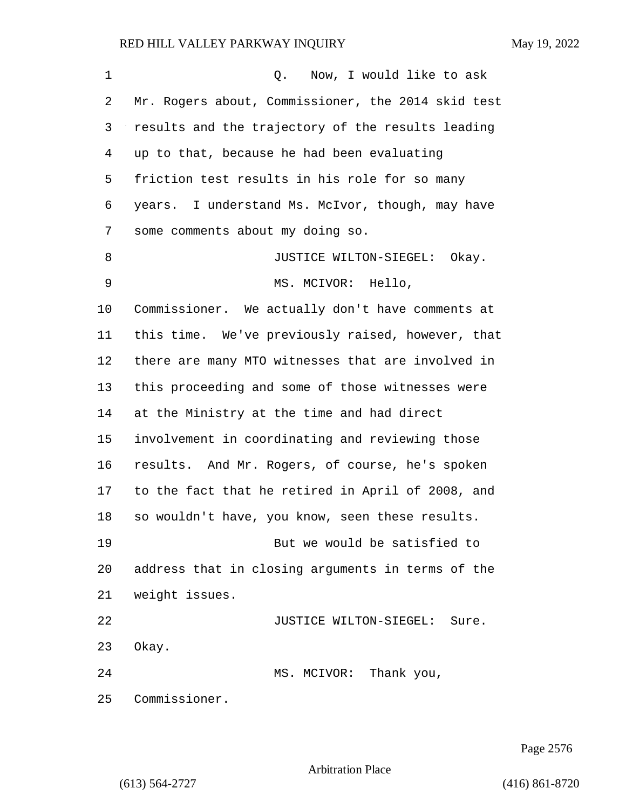| $\mathbf 1$ | Now, I would like to ask<br>Q.                     |
|-------------|----------------------------------------------------|
| 2           | Mr. Rogers about, Commissioner, the 2014 skid test |
| 3           | results and the trajectory of the results leading  |
| 4           | up to that, because he had been evaluating         |
| 5           | friction test results in his role for so many      |
| 6           | years. I understand Ms. McIvor, though, may have   |
| 7           | some comments about my doing so.                   |
| 8           | JUSTICE WILTON-SIEGEL:<br>Okay.                    |
| 9           | MS. MCIVOR: Hello,                                 |
| 10          | Commissioner. We actually don't have comments at   |
| 11          | this time. We've previously raised, however, that  |
| 12          | there are many MTO witnesses that are involved in  |
| 13          | this proceeding and some of those witnesses were   |
| 14          | at the Ministry at the time and had direct         |
| 15          | involvement in coordinating and reviewing those    |
| 16          | results. And Mr. Rogers, of course, he's spoken    |
| 17          | to the fact that he retired in April of 2008, and  |
| 18          | so wouldn't have, you know, seen these results.    |
| 19          | But we would be satisfied to                       |
| 20          | address that in closing arguments in terms of the  |
| 21          | weight issues.                                     |
| 22          | JUSTICE WILTON-SIEGEL:<br>Sure.                    |
| 23          | Okay.                                              |
| 24          | MS. MCIVOR: Thank you,                             |
| 25          | Commissioner.                                      |

Page 2576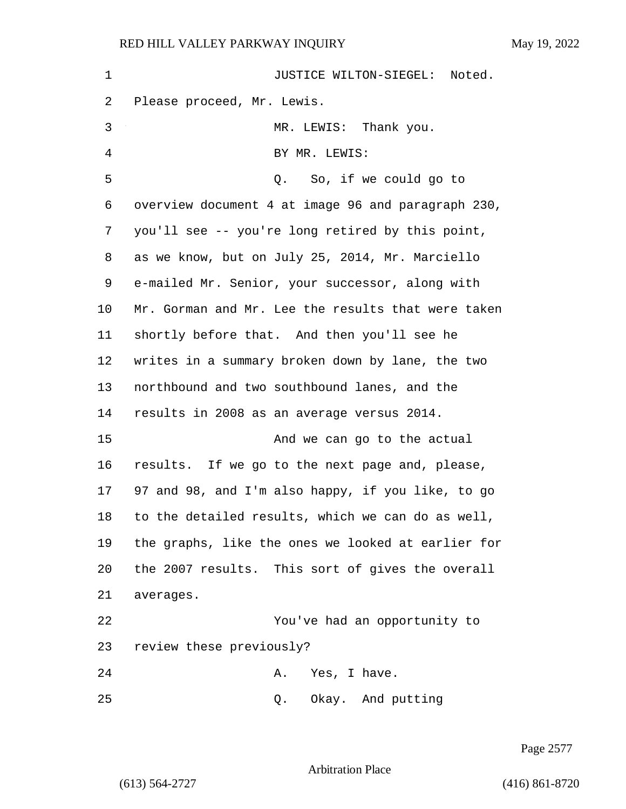1 JUSTICE WILTON-SIEGEL: Noted. Please proceed, Mr. Lewis. 3 MR. LEWIS: Thank you. 4 BY MR. LEWIS: 5 Q. So, if we could go to overview document 4 at image 96 and paragraph 230, you'll see -- you're long retired by this point, as we know, but on July 25, 2014, Mr. Marciello e-mailed Mr. Senior, your successor, along with Mr. Gorman and Mr. Lee the results that were taken shortly before that. And then you'll see he writes in a summary broken down by lane, the two northbound and two southbound lanes, and the results in 2008 as an average versus 2014. 15 And we can go to the actual results. If we go to the next page and, please, 97 and 98, and I'm also happy, if you like, to go to the detailed results, which we can do as well, the graphs, like the ones we looked at earlier for the 2007 results. This sort of gives the overall averages. 22 You've had an opportunity to review these previously? 24 A. Yes, I have. 25 Q. Okay. And putting

Page 2577

Arbitration Place

(613) 564-2727 (416) 861-8720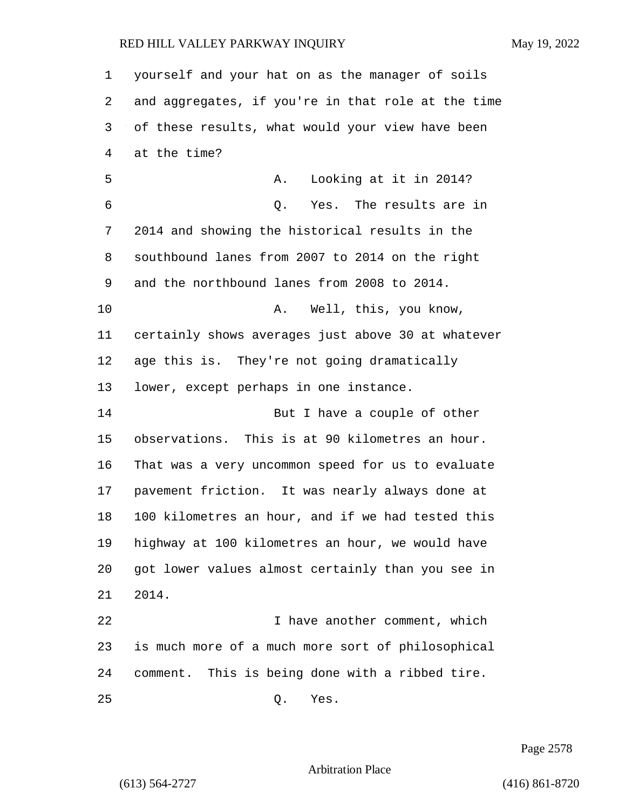yourself and your hat on as the manager of soils and aggregates, if you're in that role at the time of these results, what would your view have been at the time? 5 A. Looking at it in 2014? 6 Q. Yes. The results are in 2014 and showing the historical results in the southbound lanes from 2007 to 2014 on the right and the northbound lanes from 2008 to 2014. 10 A. Well, this, you know, certainly shows averages just above 30 at whatever age this is. They're not going dramatically lower, except perhaps in one instance. 14 But I have a couple of other observations. This is at 90 kilometres an hour. That was a very uncommon speed for us to evaluate pavement friction. It was nearly always done at 100 kilometres an hour, and if we had tested this highway at 100 kilometres an hour, we would have got lower values almost certainly than you see in 2014. 22 I have another comment, which is much more of a much more sort of philosophical comment. This is being done with a ribbed tire. 25 Q. Yes.

Page 2578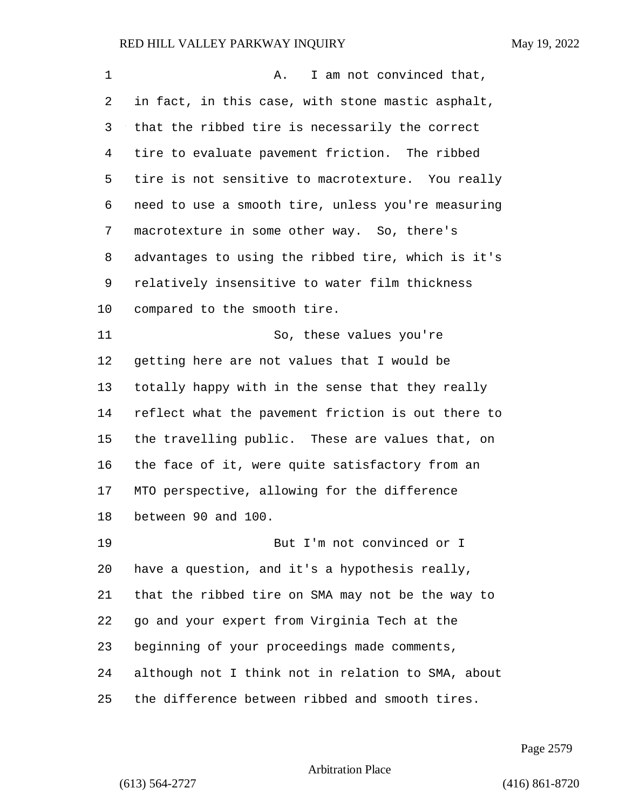| $\mathbf 1$ | I am not convinced that,<br>Α.                     |
|-------------|----------------------------------------------------|
| 2           | in fact, in this case, with stone mastic asphalt,  |
| 3           | that the ribbed tire is necessarily the correct    |
| 4           | tire to evaluate pavement friction. The ribbed     |
| 5           | tire is not sensitive to macrotexture. You really  |
| 6           | need to use a smooth tire, unless you're measuring |
| 7           | macrotexture in some other way. So, there's        |
| 8           | advantages to using the ribbed tire, which is it's |
| 9           | relatively insensitive to water film thickness     |
| 10          | compared to the smooth tire.                       |
| 11          | So, these values you're                            |
| 12          | getting here are not values that I would be        |
| 13          | totally happy with in the sense that they really   |
| 14          | reflect what the pavement friction is out there to |
| 15          | the travelling public. These are values that, on   |
| 16          | the face of it, were quite satisfactory from an    |
| 17          | MTO perspective, allowing for the difference       |
| 18          | between 90 and 100.                                |
| 19          | But I'm not convinced or I                         |
| 20          | have a question, and it's a hypothesis really,     |
| 21          | that the ribbed tire on SMA may not be the way to  |
| 22          | go and your expert from Virginia Tech at the       |
| 23          | beginning of your proceedings made comments,       |
| 24          | although not I think not in relation to SMA, about |
| 25          | the difference between ribbed and smooth tires.    |

Page 2579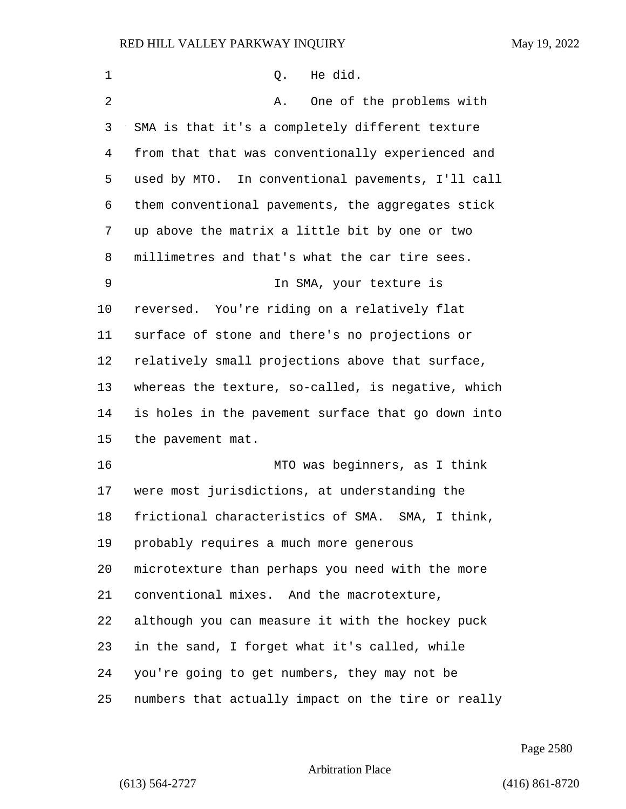| $\mathbf 1$    | Q. He did.                                         |
|----------------|----------------------------------------------------|
| $\overline{2}$ | One of the problems with<br>Α.                     |
| 3              | SMA is that it's a completely different texture    |
| 4              | from that that was conventionally experienced and  |
| 5              | used by MTO. In conventional pavements, I'll call  |
| 6              | them conventional pavements, the aggregates stick  |
| 7              | up above the matrix a little bit by one or two     |
| 8              | millimetres and that's what the car tire sees.     |
| 9              | In SMA, your texture is                            |
| 10             | reversed. You're riding on a relatively flat       |
| 11             | surface of stone and there's no projections or     |
| 12             | relatively small projections above that surface,   |
| 13             | whereas the texture, so-called, is negative, which |
| 14             | is holes in the pavement surface that go down into |
| 15             | the pavement mat.                                  |
| 16             | MTO was beginners, as I think                      |
| 17             | were most jurisdictions, at understanding the      |
| 18             | frictional characteristics of SMA. SMA, I think,   |
| 19             | probably requires a much more generous             |
| 20             | microtexture than perhaps you need with the more   |
| 21             | conventional mixes. And the macrotexture,          |
| 22             | although you can measure it with the hockey puck   |
| 23             | in the sand, I forget what it's called, while      |
| 24             | you're going to get numbers, they may not be       |
| 25             | numbers that actually impact on the tire or really |

Page 2580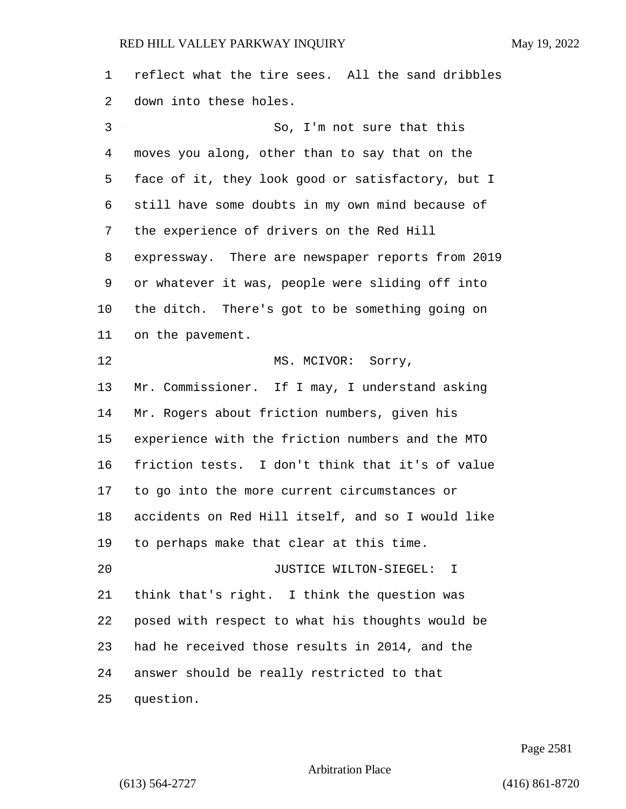reflect what the tire sees. All the sand dribbles down into these holes. 3 So, I'm not sure that this moves you along, other than to say that on the face of it, they look good or satisfactory, but I still have some doubts in my own mind because of the experience of drivers on the Red Hill expressway. There are newspaper reports from 2019 or whatever it was, people were sliding off into the ditch. There's got to be something going on on the pavement. 12 MS. MCIVOR: Sorry, Mr. Commissioner. If I may, I understand asking Mr. Rogers about friction numbers, given his experience with the friction numbers and the MTO friction tests. I don't think that it's of value to go into the more current circumstances or accidents on Red Hill itself, and so I would like to perhaps make that clear at this time. 20 JUSTICE WILTON-SIEGEL: I think that's right. I think the question was posed with respect to what his thoughts would be had he received those results in 2014, and the answer should be really restricted to that question.

Page 2581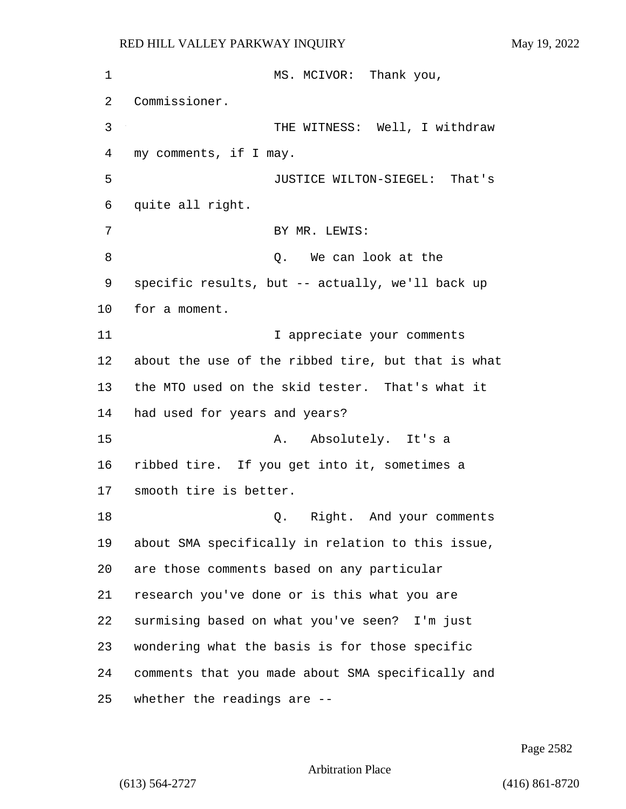1 MS. MCIVOR: Thank you, Commissioner. 3 THE WITNESS: Well, I withdraw my comments, if I may. 5 JUSTICE WILTON-SIEGEL: That's quite all right. 7 BY MR. LEWIS: 8 and 100 km can look at the 100 km can look at the 100 km can look at the 100 km can look at the 100 km can look at the 100 km can look at the 100 km can look at the 100 km can look at the 100 km can look at the 100 km ca specific results, but -- actually, we'll back up for a moment. 11 11 12 I appreciate your comments about the use of the ribbed tire, but that is what the MTO used on the skid tester. That's what it had used for years and years? 15 A. Absolutely. It's a ribbed tire. If you get into it, sometimes a smooth tire is better. 18 and your comments and your comments about SMA specifically in relation to this issue, are those comments based on any particular research you've done or is this what you are surmising based on what you've seen? I'm just wondering what the basis is for those specific comments that you made about SMA specifically and whether the readings are --

Page 2582

Arbitration Place

(613) 564-2727 (416) 861-8720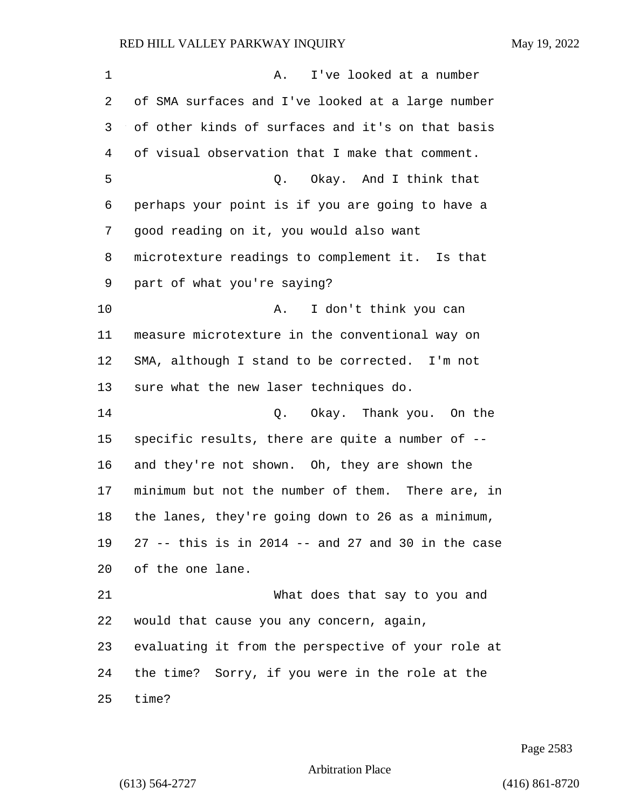| 1  | I've looked at a number<br>Α.                        |
|----|------------------------------------------------------|
| 2  | of SMA surfaces and I've looked at a large number    |
| 3  | of other kinds of surfaces and it's on that basis    |
| 4  | of visual observation that I make that comment.      |
| 5  | Q. Okay. And I think that                            |
| 6  | perhaps your point is if you are going to have a     |
| 7  | good reading on it, you would also want              |
| 8  | microtexture readings to complement it. Is that      |
| 9  | part of what you're saying?                          |
| 10 | I don't think you can<br>Α.                          |
| 11 | measure microtexture in the conventional way on      |
| 12 | SMA, although I stand to be corrected. I'm not       |
| 13 | sure what the new laser techniques do.               |
| 14 | Q. Okay. Thank you. On the                           |
| 15 | specific results, there are quite a number of --     |
| 16 | and they're not shown. Oh, they are shown the        |
| 17 | minimum but not the number of them. There are, in    |
| 18 | the lanes, they're going down to 26 as a minimum,    |
| 19 | $27$ -- this is in 2014 -- and 27 and 30 in the case |
| 20 | of the one lane.                                     |
| 21 | What does that say to you and                        |
| 22 | would that cause you any concern, again,             |
| 23 | evaluating it from the perspective of your role at   |
| 24 | the time? Sorry, if you were in the role at the      |
| 25 | time?                                                |

Page 2583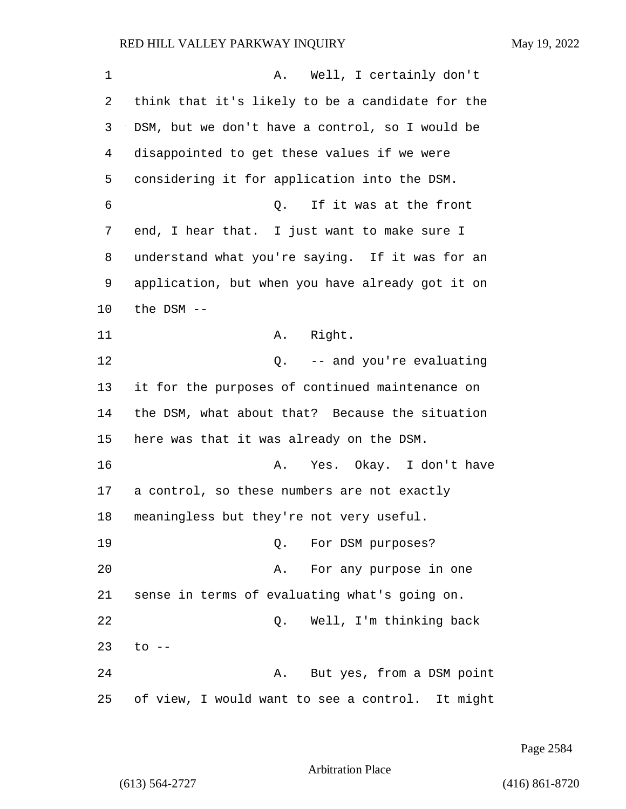| 1  | Well, I certainly don't<br>Α.                    |
|----|--------------------------------------------------|
| 2  | think that it's likely to be a candidate for the |
| 3  | DSM, but we don't have a control, so I would be  |
| 4  | disappointed to get these values if we were      |
| 5  | considering it for application into the DSM.     |
| 6  | If it was at the front<br>Q.                     |
| 7  | end, I hear that. I just want to make sure I     |
| 8  | understand what you're saying. If it was for an  |
| 9  | application, but when you have already got it on |
| 10 | the $DSM$ --                                     |
| 11 | Right.<br>A.                                     |
| 12 | Q. -- and you're evaluating                      |
| 13 | it for the purposes of continued maintenance on  |
| 14 | the DSM, what about that? Because the situation  |
| 15 | here was that it was already on the DSM.         |
| 16 | Yes. Okay. I don't have<br>Α.                    |
| 17 | a control, so these numbers are not exactly      |
| 18 | meaningless but they're not very useful.         |
| 19 | For DSM purposes?<br>Q.                          |
| 20 | For any purpose in one<br>Α.                     |
| 21 | sense in terms of evaluating what's going on.    |
| 22 | Well, I'm thinking back<br>Q.                    |
| 23 | $\circ$ --                                       |
| 24 | But yes, from a DSM point<br>Α.                  |
| 25 | of view, I would want to see a control. It might |

Page 2584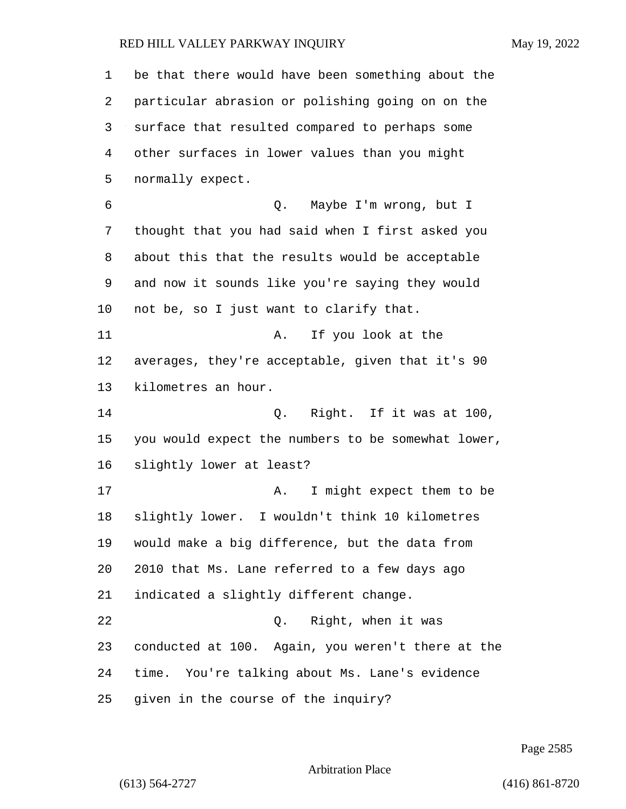| 1       | be that there would have been something about the  |
|---------|----------------------------------------------------|
| 2       | particular abrasion or polishing going on on the   |
| 3       | surface that resulted compared to perhaps some     |
| 4       | other surfaces in lower values than you might      |
| 5       | normally expect.                                   |
| 6       | Maybe I'm wrong, but I<br>Q.                       |
| 7       | thought that you had said when I first asked you   |
| 8       | about this that the results would be acceptable    |
| 9       | and now it sounds like you're saying they would    |
| $10 \,$ | not be, so I just want to clarify that.            |
| 11      | If you look at the<br>Α.                           |
| 12      | averages, they're acceptable, given that it's 90   |
| 13      | kilometres an hour.                                |
| 14      | Right. If it was at 100,<br>Q.                     |
| 15      | you would expect the numbers to be somewhat lower, |
| 16      | slightly lower at least?                           |
| 17      | I might expect them to be<br>Α.                    |
| 18      | I wouldn't think 10 kilometres<br>slightly lower.  |
| 19      | would make a big difference, but the data from     |
| 20      | 2010 that Ms. Lane referred to a few days ago      |
| 21      | indicated a slightly different change.             |
| 22      | Right, when it was<br>Q.                           |
| 23      | conducted at 100. Again, you weren't there at the  |
| 24      | time. You're talking about Ms. Lane's evidence     |
| 25      | given in the course of the inquiry?                |

Page 2585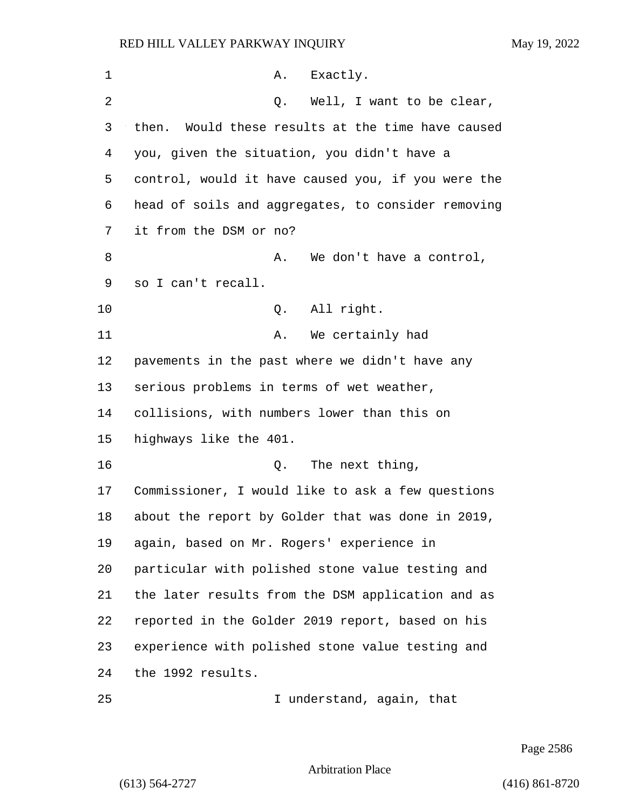| 1  | A. Exactly.                                          |
|----|------------------------------------------------------|
| 2  | Q. Well, I want to be clear,                         |
| 3  | Would these results at the time have caused<br>then. |
| 4  | you, given the situation, you didn't have a          |
| 5  | control, would it have caused you, if you were the   |
| 6  | head of soils and aggregates, to consider removing   |
| 7  | it from the DSM or no?                               |
| 8  | We don't have a control,<br>Α.                       |
| 9  | so I can't recall.                                   |
| 10 | All right.<br>Q.                                     |
| 11 | We certainly had<br>Α.                               |
| 12 | pavements in the past where we didn't have any       |
| 13 | serious problems in terms of wet weather,            |
| 14 | collisions, with numbers lower than this on          |
| 15 | highways like the 401.                               |
| 16 | Q. The next thing,                                   |
| 17 | Commissioner, I would like to ask a few questions    |
| 18 | about the report by Golder that was done in 2019,    |
| 19 | again, based on Mr. Rogers' experience in            |
| 20 | particular with polished stone value testing and     |
| 21 | the later results from the DSM application and as    |
| 22 | reported in the Golder 2019 report, based on his     |
| 23 | experience with polished stone value testing and     |
| 24 | the 1992 results.                                    |
| 25 | I understand, again, that                            |

Page 2586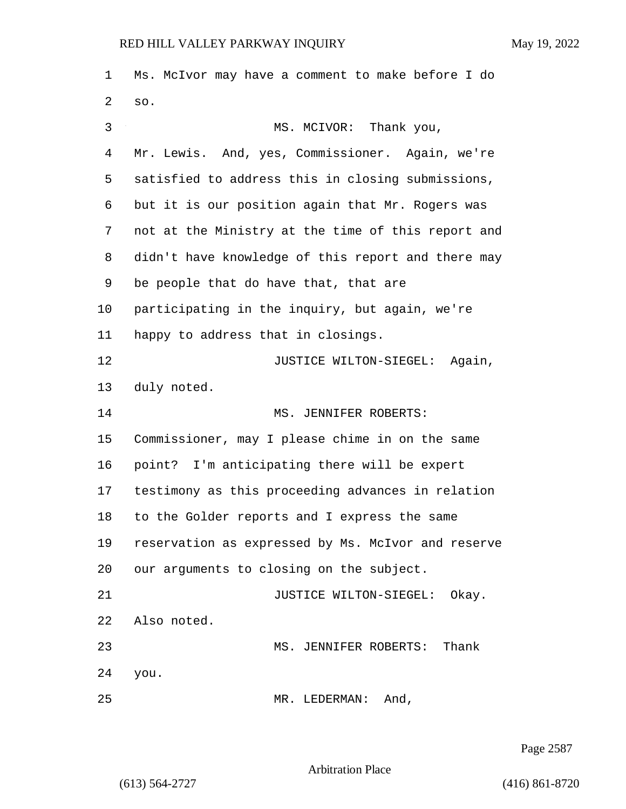Ms. McIvor may have a comment to make before I do so. 3 MS. MCIVOR: Thank you, Mr. Lewis. And, yes, Commissioner. Again, we're satisfied to address this in closing submissions, but it is our position again that Mr. Rogers was not at the Ministry at the time of this report and didn't have knowledge of this report and there may be people that do have that, that are participating in the inquiry, but again, we're happy to address that in closings. **JUSTICE WILTON-SIEGEL:** Again, duly noted. 14 MS. JENNIFER ROBERTS: Commissioner, may I please chime in on the same point? I'm anticipating there will be expert testimony as this proceeding advances in relation to the Golder reports and I express the same reservation as expressed by Ms. McIvor and reserve our arguments to closing on the subject. 21 JUSTICE WILTON-SIEGEL: Okay. Also noted. 23 MS. JENNIFER ROBERTS: Thank you. 25 MR. LEDERMAN: And,

Page 2587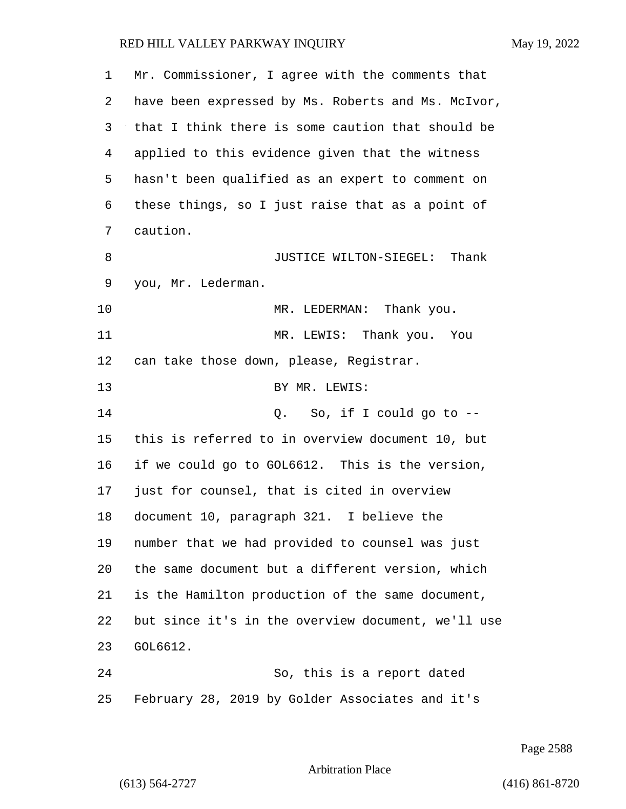| 1  | Mr. Commissioner, I agree with the comments that   |
|----|----------------------------------------------------|
| 2  | have been expressed by Ms. Roberts and Ms. McIvor, |
| 3  | that I think there is some caution that should be  |
| 4  | applied to this evidence given that the witness    |
| 5  | hasn't been qualified as an expert to comment on   |
| 6  | these things, so I just raise that as a point of   |
| 7  | caution.                                           |
| 8  | JUSTICE WILTON-SIEGEL: Thank                       |
| 9  | you, Mr. Lederman.                                 |
| 10 | MR. LEDERMAN: Thank you.                           |
| 11 | MR. LEWIS: Thank you. You                          |
| 12 | can take those down, please, Registrar.            |
| 13 | BY MR. LEWIS:                                      |
| 14 | So, if I could go to $-$ -<br>Q.                   |
| 15 | this is referred to in overview document 10, but   |
| 16 | if we could go to GOL6612. This is the version,    |
| 17 | just for counsel, that is cited in overview        |
| 18 | document 10, paragraph 321. I believe the          |
| 19 | number that we had provided to counsel was just    |
| 20 | the same document but a different version, which   |
| 21 | is the Hamilton production of the same document,   |
| 22 | but since it's in the overview document, we'll use |
| 23 | GOL6612.                                           |
| 24 | So, this is a report dated                         |
| 25 | February 28, 2019 by Golder Associates and it's    |

Page 2588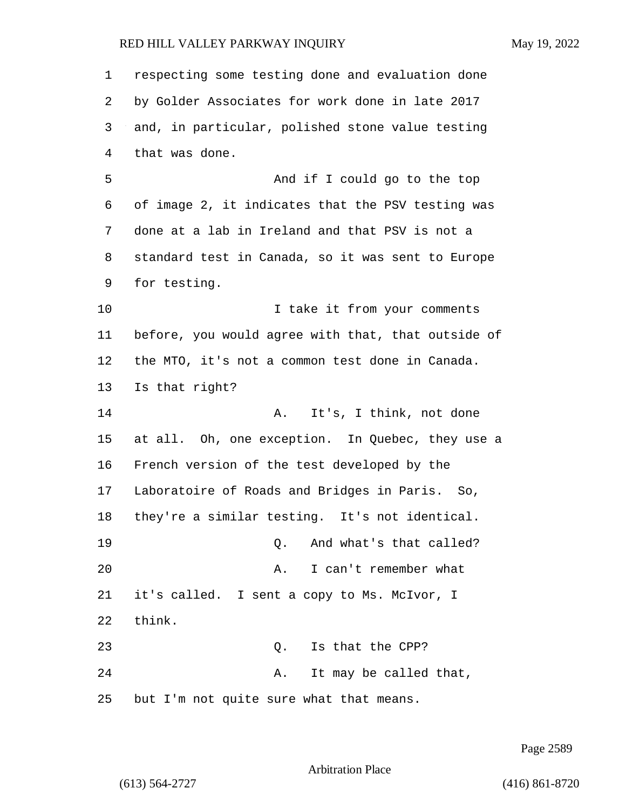respecting some testing done and evaluation done by Golder Associates for work done in late 2017 and, in particular, polished stone value testing that was done. 5 And if I could go to the top of image 2, it indicates that the PSV testing was done at a lab in Ireland and that PSV is not a standard test in Canada, so it was sent to Europe for testing. 10 10 I take it from your comments before, you would agree with that, that outside of the MTO, it's not a common test done in Canada. Is that right? 14 A. It's, I think, not done at all. Oh, one exception. In Quebec, they use a French version of the test developed by the Laboratoire of Roads and Bridges in Paris. So, they're a similar testing. It's not identical. **19 D.** And what's that called? 20 A. I can't remember what it's called. I sent a copy to Ms. McIvor, I think. 23 O. Is that the CPP? 24 A. It may be called that, but I'm not quite sure what that means.

Page 2589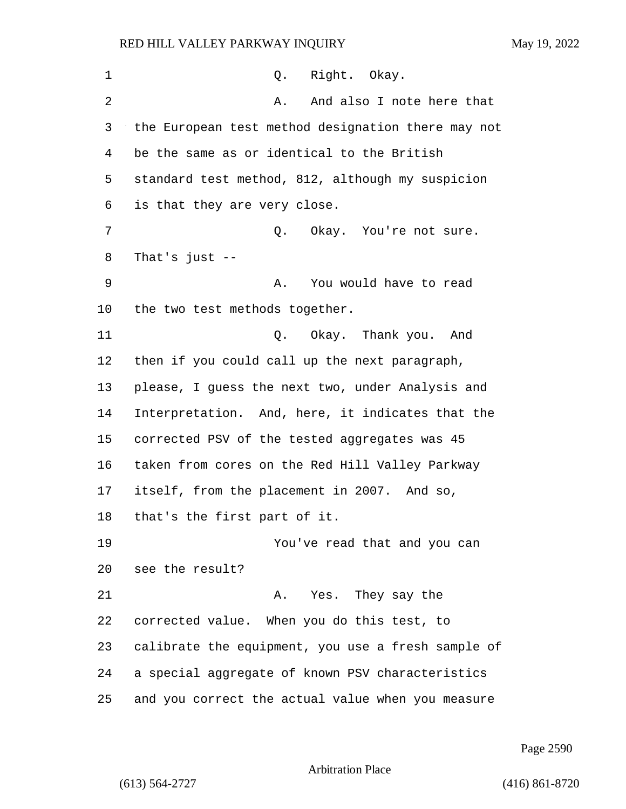| 1  | Right. Okay.<br>Q.                                 |
|----|----------------------------------------------------|
| 2  | And also I note here that<br>Α.                    |
| 3  | the European test method designation there may not |
| 4  | be the same as or identical to the British         |
| 5  | standard test method, 812, although my suspicion   |
| 6  | is that they are very close.                       |
| 7  | Q.<br>Okay. You're not sure.                       |
| 8  | That's just $--$                                   |
| 9  | You would have to read<br>Α.                       |
| 10 | the two test methods together.                     |
| 11 | Q. Okay. Thank you. And                            |
| 12 | then if you could call up the next paragraph,      |
| 13 | please, I guess the next two, under Analysis and   |
| 14 | Interpretation. And, here, it indicates that the   |
| 15 | corrected PSV of the tested aggregates was 45      |
| 16 | taken from cores on the Red Hill Valley Parkway    |
| 17 | itself, from the placement in 2007. And so,        |
| 18 | that's the first part of it.                       |
| 19 | You've read that and you can                       |
| 20 | see the result?                                    |
| 21 | A. Yes. They say the                               |
| 22 | corrected value. When you do this test, to         |
| 23 | calibrate the equipment, you use a fresh sample of |
| 24 | a special aggregate of known PSV characteristics   |
| 25 | and you correct the actual value when you measure  |

Page 2590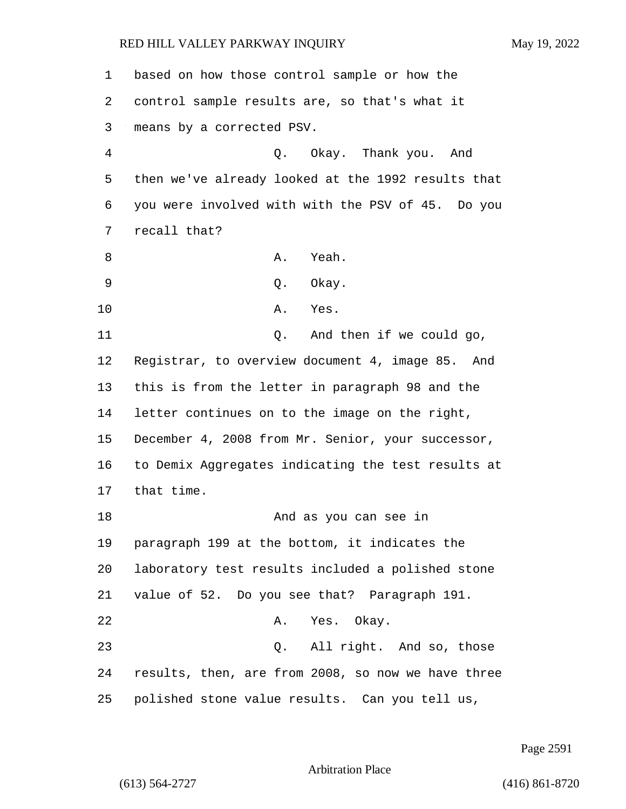| 1              | based on how those control sample or how the       |
|----------------|----------------------------------------------------|
| 2              | control sample results are, so that's what it      |
| 3              | means by a corrected PSV.                          |
| $\overline{4}$ | Q. Okay. Thank you. And                            |
| 5              | then we've already looked at the 1992 results that |
| 6              | you were involved with with the PSV of 45. Do you  |
| 7              | recall that?                                       |
| 8              | Yeah.<br>Α.                                        |
| 9              | Okay.<br>Q.                                        |
| 10             | Α.<br>Yes.                                         |
| 11             | And then if we could go,<br>Q.                     |
| 12             | Registrar, to overview document 4, image 85. And   |
| 13             | this is from the letter in paragraph 98 and the    |
| 14             | letter continues on to the image on the right,     |
| 15             | December 4, 2008 from Mr. Senior, your successor,  |
| 16             | to Demix Aggregates indicating the test results at |
| 17             | that time.                                         |
| 18             | And as you can see in                              |
| 19             | paragraph 199 at the bottom, it indicates the      |
| 20             | laboratory test results included a polished stone  |
| 21             | value of 52. Do you see that? Paragraph 191.       |
| 22             | A. Yes. Okay.                                      |
| 23             | Q. All right. And so, those                        |
| 24             | results, then, are from 2008, so now we have three |
| 25             | polished stone value results. Can you tell us,     |

Page 2591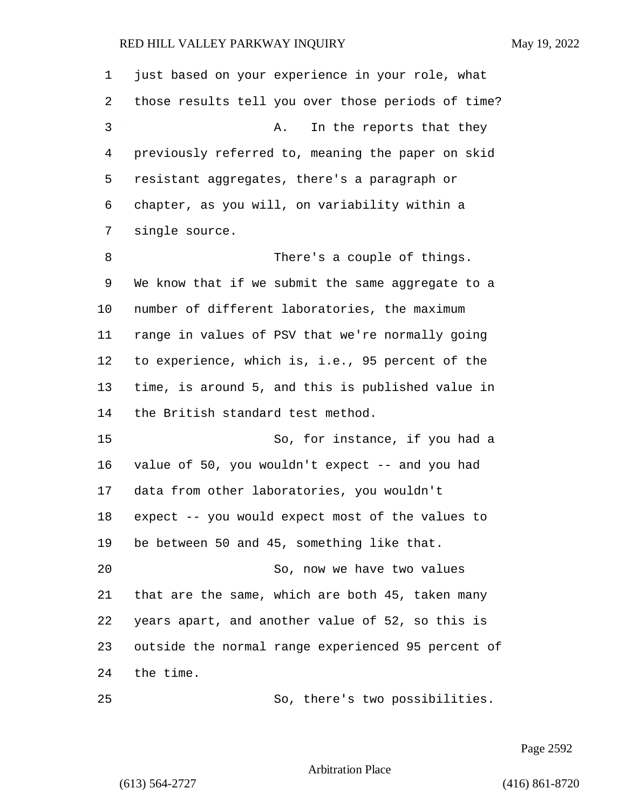| 1  | just based on your experience in your role, what   |
|----|----------------------------------------------------|
| 2  | those results tell you over those periods of time? |
| 3  | In the reports that they<br>Α.                     |
| 4  | previously referred to, meaning the paper on skid  |
| 5  | resistant aggregates, there's a paragraph or       |
| 6  | chapter, as you will, on variability within a      |
| 7  | single source.                                     |
| 8  | There's a couple of things.                        |
| 9  | We know that if we submit the same aggregate to a  |
| 10 | number of different laboratories, the maximum      |
| 11 | range in values of PSV that we're normally going   |
| 12 | to experience, which is, i.e., 95 percent of the   |
| 13 | time, is around 5, and this is published value in  |
| 14 | the British standard test method.                  |
| 15 | So, for instance, if you had a                     |
| 16 | value of 50, you wouldn't expect -- and you had    |
| 17 | data from other laboratories, you wouldn't         |
| 18 | expect -- you would expect most of the values to   |
| 19 | be between 50 and 45, something like that.         |
| 20 | So, now we have two values                         |
| 21 | that are the same, which are both 45, taken many   |
| 22 | years apart, and another value of 52, so this is   |
| 23 | outside the normal range experienced 95 percent of |
| 24 | the time.                                          |
| 25 | So, there's two possibilities.                     |

Page 2592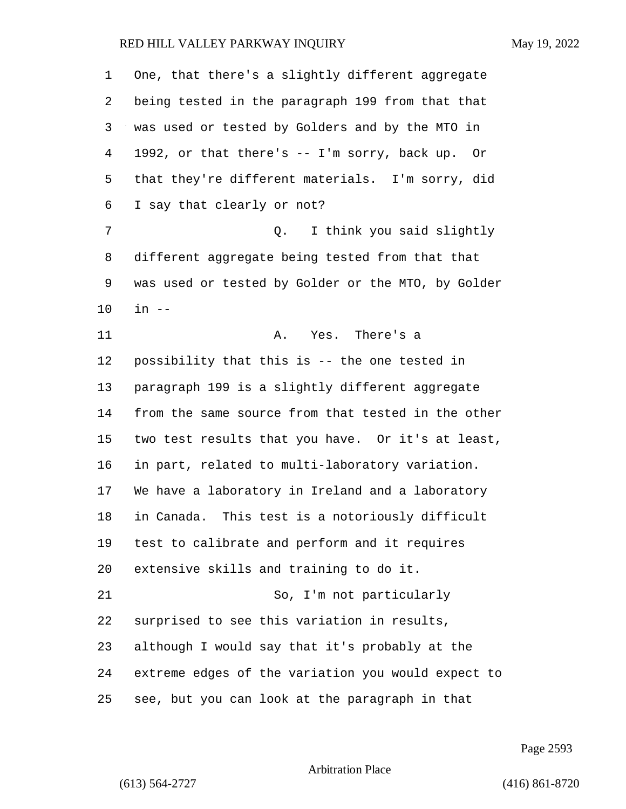| 1  | One, that there's a slightly different aggregate   |
|----|----------------------------------------------------|
| 2  | being tested in the paragraph 199 from that that   |
| 3  | was used or tested by Golders and by the MTO in    |
| 4  | 1992, or that there's -- I'm sorry, back up. Or    |
| 5  | that they're different materials. I'm sorry, did   |
| 6  | I say that clearly or not?                         |
| 7  | I think you said slightly<br>Q.                    |
| 8  | different aggregate being tested from that that    |
| 9  | was used or tested by Golder or the MTO, by Golder |
| 10 | $in$ $--$                                          |
| 11 | Yes. There's a<br>Α.                               |
| 12 | possibility that this is -- the one tested in      |
| 13 | paragraph 199 is a slightly different aggregate    |
| 14 | from the same source from that tested in the other |
| 15 | two test results that you have. Or it's at least,  |
| 16 | in part, related to multi-laboratory variation.    |
| 17 | We have a laboratory in Ireland and a laboratory   |
| 18 | in Canada. This test is a notoriously difficult    |
| 19 | test to calibrate and perform and it requires      |
| 20 | extensive skills and training to do it.            |
| 21 | So, I'm not particularly                           |
| 22 | surprised to see this variation in results,        |
| 23 | although I would say that it's probably at the     |
| 24 | extreme edges of the variation you would expect to |
| 25 | see, but you can look at the paragraph in that     |

Page 2593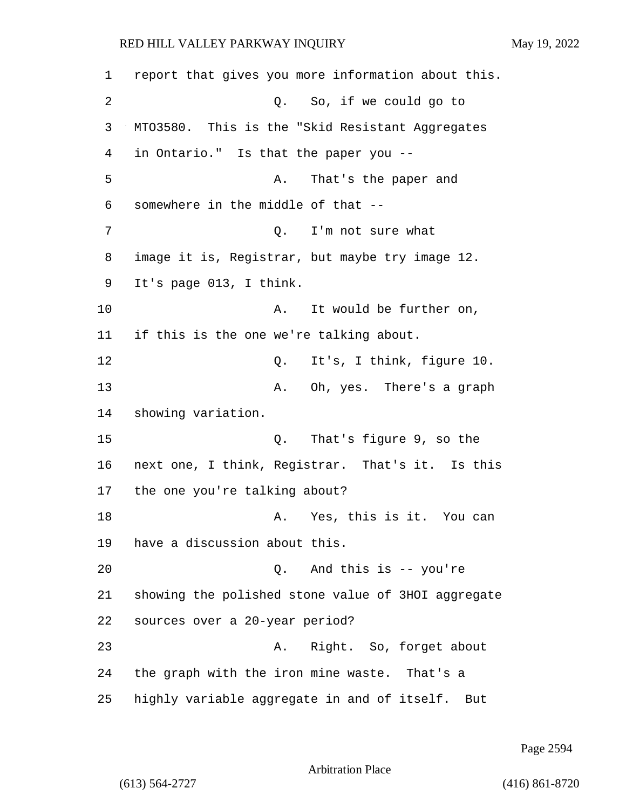1 report that gives you more information about this. 2 Q. So, if we could go to 3 MTO3580. This is the "Skid Resistant Aggregates 4 in Ontario." Is that the paper you -- 5 A. That's the paper and 6 somewhere in the middle of that -- 7 Q. I'm not sure what 8 image it is, Registrar, but maybe try image 12. 9 It's page 013, I think. 10 A. It would be further on, 11 if this is the one we're talking about. 12 C. It's, I think, figure 10. 13 A. Oh, yes. There's a graph 14 showing variation. 15 Q. That's figure 9, so the 16 next one, I think, Registrar. That's it. Is this 17 the one you're talking about? 18 A. Yes, this is it. You can 19 have a discussion about this. 20 Q. And this is -- you're 21 showing the polished stone value of 3HOI aggregate 22 sources over a 20-year period? 23 A. Right. So, forget about 24 the graph with the iron mine waste. That's a 25 highly variable aggregate in and of itself. But

Page 2594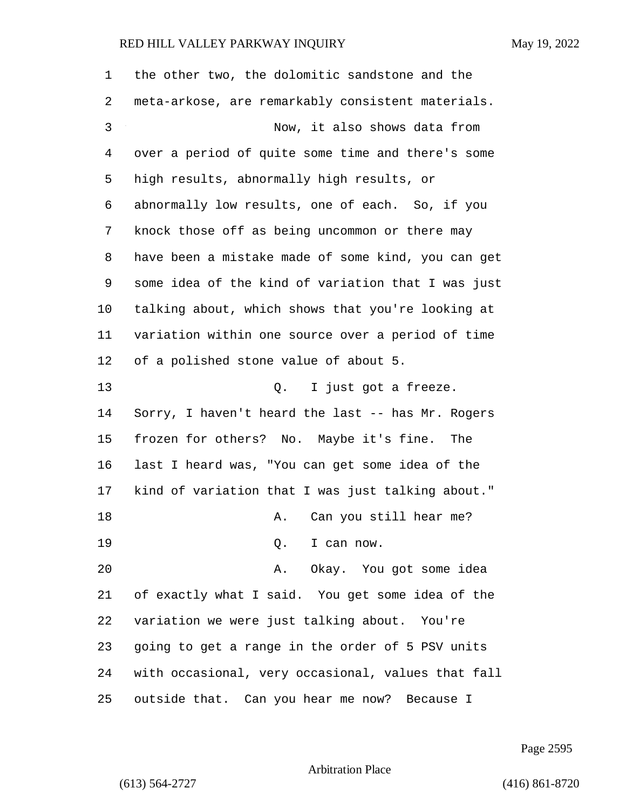| 1  | the other two, the dolomitic sandstone and the     |
|----|----------------------------------------------------|
| 2  | meta-arkose, are remarkably consistent materials.  |
| 3  | Now, it also shows data from                       |
| 4  | over a period of quite some time and there's some  |
| 5  | high results, abnormally high results, or          |
| 6  | abnormally low results, one of each. So, if you    |
| 7  | knock those off as being uncommon or there may     |
| 8  | have been a mistake made of some kind, you can get |
| 9  | some idea of the kind of variation that I was just |
| 10 | talking about, which shows that you're looking at  |
| 11 | variation within one source over a period of time  |
| 12 | of a polished stone value of about 5.              |
| 13 | Q. I just got a freeze.                            |
| 14 | Sorry, I haven't heard the last -- has Mr. Rogers  |
| 15 | frozen for others? No. Maybe it's fine. The        |
| 16 | last I heard was, "You can get some idea of the    |
| 17 | kind of variation that I was just talking about."  |
| 18 | Can you still hear me?<br>Α.                       |
| 19 | Q. I can now.                                      |
| 20 | A. Okay. You got some idea                         |
| 21 | of exactly what I said. You get some idea of the   |
| 22 | variation we were just talking about. You're       |
| 23 | going to get a range in the order of 5 PSV units   |
| 24 | with occasional, very occasional, values that fall |
| 25 | outside that. Can you hear me now? Because I       |

Page 2595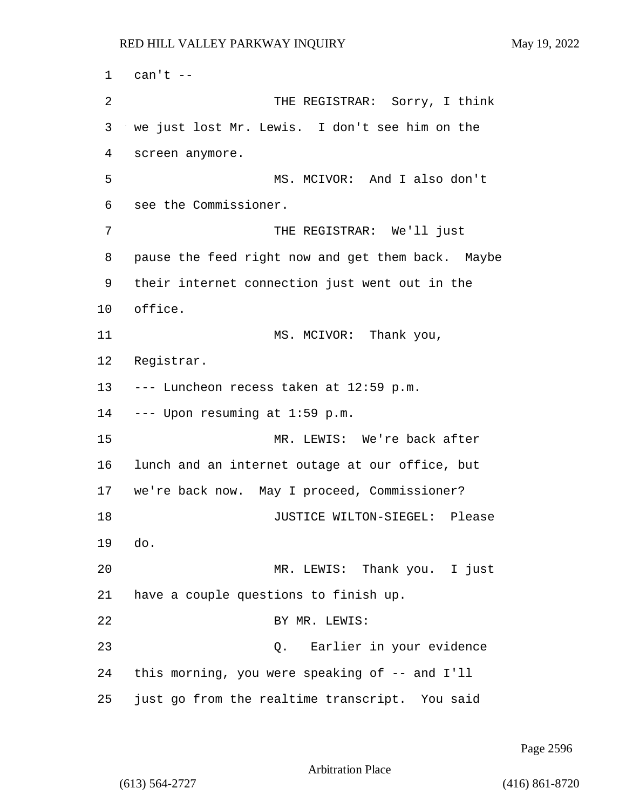1 can't -- 2 THE REGISTRAR: Sorry, I think 3 we just lost Mr. Lewis. I don't see him on the 4 screen anymore. 5 MS. MCIVOR: And I also don't 6 see the Commissioner. 7 THE REGISTRAR: We'll just 8 pause the feed right now and get them back. Maybe 9 their internet connection just went out in the 10 office. 11 MS. MCIVOR: Thank you, 12 Registrar. 13 --- Luncheon recess taken at 12:59 p.m. 14 --- Upon resuming at 1:59 p.m. 15 MR. LEWIS: We're back after 16 lunch and an internet outage at our office, but 17 we're back now. May I proceed, Commissioner? 18 JUSTICE WILTON-SIEGEL: Please 19 do. 20 MR. LEWIS: Thank you. I just 21 have a couple questions to finish up. 22 BY MR. LEWIS: 23 Q. Earlier in your evidence 24 this morning, you were speaking of -- and I'll 25 just go from the realtime transcript. You said

Page 2596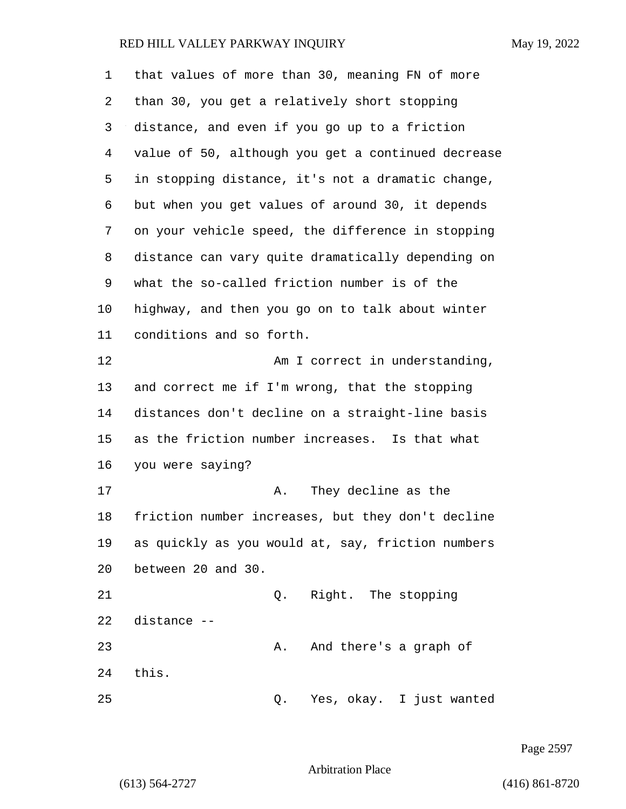| 1  | that values of more than 30, meaning FN of more    |
|----|----------------------------------------------------|
| 2  | than 30, you get a relatively short stopping       |
| 3  | distance, and even if you go up to a friction      |
| 4  | value of 50, although you get a continued decrease |
| 5  | in stopping distance, it's not a dramatic change,  |
| 6  | but when you get values of around 30, it depends   |
| 7  | on your vehicle speed, the difference in stopping  |
| 8  | distance can vary quite dramatically depending on  |
| 9  | what the so-called friction number is of the       |
| 10 | highway, and then you go on to talk about winter   |
| 11 | conditions and so forth.                           |
| 12 | Am I correct in understanding,                     |
| 13 | and correct me if I'm wrong, that the stopping     |
| 14 | distances don't decline on a straight-line basis   |
| 15 | as the friction number increases. Is that what     |
| 16 | you were saying?                                   |
| 17 | They decline as the<br>Α.                          |
| 18 | friction number increases, but they don't decline  |
| 19 | as quickly as you would at, say, friction numbers  |
| 20 | between 20 and 30.                                 |
| 21 | Right. The stopping<br>Q.                          |
| 22 | distance --                                        |
| 23 | And there's a graph of<br>Α.                       |
| 24 | this.                                              |
| 25 | Yes, okay. I just wanted<br>Q.                     |

Page 2597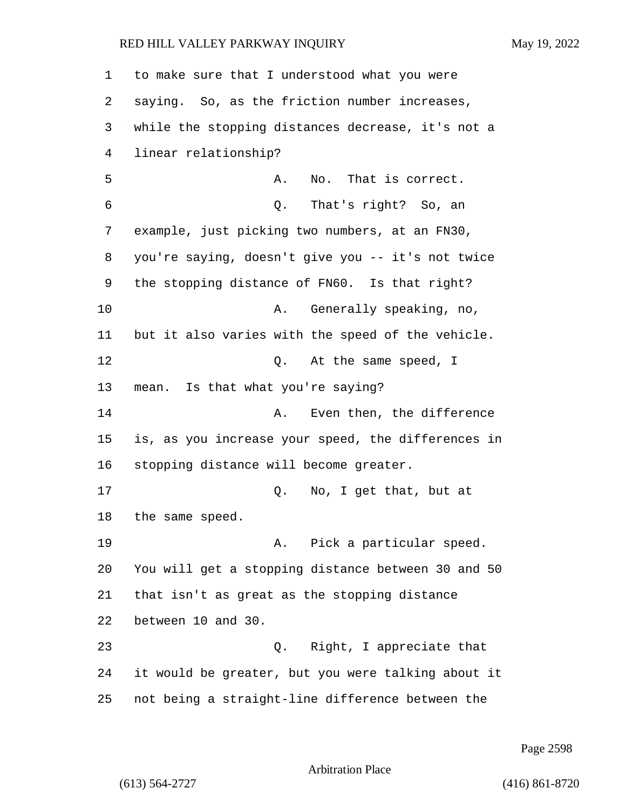to make sure that I understood what you were saying. So, as the friction number increases, while the stopping distances decrease, it's not a linear relationship? 5 A. No. That is correct. 6 Q. That's right? So, an example, just picking two numbers, at an FN30, you're saying, doesn't give you -- it's not twice the stopping distance of FN60. Is that right? 10 A. Generally speaking, no, but it also varies with the speed of the vehicle. 12 O. At the same speed, I mean. Is that what you're saying? **A.** Even then, the difference is, as you increase your speed, the differences in stopping distance will become greater. 17 Q. No, I get that, but at the same speed. 19 A. Pick a particular speed. You will get a stopping distance between 30 and 50 that isn't as great as the stopping distance between 10 and 30. 23 Q. Right, I appreciate that it would be greater, but you were talking about it not being a straight-line difference between the

Page 2598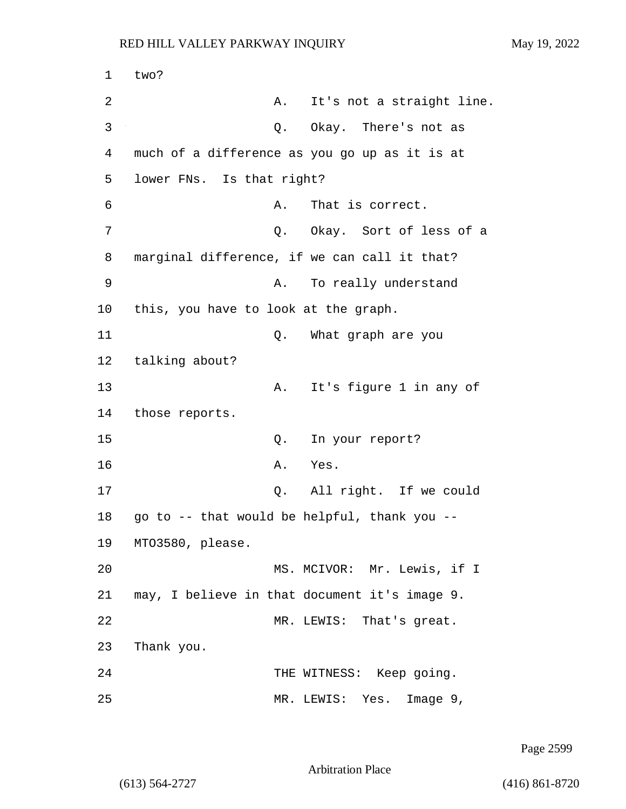1 two? 2 A. It's not a straight line. 3 Q. Okay. There's not as 4 much of a difference as you go up as it is at 5 lower FNs. Is that right? 6 A. That is correct. 7 C. Okay. Sort of less of a 8 marginal difference, if we can call it that? 9 A. To really understand 10 this, you have to look at the graph. 11 Q. What graph are you 12 talking about? 13 A. It's figure 1 in any of 14 those reports. 15 Q. In your report? 16 A. Yes. 17 Q. All right. If we could 18 go to -- that would be helpful, thank you -- 19 MTO3580, please. 20 MS. MCIVOR: Mr. Lewis, if I 21 may, I believe in that document it's image 9. 22 MR. LEWIS: That's great. 23 Thank you. 24 THE WITNESS: Keep going. 25 MR. LEWIS: Yes. Image 9,

Page 2599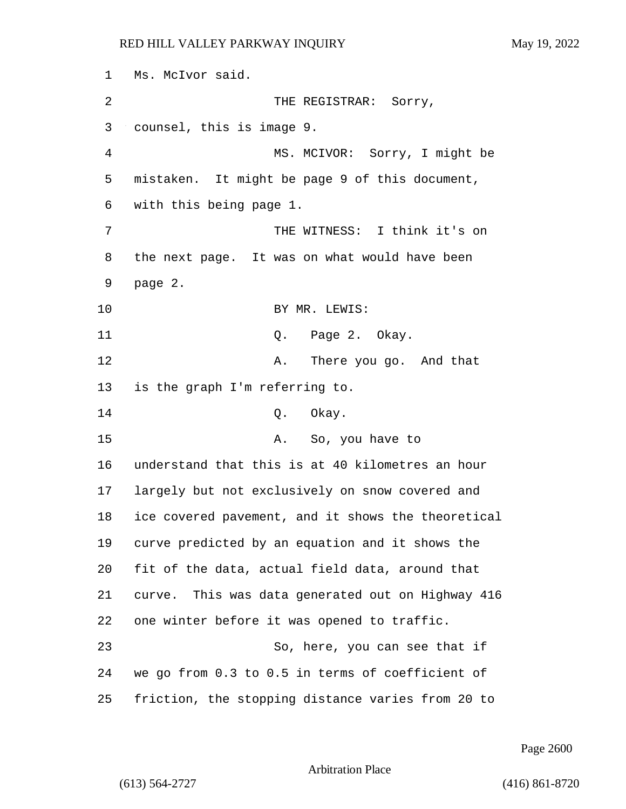1 Ms. McIvor said. 2 THE REGISTRAR: Sorry, 3 counsel, this is image 9. 4 MS. MCIVOR: Sorry, I might be 5 mistaken. It might be page 9 of this document, 6 with this being page 1. 7 THE WITNESS: I think it's on 8 the next page. It was on what would have been 9 page 2. 10 BY MR. LEWIS: 11 Q. Page 2. Okay. 12 A. There you go. And that 13 is the graph I'm referring to. 14 0. Okay. 15 A. So, you have to 16 understand that this is at 40 kilometres an hour 17 largely but not exclusively on snow covered and 18 ice covered pavement, and it shows the theoretical 19 curve predicted by an equation and it shows the 20 fit of the data, actual field data, around that 21 curve. This was data generated out on Highway 416 22 one winter before it was opened to traffic. 23 So, here, you can see that if 24 we go from 0.3 to 0.5 in terms of coefficient of 25 friction, the stopping distance varies from 20 to

Page 2600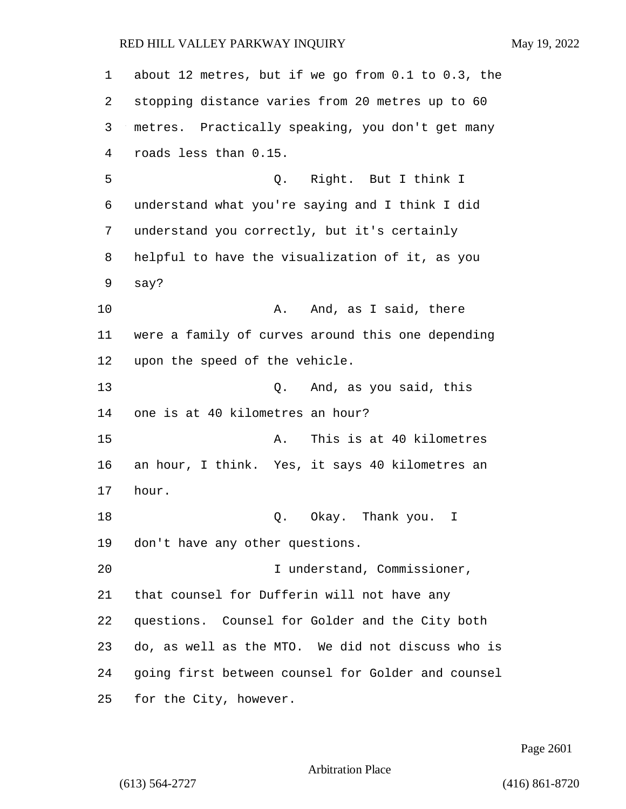about 12 metres, but if we go from 0.1 to 0.3, the stopping distance varies from 20 metres up to 60 metres. Practically speaking, you don't get many roads less than 0.15. 5 Q. Right. But I think I understand what you're saying and I think I did understand you correctly, but it's certainly helpful to have the visualization of it, as you say? 10 A. And, as I said, there were a family of curves around this one depending upon the speed of the vehicle. 13 Q. And, as you said, this one is at 40 kilometres an hour? 15 A. This is at 40 kilometres an hour, I think. Yes, it says 40 kilometres an hour. **Q.** Okay. Thank you. I don't have any other questions. 20 I understand, Commissioner, that counsel for Dufferin will not have any questions. Counsel for Golder and the City both do, as well as the MTO. We did not discuss who is going first between counsel for Golder and counsel for the City, however.

Page 2601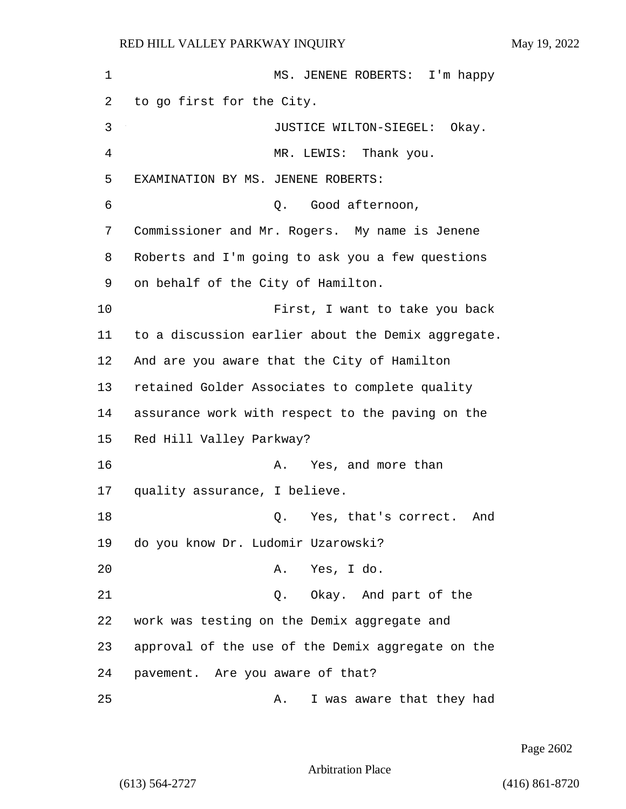1 MS. JENENE ROBERTS: I'm happy 2 to go first for the City. 3 JUSTICE WILTON-SIEGEL: Okay. 4 MR. LEWIS: Thank you. 5 EXAMINATION BY MS. JENENE ROBERTS: 6 Q. Good afternoon, 7 Commissioner and Mr. Rogers. My name is Jenene 8 Roberts and I'm going to ask you a few questions 9 on behalf of the City of Hamilton. 10 First, I want to take you back 11 to a discussion earlier about the Demix aggregate. 12 And are you aware that the City of Hamilton 13 retained Golder Associates to complete quality 14 assurance work with respect to the paving on the 15 Red Hill Valley Parkway? 16 A. Yes, and more than 17 quality assurance, I believe. 18 and 2. Yes, that's correct. And 19 do you know Dr. Ludomir Uzarowski? 20 A. Yes, I do. 21 Q. Okay. And part of the 22 work was testing on the Demix aggregate and 23 approval of the use of the Demix aggregate on the 24 pavement. Are you aware of that? 25 A. I was aware that they had

Page 2602

Arbitration Place

(613) 564-2727 (416) 861-8720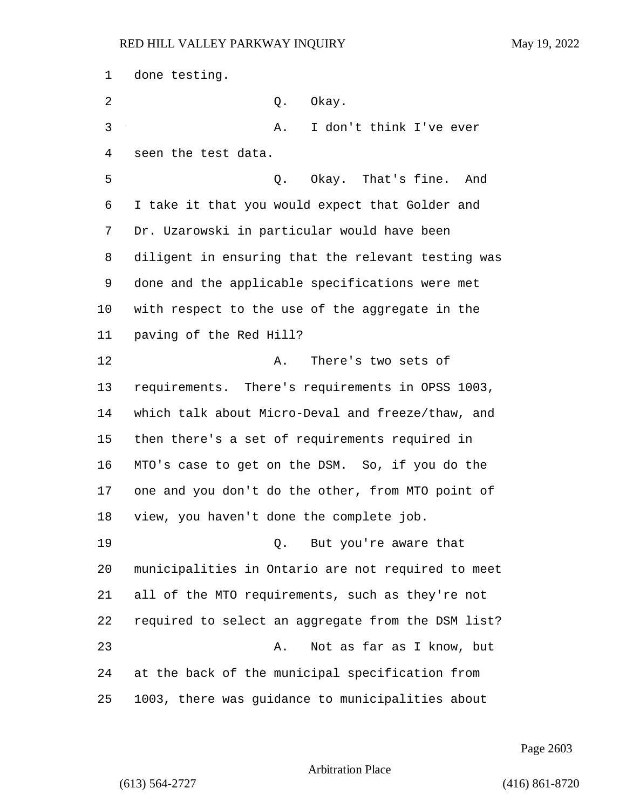done testing. 2 Q. Okay. 3 A. I don't think I've ever seen the test data. 5 Q. Okay. That's fine. And I take it that you would expect that Golder and Dr. Uzarowski in particular would have been diligent in ensuring that the relevant testing was done and the applicable specifications were met with respect to the use of the aggregate in the paving of the Red Hill? 12 A. There's two sets of requirements. There's requirements in OPSS 1003, which talk about Micro-Deval and freeze/thaw, and then there's a set of requirements required in MTO's case to get on the DSM. So, if you do the one and you don't do the other, from MTO point of view, you haven't done the complete job. 19 Q. But you're aware that municipalities in Ontario are not required to meet all of the MTO requirements, such as they're not required to select an aggregate from the DSM list? 23 A. Not as far as I know, but at the back of the municipal specification from 1003, there was guidance to municipalities about

Page 2603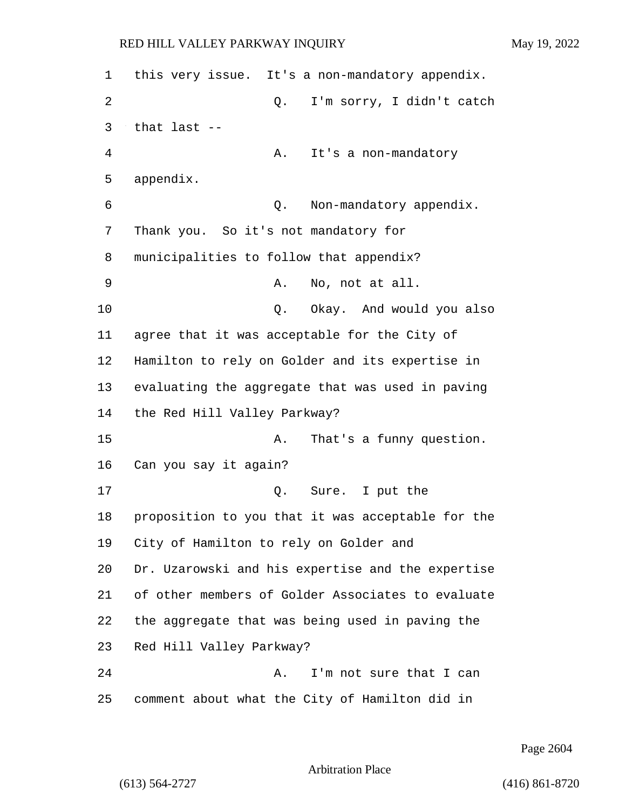| 1  | this very issue. It's a non-mandatory appendix.   |
|----|---------------------------------------------------|
| 2  | I'm sorry, I didn't catch<br>Q.                   |
| 3  | that last --                                      |
| 4  | It's a non-mandatory<br>Α.                        |
| 5  | appendix.                                         |
| 6  | Non-mandatory appendix.<br>Q.                     |
| 7  | Thank you. So it's not mandatory for              |
| 8  | municipalities to follow that appendix?           |
| 9  | No, not at all.<br>Α.                             |
| 10 | Okay. And would you also<br>Q.                    |
| 11 | agree that it was acceptable for the City of      |
| 12 | Hamilton to rely on Golder and its expertise in   |
| 13 | evaluating the aggregate that was used in paving  |
| 14 | the Red Hill Valley Parkway?                      |
| 15 | That's a funny question.<br>Α.                    |
| 16 | Can you say it again?                             |
| 17 | Sure. I put the<br>Q.                             |
| 18 | proposition to you that it was acceptable for the |
| 19 | City of Hamilton to rely on Golder and            |
| 20 | Dr. Uzarowski and his expertise and the expertise |
| 21 | of other members of Golder Associates to evaluate |
| 22 | the aggregate that was being used in paving the   |
| 23 | Red Hill Valley Parkway?                          |
| 24 | I'm not sure that I can<br>Α.                     |
| 25 | comment about what the City of Hamilton did in    |

Page 2604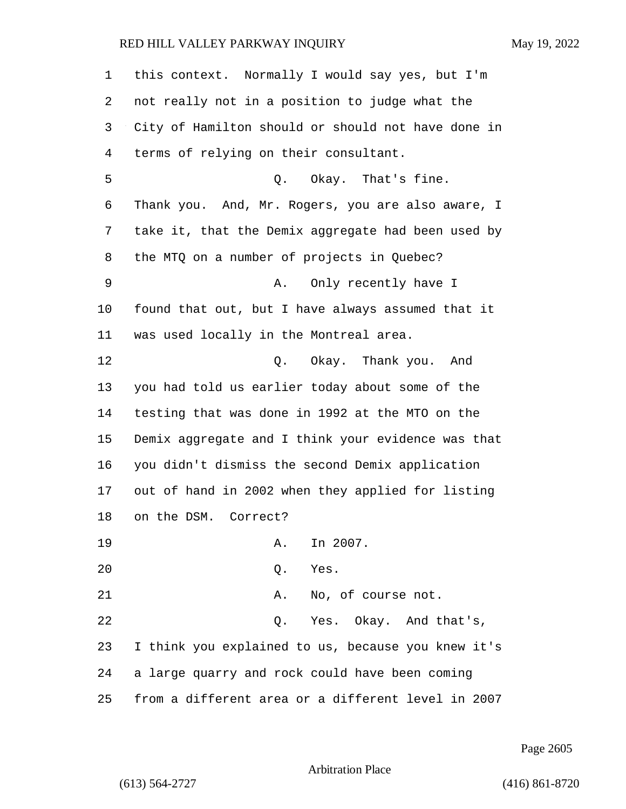| $\mathbf 1$ | this context. Normally I would say yes, but I'm    |
|-------------|----------------------------------------------------|
| 2           | not really not in a position to judge what the     |
| 3           | City of Hamilton should or should not have done in |
| 4           | terms of relying on their consultant.              |
| 5           | Q. Okay. That's fine.                              |
| 6           | Thank you. And, Mr. Rogers, you are also aware, I  |
| 7           | take it, that the Demix aggregate had been used by |
| 8           | the MTQ on a number of projects in Quebec?         |
| 9           | Only recently have I<br>Α.                         |
| 10          | found that out, but I have always assumed that it  |
| 11          | was used locally in the Montreal area.             |
| 12          | Q. Okay. Thank you. And                            |
| 13          | you had told us earlier today about some of the    |
| 14          | testing that was done in 1992 at the MTO on the    |
| 15          | Demix aggregate and I think your evidence was that |
| 16          | you didn't dismiss the second Demix application    |
| 17          | out of hand in 2002 when they applied for listing  |
| 18          | on the DSM. Correct?                               |
| 19          | In 2007.<br>Α.                                     |
| 20          | Yes.<br>Q.                                         |
| 21          | No, of course not.<br>Α.                           |
| 22          | Yes. Okay. And that's,<br>Q.                       |
| 23          | I think you explained to us, because you knew it's |
| 24          | a large quarry and rock could have been coming     |
| 25          | from a different area or a different level in 2007 |

Page 2605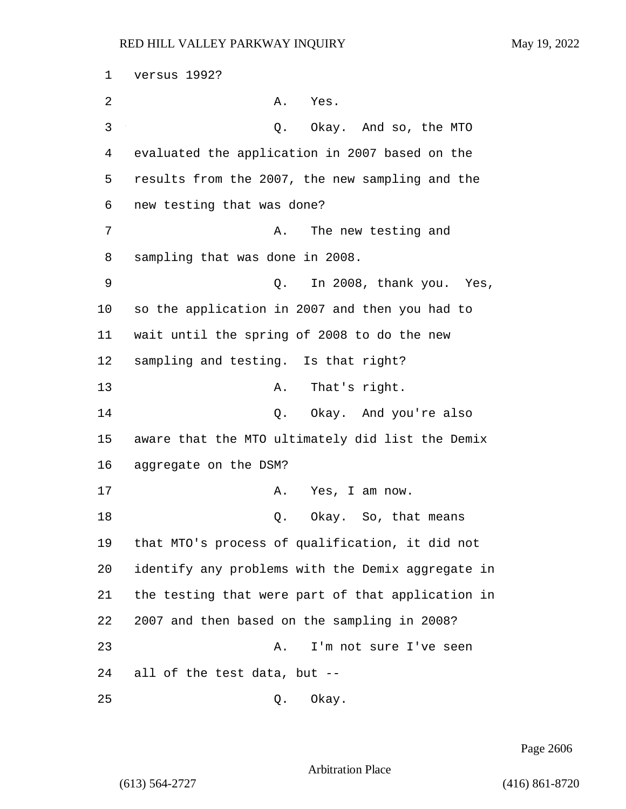versus 1992? 2 A. Yes. 3 Q. Okay. And so, the MTO evaluated the application in 2007 based on the results from the 2007, the new sampling and the new testing that was done? 7 A. The new testing and sampling that was done in 2008. 9 Q. In 2008, thank you. Yes, so the application in 2007 and then you had to wait until the spring of 2008 to do the new sampling and testing. Is that right? 13 A. That's right. 14 Q. Okay. And you're also aware that the MTO ultimately did list the Demix aggregate on the DSM? 17 A. Yes, I am now. 18 Q. Okay. So, that means that MTO's process of qualification, it did not identify any problems with the Demix aggregate in the testing that were part of that application in 2007 and then based on the sampling in 2008? 23 A. I'm not sure I've seen all of the test data, but --

25 Q. Okay.

Page 2606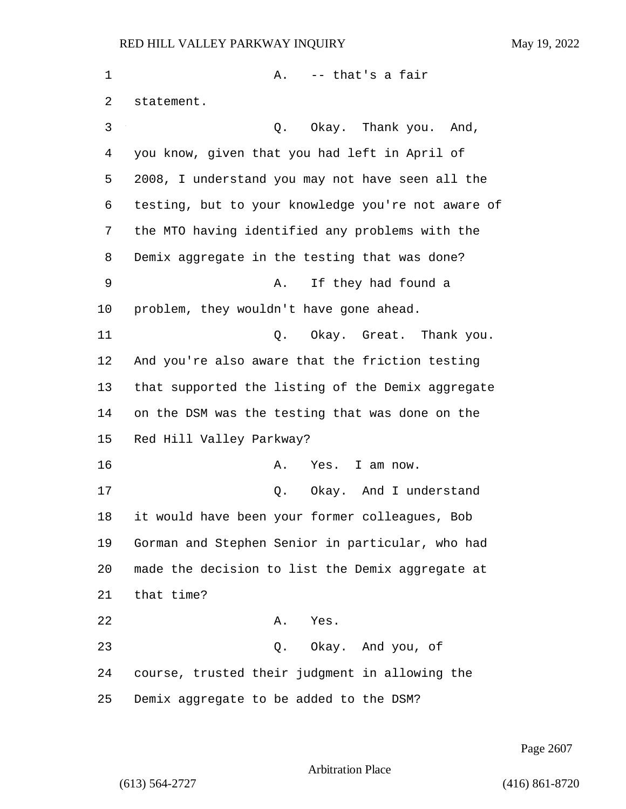1 A. -- that's a fair statement. 3 Q. Okay. Thank you. And, you know, given that you had left in April of 2008, I understand you may not have seen all the testing, but to your knowledge you're not aware of the MTO having identified any problems with the Demix aggregate in the testing that was done? 9 A. If they had found a problem, they wouldn't have gone ahead. 11 Q. Okay. Great. Thank you. And you're also aware that the friction testing that supported the listing of the Demix aggregate on the DSM was the testing that was done on the Red Hill Valley Parkway? 16 A. Yes. I am now. 17 and 1 Q. Okay. And I understand it would have been your former colleagues, Bob Gorman and Stephen Senior in particular, who had made the decision to list the Demix aggregate at that time? 22 A. Yes. 23 Q. Okay. And you, of course, trusted their judgment in allowing the Demix aggregate to be added to the DSM?

Page 2607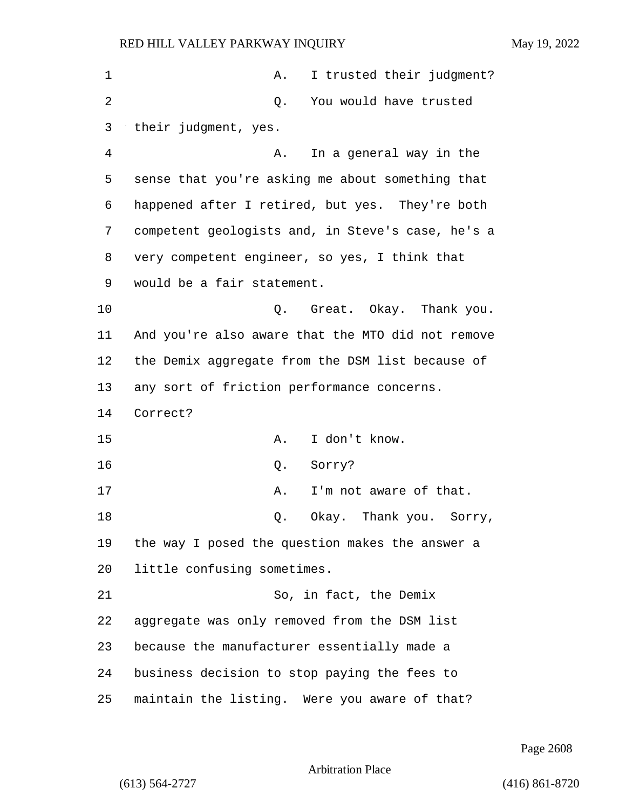| $\mathbf 1$ | I trusted their judgment?<br>Α.                   |
|-------------|---------------------------------------------------|
| 2           | You would have trusted<br>Q.                      |
| 3           | their judgment, yes.                              |
| 4           | In a general way in the<br>Α.                     |
| 5           | sense that you're asking me about something that  |
| 6           | happened after I retired, but yes. They're both   |
| 7           | competent geologists and, in Steve's case, he's a |
| 8           | very competent engineer, so yes, I think that     |
| 9           | would be a fair statement.                        |
| 10          | Great. Okay. Thank you.<br>Q.                     |
| 11          | And you're also aware that the MTO did not remove |
| 12          | the Demix aggregate from the DSM list because of  |
| 13          | any sort of friction performance concerns.        |
| 14          | Correct?                                          |
| 15          | I don't know.<br>Α.                               |
| 16          | Q.<br>Sorry?                                      |
| 17          | Α.<br>I'm not aware of that.                      |
| 18          | Okay. Thank you.<br>Q.<br>Sorry,                  |
| 19          | the way I posed the question makes the answer a   |
| 20          | little confusing sometimes.                       |
| 21          | So, in fact, the Demix                            |
| 22          | aggregate was only removed from the DSM list      |
| 23          | because the manufacturer essentially made a       |
| 24          | business decision to stop paying the fees to      |
| 25          | maintain the listing. Were you aware of that?     |

Page 2608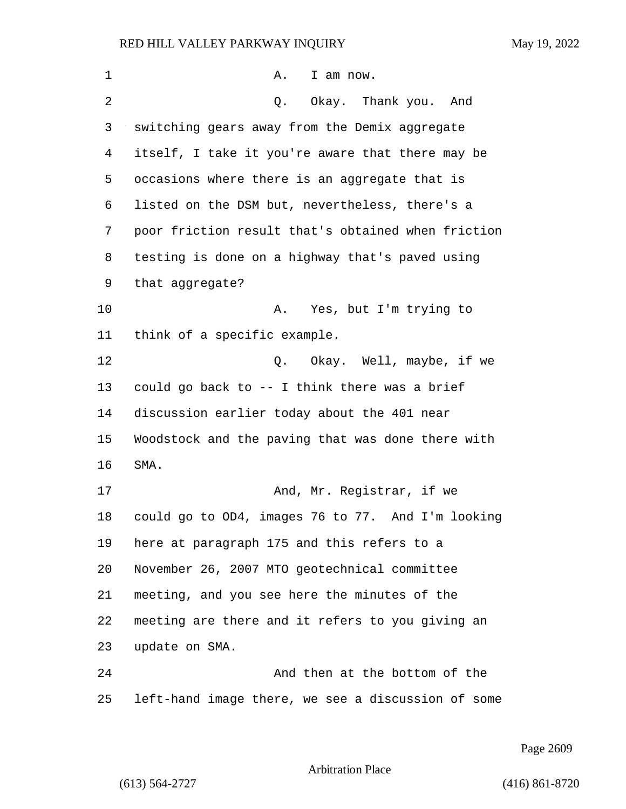| 1  | Α.<br>I am now.                                    |
|----|----------------------------------------------------|
| 2  | Okay. Thank you. And<br>Q.                         |
| 3  | switching gears away from the Demix aggregate      |
| 4  | itself, I take it you're aware that there may be   |
| 5  | occasions where there is an aggregate that is      |
| 6  | listed on the DSM but, nevertheless, there's a     |
| 7  | poor friction result that's obtained when friction |
| 8  | testing is done on a highway that's paved using    |
| 9  | that aggregate?                                    |
| 10 | Yes, but I'm trying to<br>Α.                       |
| 11 | think of a specific example.                       |
| 12 | Q. Okay. Well, maybe, if we                        |
| 13 | could go back to -- I think there was a brief      |
| 14 | discussion earlier today about the 401 near        |
| 15 | Woodstock and the paving that was done there with  |
| 16 | SMA.                                               |
| 17 | And, Mr. Registrar, if we                          |
| 18 | could go to OD4, images 76 to 77. And I'm looking  |
| 19 | here at paragraph 175 and this refers to a         |
| 20 | November 26, 2007 MTO geotechnical committee       |
| 21 | meeting, and you see here the minutes of the       |
| 22 | meeting are there and it refers to you giving an   |
| 23 | update on SMA.                                     |
| 24 | And then at the bottom of the                      |
| 25 | left-hand image there, we see a discussion of some |

Page 2609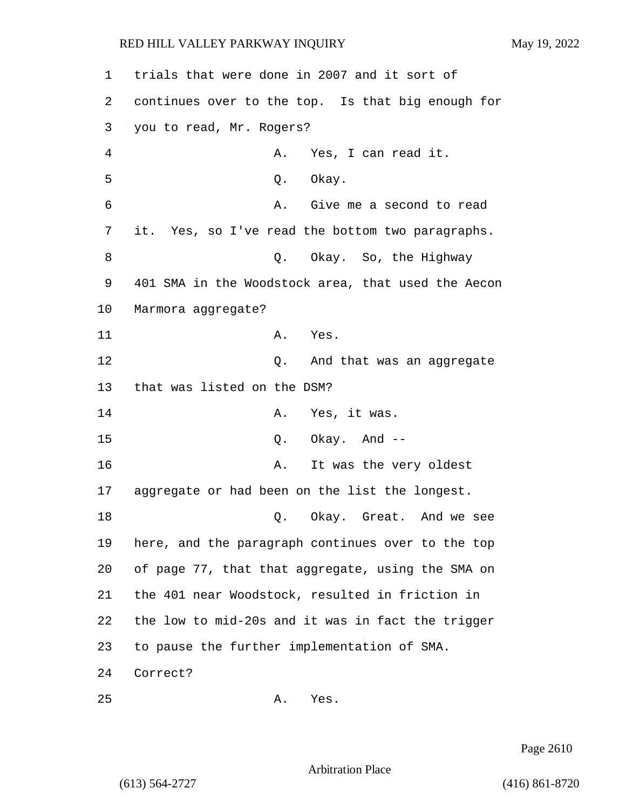| 1               | trials that were done in 2007 and it sort of       |
|-----------------|----------------------------------------------------|
| 2               | continues over to the top. Is that big enough for  |
| 3               | you to read, Mr. Rogers?                           |
| 4               | A. Yes, I can read it.                             |
| 5               | Q. Okay.                                           |
| 6               | A. Give me a second to read                        |
| 7               | it. Yes, so I've read the bottom two paragraphs.   |
| 8               | Q. Okay. So, the Highway                           |
| 9               | 401 SMA in the Woodstock area, that used the Aecon |
| 10              | Marmora aggregate?                                 |
| 11              | A. Yes.                                            |
| 12              | Q. And that was an aggregate                       |
| 13              | that was listed on the DSM?                        |
| 14              | A. Yes, it was.                                    |
| 15              | $Q.$ Okay. And $-$                                 |
| 16              | It was the very oldest<br>Α.                       |
| 17 <sub>2</sub> | aggregate or had been on the list the longest.     |
| 18              | Okay. Great. And we see<br>Q.                      |
| 19              | here, and the paragraph continues over to the top  |
| 20              | of page 77, that that aggregate, using the SMA on  |
| 21              | the 401 near Woodstock, resulted in friction in    |
| 22              | the low to mid-20s and it was in fact the trigger  |
| 23              | to pause the further implementation of SMA.        |
| 24              | Correct?                                           |
| 25              | Yes.<br>Α.                                         |

Page 2610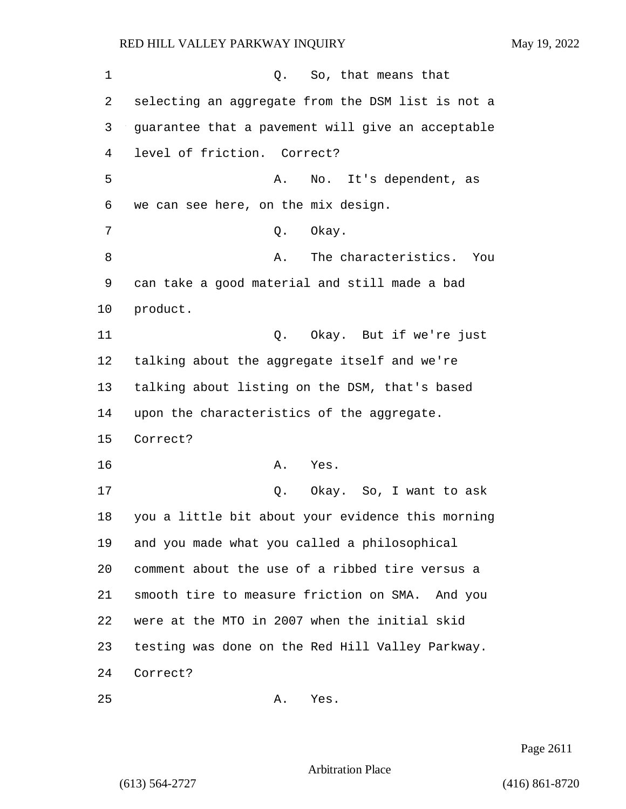1 C. So, that means that 2 selecting an aggregate from the DSM list is not a 3 guarantee that a pavement will give an acceptable 4 level of friction. Correct? 5 A. No. It's dependent, as 6 we can see here, on the mix design. 7 O. Okay. 8 a. The characteristics. You 9 can take a good material and still made a bad 10 product. 11 Q. Okay. But if we're just 12 talking about the aggregate itself and we're 13 talking about listing on the DSM, that's based 14 upon the characteristics of the aggregate. 15 Correct? 16 A. Yes. 17 Q. Okay. So, I want to ask 18 you a little bit about your evidence this morning 19 and you made what you called a philosophical 20 comment about the use of a ribbed tire versus a 21 smooth tire to measure friction on SMA. And you 22 were at the MTO in 2007 when the initial skid 23 testing was done on the Red Hill Valley Parkway. 24 Correct?

25 A. Yes.

Page 2611

Arbitration Place

(613) 564-2727 (416) 861-8720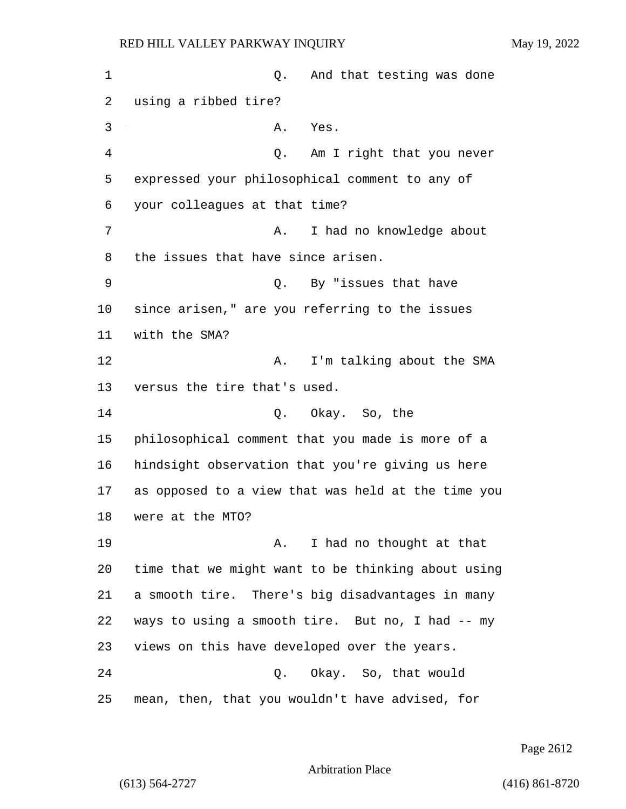1 and that testing was done using a ribbed tire? 3 A. Yes. 4 Q. Am I right that you never expressed your philosophical comment to any of your colleagues at that time? 7 A. I had no knowledge about the issues that have since arisen. 9 Q. By "issues that have since arisen," are you referring to the issues with the SMA? 12 A. I'm talking about the SMA versus the tire that's used. 14 Q. Okay. So, the philosophical comment that you made is more of a hindsight observation that you're giving us here as opposed to a view that was held at the time you were at the MTO? 19 A. I had no thought at that time that we might want to be thinking about using a smooth tire. There's big disadvantages in many ways to using a smooth tire. But no, I had -- my views on this have developed over the years. 24 Q. Okay. So, that would mean, then, that you wouldn't have advised, for

Page 2612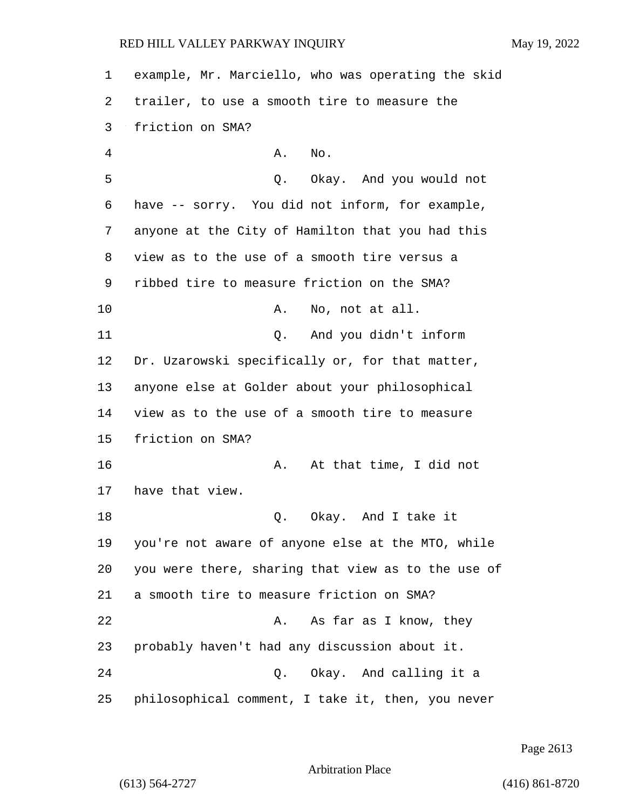example, Mr. Marciello, who was operating the skid trailer, to use a smooth tire to measure the friction on SMA? 4 A. No. 5 Q. Okay. And you would not have -- sorry. You did not inform, for example, anyone at the City of Hamilton that you had this view as to the use of a smooth tire versus a ribbed tire to measure friction on the SMA? 10 A. No, not at all. 11 Q. And you didn't inform Dr. Uzarowski specifically or, for that matter, anyone else at Golder about your philosophical view as to the use of a smooth tire to measure friction on SMA? 16 A. At that time, I did not have that view. 18 Q. Okay. And I take it you're not aware of anyone else at the MTO, while you were there, sharing that view as to the use of a smooth tire to measure friction on SMA? 22 A. As far as I know, they probably haven't had any discussion about it. 24 Q. Okay. And calling it a philosophical comment, I take it, then, you never

Page 2613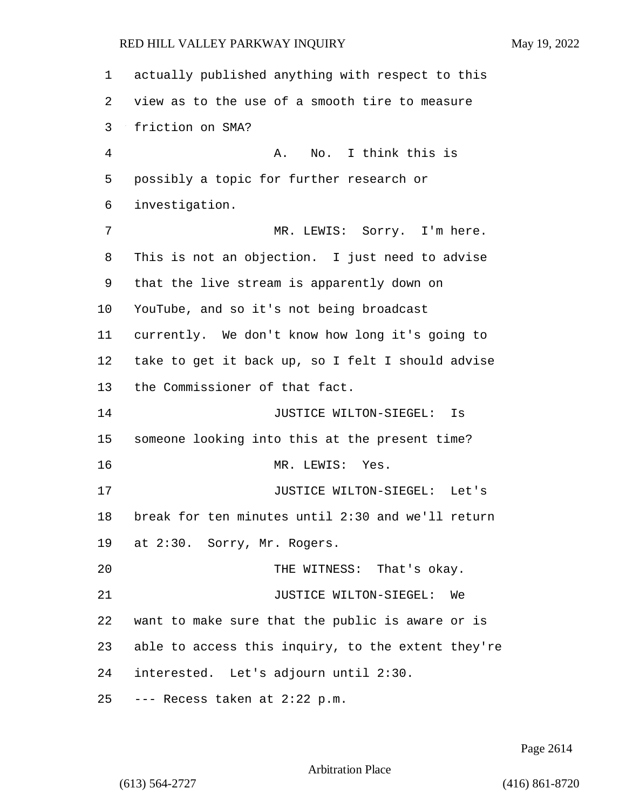actually published anything with respect to this view as to the use of a smooth tire to measure friction on SMA? 4 A. No. I think this is possibly a topic for further research or investigation. 7 MR. LEWIS: Sorry. I'm here. This is not an objection. I just need to advise that the live stream is apparently down on YouTube, and so it's not being broadcast currently. We don't know how long it's going to take to get it back up, so I felt I should advise the Commissioner of that fact. 14 JUSTICE WILTON-SIEGEL: Is someone looking into this at the present time? 16 MR. LEWIS: Yes. 17 JUSTICE WILTON-SIEGEL: Let's break for ten minutes until 2:30 and we'll return at 2:30. Sorry, Mr. Rogers. 20 THE WITNESS: That's okay. 21 JUSTICE WILTON-SIEGEL: We want to make sure that the public is aware or is able to access this inquiry, to the extent they're interested. Let's adjourn until 2:30. --- Recess taken at 2:22 p.m.

Page 2614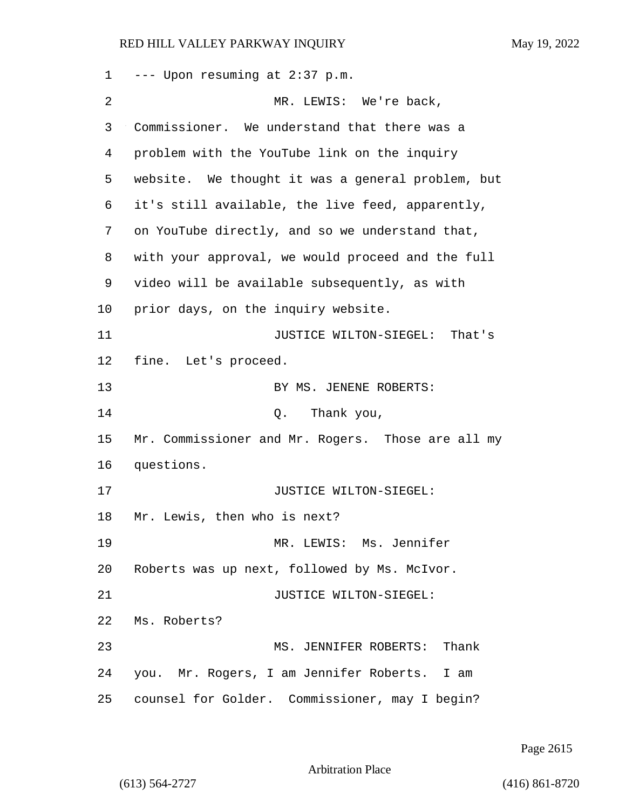--- Upon resuming at 2:37 p.m. 2 MR. LEWIS: We're back, Commissioner. We understand that there was a problem with the YouTube link on the inquiry website. We thought it was a general problem, but it's still available, the live feed, apparently, on YouTube directly, and so we understand that, with your approval, we would proceed and the full video will be available subsequently, as with prior days, on the inquiry website. 11 JUSTICE WILTON-SIEGEL: That's fine. Let's proceed. 13 BY MS. JENENE ROBERTS: 14 Q. Thank you, Mr. Commissioner and Mr. Rogers. Those are all my questions. **JUSTICE WILTON-SIEGEL:**  Mr. Lewis, then who is next? 19 MR. LEWIS: Ms. Jennifer Roberts was up next, followed by Ms. McIvor. 21 JUSTICE WILTON-SIEGEL: Ms. Roberts? 23 MS. JENNIFER ROBERTS: Thank you. Mr. Rogers, I am Jennifer Roberts. I am counsel for Golder. Commissioner, may I begin?

Page 2615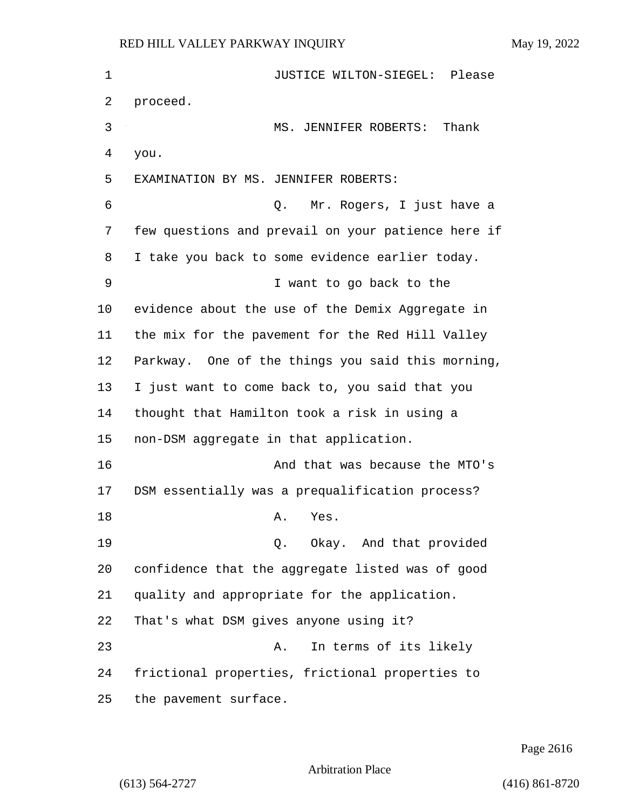| $\mathbf 1$ | JUSTICE WILTON-SIEGEL: Please                      |
|-------------|----------------------------------------------------|
| 2           | proceed.                                           |
| 3           | MS. JENNIFER ROBERTS:<br>Thank                     |
| 4           | you.                                               |
| 5           | EXAMINATION BY MS. JENNIFER ROBERTS:               |
| 6           | Mr. Rogers, I just have a<br>Q.                    |
| 7           | few questions and prevail on your patience here if |
| 8           | I take you back to some evidence earlier today.    |
| 9           | I want to go back to the                           |
| 10          | evidence about the use of the Demix Aggregate in   |
| 11          | the mix for the pavement for the Red Hill Valley   |
| 12          | Parkway. One of the things you said this morning,  |
| 13          | I just want to come back to, you said that you     |
| 14          | thought that Hamilton took a risk in using a       |
| 15          | non-DSM aggregate in that application.             |
| 16          | And that was because the MTO's                     |
| 17          | DSM essentially was a prequalification process?    |
| 18          | Yes.<br>Α.                                         |
| 19          | Okay. And that provided<br>Q.                      |
| 20          | confidence that the aggregate listed was of good   |
| 21          | quality and appropriate for the application.       |
| 22          | That's what DSM gives anyone using it?             |
| 23          | In terms of its likely<br>Α.                       |
| 24          | frictional properties, frictional properties to    |
| 25          | the pavement surface.                              |

Page 2616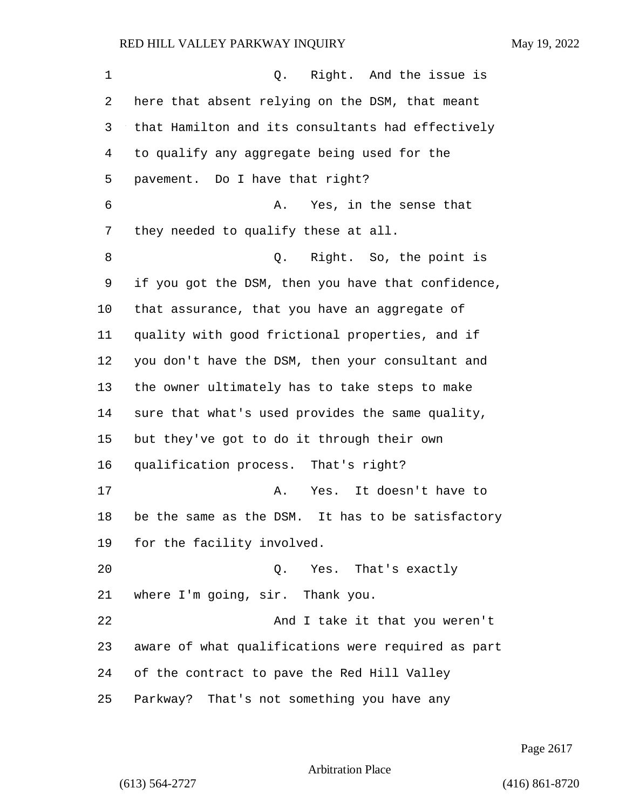1 C. Right. And the issue is here that absent relying on the DSM, that meant that Hamilton and its consultants had effectively to qualify any aggregate being used for the pavement. Do I have that right? 6 A. Yes, in the sense that they needed to qualify these at all. 8 and 2. Right. So, the point is if you got the DSM, then you have that confidence, that assurance, that you have an aggregate of quality with good frictional properties, and if you don't have the DSM, then your consultant and the owner ultimately has to take steps to make sure that what's used provides the same quality, but they've got to do it through their own qualification process. That's right? 17 A. Yes. It doesn't have to be the same as the DSM. It has to be satisfactory for the facility involved. 20 Q. Yes. That's exactly where I'm going, sir. Thank you. 22 And I take it that you weren't aware of what qualifications were required as part of the contract to pave the Red Hill Valley Parkway? That's not something you have any

Page 2617

Arbitration Place

(613) 564-2727 (416) 861-8720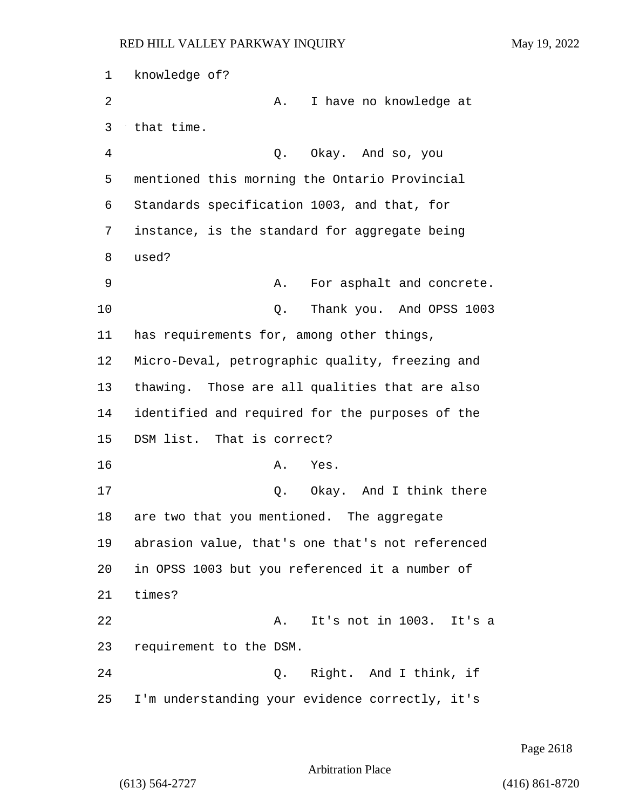1 knowledge of? 2 A. I have no knowledge at 3 that time. 4 Q. Okay. And so, you 5 mentioned this morning the Ontario Provincial 6 Standards specification 1003, and that, for 7 instance, is the standard for aggregate being 8 used? 9 A. For asphalt and concrete. 10 Q. Thank you. And OPSS 1003 11 has requirements for, among other things, 12 Micro-Deval, petrographic quality, freezing and 13 thawing. Those are all qualities that are also 14 identified and required for the purposes of the 15 DSM list. That is correct? 16 A. Yes. 17 Q. Okay. And I think there 18 are two that you mentioned. The aggregate 19 abrasion value, that's one that's not referenced 20 in OPSS 1003 but you referenced it a number of 21 times? 22 A. It's not in 1003. It's a 23 requirement to the DSM. 24 Q. Right. And I think, if 25 I'm understanding your evidence correctly, it's

Page 2618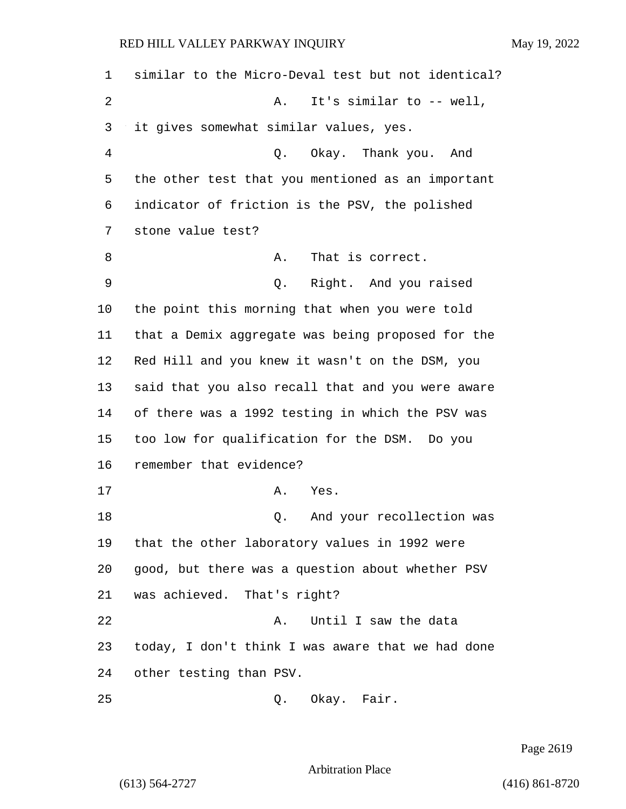similar to the Micro-Deval test but not identical? 2 A. It's similar to -- well, it gives somewhat similar values, yes. 4 Q. Okay. Thank you. And the other test that you mentioned as an important indicator of friction is the PSV, the polished stone value test? 8 A. That is correct. 9 Q. Right. And you raised the point this morning that when you were told that a Demix aggregate was being proposed for the Red Hill and you knew it wasn't on the DSM, you said that you also recall that and you were aware of there was a 1992 testing in which the PSV was too low for qualification for the DSM. Do you remember that evidence? 17 A. Yes. 18 and your recollection was that the other laboratory values in 1992 were good, but there was a question about whether PSV was achieved. That's right? 22 A. Until I saw the data today, I don't think I was aware that we had done other testing than PSV. 25 O. Okay. Fair.

Page 2619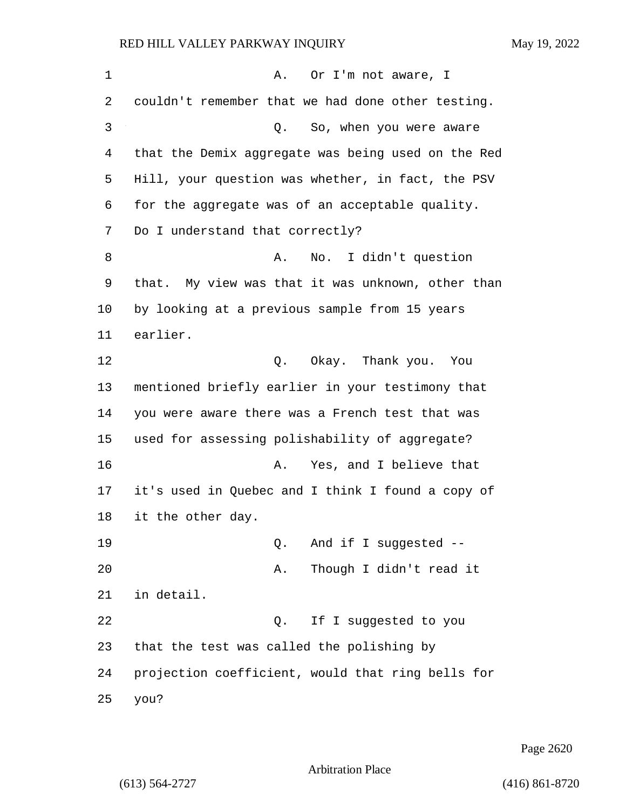| 1  | Or I'm not aware, I<br>Α.                          |
|----|----------------------------------------------------|
| 2  | couldn't remember that we had done other testing.  |
| 3  | So, when you were aware<br>Q.                      |
| 4  | that the Demix aggregate was being used on the Red |
| 5  | Hill, your question was whether, in fact, the PSV  |
| 6  | for the aggregate was of an acceptable quality.    |
| 7  | Do I understand that correctly?                    |
| 8  | No. I didn't question<br>Α.                        |
| 9  | that. My view was that it was unknown, other than  |
| 10 | by looking at a previous sample from 15 years      |
| 11 | earlier.                                           |
| 12 | Q. Okay. Thank you. You                            |
| 13 | mentioned briefly earlier in your testimony that   |
| 14 | you were aware there was a French test that was    |
| 15 | used for assessing polishability of aggregate?     |
| 16 | Yes, and I believe that<br>Α.                      |
| 17 | it's used in Quebec and I think I found a copy of  |
| 18 | it the other day.                                  |
| 19 | And if I suggested --<br>Q.                        |
| 20 | Though I didn't read it<br>Α.                      |
| 21 | in detail.                                         |
| 22 | If I suggested to you<br>Q.                        |
| 23 | that the test was called the polishing by          |
| 24 | projection coefficient, would that ring bells for  |
| 25 | you?                                               |

Page 2620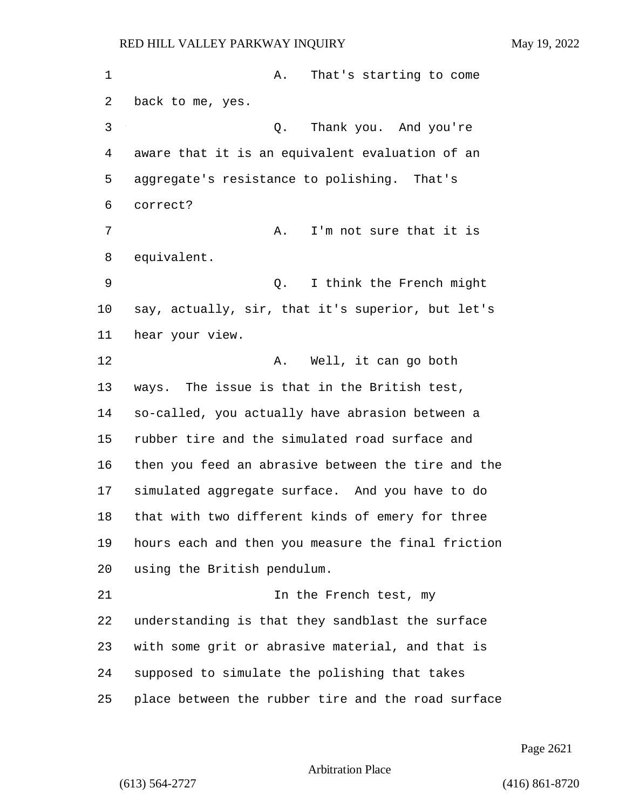1 A. That's starting to come back to me, yes. 3 Q. Thank you. And you're aware that it is an equivalent evaluation of an aggregate's resistance to polishing. That's correct? 7 A. I'm not sure that it is equivalent. 9 Q. I think the French might say, actually, sir, that it's superior, but let's hear your view. 12 A. Well, it can go both ways. The issue is that in the British test, so-called, you actually have abrasion between a rubber tire and the simulated road surface and then you feed an abrasive between the tire and the simulated aggregate surface. And you have to do that with two different kinds of emery for three hours each and then you measure the final friction using the British pendulum. 21 In the French test, my understanding is that they sandblast the surface with some grit or abrasive material, and that is supposed to simulate the polishing that takes place between the rubber tire and the road surface

Page 2621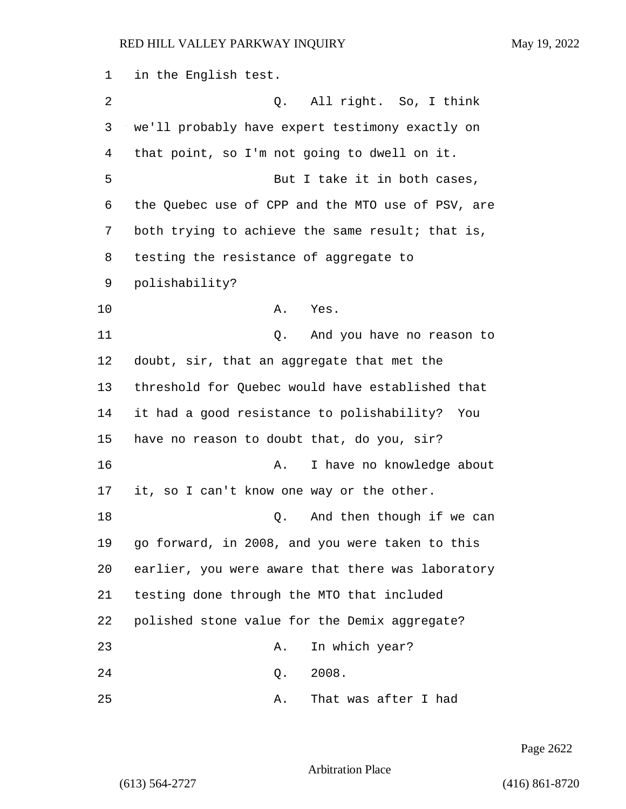in the English test. 2 Q. All right. So, I think we'll probably have expert testimony exactly on that point, so I'm not going to dwell on it. 5 But I take it in both cases, the Quebec use of CPP and the MTO use of PSV, are both trying to achieve the same result; that is, testing the resistance of aggregate to polishability? 10 A. Yes. 11 Q. And you have no reason to doubt, sir, that an aggregate that met the threshold for Quebec would have established that it had a good resistance to polishability? You have no reason to doubt that, do you, sir? 16 A. I have no knowledge about it, so I can't know one way or the other. 18 and then though if we can go forward, in 2008, and you were taken to this earlier, you were aware that there was laboratory testing done through the MTO that included polished stone value for the Demix aggregate? 23 A. In which year? 24 Q. 2008. 25 A. That was after I had

Page 2622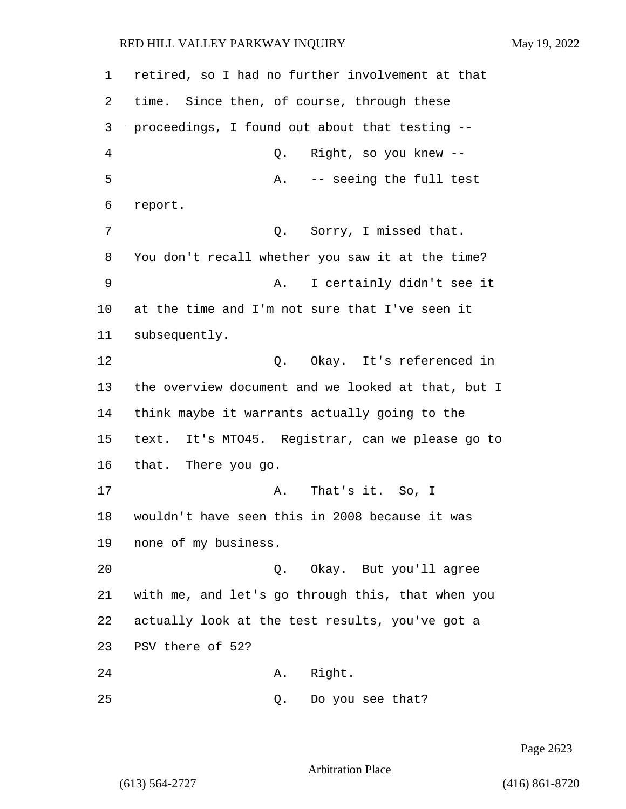1 retired, so I had no further involvement at that 2 time. Since then, of course, through these 3 proceedings, I found out about that testing -- 4 Q. Right, so you knew -- 5 A. -- seeing the full test 6 report. 7 C. Sorry, I missed that. 8 You don't recall whether you saw it at the time? 9 A. I certainly didn't see it 10 at the time and I'm not sure that I've seen it 11 subsequently. 12 C. Okay. It's referenced in 13 the overview document and we looked at that, but I 14 think maybe it warrants actually going to the 15 text. It's MTO45. Registrar, can we please go to 16 that. There you go. 17 A. That's it. So, I 18 wouldn't have seen this in 2008 because it was 19 none of my business. 20 Q. Okay. But you'll agree 21 with me, and let's go through this, that when you 22 actually look at the test results, you've got a 23 PSV there of 52? 24 A. Right. 25 Q. Do you see that?

Page 2623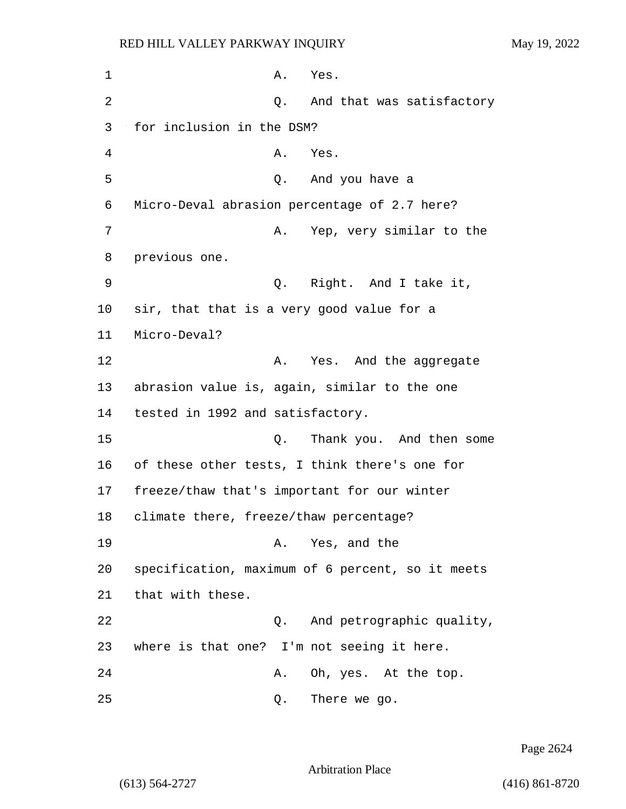1 A. Yes. 2 and that was satisfactory 3 for inclusion in the DSM? 4 A. Yes. 5 Q. And you have a 6 Micro-Deval abrasion percentage of 2.7 here? 7 A. Yep, very similar to the 8 previous one. 9 Q. Right. And I take it, 10 sir, that that is a very good value for a 11 Micro-Deval? 12 A. Yes. And the aggregate 13 abrasion value is, again, similar to the one 14 tested in 1992 and satisfactory. 15 Q. Thank you. And then some 16 of these other tests, I think there's one for 17 freeze/thaw that's important for our winter 18 climate there, freeze/thaw percentage? 19 A. Yes, and the 20 specification, maximum of 6 percent, so it meets 21 that with these. 22 Q. And petrographic quality, 23 where is that one? I'm not seeing it here. 24 A. Oh, yes. At the top. 25 Q. There we go.

Page 2624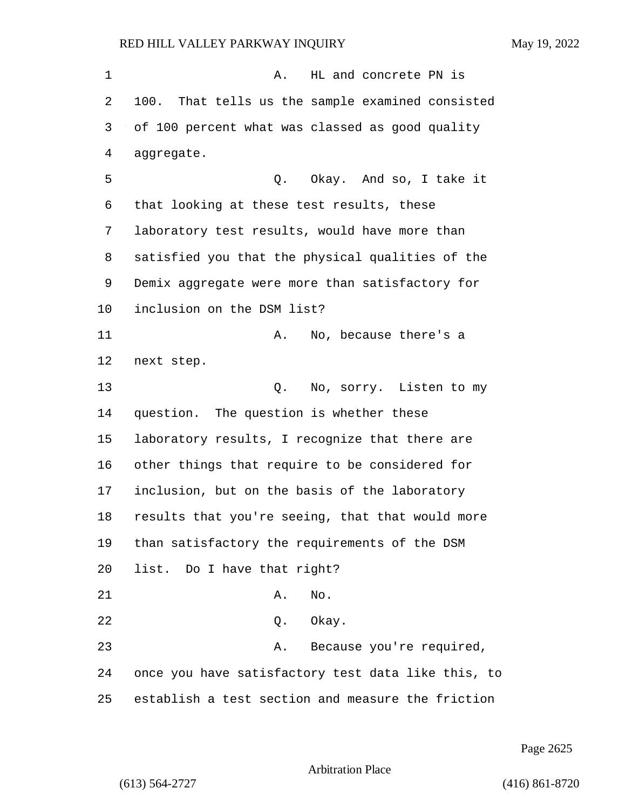RED HILL VALLEY PARKWAY INQUIRY May 19, 2022 1 A. HL and concrete PN is 100. That tells us the sample examined consisted of 100 percent what was classed as good quality aggregate. 5 Q. Okay. And so, I take it that looking at these test results, these laboratory test results, would have more than satisfied you that the physical qualities of the Demix aggregate were more than satisfactory for inclusion on the DSM list? 11 A. No, because there's a next step. 13 Q. No, sorry. Listen to my question. The question is whether these laboratory results, I recognize that there are other things that require to be considered for inclusion, but on the basis of the laboratory results that you're seeing, that that would more than satisfactory the requirements of the DSM list. Do I have that right? 21 A. No. 22 Q. Okay. 23 A. Because you're required, once you have satisfactory test data like this, to establish a test section and measure the friction

Page 2625

Arbitration Place

(613) 564-2727 (416) 861-8720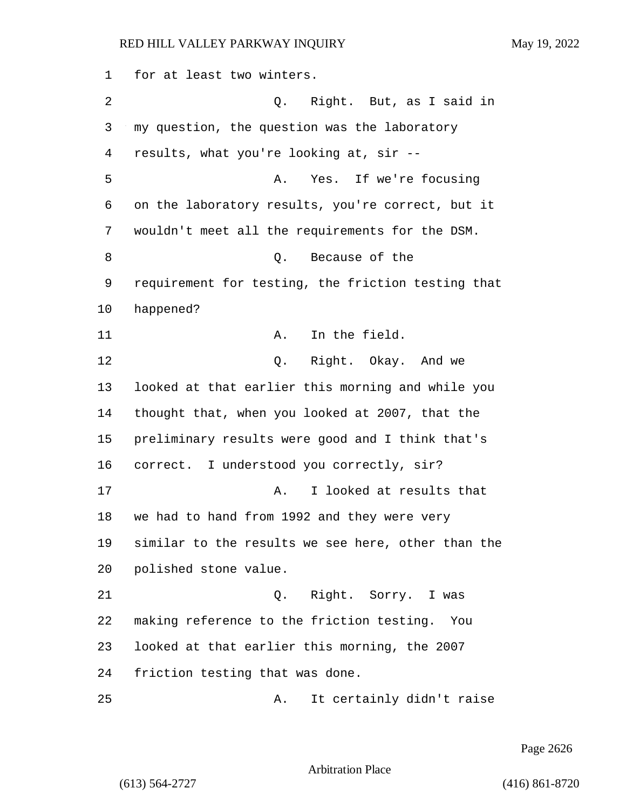for at least two winters. 2 Q. Right. But, as I said in my question, the question was the laboratory results, what you're looking at, sir -- 5 A. Yes. If we're focusing on the laboratory results, you're correct, but it wouldn't meet all the requirements for the DSM. 8 a Q. Because of the requirement for testing, the friction testing that happened? 11 A. In the field. 12 Q. Right. Okay. And we looked at that earlier this morning and while you thought that, when you looked at 2007, that the preliminary results were good and I think that's correct. I understood you correctly, sir? 17 A. I looked at results that we had to hand from 1992 and they were very similar to the results we see here, other than the polished stone value. 21 Q. Right. Sorry. I was making reference to the friction testing. You looked at that earlier this morning, the 2007 friction testing that was done. 25 A. It certainly didn't raise

Page 2626

Arbitration Place

(613) 564-2727 (416) 861-8720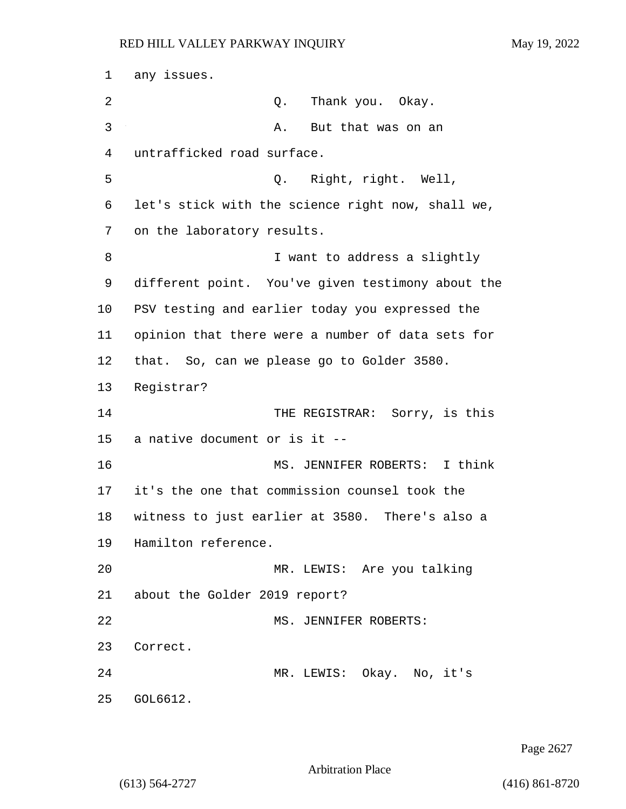1 any issues. 2 Q. Thank you. Okay. 3 A. But that was on an 4 untrafficked road surface. 5 Q. Right, right. Well, 6 let's stick with the science right now, shall we, 7 on the laboratory results. 8 I want to address a slightly 9 different point. You've given testimony about the 10 PSV testing and earlier today you expressed the 11 opinion that there were a number of data sets for 12 that. So, can we please go to Golder 3580. 13 Registrar? 14 THE REGISTRAR: Sorry, is this 15 a native document or is it -- 16 MS. JENNIFER ROBERTS: I think 17 it's the one that commission counsel took the 18 witness to just earlier at 3580. There's also a 19 Hamilton reference. 20 MR. LEWIS: Are you talking 21 about the Golder 2019 report? 22 MS. JENNIFER ROBERTS: 23 Correct. 24 MR. LEWIS: Okay. No, it's 25 GOL6612.

Page 2627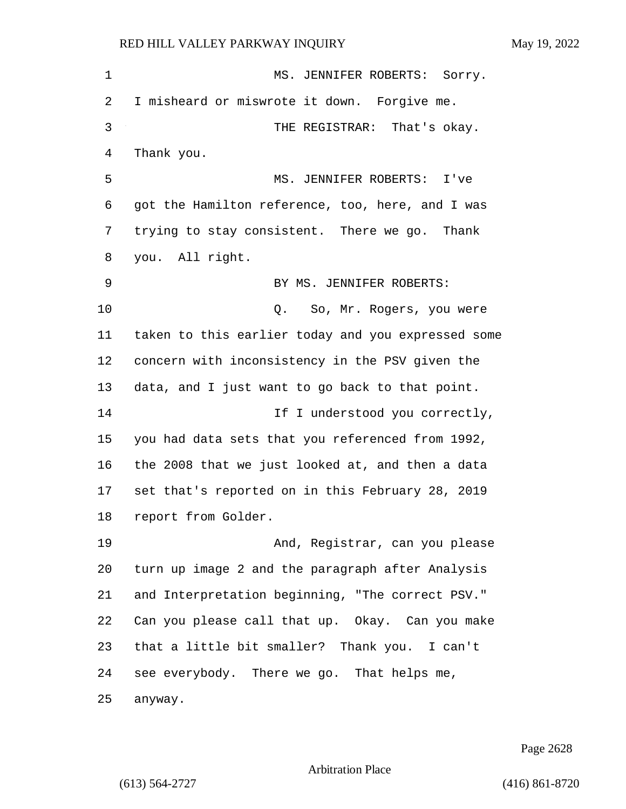| $\mathbf 1$ | MS. JENNIFER ROBERTS: Sorry.                       |
|-------------|----------------------------------------------------|
| 2           | I misheard or miswrote it down. Forgive me.        |
| 3           | THE REGISTRAR: That's okay.                        |
| 4           | Thank you.                                         |
| 5           | MS. JENNIFER ROBERTS: I've                         |
| 6           | got the Hamilton reference, too, here, and I was   |
| 7           | trying to stay consistent. There we go. Thank      |
| 8           | you. All right.                                    |
| 9           | BY MS. JENNIFER ROBERTS:                           |
| 10          | So, Mr. Rogers, you were<br>Q.                     |
| 11          | taken to this earlier today and you expressed some |
| 12          | concern with inconsistency in the PSV given the    |
| 13          | data, and I just want to go back to that point.    |
| 14          | If I understood you correctly,                     |
| 15          | you had data sets that you referenced from 1992,   |
| 16          | the 2008 that we just looked at, and then a data   |
| 17          | set that's reported on in this February 28, 2019   |
| 18          | report from Golder.                                |
| 19          | And, Registrar, can you please                     |
| 20          | turn up image 2 and the paragraph after Analysis   |
| 21          | and Interpretation beginning, "The correct PSV."   |
| 22          | Can you please call that up. Okay. Can you make    |
| 23          | that a little bit smaller? Thank you. I can't      |
| 24          | see everybody. There we go. That helps me,         |
| 25          | anyway.                                            |

Page 2628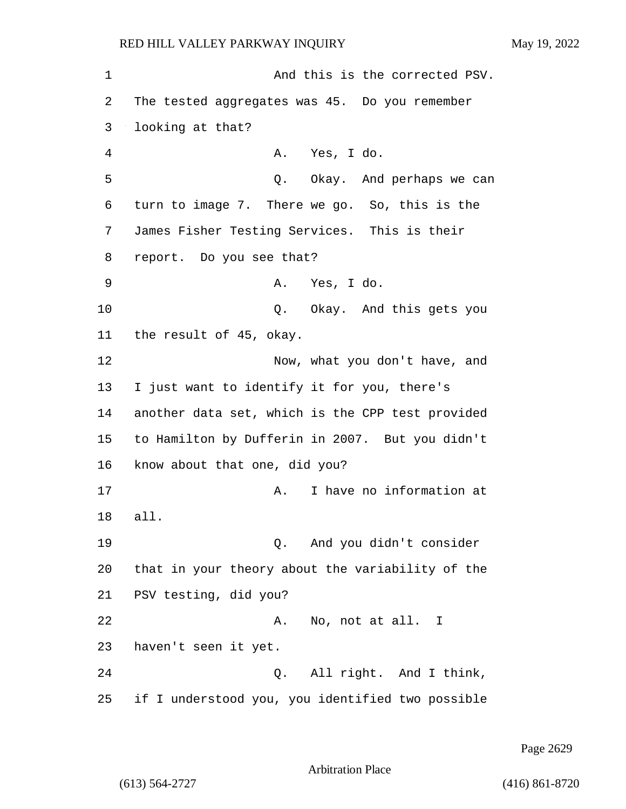1 and this is the corrected PSV. 2 The tested aggregates was 45. Do you remember 3 looking at that? 4 A. Yes, I do. 5 Service Contracts Contracts Contracts Contracts October 2012 and perhaps we can 6 turn to image 7. There we go. So, this is the 7 James Fisher Testing Services. This is their 8 report. Do you see that? 9 A. Yes, I do. 10 Q. Okay. And this gets you 11 the result of 45, okay. 12 Now, what you don't have, and 13 I just want to identify it for you, there's 14 another data set, which is the CPP test provided 15 to Hamilton by Dufferin in 2007. But you didn't 16 know about that one, did you? 17 and the Markey A. I have no information at 18 all. 19 Q. And you didn't consider 20 that in your theory about the variability of the 21 PSV testing, did you? 22 A. No, not at all. I 23 haven't seen it yet. 24 Q. All right. And I think, 25 if I understood you, you identified two possible

Page 2629

Arbitration Place

(613) 564-2727 (416) 861-8720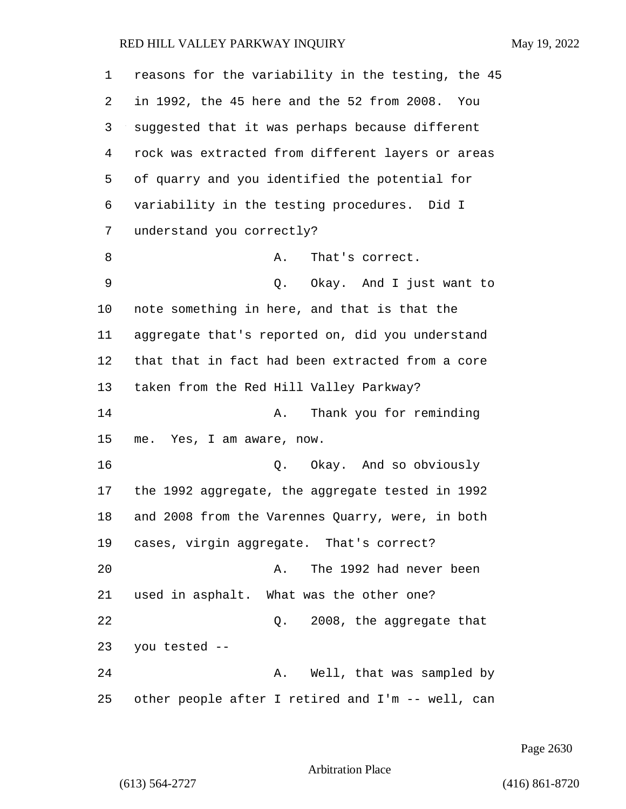| 1  | reasons for the variability in the testing, the 45 |
|----|----------------------------------------------------|
| 2  | in 1992, the 45 here and the 52 from 2008. You     |
| 3  | suggested that it was perhaps because different    |
| 4  | rock was extracted from different layers or areas  |
| 5  | of quarry and you identified the potential for     |
| 6  | variability in the testing procedures. Did I       |
| 7  | understand you correctly?                          |
| 8  | Α.<br>That's correct.                              |
| 9  | Q. Okay. And I just want to                        |
| 10 | note something in here, and that is that the       |
| 11 | aggregate that's reported on, did you understand   |
| 12 | that that in fact had been extracted from a core   |
| 13 | taken from the Red Hill Valley Parkway?            |
| 14 | Thank you for reminding<br>Α.                      |
| 15 | me. Yes, I am aware, now.                          |
| 16 | Q. Okay. And so obviously                          |
| 17 | the 1992 aggregate, the aggregate tested in 1992   |
| 18 | and 2008 from the Varennes Quarry, were, in both   |
| 19 | cases, virgin aggregate. That's correct?           |
| 20 | The 1992 had never been<br>Α.                      |
| 21 | used in asphalt. What was the other one?           |
| 22 | 2008, the aggregate that<br>Q.                     |
| 23 | you tested --                                      |
| 24 | A. Well, that was sampled by                       |
| 25 | other people after I retired and I'm -- well, can  |

Page 2630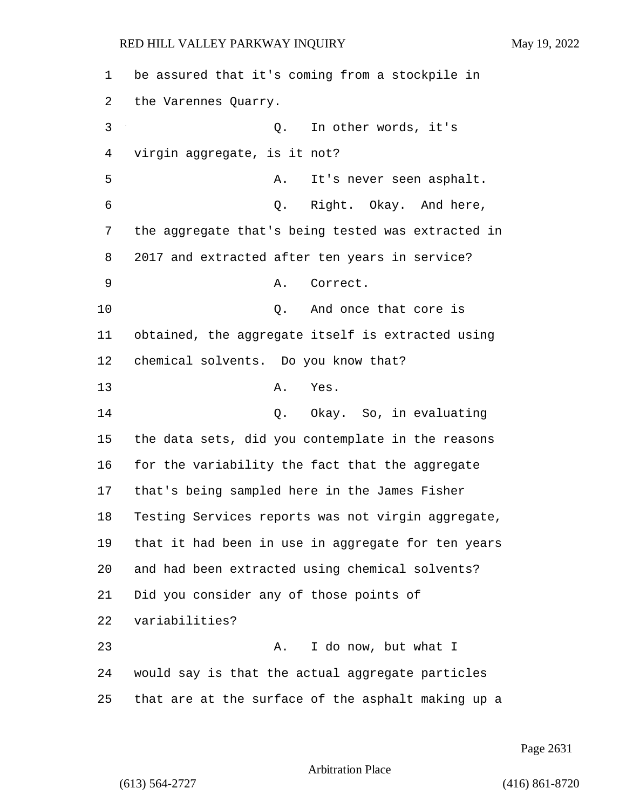be assured that it's coming from a stockpile in the Varennes Quarry. 3 Q. In other words, it's virgin aggregate, is it not? 5 A. It's never seen asphalt. 6 Q. Right. Okay. And here, the aggregate that's being tested was extracted in 2017 and extracted after ten years in service? 9 A. Correct. 10 Q. And once that core is obtained, the aggregate itself is extracted using chemical solvents. Do you know that? 13 A. Yes. 14 Q. Okay. So, in evaluating the data sets, did you contemplate in the reasons for the variability the fact that the aggregate that's being sampled here in the James Fisher Testing Services reports was not virgin aggregate, that it had been in use in aggregate for ten years and had been extracted using chemical solvents? Did you consider any of those points of variabilities? 23 A. I do now, but what I would say is that the actual aggregate particles that are at the surface of the asphalt making up a

Page 2631

Arbitration Place

(613) 564-2727 (416) 861-8720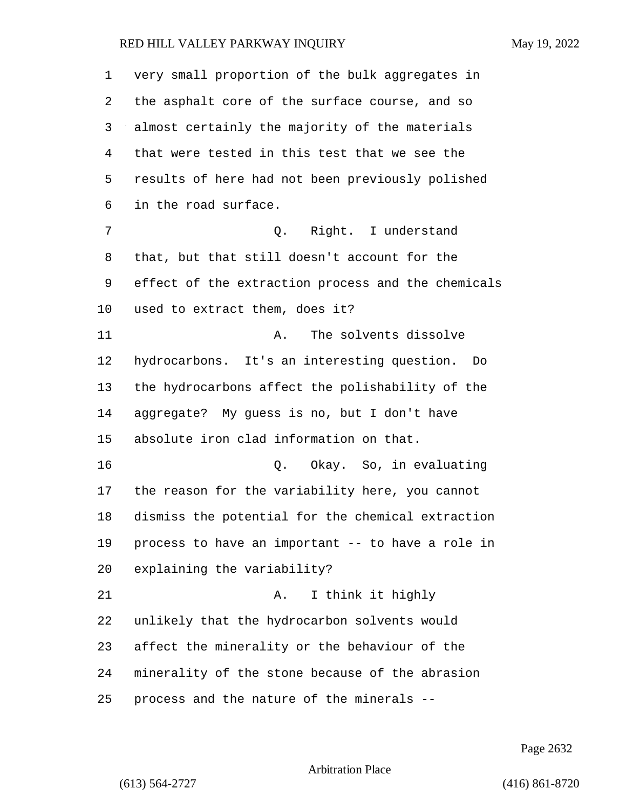| 1       | very small proportion of the bulk aggregates in    |
|---------|----------------------------------------------------|
| 2       | the asphalt core of the surface course, and so     |
| 3       | almost certainly the majority of the materials     |
| 4       | that were tested in this test that we see the      |
| 5       | results of here had not been previously polished   |
| 6       | in the road surface.                               |
| 7       | Right. I understand<br>Q.                          |
| 8       | that, but that still doesn't account for the       |
| 9       | effect of the extraction process and the chemicals |
| $10 \,$ | used to extract them, does it?                     |
| 11      | The solvents dissolve<br>Α.                        |
| 12      | hydrocarbons. It's an interesting question.<br>Do  |
| 13      | the hydrocarbons affect the polishability of the   |
| 14      | aggregate? My guess is no, but I don't have        |
| 15      | absolute iron clad information on that.            |
| 16      | Okay. So, in evaluating<br>Q.                      |
| 17      | the reason for the variability here, you cannot    |
| 18      | dismiss the potential for the chemical extraction  |
| 19      | process to have an important -- to have a role in  |
| 20      | explaining the variability?                        |
| 21      | I think it highly<br>Α.                            |
| 22      | unlikely that the hydrocarbon solvents would       |
| 23      | affect the minerality or the behaviour of the      |
| 24      | minerality of the stone because of the abrasion    |
| 25      | process and the nature of the minerals --          |

Page 2632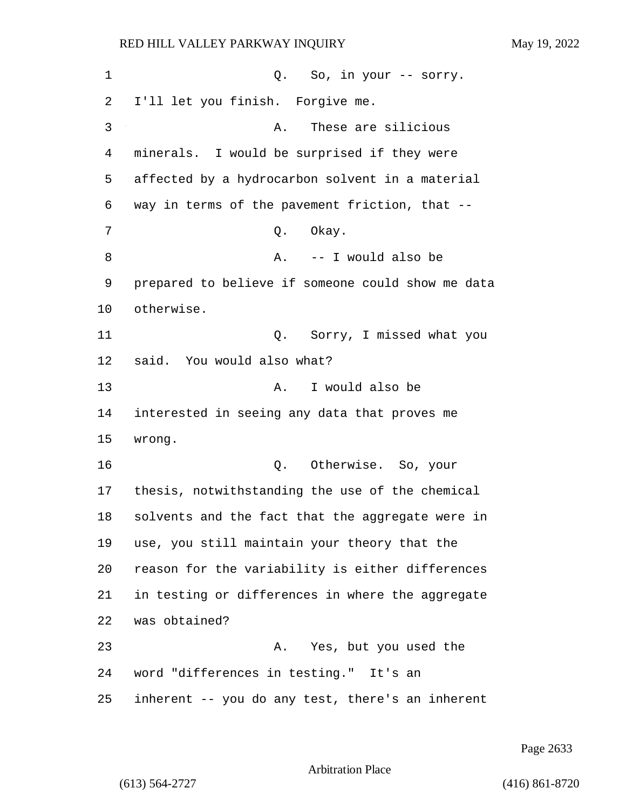| 1  | So, in your -- sorry.<br>Q.                       |
|----|---------------------------------------------------|
| 2  | I'll let you finish. Forgive me.                  |
| 3  | These are silicious<br>Α.                         |
| 4  | minerals. I would be surprised if they were       |
| 5  | affected by a hydrocarbon solvent in a material   |
| 6  | way in terms of the pavement friction, that --    |
| 7  | Okay.<br>Q.                                       |
| 8  | -- I would also be<br>Α.                          |
| 9  | prepared to believe if someone could show me data |
| 10 | otherwise.                                        |
| 11 | Sorry, I missed what you<br>Q.                    |
| 12 | said. You would also what?                        |
| 13 | I would also be<br>Α.                             |
| 14 | interested in seeing any data that proves me      |
| 15 | wrong.                                            |
| 16 | Otherwise. So, your<br>Q.                         |
| 17 | thesis, notwithstanding the use of the chemical   |
| 18 | solvents and the fact that the aggregate were in  |
| 19 | use, you still maintain your theory that the      |
| 20 | reason for the variability is either differences  |
| 21 | in testing or differences in where the aggregate  |
| 22 | was obtained?                                     |
| 23 | Yes, but you used the<br>Α.                       |
| 24 | word "differences in testing." It's an            |
| 25 | inherent -- you do any test, there's an inherent  |

Page 2633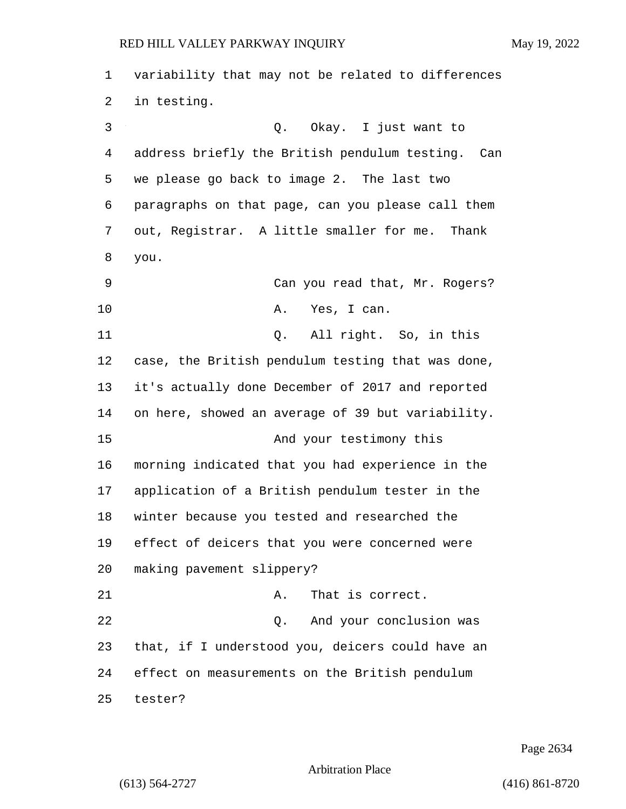| $\mathbf 1$ | variability that may not be related to differences   |
|-------------|------------------------------------------------------|
| 2           | in testing.                                          |
| 3           | Q. Okay. I just want to                              |
| 4           | address briefly the British pendulum testing.<br>Can |
| 5           | we please go back to image 2. The last two           |
| 6           | paragraphs on that page, can you please call them    |
| 7           | out, Registrar. A little smaller for me. Thank       |
| 8           | you.                                                 |
| 9           | Can you read that, Mr. Rogers?                       |
| 10          | Yes, I can.<br>Α.                                    |
| 11          | Q. All right. So, in this                            |
| 12          | case, the British pendulum testing that was done,    |
| 13          | it's actually done December of 2017 and reported     |
| 14          | on here, showed an average of 39 but variability.    |
| 15          | And your testimony this                              |
| 16          | morning indicated that you had experience in the     |
| 17          | application of a British pendulum tester in the      |
| 18          | winter because you tested and researched the         |
| 19          | effect of deicers that you were concerned were       |
| 20          | making pavement slippery?                            |
| 21          | That is correct.<br>Α.                               |
| 22          | Q. And your conclusion was                           |
| 23          | that, if I understood you, deicers could have an     |
| 24          | effect on measurements on the British pendulum       |
| 25          | tester?                                              |

Page 2634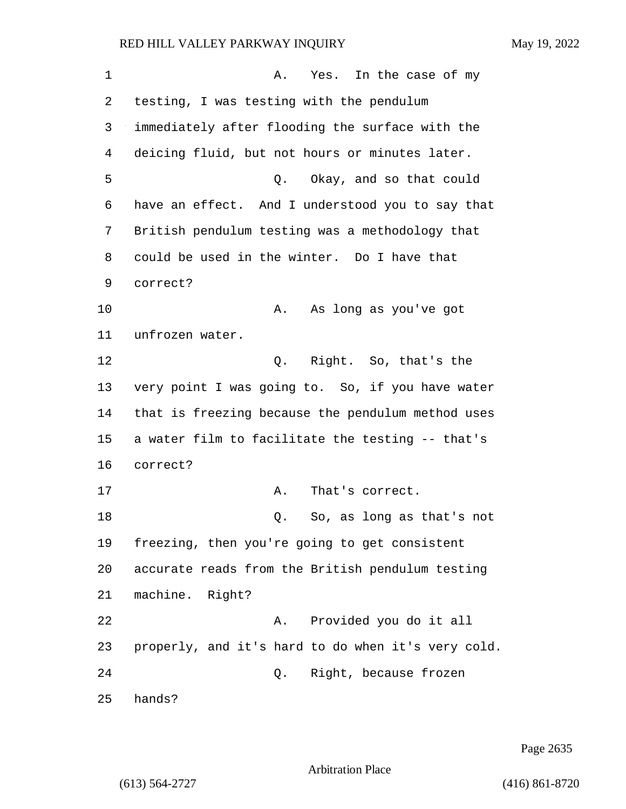1 A. Yes. In the case of my 2 testing, I was testing with the pendulum 3 immediately after flooding the surface with the 4 deicing fluid, but not hours or minutes later. 5 Q. Okay, and so that could 6 have an effect. And I understood you to say that 7 British pendulum testing was a methodology that 8 could be used in the winter. Do I have that 9 correct? 10 A. As long as you've got 11 unfrozen water. 12 0. Right. So, that's the 13 very point I was going to. So, if you have water 14 that is freezing because the pendulum method uses 15 a water film to facilitate the testing -- that's 16 correct? 17 A. That's correct. 18 Q. So, as long as that's not 19 freezing, then you're going to get consistent 20 accurate reads from the British pendulum testing 21 machine. Right? 22 A. Provided you do it all 23 properly, and it's hard to do when it's very cold. 24 Q. Right, because frozen 25 hands?

Page 2635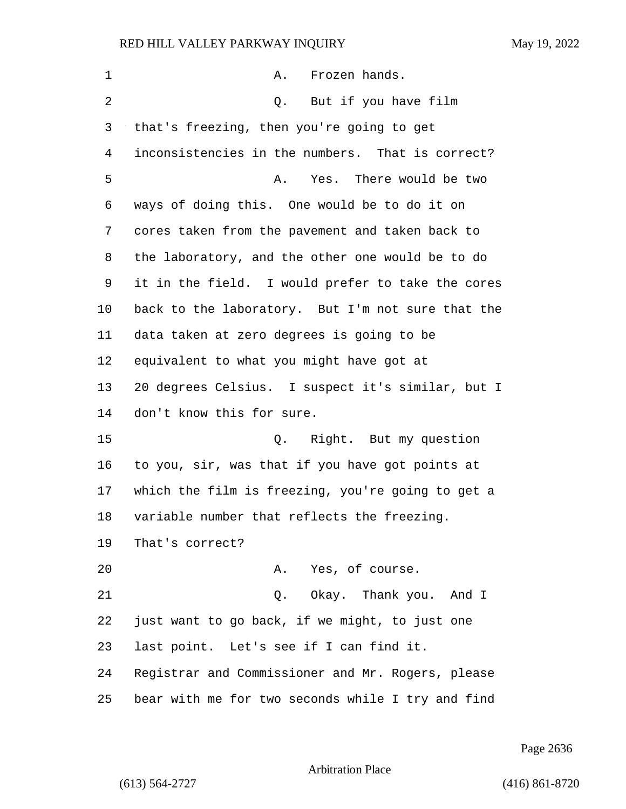| $\mathbf 1$ | Frozen hands.<br>Α.                               |
|-------------|---------------------------------------------------|
| 2           | Q. But if you have film                           |
| 3           | that's freezing, then you're going to get         |
| 4           | inconsistencies in the numbers. That is correct?  |
| 5           | Yes. There would be two<br>Α.                     |
| 6           | ways of doing this. One would be to do it on      |
| 7           | cores taken from the pavement and taken back to   |
| 8           | the laboratory, and the other one would be to do  |
| 9           | it in the field. I would prefer to take the cores |
| 10          | back to the laboratory. But I'm not sure that the |
| 11          | data taken at zero degrees is going to be         |
| 12          | equivalent to what you might have got at          |
| 13          | 20 degrees Celsius. I suspect it's similar, but I |
| 14          | don't know this for sure.                         |
| 15          | Q. Right. But my question                         |
| 16          | to you, sir, was that if you have got points at   |
| 17          | which the film is freezing, you're going to get a |
| 18          | variable number that reflects the freezing.       |
| 19          | That's correct?                                   |
| 20          | A. Yes, of course.                                |
| 21          | Q. Okay. Thank you. And I                         |
| 22          | just want to go back, if we might, to just one    |
| 23          | last point. Let's see if I can find it.           |
| 24          | Registrar and Commissioner and Mr. Rogers, please |
| 25          | bear with me for two seconds while I try and find |

Page 2636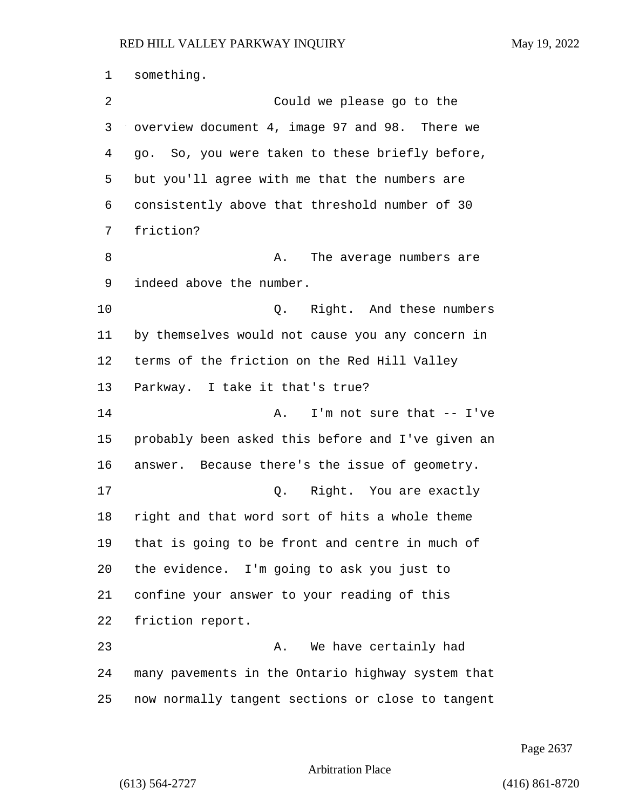something. 2 Could we please go to the overview document 4, image 97 and 98. There we go. So, you were taken to these briefly before, but you'll agree with me that the numbers are consistently above that threshold number of 30 friction? 8 A. The average numbers are indeed above the number. 10 Q. Right. And these numbers by themselves would not cause you any concern in terms of the friction on the Red Hill Valley Parkway. I take it that's true? 14 A. I'm not sure that -- I've probably been asked this before and I've given an answer. Because there's the issue of geometry. 17 Q. Right. You are exactly right and that word sort of hits a whole theme that is going to be front and centre in much of the evidence. I'm going to ask you just to confine your answer to your reading of this friction report. 23 A. We have certainly had many pavements in the Ontario highway system that now normally tangent sections or close to tangent

Page 2637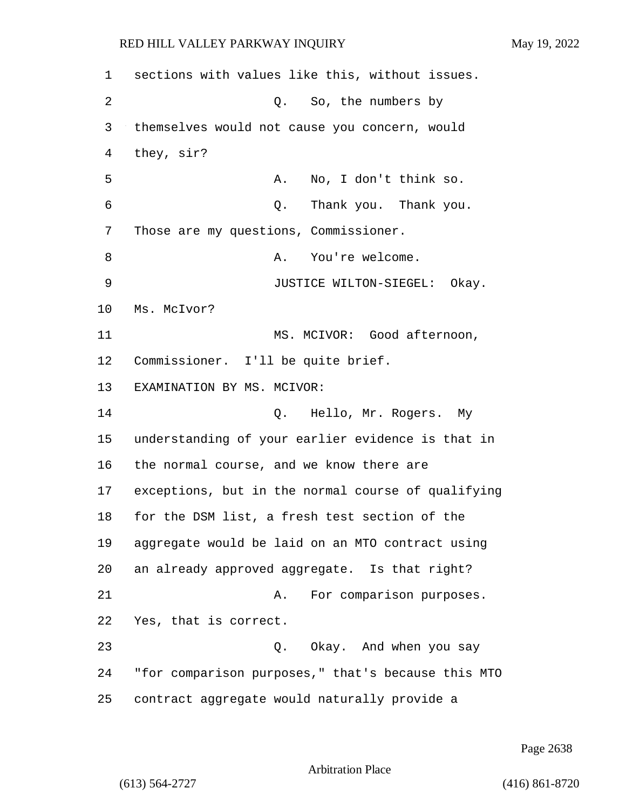sections with values like this, without issues. 2 Q. So, the numbers by themselves would not cause you concern, would they, sir? 5 A. No, I don't think so. 6 Q. Thank you. Thank you. Those are my questions, Commissioner. 8 A. You're welcome. 9 JUSTICE WILTON-SIEGEL: Okay. Ms. McIvor? 11 MS. MCIVOR: Good afternoon, Commissioner. I'll be quite brief. EXAMINATION BY MS. MCIVOR: 14 Q. Hello, Mr. Rogers. My understanding of your earlier evidence is that in the normal course, and we know there are exceptions, but in the normal course of qualifying for the DSM list, a fresh test section of the aggregate would be laid on an MTO contract using an already approved aggregate. Is that right? 21 A. For comparison purposes. Yes, that is correct. 23 Q. Okay. And when you say "for comparison purposes," that's because this MTO contract aggregate would naturally provide a

Page 2638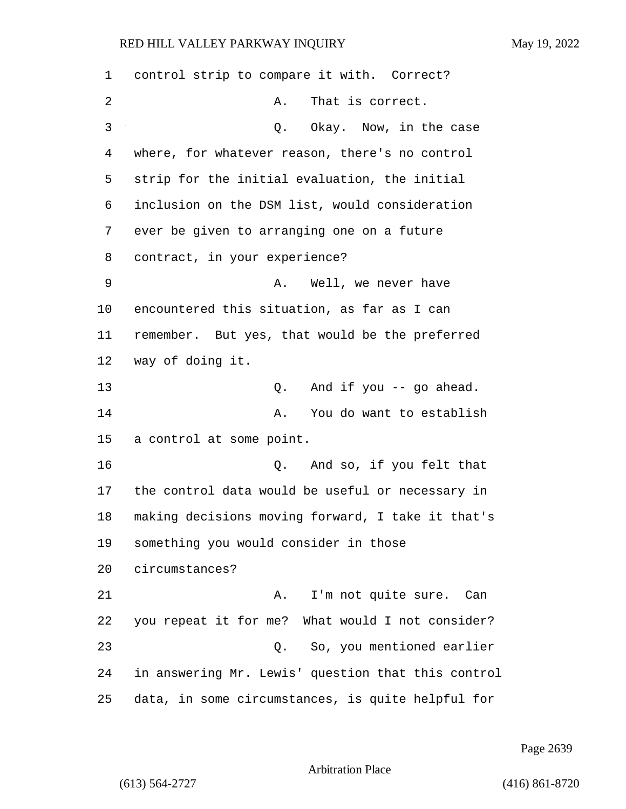control strip to compare it with. Correct? 2 A. That is correct. 3 Q. Okay. Now, in the case where, for whatever reason, there's no control strip for the initial evaluation, the initial inclusion on the DSM list, would consideration ever be given to arranging one on a future contract, in your experience? 9 A. Well, we never have encountered this situation, as far as I can remember. But yes, that would be the preferred way of doing it. 13 Q. And if you -- go ahead. 14 A. You do want to establish a control at some point. 16 Q. And so, if you felt that the control data would be useful or necessary in making decisions moving forward, I take it that's something you would consider in those circumstances? 21 A. I'm not quite sure. Can you repeat it for me? What would I not consider? 23 Q. So, you mentioned earlier in answering Mr. Lewis' question that this control data, in some circumstances, is quite helpful for

Page 2639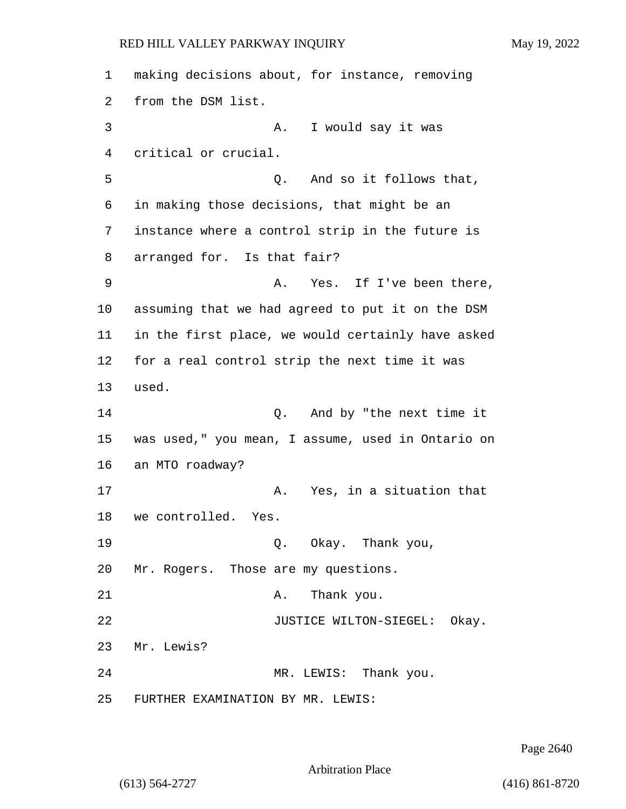1 making decisions about, for instance, removing 2 from the DSM list. 3 A. I would say it was 4 critical or crucial. 5 Q. And so it follows that, 6 in making those decisions, that might be an 7 instance where a control strip in the future is 8 arranged for. Is that fair? 9 A. Yes. If I've been there, 10 assuming that we had agreed to put it on the DSM 11 in the first place, we would certainly have asked 12 for a real control strip the next time it was 13 used. 14 Q. And by "the next time it 15 was used," you mean, I assume, used in Ontario on 16 an MTO roadway? 17 A. Yes, in a situation that 18 we controlled. Yes. 19 Q. Okay. Thank you, 20 Mr. Rogers. Those are my questions. 21 A. Thank you. 22 JUSTICE WILTON-SIEGEL: Okay. 23 Mr. Lewis? 24 MR. LEWIS: Thank you. 25 FURTHER EXAMINATION BY MR. LEWIS:

Page 2640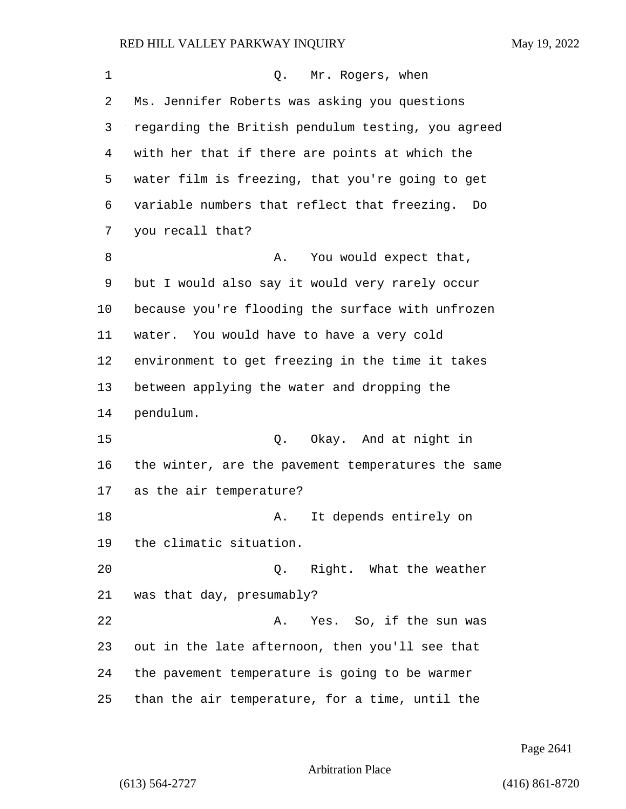| 1  | Q. Mr. Rogers, when                                |
|----|----------------------------------------------------|
| 2  | Ms. Jennifer Roberts was asking you questions      |
| 3  | regarding the British pendulum testing, you agreed |
| 4  | with her that if there are points at which the     |
| 5  | water film is freezing, that you're going to get   |
| 6  | variable numbers that reflect that freezing.<br>Do |
| 7  | you recall that?                                   |
| 8  | You would expect that,<br>Α.                       |
| 9  | but I would also say it would very rarely occur    |
| 10 | because you're flooding the surface with unfrozen  |
| 11 | water. You would have to have a very cold          |
| 12 | environment to get freezing in the time it takes   |
| 13 | between applying the water and dropping the        |
| 14 | pendulum.                                          |
| 15 | Q. Okay. And at night in                           |
| 16 | the winter, are the pavement temperatures the same |
| 17 | as the air temperature?                            |
| 18 | It depends entirely on<br>Α.                       |
| 19 | the climatic situation.                            |
| 20 | Q. Right. What the weather                         |
| 21 | was that day, presumably?                          |
| 22 | Yes. So, if the sun was<br>Α.                      |
| 23 | out in the late afternoon, then you'll see that    |
| 24 | the pavement temperature is going to be warmer     |
| 25 | than the air temperature, for a time, until the    |

Page 2641